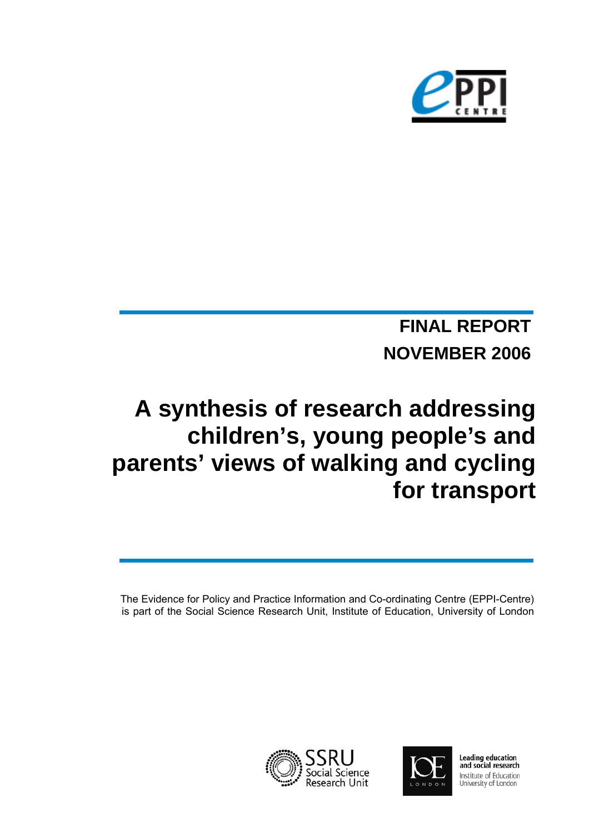

# **NOVEMBER 2006 FINAL REPORT**

# **A synthesis of research addressing children's, young people's and parents' views of walking and cycling for transport**

The Evidence for Policy and Practice Information and Co-ordinating Centre (EPPI-Centre) is part of the Social Science Research Unit, Institute of Education, University of London





Leading education<br>and social research Institute of Education University of London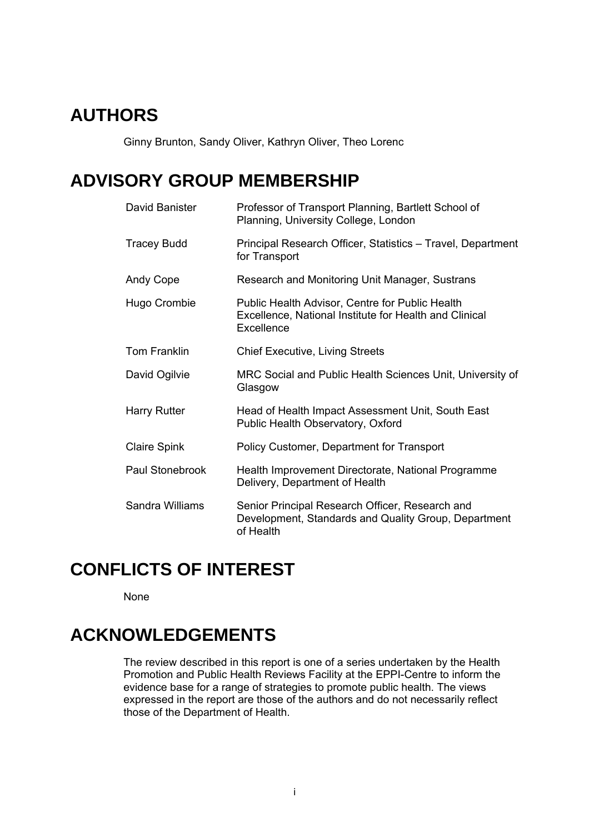# **AUTHORS**

Ginny Brunton, Sandy Oliver, Kathryn Oliver, Theo Lorenc

# **ADVISORY GROUP MEMBERSHIP**

| David Banister      | Professor of Transport Planning, Bartlett School of<br>Planning, University College, London                             |  |
|---------------------|-------------------------------------------------------------------------------------------------------------------------|--|
| <b>Tracey Budd</b>  | Principal Research Officer, Statistics - Travel, Department<br>for Transport                                            |  |
| Andy Cope           | Research and Monitoring Unit Manager, Sustrans                                                                          |  |
| Hugo Crombie        | Public Health Advisor, Centre for Public Health<br>Excellence, National Institute for Health and Clinical<br>Excellence |  |
| <b>Tom Franklin</b> | <b>Chief Executive, Living Streets</b>                                                                                  |  |
| David Ogilvie       | MRC Social and Public Health Sciences Unit, University of<br>Glasgow                                                    |  |
| Harry Rutter        | Head of Health Impact Assessment Unit, South East<br>Public Health Observatory, Oxford                                  |  |
| Claire Spink        | Policy Customer, Department for Transport                                                                               |  |
| Paul Stonebrook     | Health Improvement Directorate, National Programme<br>Delivery, Department of Health                                    |  |
| Sandra Williams     | Senior Principal Research Officer, Research and<br>Development, Standards and Quality Group, Department<br>of Health    |  |

# **CONFLICTS OF INTEREST**

None

# **ACKNOWLEDGEMENTS**

The review described in this report is one of a series undertaken by the Health Promotion and Public Health Reviews Facility at the EPPI-Centre to inform the evidence base for a range of strategies to promote public health. The views expressed in the report are those of the authors and do not necessarily reflect those of the Department of Health.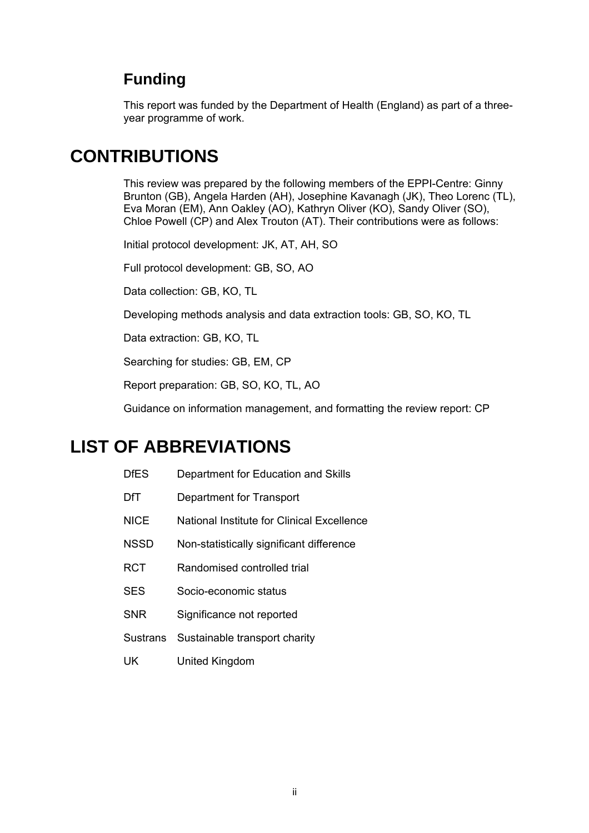# **Funding**

This report was funded by the Department of Health (England) as part of a threeyear programme of work.

# **CONTRIBUTIONS**

This review was prepared by the following members of the EPPI-Centre: Ginny Brunton (GB), Angela Harden (AH), Josephine Kavanagh (JK), Theo Lorenc (TL), Eva Moran (EM), Ann Oakley (AO), Kathryn Oliver (KO), Sandy Oliver (SO), Chloe Powell (CP) and Alex Trouton (AT). Their contributions were as follows:

Initial protocol development: JK, AT, AH, SO

Full protocol development: GB, SO, AO

Data collection: GB, KO, TL

Developing methods analysis and data extraction tools: GB, SO, KO, TL

Data extraction: GB, KO, TL

Searching for studies: GB, EM, CP

Report preparation: GB, SO, KO, TL, AO

Guidance on information management, and formatting the review report: CP

# **LIST OF ABBREVIATIONS**

- DfES Department for Education and Skills
- DfT Department for Transport
- NICE National Institute for Clinical Excellence
- NSSD Non-statistically significant difference
- RCT Randomised controlled trial
- SES Socio-economic status
- SNR Significance not reported
- Sustrans Sustainable transport charity
- UK United Kingdom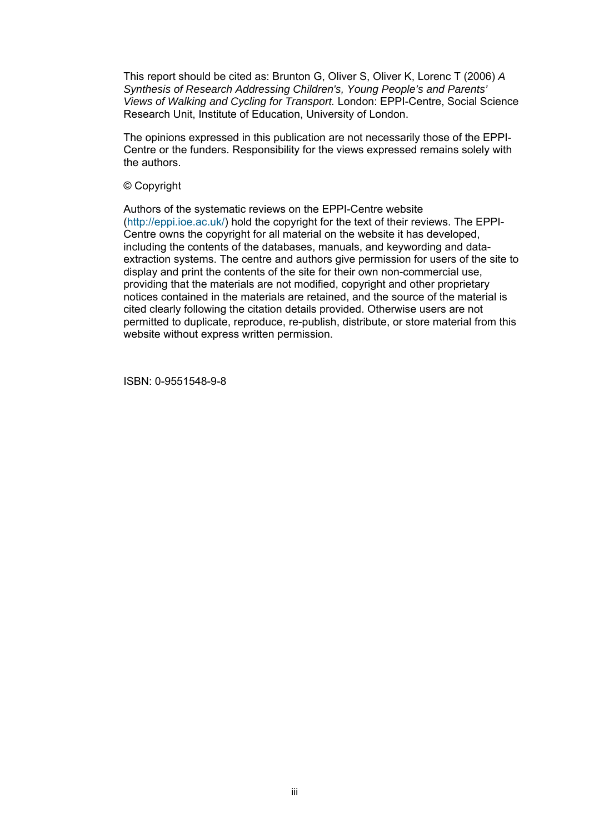This report should be cited as: Brunton G, Oliver S, Oliver K, Lorenc T (2006) *A Synthesis of Research Addressing Children's, Young People's and Parents' Views of Walking and Cycling for Transport.* London: EPPI-Centre, Social Science Research Unit, Institute of Education, University of London.

The opinions expressed in this publication are not necessarily those of the EPPI-Centre or the funders. Responsibility for the views expressed remains solely with the authors.

#### © Copyright

Authors of the systematic reviews on the EPPI-Centre website [\(http://eppi.ioe.ac.uk/\)](http://eppi.ioe.ac.uk/) hold the copyright for the text of their reviews. The EPPI-Centre owns the copyright for all material on the website it has developed, including the contents of the databases, manuals, and keywording and dataextraction systems. The centre and authors give permission for users of the site to display and print the contents of the site for their own non-commercial use, providing that the materials are not modified, copyright and other proprietary notices contained in the materials are retained, and the source of the material is cited clearly following the citation details provided. Otherwise users are not permitted to duplicate, reproduce, re-publish, distribute, or store material from this website without express written permission.

ISBN: 0-9551548-9-8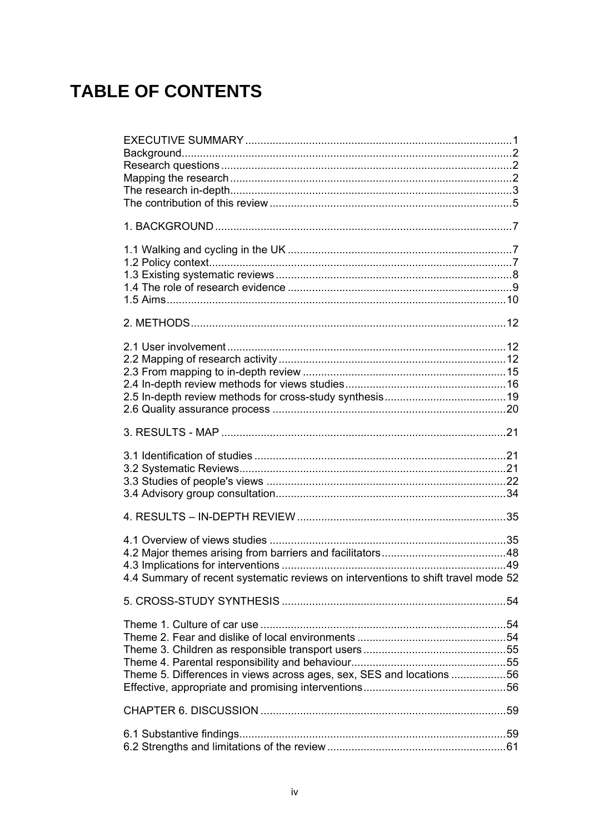# **TABLE OF CONTENTS**

| 4.4 Summary of recent systematic reviews on interventions to shift travel mode 52 |  |
|-----------------------------------------------------------------------------------|--|
|                                                                                   |  |
| Theme 5. Differences in views across ages, sex, SES and locations 56              |  |
|                                                                                   |  |
|                                                                                   |  |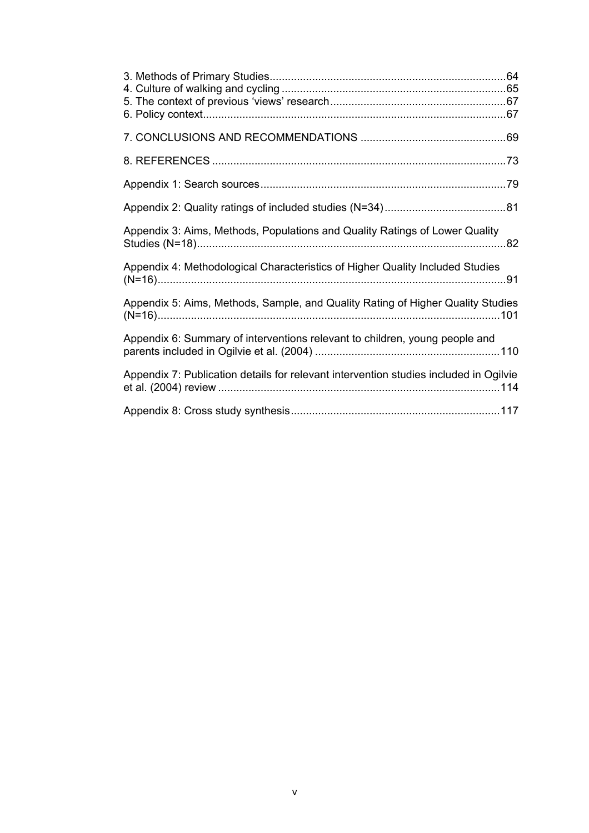| Appendix 3: Aims, Methods, Populations and Quality Ratings of Lower Quality           |  |
|---------------------------------------------------------------------------------------|--|
| Appendix 4: Methodological Characteristics of Higher Quality Included Studies         |  |
| Appendix 5: Aims, Methods, Sample, and Quality Rating of Higher Quality Studies       |  |
| Appendix 6: Summary of interventions relevant to children, young people and           |  |
| Appendix 7: Publication details for relevant intervention studies included in Ogilvie |  |
|                                                                                       |  |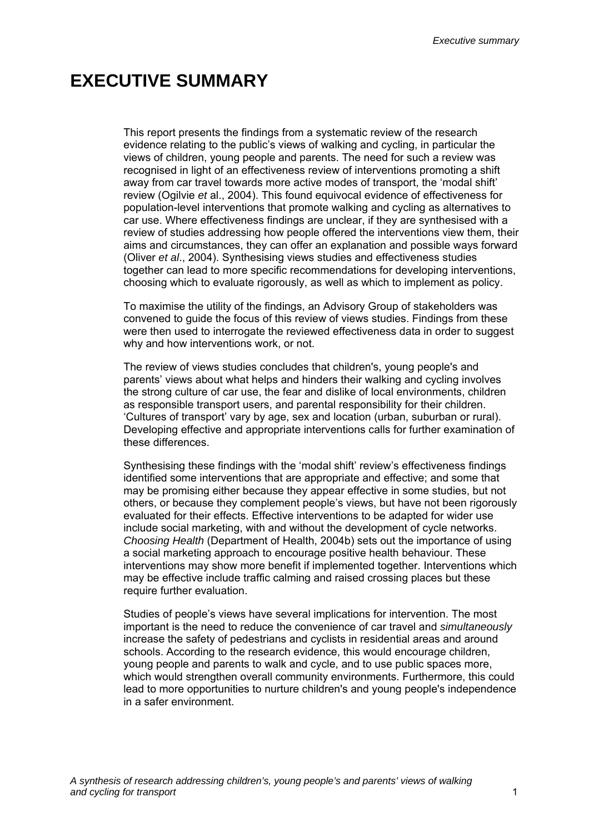*Executive summary*

# <span id="page-6-0"></span>**EXECUTIVE SUMMARY**

This report presents the findings from a systematic review of the research evidence relating to the public's views of walking and cycling, in particular the views of children, young people and parents. The need for such a review was recognised in light of an effectiveness review of interventions promoting a shift away from car travel towards more active modes of transport, the 'modal shift' review (Ogilvie *et* al., 2004). This found equivocal evidence of effectiveness for population-level interventions that promote walking and cycling as alternatives to car use. Where effectiveness findings are unclear, if they are synthesised with a review of studies addressing how people offered the interventions view them, their aims and circumstances, they can offer an explanation and possible ways forward (Oliver *et al*., 2004). Synthesising views studies and effectiveness studies together can lead to more specific recommendations for developing interventions, choosing which to evaluate rigorously, as well as which to implement as policy.

To maximise the utility of the findings, an Advisory Group of stakeholders was convened to guide the focus of this review of views studies. Findings from these were then used to interrogate the reviewed effectiveness data in order to suggest why and how interventions work, or not.

The review of views studies concludes that children's, young people's and parents' views about what helps and hinders their walking and cycling involves the strong culture of car use, the fear and dislike of local environments, children as responsible transport users, and parental responsibility for their children. 'Cultures of transport' vary by age, sex and location (urban, suburban or rural). Developing effective and appropriate interventions calls for further examination of these differences.

Synthesising these findings with the 'modal shift' review's effectiveness findings identified some interventions that are appropriate and effective; and some that may be promising either because they appear effective in some studies, but not others, or because they complement people's views, but have not been rigorously evaluated for their effects. Effective interventions to be adapted for wider use include social marketing, with and without the development of cycle networks. *Choosing Health* (Department of Health, 2004b) sets out the importance of using a social marketing approach to encourage positive health behaviour. These interventions may show more benefit if implemented together. Interventions which may be effective include traffic calming and raised crossing places but these require further evaluation.

Studies of people's views have several implications for intervention. The most important is the need to reduce the convenience of car travel and *simultaneously* increase the safety of pedestrians and cyclists in residential areas and around schools. According to the research evidence, this would encourage children, young people and parents to walk and cycle, and to use public spaces more, which would strengthen overall community environments. Furthermore, this could lead to more opportunities to nurture children's and young people's independence in a safer environment.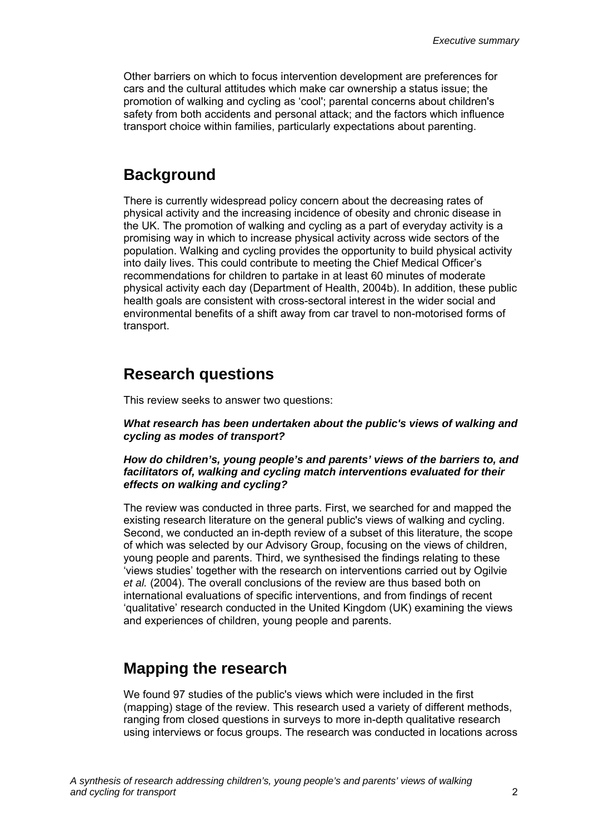<span id="page-7-0"></span>Other barriers on which to focus intervention development are preferences for cars and the cultural attitudes which make car ownership a status issue; the promotion of walking and cycling as 'cool'; parental concerns about children's safety from both accidents and personal attack; and the factors which influence transport choice within families, particularly expectations about parenting.

### **Background**

There is currently widespread policy concern about the decreasing rates of physical activity and the increasing incidence of obesity and chronic disease in the UK. The promotion of walking and cycling as a part of everyday activity is a promising way in which to increase physical activity across wide sectors of the population. Walking and cycling provides the opportunity to build physical activity into daily lives. This could contribute to meeting the Chief Medical Officer's recommendations for children to partake in at least 60 minutes of moderate physical activity each day (Department of Health, 2004b). In addition, these public health goals are consistent with cross-sectoral interest in the wider social and environmental benefits of a shift away from car travel to non-motorised forms of transport.

### **Research questions**

This review seeks to answer two questions:

*What research has been undertaken about the public's views of walking and cycling as modes of transport?* 

#### *How do children's, young people's and parents' views of the barriers to, and facilitators of, walking and cycling match interventions evaluated for their effects on walking and cycling?*

The review was conducted in three parts. First, we searched for and mapped the existing research literature on the general public's views of walking and cycling. Second, we conducted an in-depth review of a subset of this literature, the scope of which was selected by our Advisory Group, focusing on the views of children, young people and parents. Third, we synthesised the findings relating to these 'views studies' together with the research on interventions carried out by Ogilvie *et al.* (2004). The overall conclusions of the review are thus based both on international evaluations of specific interventions, and from findings of recent 'qualitative' research conducted in the United Kingdom (UK) examining the views and experiences of children, young people and parents.

### **Mapping the research**

We found 97 studies of the public's views which were included in the first (mapping) stage of the review. This research used a variety of different methods, ranging from closed questions in surveys to more in-depth qualitative research using interviews or focus groups. The research was conducted in locations across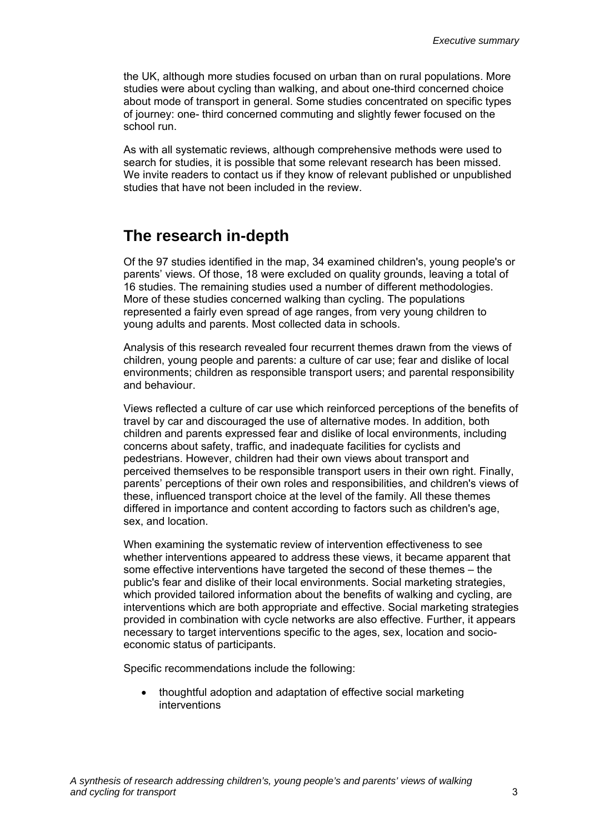<span id="page-8-0"></span>the UK, although more studies focused on urban than on rural populations. More studies were about cycling than walking, and about one-third concerned choice about mode of transport in general. Some studies concentrated on specific types of journey: one- third concerned commuting and slightly fewer focused on the school run.

As with all systematic reviews, although comprehensive methods were used to search for studies, it is possible that some relevant research has been missed. We invite readers to contact us if they know of relevant published or unpublished studies that have not been included in the review.

### **The research in-depth**

Of the 97 studies identified in the map, 34 examined children's, young people's or parents' views. Of those, 18 were excluded on quality grounds, leaving a total of 16 studies. The remaining studies used a number of different methodologies. More of these studies concerned walking than cycling. The populations represented a fairly even spread of age ranges, from very young children to young adults and parents. Most collected data in schools.

Analysis of this research revealed four recurrent themes drawn from the views of children, young people and parents: a culture of car use; fear and dislike of local environments; children as responsible transport users; and parental responsibility and behaviour.

Views reflected a culture of car use which reinforced perceptions of the benefits of travel by car and discouraged the use of alternative modes. In addition, both children and parents expressed fear and dislike of local environments, including concerns about safety, traffic, and inadequate facilities for cyclists and pedestrians. However, children had their own views about transport and perceived themselves to be responsible transport users in their own right. Finally, parents' perceptions of their own roles and responsibilities, and children's views of these, influenced transport choice at the level of the family. All these themes differed in importance and content according to factors such as children's age, sex, and location.

When examining the systematic review of intervention effectiveness to see whether interventions appeared to address these views, it became apparent that some effective interventions have targeted the second of these themes – the public's fear and dislike of their local environments. Social marketing strategies, which provided tailored information about the benefits of walking and cycling, are interventions which are both appropriate and effective. Social marketing strategies provided in combination with cycle networks are also effective. Further, it appears necessary to target interventions specific to the ages, sex, location and socioeconomic status of participants.

Specific recommendations include the following:

• thoughtful adoption and adaptation of effective social marketing interventions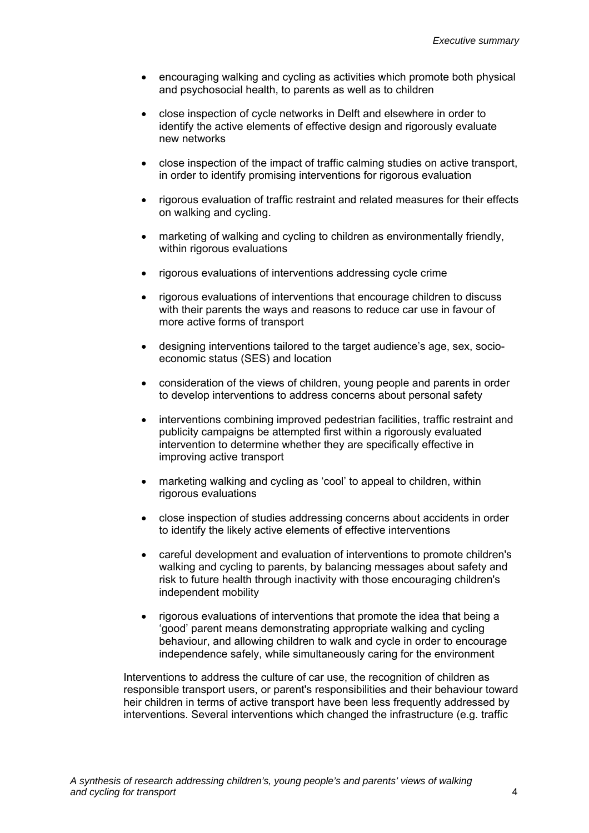- encouraging walking and cycling as activities which promote both physical and psychosocial health, to parents as well as to children
- close inspection of cycle networks in Delft and elsewhere in order to identify the active elements of effective design and rigorously evaluate new networks
- close inspection of the impact of traffic calming studies on active transport, in order to identify promising interventions for rigorous evaluation
- rigorous evaluation of traffic restraint and related measures for their effects on walking and cycling.
- marketing of walking and cycling to children as environmentally friendly, within rigorous evaluations
- rigorous evaluations of interventions addressing cycle crime
- rigorous evaluations of interventions that encourage children to discuss with their parents the ways and reasons to reduce car use in favour of more active forms of transport
- designing interventions tailored to the target audience's age, sex, socioeconomic status (SES) and location
- consideration of the views of children, young people and parents in order to develop interventions to address concerns about personal safety
- interventions combining improved pedestrian facilities, traffic restraint and publicity campaigns be attempted first within a rigorously evaluated intervention to determine whether they are specifically effective in improving active transport
- marketing walking and cycling as 'cool' to appeal to children, within rigorous evaluations
- close inspection of studies addressing concerns about accidents in order to identify the likely active elements of effective interventions
- careful development and evaluation of interventions to promote children's walking and cycling to parents, by balancing messages about safety and risk to future health through inactivity with those encouraging children's independent mobility
- rigorous evaluations of interventions that promote the idea that being a 'good' parent means demonstrating appropriate walking and cycling behaviour, and allowing children to walk and cycle in order to encourage independence safely, while simultaneously caring for the environment

Interventions to address the culture of car use, the recognition of children as responsible transport users, or parent's responsibilities and their behaviour toward heir children in terms of active transport have been less frequently addressed by interventions. Several interventions which changed the infrastructure (e.g. traffic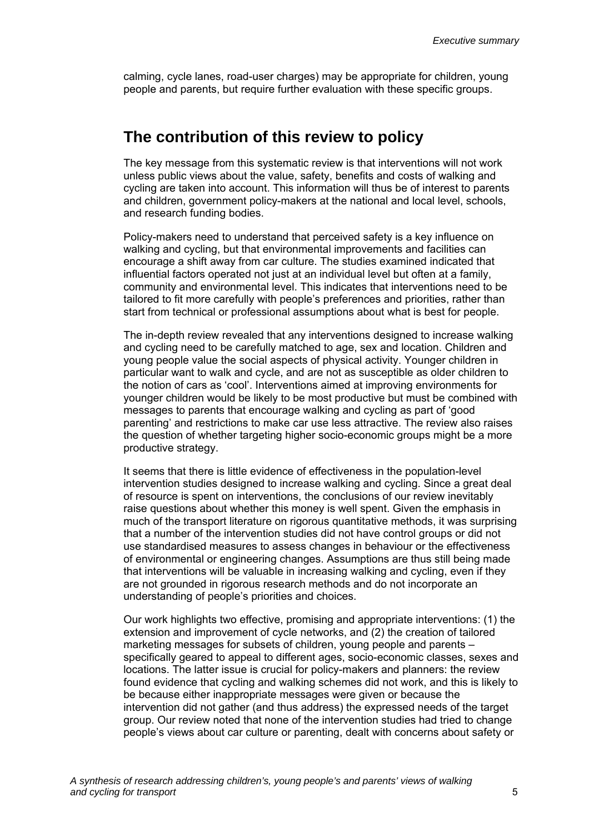<span id="page-10-0"></span>calming, cycle lanes, road-user charges) may be appropriate for children, young people and parents, but require further evaluation with these specific groups.

### **The contribution of this review to policy**

The key message from this systematic review is that interventions will not work unless public views about the value, safety, benefits and costs of walking and cycling are taken into account. This information will thus be of interest to parents and children, government policy-makers at the national and local level, schools, and research funding bodies.

Policy-makers need to understand that perceived safety is a key influence on walking and cycling, but that environmental improvements and facilities can encourage a shift away from car culture. The studies examined indicated that influential factors operated not just at an individual level but often at a family, community and environmental level. This indicates that interventions need to be tailored to fit more carefully with people's preferences and priorities, rather than start from technical or professional assumptions about what is best for people.

The in-depth review revealed that any interventions designed to increase walking and cycling need to be carefully matched to age, sex and location. Children and young people value the social aspects of physical activity. Younger children in particular want to walk and cycle, and are not as susceptible as older children to the notion of cars as 'cool'. Interventions aimed at improving environments for younger children would be likely to be most productive but must be combined with messages to parents that encourage walking and cycling as part of 'good parenting' and restrictions to make car use less attractive. The review also raises the question of whether targeting higher socio-economic groups might be a more productive strategy.

It seems that there is little evidence of effectiveness in the population-level intervention studies designed to increase walking and cycling. Since a great deal of resource is spent on interventions, the conclusions of our review inevitably raise questions about whether this money is well spent. Given the emphasis in much of the transport literature on rigorous quantitative methods, it was surprising that a number of the intervention studies did not have control groups or did not use standardised measures to assess changes in behaviour or the effectiveness of environmental or engineering changes. Assumptions are thus still being made that interventions will be valuable in increasing walking and cycling, even if they are not grounded in rigorous research methods and do not incorporate an understanding of people's priorities and choices.

Our work highlights two effective, promising and appropriate interventions: (1) the extension and improvement of cycle networks, and (2) the creation of tailored marketing messages for subsets of children, young people and parents – specifically geared to appeal to different ages, socio-economic classes, sexes and locations. The latter issue is crucial for policy-makers and planners: the review found evidence that cycling and walking schemes did not work, and this is likely to be because either inappropriate messages were given or because the intervention did not gather (and thus address) the expressed needs of the target group. Our review noted that none of the intervention studies had tried to change people's views about car culture or parenting, dealt with concerns about safety or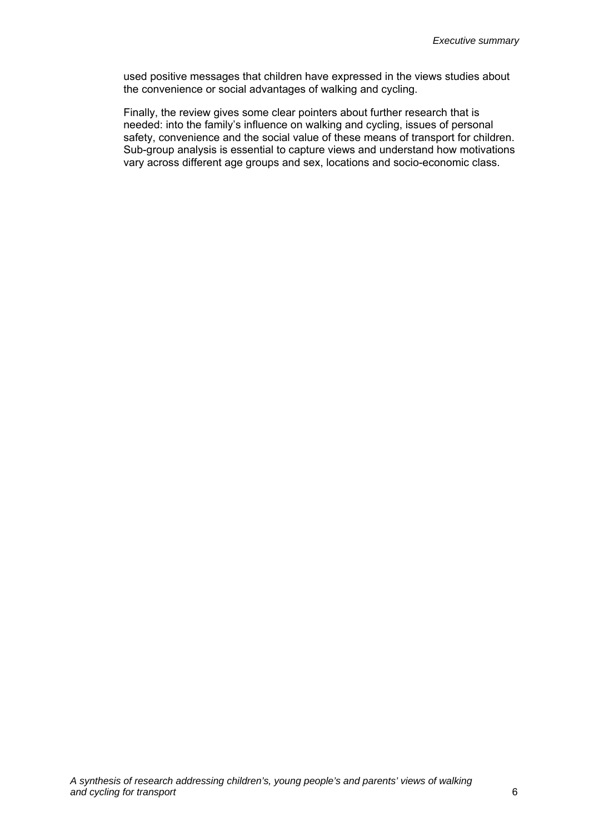used positive messages that children have expressed in the views studies about the convenience or social advantages of walking and cycling.

Finally, the review gives some clear pointers about further research that is needed: into the family's influence on walking and cycling, issues of personal safety, convenience and the social value of these means of transport for children. Sub-group analysis is essential to capture views and understand how motivations vary across different age groups and sex, locations and socio-economic class.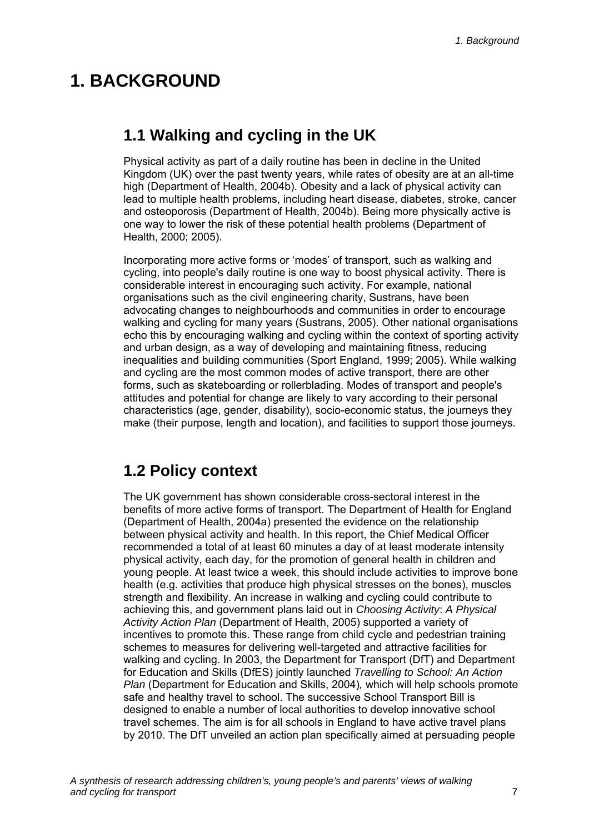# <span id="page-12-0"></span>**1. BACKGROUND**

# **1.1 Walking and cycling in the UK**

Physical activity as part of a daily routine has been in decline in the United Kingdom (UK) over the past twenty years, while rates of obesity are at an all-time high (Department of Health, 2004b). Obesity and a lack of physical activity can lead to multiple health problems, including heart disease, diabetes, stroke, cancer and osteoporosis (Department of Health, 2004b). Being more physically active is one way to lower the risk of these potential health problems (Department of Health, 2000; 2005).

Incorporating more active forms or 'modes' of transport, such as walking and cycling, into people's daily routine is one way to boost physical activity. There is considerable interest in encouraging such activity. For example, national organisations such as the civil engineering charity, Sustrans, have been advocating changes to neighbourhoods and communities in order to encourage walking and cycling for many years (Sustrans, 2005). Other national organisations echo this by encouraging walking and cycling within the context of sporting activity and urban design, as a way of developing and maintaining fitness, reducing inequalities and building communities (Sport England, 1999; 2005). While walking and cycling are the most common modes of active transport, there are other forms, such as skateboarding or rollerblading. Modes of transport and people's attitudes and potential for change are likely to vary according to their personal characteristics (age, gender, disability), socio-economic status, the journeys they make (their purpose, length and location), and facilities to support those journeys.

## **1.2 Policy context**

The UK government has shown considerable cross-sectoral interest in the benefits of more active forms of transport. The Department of Health for England (Department of Health, 2004a) presented the evidence on the relationship between physical activity and health. In this report, the Chief Medical Officer recommended a total of at least 60 minutes a day of at least moderate intensity physical activity, each day, for the promotion of general health in children and young people. At least twice a week, this should include activities to improve bone health (e.g. activities that produce high physical stresses on the bones), muscles strength and flexibility. An increase in walking and cycling could contribute to achieving this, and government plans laid out in *Choosing Activity*: *A Physical Activity Action Plan* (Department of Health, 2005) supported a variety of incentives to promote this. These range from child cycle and pedestrian training schemes to measures for delivering well-targeted and attractive facilities for walking and cycling. In 2003, the Department for Transport (DfT) and Department for Education and Skills (DfES) jointly launched *Travelling to School: An Action Plan* (Department for Education and Skills, 2004)*,* which will help schools promote safe and healthy travel to school. The successive School Transport Bill is designed to enable a number of local authorities to develop innovative school travel schemes. The aim is for all schools in England to have active travel plans by 2010. The DfT unveiled an action plan specifically aimed at persuading people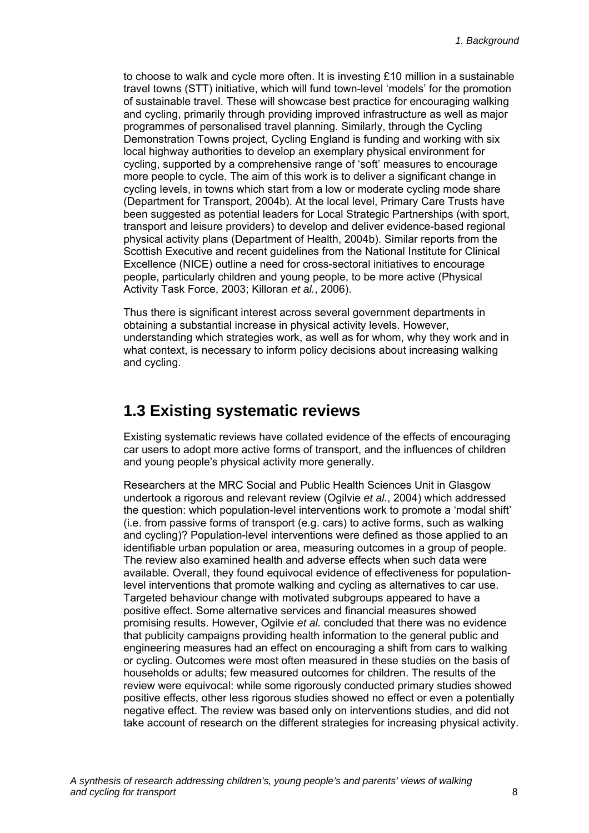<span id="page-13-0"></span>to choose to walk and cycle more often. It is investing £10 million in a sustainable travel towns (STT) initiative, which will fund town-level 'models' for the promotion of sustainable travel. These will showcase best practice for encouraging walking and cycling, primarily through providing improved infrastructure as well as major programmes of personalised travel planning. Similarly, through the Cycling Demonstration Towns project, Cycling England is funding and working with six local highway authorities to develop an exemplary physical environment for cycling, supported by a comprehensive range of 'soft' measures to encourage more people to cycle. The aim of this work is to deliver a significant change in cycling levels, in towns which start from a low or moderate cycling mode share (Department for Transport, 2004b). At the local level, Primary Care Trusts have been suggested as potential leaders for Local Strategic Partnerships (with sport, transport and leisure providers) to develop and deliver evidence-based regional physical activity plans (Department of Health, 2004b). Similar reports from the Scottish Executive and recent guidelines from the National Institute for Clinical Excellence (NICE) outline a need for cross-sectoral initiatives to encourage people, particularly children and young people, to be more active (Physical Activity Task Force, 2003; Killoran *et al.*, 2006).

Thus there is significant interest across several government departments in obtaining a substantial increase in physical activity levels. However, understanding which strategies work, as well as for whom, why they work and in what context, is necessary to inform policy decisions about increasing walking and cycling.

## **1.3 Existing systematic reviews**

Existing systematic reviews have collated evidence of the effects of encouraging car users to adopt more active forms of transport, and the influences of children and young people's physical activity more generally.

Researchers at the MRC Social and Public Health Sciences Unit in Glasgow undertook a rigorous and relevant review (Ogilvie *et al.*, 2004) which addressed the question: which population-level interventions work to promote a 'modal shift' (i.e. from passive forms of transport (e.g. cars) to active forms, such as walking and cycling)? Population-level interventions were defined as those applied to an identifiable urban population or area, measuring outcomes in a group of people. The review also examined health and adverse effects when such data were available. Overall, they found equivocal evidence of effectiveness for populationlevel interventions that promote walking and cycling as alternatives to car use. Targeted behaviour change with motivated subgroups appeared to have a positive effect. Some alternative services and financial measures showed promising results. However, Ogilvie *et al.* concluded that there was no evidence that publicity campaigns providing health information to the general public and engineering measures had an effect on encouraging a shift from cars to walking or cycling. Outcomes were most often measured in these studies on the basis of households or adults; few measured outcomes for children. The results of the review were equivocal: while some rigorously conducted primary studies showed positive effects, other less rigorous studies showed no effect or even a potentially negative effect. The review was based only on interventions studies, and did not take account of research on the different strategies for increasing physical activity.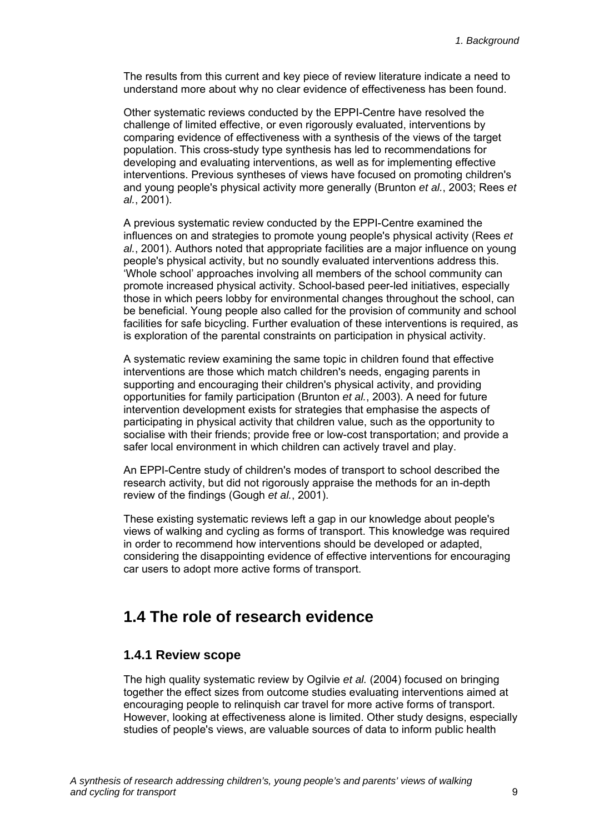<span id="page-14-0"></span>The results from this current and key piece of review literature indicate a need to understand more about why no clear evidence of effectiveness has been found.

Other systematic reviews conducted by the EPPI-Centre have resolved the challenge of limited effective, or even rigorously evaluated, interventions by comparing evidence of effectiveness with a synthesis of the views of the target population. This cross-study type synthesis has led to recommendations for developing and evaluating interventions, as well as for implementing effective interventions. Previous syntheses of views have focused on promoting children's and young people's physical activity more generally (Brunton *et al.*, 2003; Rees *et al.*, 2001).

A previous systematic review conducted by the EPPI-Centre examined the influences on and strategies to promote young people's physical activity (Rees *et al.*, 2001). Authors noted that appropriate facilities are a major influence on young people's physical activity, but no soundly evaluated interventions address this. 'Whole school' approaches involving all members of the school community can promote increased physical activity. School-based peer-led initiatives, especially those in which peers lobby for environmental changes throughout the school, can be beneficial. Young people also called for the provision of community and school facilities for safe bicycling. Further evaluation of these interventions is required, as is exploration of the parental constraints on participation in physical activity.

A systematic review examining the same topic in children found that effective interventions are those which match children's needs, engaging parents in supporting and encouraging their children's physical activity, and providing opportunities for family participation (Brunton *et al.*, 2003). A need for future intervention development exists for strategies that emphasise the aspects of participating in physical activity that children value, such as the opportunity to socialise with their friends; provide free or low-cost transportation; and provide a safer local environment in which children can actively travel and play.

An EPPI-Centre study of children's modes of transport to school described the research activity, but did not rigorously appraise the methods for an in-depth review of the findings (Gough *et al.*, 2001).

These existing systematic reviews left a gap in our knowledge about people's views of walking and cycling as forms of transport. This knowledge was required in order to recommend how interventions should be developed or adapted, considering the disappointing evidence of effective interventions for encouraging car users to adopt more active forms of transport.

## **1.4 The role of research evidence**

#### **1.4.1 Review scope**

The high quality systematic review by Ogilvie *et al.* (2004) focused on bringing together the effect sizes from outcome studies evaluating interventions aimed at encouraging people to relinquish car travel for more active forms of transport. However, looking at effectiveness alone is limited. Other study designs, especially studies of people's views, are valuable sources of data to inform public health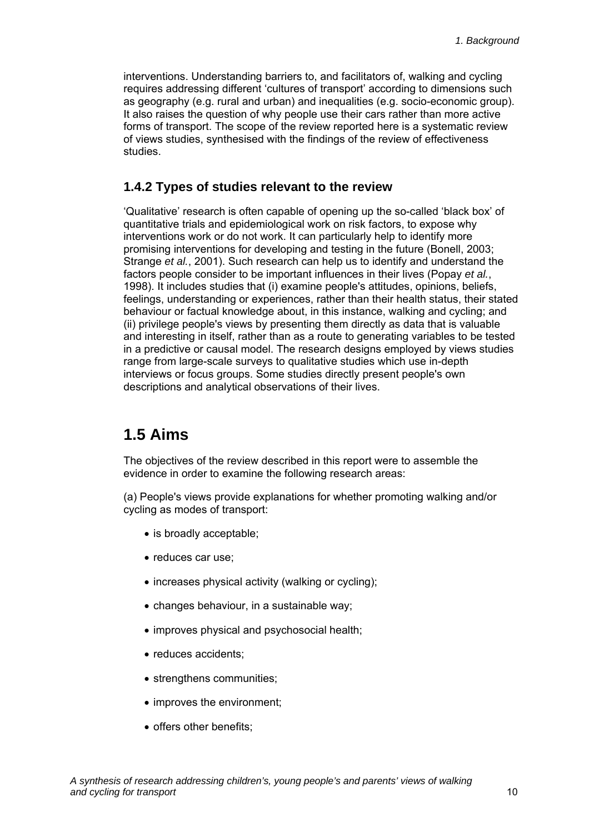<span id="page-15-0"></span>interventions. Understanding barriers to, and facilitators of, walking and cycling requires addressing different 'cultures of transport' according to dimensions such as geography (e.g. rural and urban) and inequalities (e.g. socio-economic group). It also raises the question of why people use their cars rather than more active forms of transport. The scope of the review reported here is a systematic review of views studies, synthesised with the findings of the review of effectiveness studies.

#### **1.4.2 Types of studies relevant to the review**

'Qualitative' research is often capable of opening up the so-called 'black box' of quantitative trials and epidemiological work on risk factors, to expose why interventions work or do not work. It can particularly help to identify more promising interventions for developing and testing in the future (Bonell, 2003; Strange *et al.*, 2001). Such research can help us to identify and understand the factors people consider to be important influences in their lives (Popay *et al.*, 1998). It includes studies that (i) examine people's attitudes, opinions, beliefs, feelings, understanding or experiences, rather than their health status, their stated behaviour or factual knowledge about, in this instance, walking and cycling; and (ii) privilege people's views by presenting them directly as data that is valuable and interesting in itself, rather than as a route to generating variables to be tested in a predictive or causal model. The research designs employed by views studies range from large-scale surveys to qualitative studies which use in-depth interviews or focus groups. Some studies directly present people's own descriptions and analytical observations of their lives.

## **1.5 Aims**

The objectives of the review described in this report were to assemble the evidence in order to examine the following research areas:

(a) People's views provide explanations for whether promoting walking and/or cycling as modes of transport:

- is broadly acceptable;
- reduces car use;
- increases physical activity (walking or cycling);
- changes behaviour, in a sustainable way;
- improves physical and psychosocial health;
- reduces accidents;
- strengthens communities;
- improves the environment;
- offers other benefits;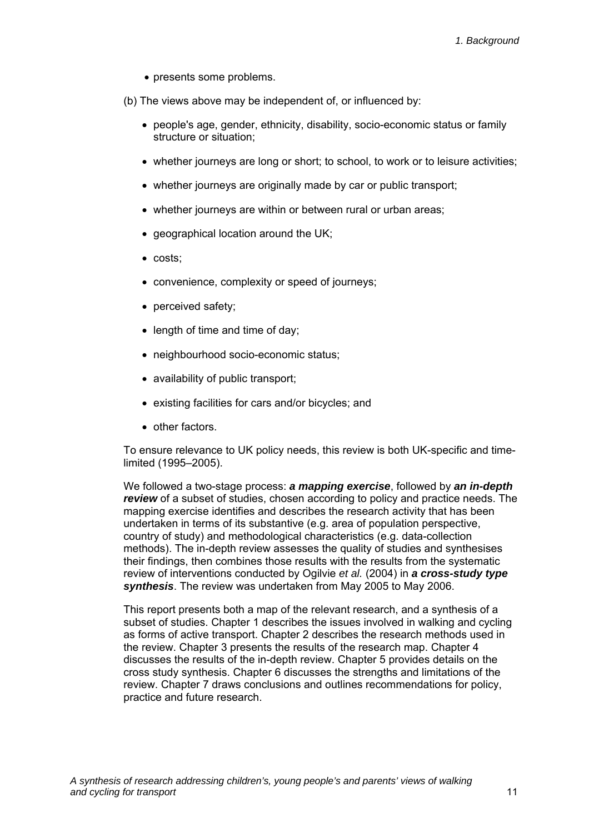- presents some problems.
- (b) The views above may be independent of, or influenced by:
	- people's age, gender, ethnicity, disability, socio-economic status or family structure or situation;
	- whether journeys are long or short; to school, to work or to leisure activities;
	- whether journeys are originally made by car or public transport;
	- whether journeys are within or between rural or urban areas;
	- geographical location around the UK;
	- costs;
	- convenience, complexity or speed of journeys;
	- perceived safety;
	- length of time and time of day:
	- neighbourhood socio-economic status;
	- availability of public transport;
	- existing facilities for cars and/or bicycles; and
	- other factors.

To ensure relevance to UK policy needs, this review is both UK-specific and timelimited (1995–2005).

We followed a two-stage process: *a mapping exercise*, followed by *an in-depth review* of a subset of studies, chosen according to policy and practice needs. The mapping exercise identifies and describes the research activity that has been undertaken in terms of its substantive (e.g. area of population perspective, country of study) and methodological characteristics (e.g. data-collection methods). The in-depth review assesses the quality of studies and synthesises their findings, then combines those results with the results from the systematic review of interventions conducted by Ogilvie *et al.* (2004) in *a cross-study type synthesis*. The review was undertaken from May 2005 to May 2006.

This report presents both a map of the relevant research, and a synthesis of a subset of studies. Chapter 1 describes the issues involved in walking and cycling as forms of active transport. Chapter 2 describes the research methods used in the review. Chapter 3 presents the results of the research map. Chapter 4 discusses the results of the in-depth review. Chapter 5 provides details on the cross study synthesis. Chapter 6 discusses the strengths and limitations of the review. Chapter 7 draws conclusions and outlines recommendations for policy, practice and future research.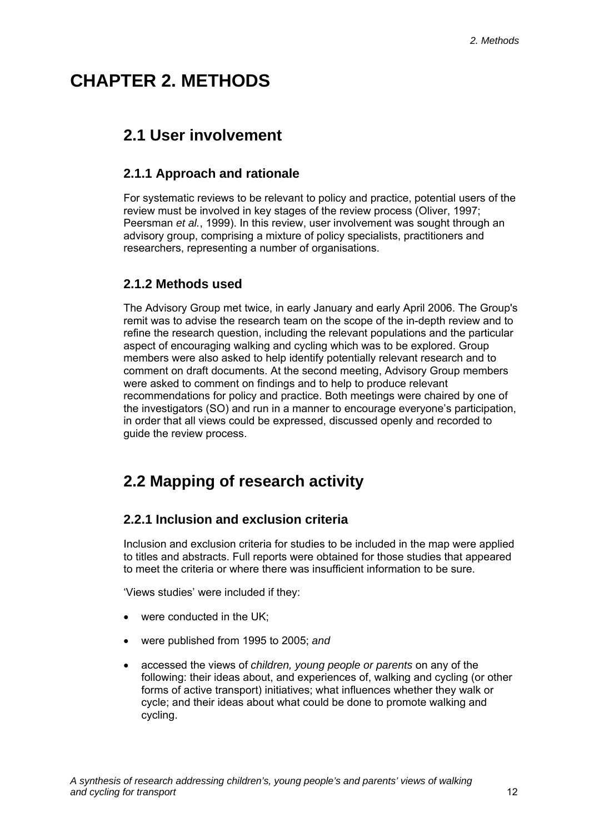# <span id="page-17-0"></span>**CHAPTER 2. METHODS**

# **2.1 User involvement**

### **2.1.1 Approach and rationale**

For systematic reviews to be relevant to policy and practice, potential users of the review must be involved in key stages of the review process (Oliver, 1997; Peersman *et al.*, 1999). In this review, user involvement was sought through an advisory group, comprising a mixture of policy specialists, practitioners and researchers, representing a number of organisations.

#### **2.1.2 Methods used**

The Advisory Group met twice, in early January and early April 2006. The Group's remit was to advise the research team on the scope of the in-depth review and to refine the research question, including the relevant populations and the particular aspect of encouraging walking and cycling which was to be explored. Group members were also asked to help identify potentially relevant research and to comment on draft documents. At the second meeting, Advisory Group members were asked to comment on findings and to help to produce relevant recommendations for policy and practice. Both meetings were chaired by one of the investigators (SO) and run in a manner to encourage everyone's participation, in order that all views could be expressed, discussed openly and recorded to guide the review process.

# **2.2 Mapping of research activity**

#### **2.2.1 Inclusion and exclusion criteria**

Inclusion and exclusion criteria for studies to be included in the map were applied to titles and abstracts. Full reports were obtained for those studies that appeared to meet the criteria or where there was insufficient information to be sure.

'Views studies' were included if they:

- were conducted in the UK;
- were published from 1995 to 2005; *and*
- accessed the views of *children, young people or parents* on any of the following: their ideas about, and experiences of, walking and cycling (or other forms of active transport) initiatives; what influences whether they walk or cycle; and their ideas about what could be done to promote walking and cycling.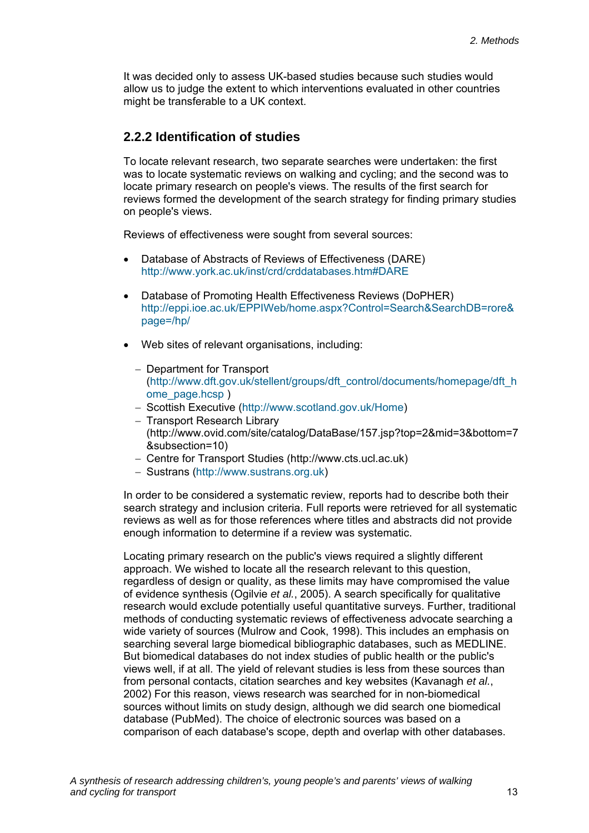It was decided only to assess UK-based studies because such studies would allow us to judge the extent to which interventions evaluated in other countries might be transferable to a UK context.

#### **2.2.2 Identification of studies**

To locate relevant research, two separate searches were undertaken: the first was to locate systematic reviews on walking and cycling; and the second was to locate primary research on people's views. The results of the first search for reviews formed the development of the search strategy for finding primary studies on people's views.

Reviews of effectiveness were sought from several sources:

- Database of Abstracts of Reviews of Effectiveness (DARE) http://www.york.ac.uk/inst/crd/crddatabases.htm#DARE
- Database of Promoting Health Effectiveness Reviews (DoPHER) http://eppi.ioe.ac.uk/EPPIWeb/home.aspx?Control=Search&SearchDB=rore& page=/hp/
- Web sites of relevant organisations, including:
	- − Department for Transport (http://www.dft.gov.uk/stellent/groups/dft\_control/documents/homepage/dft\_h ome\_page.hcsp )
	- − Scottish Executive (http://www.scotland.gov.uk/Home)
	- − Transport Research Library (http://www.ovid.com/site/catalog/DataBase/157.jsp?top=2&mid=3&bottom=7 &subsection=10)
	- − Centre for Transport Studies (http://www.cts.ucl.ac.uk)
	- − Sustrans (http://www.sustrans.org.uk)

In order to be considered a systematic review, reports had to describe both their search strategy and inclusion criteria. Full reports were retrieved for all systematic reviews as well as for those references where titles and abstracts did not provide enough information to determine if a review was systematic.

Locating primary research on the public's views required a slightly different approach. We wished to locate all the research relevant to this question, regardless of design or quality, as these limits may have compromised the value of evidence synthesis (Ogilvie *et al.*, 2005). A search specifically for qualitative research would exclude potentially useful quantitative surveys. Further, traditional methods of conducting systematic reviews of effectiveness advocate searching a wide variety of sources (Mulrow and Cook, 1998). This includes an emphasis on searching several large biomedical bibliographic databases, such as MEDLINE. But biomedical databases do not index studies of public health or the public's views well, if at all. The yield of relevant studies is less from these sources than from personal contacts, citation searches and key websites (Kavanagh *et al.*, 2002) For this reason, views research was searched for in non-biomedical sources without limits on study design, although we did search one biomedical database (PubMed). The choice of electronic sources was based on a comparison of each database's scope, depth and overlap with other databases.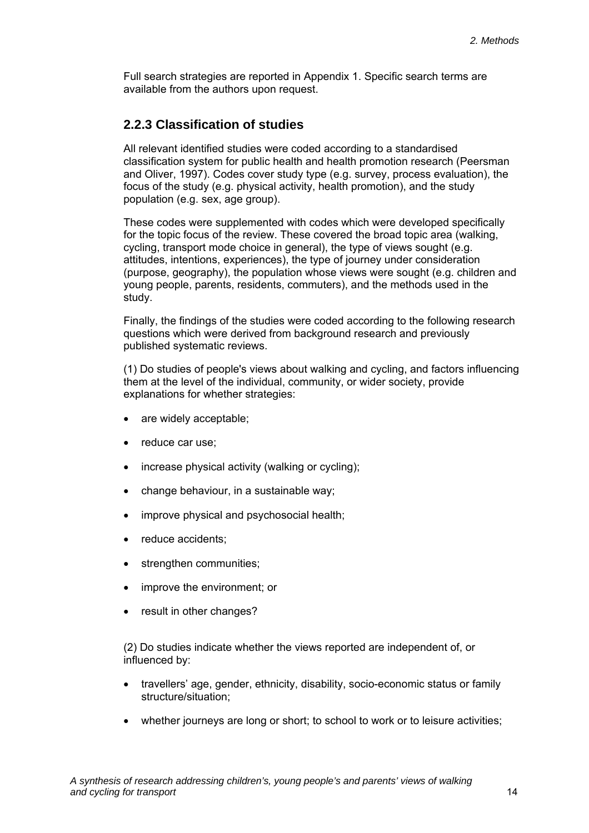Full search strategies are reported in Appendix 1. Specific search terms are available from the authors upon request.

#### **2.2.3 Classification of studies**

All relevant identified studies were coded according to a standardised classification system for public health and health promotion research (Peersman and Oliver, 1997). Codes cover study type (e.g. survey, process evaluation), the focus of the study (e.g. physical activity, health promotion), and the study population (e.g. sex, age group).

These codes were supplemented with codes which were developed specifically for the topic focus of the review. These covered the broad topic area (walking, cycling, transport mode choice in general), the type of views sought (e.g. attitudes, intentions, experiences), the type of journey under consideration (purpose, geography), the population whose views were sought (e.g. children and young people, parents, residents, commuters), and the methods used in the study.

Finally, the findings of the studies were coded according to the following research questions which were derived from background research and previously published systematic reviews.

(1) Do studies of people's views about walking and cycling, and factors influencing them at the level of the individual, community, or wider society, provide explanations for whether strategies:

- are widely acceptable;
- reduce car use:
- increase physical activity (walking or cycling);
- change behaviour, in a sustainable way;
- improve physical and psychosocial health:
- reduce accidents:
- strengthen communities:
- improve the environment; or
- result in other changes?

(2) Do studies indicate whether the views reported are independent of, or influenced by:

- travellers' age, gender, ethnicity, disability, socio-economic status or family structure/situation;
- whether journeys are long or short; to school to work or to leisure activities;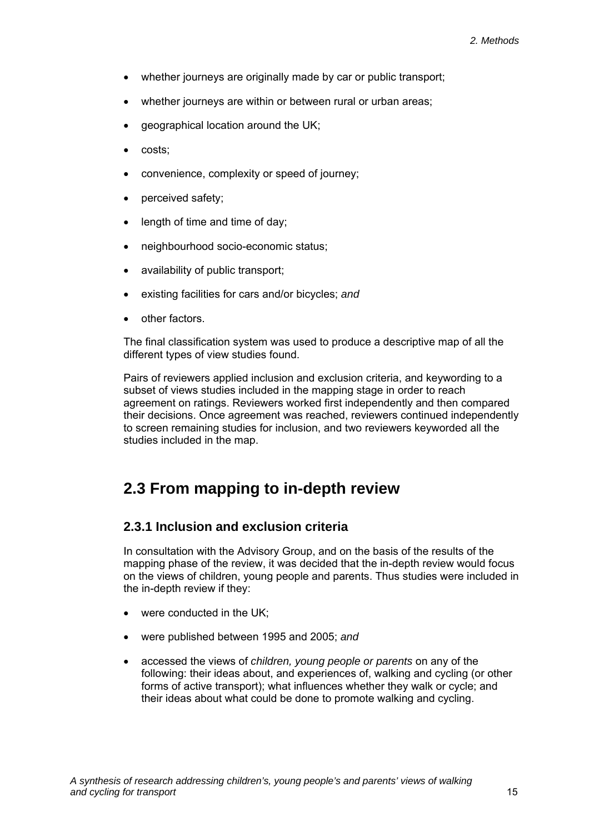- <span id="page-20-0"></span>whether journeys are originally made by car or public transport;
- whether journeys are within or between rural or urban areas;
- geographical location around the UK;
- costs;
- convenience, complexity or speed of journey;
- perceived safety;
- length of time and time of day;
- neighbourhood socio-economic status;
- availability of public transport;
- existing facilities for cars and/or bicycles; *and*
- other factors.

The final classification system was used to produce a descriptive map of all the different types of view studies found.

Pairs of reviewers applied inclusion and exclusion criteria, and keywording to a subset of views studies included in the mapping stage in order to reach agreement on ratings. Reviewers worked first independently and then compared their decisions. Once agreement was reached, reviewers continued independently to screen remaining studies for inclusion, and two reviewers keyworded all the studies included in the map.

# **2.3 From mapping to in-depth review**

#### **2.3.1 Inclusion and exclusion criteria**

In consultation with the Advisory Group, and on the basis of the results of the mapping phase of the review, it was decided that the in-depth review would focus on the views of children, young people and parents. Thus studies were included in the in-depth review if they:

- were conducted in the UK:
- were published between 1995 and 2005; *and*
- accessed the views of *children, young people or parents* on any of the following: their ideas about, and experiences of, walking and cycling (or other forms of active transport); what influences whether they walk or cycle; and their ideas about what could be done to promote walking and cycling.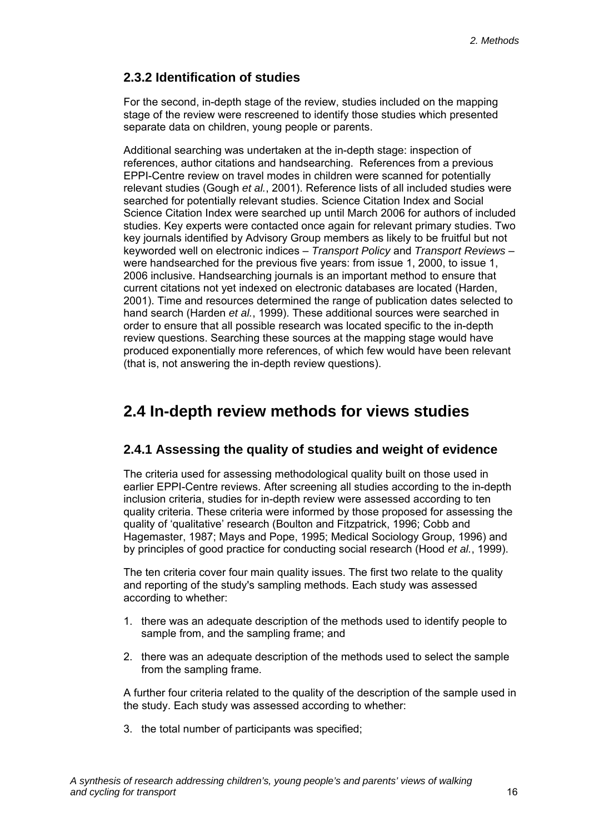#### <span id="page-21-0"></span>**2.3.2 Identification of studies**

For the second, in-depth stage of the review, studies included on the mapping stage of the review were rescreened to identify those studies which presented separate data on children, young people or parents.

Additional searching was undertaken at the in-depth stage: inspection of references, author citations and handsearching. References from a previous EPPI-Centre review on travel modes in children were scanned for potentially relevant studies (Gough *et al.*, 2001). Reference lists of all included studies were searched for potentially relevant studies. Science Citation Index and Social Science Citation Index were searched up until March 2006 for authors of included studies. Key experts were contacted once again for relevant primary studies. Two key journals identified by Advisory Group members as likely to be fruitful but not keyworded well on electronic indices – *Transport Policy* and *Transport Reviews* – were handsearched for the previous five years: from issue 1, 2000, to issue 1, 2006 inclusive. Handsearching journals is an important method to ensure that current citations not yet indexed on electronic databases are located (Harden, 2001). Time and resources determined the range of publication dates selected to hand search (Harden *et al.*, 1999). These additional sources were searched in order to ensure that all possible research was located specific to the in-depth review questions. Searching these sources at the mapping stage would have produced exponentially more references, of which few would have been relevant (that is, not answering the in-depth review questions).

# **2.4 In-depth review methods for views studies**

#### **2.4.1 Assessing the quality of studies and weight of evidence**

The criteria used for assessing methodological quality built on those used in earlier EPPI-Centre reviews. After screening all studies according to the in-depth inclusion criteria, studies for in-depth review were assessed according to ten quality criteria. These criteria were informed by those proposed for assessing the quality of 'qualitative' research (Boulton and Fitzpatrick, 1996; Cobb and Hagemaster, 1987; Mays and Pope, 1995; Medical Sociology Group, 1996) and by principles of good practice for conducting social research (Hood *et al.*, 1999).

The ten criteria cover four main quality issues. The first two relate to the quality and reporting of the study's sampling methods. Each study was assessed according to whether:

- 1. there was an adequate description of the methods used to identify people to sample from, and the sampling frame; and
- 2. there was an adequate description of the methods used to select the sample from the sampling frame.

A further four criteria related to the quality of the description of the sample used in the study. Each study was assessed according to whether:

3. the total number of participants was specified;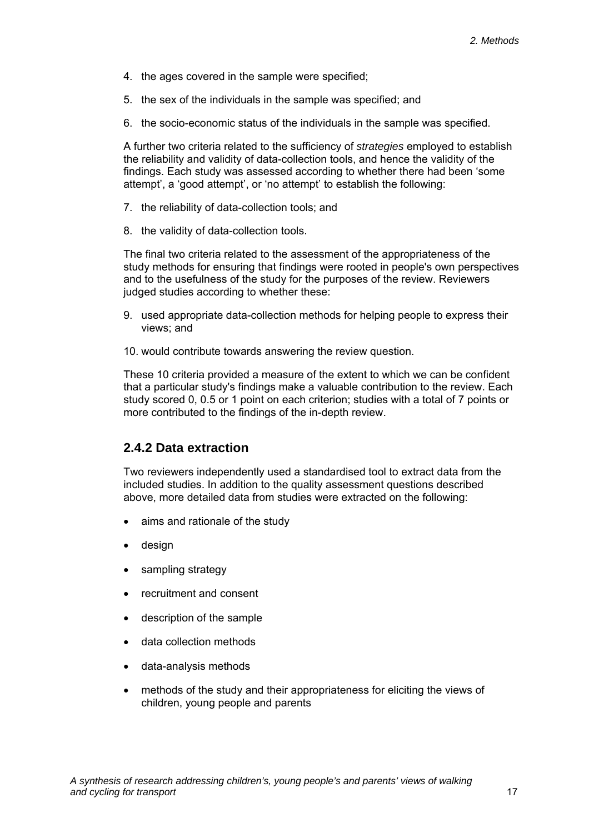- 4. the ages covered in the sample were specified;
- 5. the sex of the individuals in the sample was specified; and
- 6. the socio-economic status of the individuals in the sample was specified.

A further two criteria related to the sufficiency of *strategies* employed to establish the reliability and validity of data-collection tools, and hence the validity of the findings. Each study was assessed according to whether there had been 'some attempt', a 'good attempt', or 'no attempt' to establish the following:

- 7. the reliability of data-collection tools; and
- 8. the validity of data-collection tools.

The final two criteria related to the assessment of the appropriateness of the study methods for ensuring that findings were rooted in people's own perspectives and to the usefulness of the study for the purposes of the review. Reviewers judged studies according to whether these:

- 9. used appropriate data-collection methods for helping people to express their views; and
- 10. would contribute towards answering the review question.

These 10 criteria provided a measure of the extent to which we can be confident that a particular study's findings make a valuable contribution to the review. Each study scored 0, 0.5 or 1 point on each criterion; studies with a total of 7 points or more contributed to the findings of the in-depth review.

#### **2.4.2 Data extraction**

Two reviewers independently used a standardised tool to extract data from the included studies. In addition to the quality assessment questions described above, more detailed data from studies were extracted on the following:

- aims and rationale of the study
- design
- sampling strategy
- recruitment and consent
- description of the sample
- data collection methods
- data-analysis methods
- methods of the study and their appropriateness for eliciting the views of children, young people and parents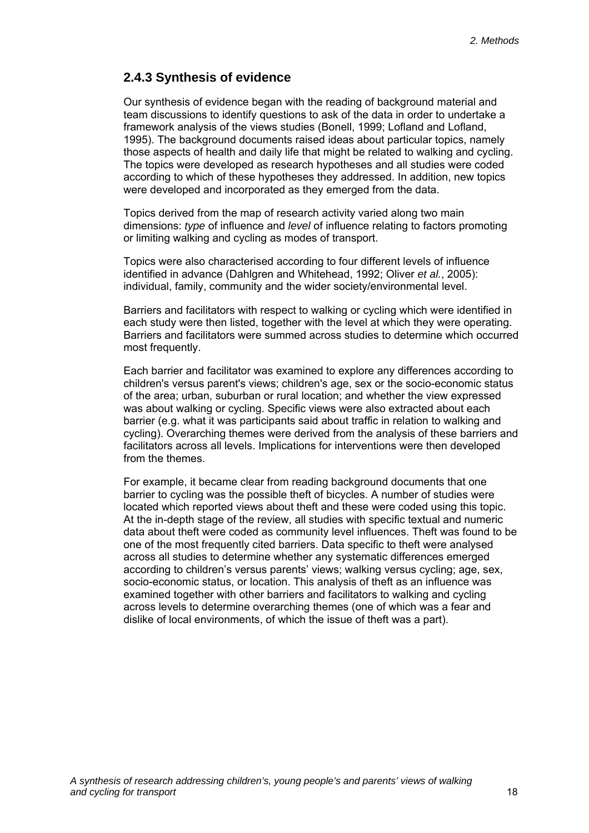#### **2.4.3 Synthesis of evidence**

Our synthesis of evidence began with the reading of background material and team discussions to identify questions to ask of the data in order to undertake a framework analysis of the views studies (Bonell, 1999; Lofland and Lofland, 1995). The background documents raised ideas about particular topics, namely those aspects of health and daily life that might be related to walking and cycling. The topics were developed as research hypotheses and all studies were coded according to which of these hypotheses they addressed. In addition, new topics were developed and incorporated as they emerged from the data.

Topics derived from the map of research activity varied along two main dimensions: *type* of influence and *level* of influence relating to factors promoting or limiting walking and cycling as modes of transport.

Topics were also characterised according to four different levels of influence identified in advance (Dahlgren and Whitehead, 1992; Oliver *et al.*, 2005): individual, family, community and the wider society/environmental level.

Barriers and facilitators with respect to walking or cycling which were identified in each study were then listed, together with the level at which they were operating. Barriers and facilitators were summed across studies to determine which occurred most frequently.

Each barrier and facilitator was examined to explore any differences according to children's versus parent's views; children's age, sex or the socio-economic status of the area; urban, suburban or rural location; and whether the view expressed was about walking or cycling. Specific views were also extracted about each barrier (e.g. what it was participants said about traffic in relation to walking and cycling). Overarching themes were derived from the analysis of these barriers and facilitators across all levels. Implications for interventions were then developed from the themes.

For example, it became clear from reading background documents that one barrier to cycling was the possible theft of bicycles. A number of studies were located which reported views about theft and these were coded using this topic. At the in-depth stage of the review, all studies with specific textual and numeric data about theft were coded as community level influences. Theft was found to be one of the most frequently cited barriers. Data specific to theft were analysed across all studies to determine whether any systematic differences emerged according to children's versus parents' views; walking versus cycling; age, sex, socio-economic status, or location. This analysis of theft as an influence was examined together with other barriers and facilitators to walking and cycling across levels to determine overarching themes (one of which was a fear and dislike of local environments, of which the issue of theft was a part).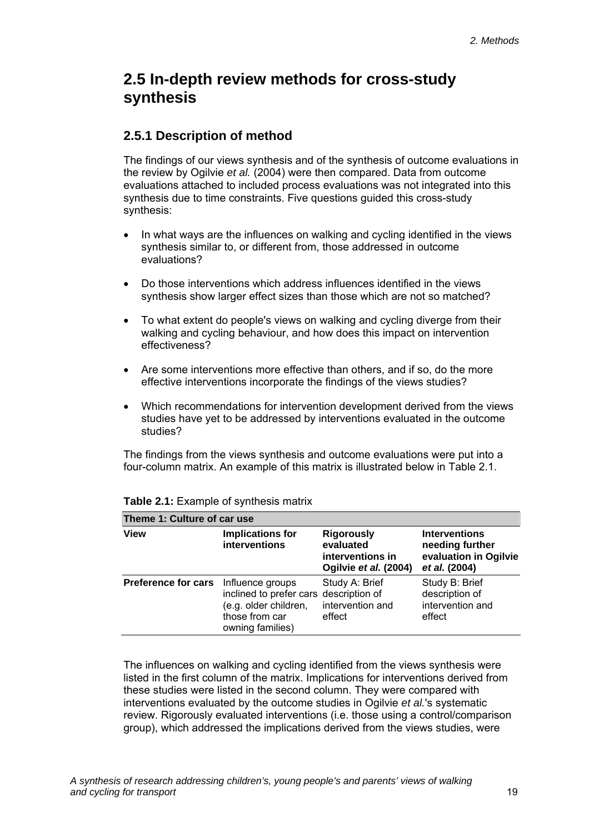## <span id="page-24-0"></span>**2.5 In-depth review methods for cross-study synthesis**

#### **2.5.1 Description of method**

The findings of our views synthesis and of the synthesis of outcome evaluations in the review by Ogilvie *et al.* (2004) were then compared. Data from outcome evaluations attached to included process evaluations was not integrated into this synthesis due to time constraints. Five questions guided this cross-study synthesis:

- In what ways are the influences on walking and cycling identified in the views synthesis similar to, or different from, those addressed in outcome evaluations?
- Do those interventions which address influences identified in the views synthesis show larger effect sizes than those which are not so matched?
- To what extent do people's views on walking and cycling diverge from their walking and cycling behaviour, and how does this impact on intervention effectiveness?
- Are some interventions more effective than others, and if so, do the more effective interventions incorporate the findings of the views studies?
- Which recommendations for intervention development derived from the views studies have yet to be addressed by interventions evaluated in the outcome studies?

The findings from the views synthesis and outcome evaluations were put into a four-column matrix. An example of this matrix is illustrated below in Table 2.1.

| Theme 1: Culture of car use |                                                                                                                           |                                                                             |                                                                                   |  |  |  |
|-----------------------------|---------------------------------------------------------------------------------------------------------------------------|-----------------------------------------------------------------------------|-----------------------------------------------------------------------------------|--|--|--|
| <b>View</b>                 | <b>Implications for</b><br>interventions                                                                                  | <b>Rigorously</b><br>evaluated<br>interventions in<br>Ogilvie et al. (2004) | <b>Interventions</b><br>needing further<br>evaluation in Ogilvie<br>et al. (2004) |  |  |  |
| <b>Preference for cars</b>  | Influence groups<br>inclined to prefer cars description of<br>(e.g. older children,<br>those from car<br>owning families) | Study A: Brief<br>intervention and<br>effect                                | Study B: Brief<br>description of<br>intervention and<br>effect                    |  |  |  |

#### **Table 2.1:** Example of synthesis matrix

The influences on walking and cycling identified from the views synthesis were listed in the first column of the matrix. Implications for interventions derived from these studies were listed in the second column. They were compared with interventions evaluated by the outcome studies in Ogilvie *et al.*'s systematic review. Rigorously evaluated interventions (i.e. those using a control/comparison group), which addressed the implications derived from the views studies, were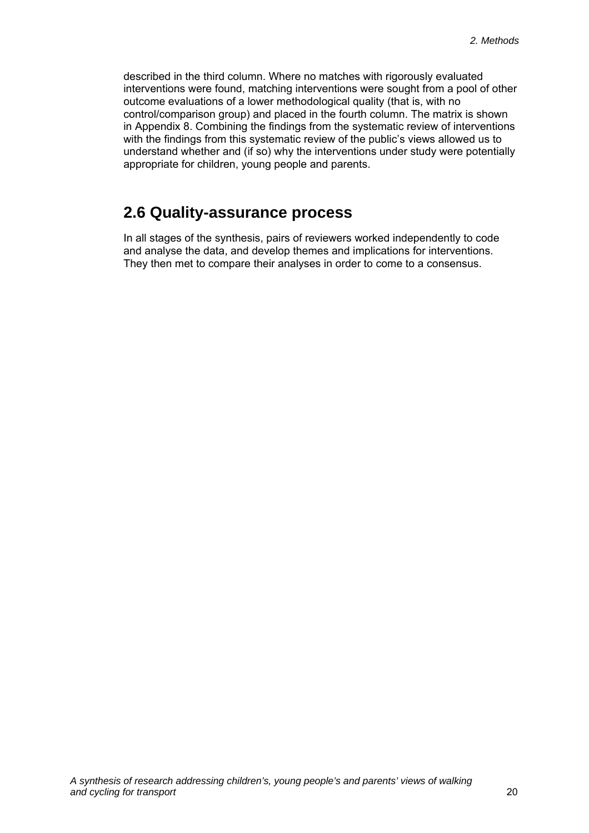<span id="page-25-0"></span>described in the third column. Where no matches with rigorously evaluated interventions were found, matching interventions were sought from a pool of other outcome evaluations of a lower methodological quality (that is, with no control/comparison group) and placed in the fourth column. The matrix is shown in Appendix 8. Combining the findings from the systematic review of interventions with the findings from this systematic review of the public's views allowed us to understand whether and (if so) why the interventions under study were potentially appropriate for children, young people and parents.

# **2.6 Quality-assurance process**

In all stages of the synthesis, pairs of reviewers worked independently to code and analyse the data, and develop themes and implications for interventions. They then met to compare their analyses in order to come to a consensus.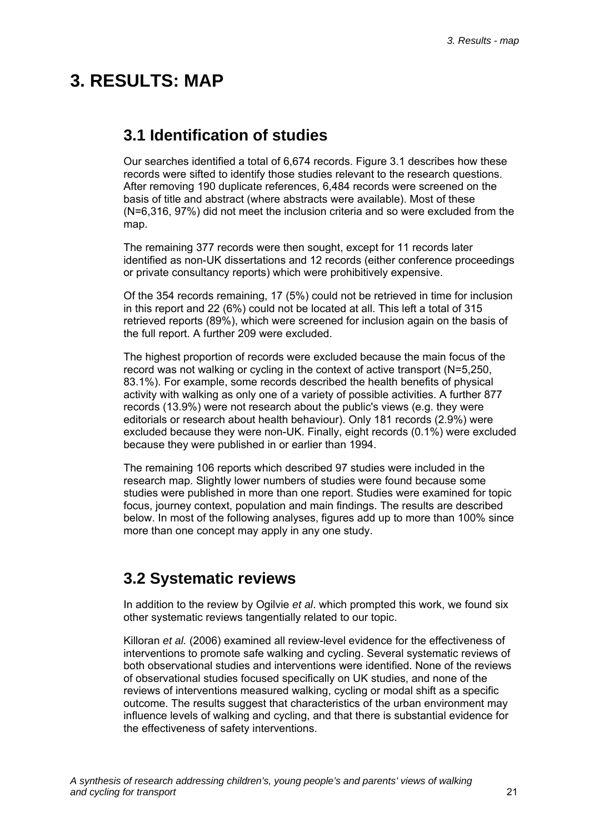# <span id="page-26-0"></span>**3. RESULTS: MAP**

## **3.1 Identification of studies**

Our searches identified a total of 6,674 records. Figure 3.1 describes how these records were sifted to identify those studies relevant to the research questions. After removing 190 duplicate references, 6,484 records were screened on the basis of title and abstract (where abstracts were available). Most of these (N=6,316, 97%) did not meet the inclusion criteria and so were excluded from the map.

The remaining 377 records were then sought, except for 11 records later identified as non-UK dissertations and 12 records (either conference proceedings or private consultancy reports) which were prohibitively expensive.

Of the 354 records remaining, 17 (5%) could not be retrieved in time for inclusion in this report and 22 (6%) could not be located at all. This left a total of 315 retrieved reports (89%), which were screened for inclusion again on the basis of the full report. A further 209 were excluded.

The highest proportion of records were excluded because the main focus of the record was not walking or cycling in the context of active transport (N=5,250, 83.1%). For example, some records described the health benefits of physical activity with walking as only one of a variety of possible activities. A further 877 records (13.9%) were not research about the public's views (e.g. they were editorials or research about health behaviour). Only 181 records (2.9%) were excluded because they were non-UK. Finally, eight records (0.1%) were excluded because they were published in or earlier than 1994.

The remaining 106 reports which described 97 studies were included in the research map. Slightly lower numbers of studies were found because some studies were published in more than one report. Studies were examined for topic focus, journey context, population and main findings. The results are described below. In most of the following analyses, figures add up to more than 100% since more than one concept may apply in any one study.

## **3.2 Systematic reviews**

In addition to the review by Ogilvie *et al*. which prompted this work, we found six other systematic reviews tangentially related to our topic.

Killoran *et al.* (2006) examined all review-level evidence for the effectiveness of interventions to promote safe walking and cycling. Several systematic reviews of both observational studies and interventions were identified. None of the reviews of observational studies focused specifically on UK studies, and none of the reviews of interventions measured walking, cycling or modal shift as a specific outcome. The results suggest that characteristics of the urban environment may influence levels of walking and cycling, and that there is substantial evidence for the effectiveness of safety interventions.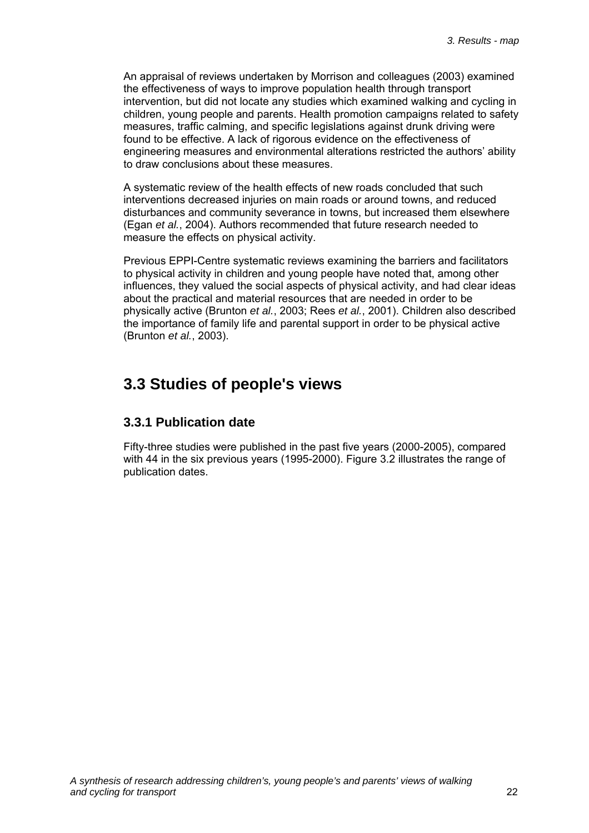<span id="page-27-0"></span>An appraisal of reviews undertaken by Morrison and colleagues (2003) examined the effectiveness of ways to improve population health through transport intervention, but did not locate any studies which examined walking and cycling in children, young people and parents. Health promotion campaigns related to safety measures, traffic calming, and specific legislations against drunk driving were found to be effective. A lack of rigorous evidence on the effectiveness of engineering measures and environmental alterations restricted the authors' ability to draw conclusions about these measures.

A systematic review of the health effects of new roads concluded that such interventions decreased injuries on main roads or around towns, and reduced disturbances and community severance in towns, but increased them elsewhere (Egan *et al.*, 2004). Authors recommended that future research needed to measure the effects on physical activity.

Previous EPPI-Centre systematic reviews examining the barriers and facilitators to physical activity in children and young people have noted that, among other influences, they valued the social aspects of physical activity, and had clear ideas about the practical and material resources that are needed in order to be physically active (Brunton *et al.*, 2003; Rees *et al.*, 2001). Children also described the importance of family life and parental support in order to be physical active (Brunton *et al.*, 2003).

### **3.3 Studies of people's views**

#### **3.3.1 Publication date**

Fifty-three studies were published in the past five years (2000-2005), compared with 44 in the six previous years (1995-2000). Figure 3.2 illustrates the range of publication dates.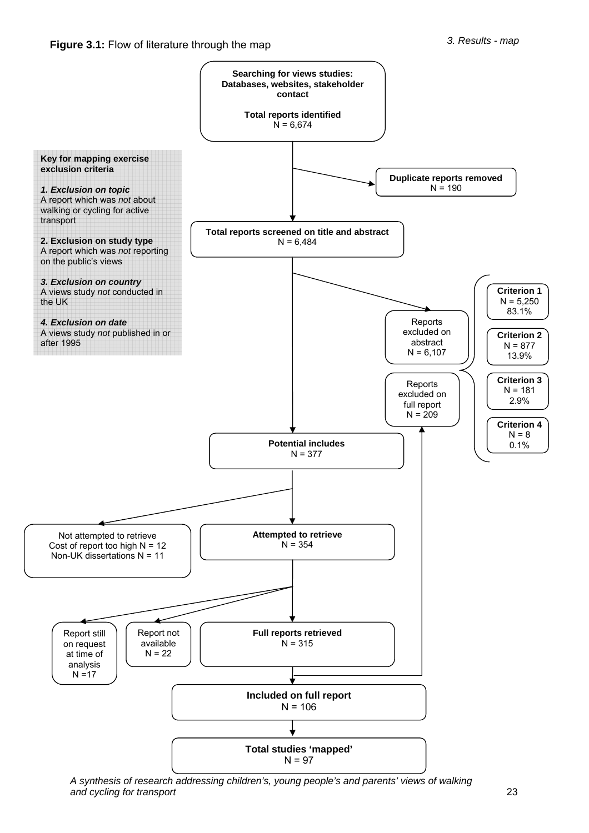

*A synthesis of research addressing children's, young people's and parents' views of walking and cycling for transport* 23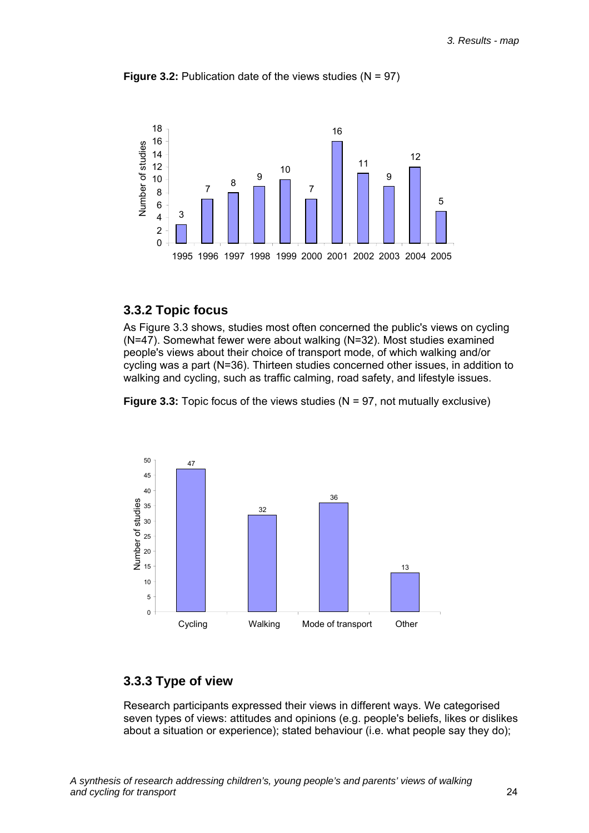



#### **3.3.2 Topic focus**

As Figure 3.3 shows, studies most often concerned the public's views on cycling (N=47). Somewhat fewer were about walking (N=32). Most studies examined people's views about their choice of transport mode, of which walking and/or cycling was a part (N=36). Thirteen studies concerned other issues, in addition to walking and cycling, such as traffic calming, road safety, and lifestyle issues.

**Figure 3.3:** Topic focus of the views studies (N = 97, not mutually exclusive)



#### **3.3.3 Type of view**

Research participants expressed their views in different ways. We categorised seven types of views: attitudes and opinions (e.g. people's beliefs, likes or dislikes about a situation or experience); stated behaviour (i.e. what people say they do);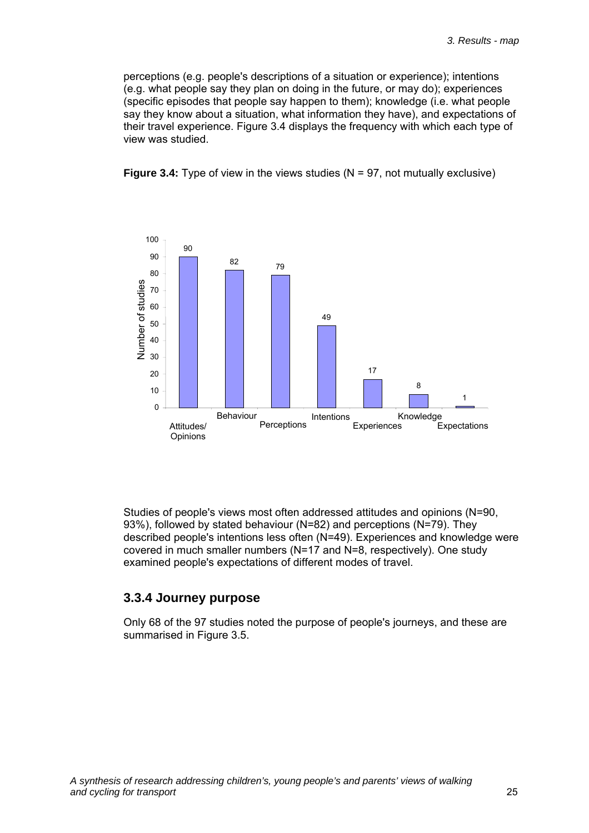perceptions (e.g. people's descriptions of a situation or experience); intentions (e.g. what people say they plan on doing in the future, or may do); experiences (specific episodes that people say happen to them); knowledge (i.e. what people say they know about a situation, what information they have), and expectations of their travel experience. Figure 3.4 displays the frequency with which each type of view was studied.





Studies of people's views most often addressed attitudes and opinions (N=90, 93%), followed by stated behaviour (N=82) and perceptions (N=79). They described people's intentions less often (N=49). Experiences and knowledge were covered in much smaller numbers (N=17 and N=8, respectively). One study examined people's expectations of different modes of travel.

#### **3.3.4 Journey purpose**

Only 68 of the 97 studies noted the purpose of people's journeys, and these are summarised in Figure 3.5.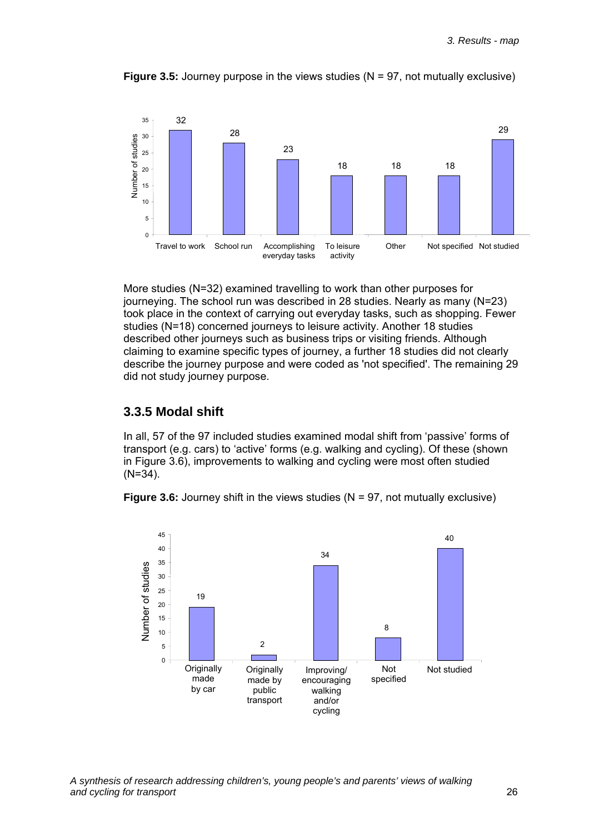

**Figure 3.5:** Journey purpose in the views studies (N = 97, not mutually exclusive)

More studies (N=32) examined travelling to work than other purposes for journeying. The school run was described in 28 studies. Nearly as many (N=23) took place in the context of carrying out everyday tasks, such as shopping. Fewer studies (N=18) concerned journeys to leisure activity. Another 18 studies described other journeys such as business trips or visiting friends. Although claiming to examine specific types of journey, a further 18 studies did not clearly describe the journey purpose and were coded as 'not specified'. The remaining 29 did not study journey purpose.

#### **3.3.5 Modal shift**

In all, 57 of the 97 included studies examined modal shift from 'passive' forms of transport (e.g. cars) to 'active' forms (e.g. walking and cycling). Of these (shown in Figure 3.6), improvements to walking and cycling were most often studied (N=34).



**Figure 3.6:** Journey shift in the views studies (N = 97, not mutually exclusive)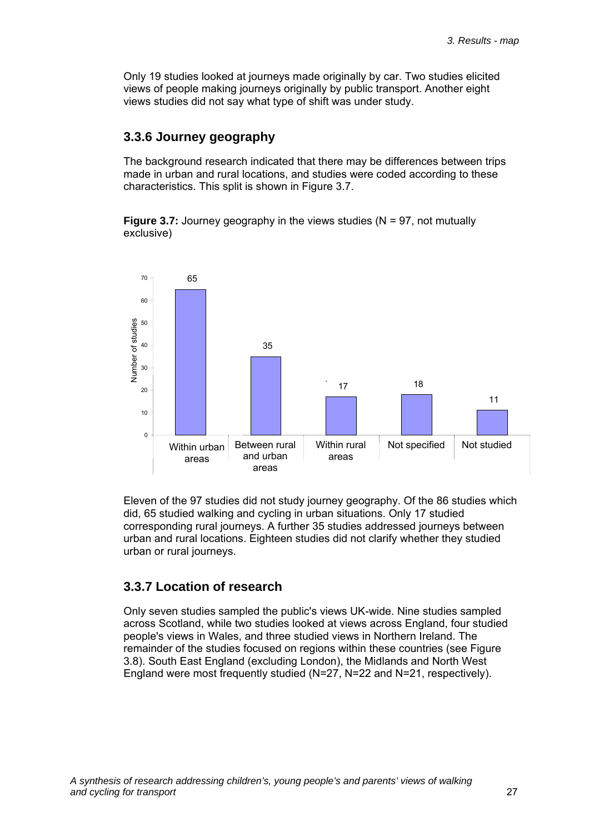Only 19 studies looked at journeys made originally by car. Two studies elicited views of people making journeys originally by public transport. Another eight views studies did not say what type of shift was under study.

#### **3.3.6 Journey geography**

The background research indicated that there may be differences between trips made in urban and rural locations, and studies were coded according to these characteristics. This split is shown in Figure 3.7.

**Figure 3.7:** Journey geography in the views studies (N = 97, not mutually exclusive)



Eleven of the 97 studies did not study journey geography. Of the 86 studies which did, 65 studied walking and cycling in urban situations. Only 17 studied corresponding rural journeys. A further 35 studies addressed journeys between urban and rural locations. Eighteen studies did not clarify whether they studied urban or rural journeys.

#### **3.3.7 Location of research**

Only seven studies sampled the public's views UK-wide. Nine studies sampled across Scotland, while two studies looked at views across England, four studied people's views in Wales, and three studied views in Northern Ireland. The remainder of the studies focused on regions within these countries (see Figure 3.8). South East England (excluding London), the Midlands and North West England were most frequently studied (N=27, N=22 and N=21, respectively).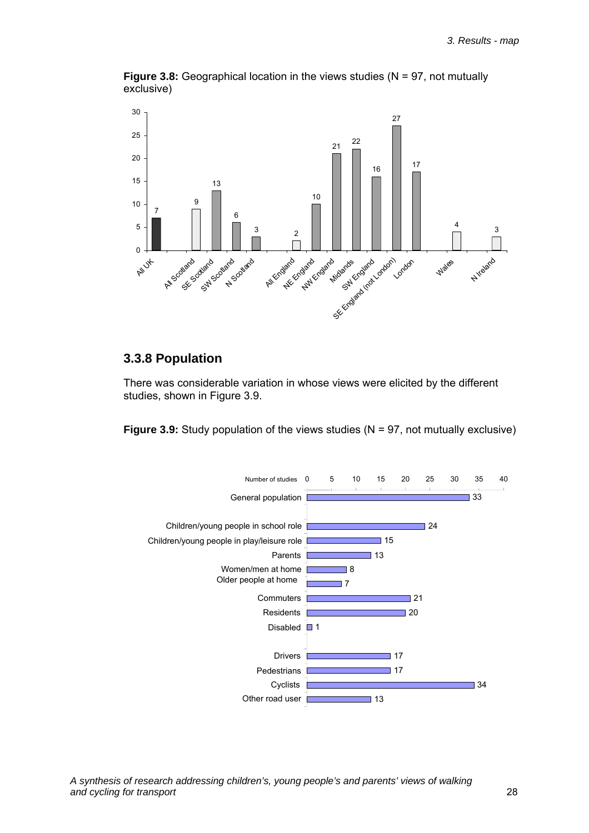

**Figure 3.8:** Geographical location in the views studies (N = 97, not mutually exclusive)

#### **3.3.8 Population**

There was considerable variation in whose views were elicited by the different studies, shown in Figure 3.9.

**Figure 3.9:** Study population of the views studies (N = 97, not mutually exclusive)

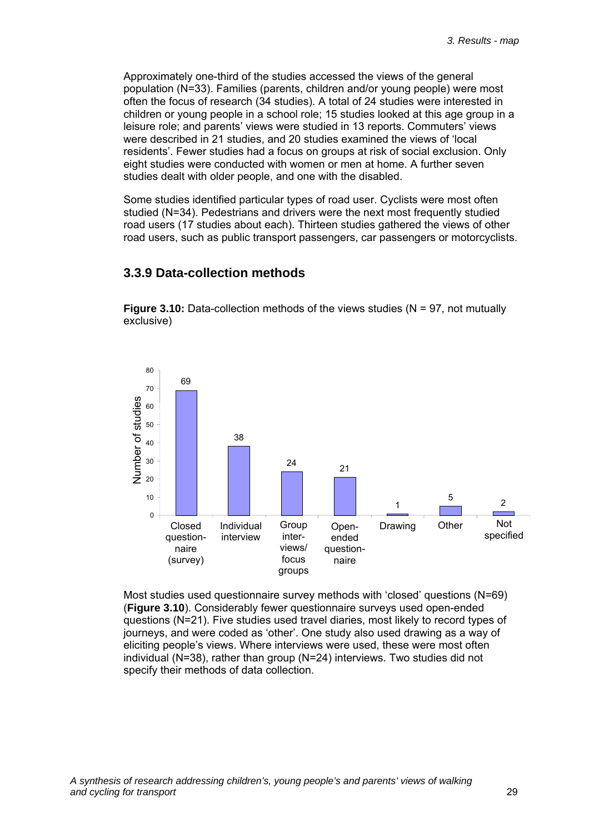Approximately one-third of the studies accessed the views of the general population (N=33). Families (parents, children and/or young people) were most often the focus of research (34 studies). A total of 24 studies were interested in children or young people in a school role; 15 studies looked at this age group in a leisure role; and parents' views were studied in 13 reports. Commuters' views were described in 21 studies, and 20 studies examined the views of 'local residents'. Fewer studies had a focus on groups at risk of social exclusion. Only eight studies were conducted with women or men at home. A further seven studies dealt with older people, and one with the disabled.

Some studies identified particular types of road user. Cyclists were most often studied (N=34). Pedestrians and drivers were the next most frequently studied road users (17 studies about each). Thirteen studies gathered the views of other road users, such as public transport passengers, car passengers or motorcyclists.

#### **3.3.9 Data-collection methods**

**Figure 3.10:** Data-collection methods of the views studies (N = 97, not mutually exclusive)



Most studies used questionnaire survey methods with 'closed' questions (N=69) (**Figure 3.10**). Considerably fewer questionnaire surveys used open-ended questions (N=21). Five studies used travel diaries, most likely to record types of journeys, and were coded as 'other'. One study also used drawing as a way of eliciting people's views. Where interviews were used, these were most often individual (N=38), rather than group (N=24) interviews. Two studies did not specify their methods of data collection.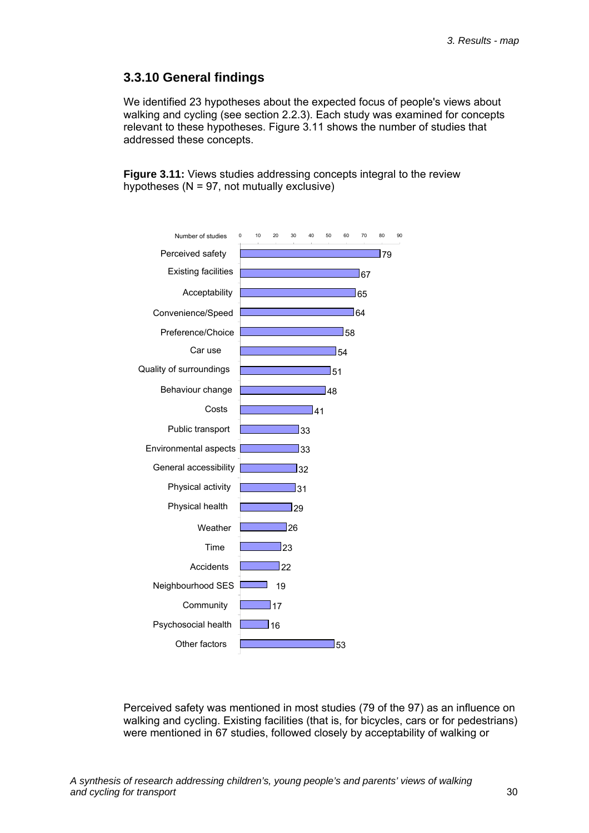#### **3.3.10 General findings**

We identified 23 hypotheses about the expected focus of people's views about walking and cycling (see section 2.2.3). Each study was examined for concepts relevant to these hypotheses. Figure 3.11 shows the number of studies that addressed these concepts.

**Figure 3.11:** Views studies addressing concepts integral to the review hypotheses ( $N = 97$ , not mutually exclusive)



Perceived safety was mentioned in most studies (79 of the 97) as an influence on walking and cycling. Existing facilities (that is, for bicycles, cars or for pedestrians) were mentioned in 67 studies, followed closely by acceptability of walking or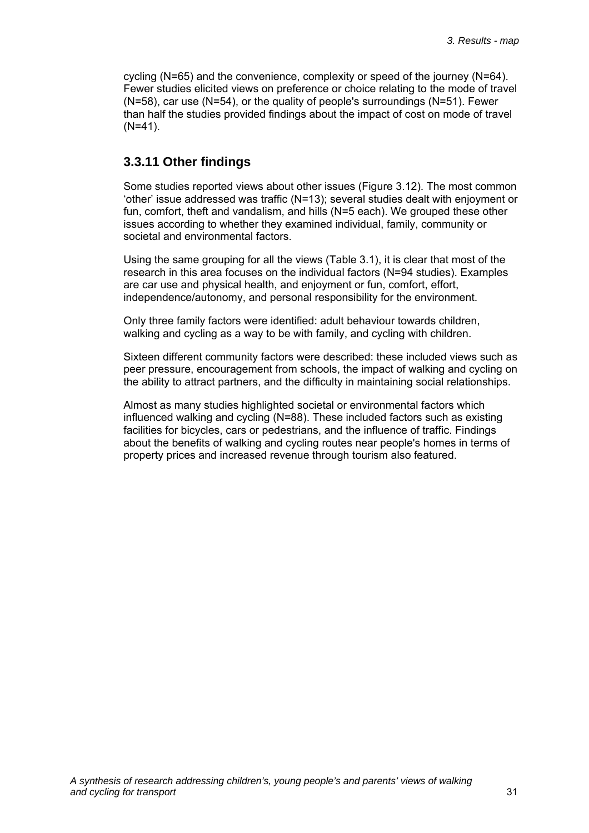cycling  $(N=65)$  and the convenience, complexity or speed of the journey  $(N=64)$ . Fewer studies elicited views on preference or choice relating to the mode of travel (N=58), car use (N=54), or the quality of people's surroundings (N=51). Fewer than half the studies provided findings about the impact of cost on mode of travel (N=41).

### **3.3.11 Other findings**

Some studies reported views about other issues (Figure 3.12). The most common 'other' issue addressed was traffic (N=13); several studies dealt with enjoyment or fun, comfort, theft and vandalism, and hills (N=5 each). We grouped these other issues according to whether they examined individual, family, community or societal and environmental factors.

Using the same grouping for all the views (Table 3.1), it is clear that most of the research in this area focuses on the individual factors (N=94 studies). Examples are car use and physical health, and enjoyment or fun, comfort, effort, independence/autonomy, and personal responsibility for the environment.

Only three family factors were identified: adult behaviour towards children, walking and cycling as a way to be with family, and cycling with children.

Sixteen different community factors were described: these included views such as peer pressure, encouragement from schools, the impact of walking and cycling on the ability to attract partners, and the difficulty in maintaining social relationships.

Almost as many studies highlighted societal or environmental factors which influenced walking and cycling (N=88). These included factors such as existing facilities for bicycles, cars or pedestrians, and the influence of traffic. Findings about the benefits of walking and cycling routes near people's homes in terms of property prices and increased revenue through tourism also featured.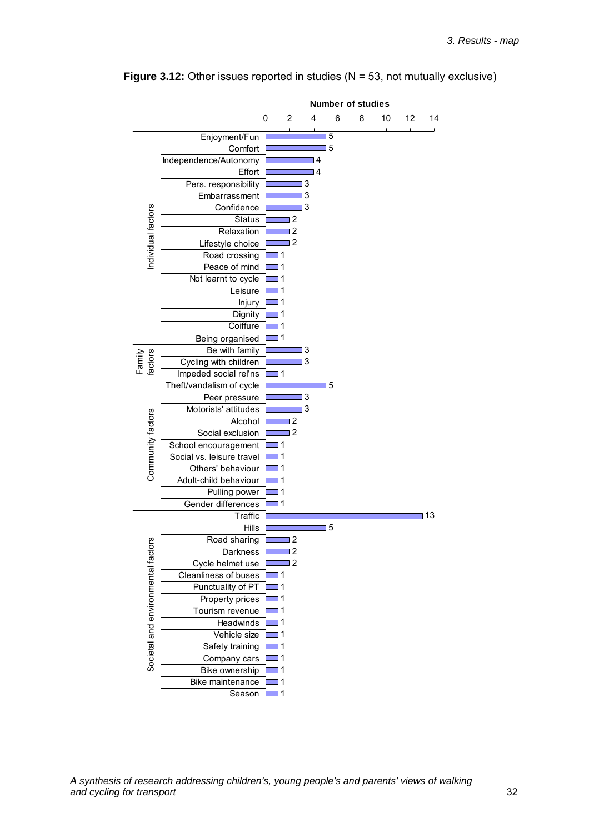

**Figure 3.12:** Other issues reported in studies (N = 53, not mutually exclusive)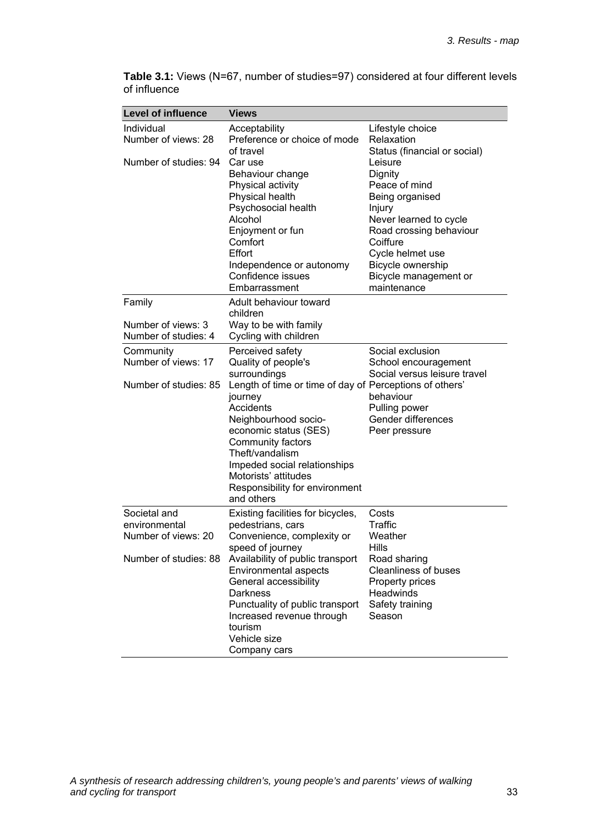| <b>Level of influence</b> | <b>Views</b>                                            |                                                   |
|---------------------------|---------------------------------------------------------|---------------------------------------------------|
| Individual                | Acceptability                                           | Lifestyle choice                                  |
| Number of views: 28       | Preference or choice of mode                            | Relaxation                                        |
|                           | of travel                                               | Status (financial or social)                      |
| Number of studies: 94     | Car use                                                 | Leisure                                           |
|                           | Behaviour change                                        | Dignity                                           |
|                           | Physical activity                                       | Peace of mind                                     |
|                           | Physical health                                         | Being organised                                   |
|                           | Psychosocial health<br>Alcohol                          | Injury                                            |
|                           | Enjoyment or fun                                        | Never learned to cycle<br>Road crossing behaviour |
|                           | Comfort                                                 | Coiffure                                          |
|                           | Effort                                                  | Cycle helmet use                                  |
|                           | Independence or autonomy                                | Bicycle ownership                                 |
|                           | Confidence issues                                       | Bicycle management or                             |
|                           | Embarrassment                                           | maintenance                                       |
| Family                    | Adult behaviour toward                                  |                                                   |
|                           | children                                                |                                                   |
| Number of views: 3        | Way to be with family                                   |                                                   |
| Number of studies: 4      | Cycling with children                                   |                                                   |
| Community                 | Perceived safety                                        | Social exclusion                                  |
| Number of views: 17       | Quality of people's                                     | School encouragement                              |
|                           | surroundings                                            | Social versus leisure travel                      |
| Number of studies: 85     | Length of time or time of day of Perceptions of others' |                                                   |
|                           | journey                                                 | behaviour                                         |
|                           | Accidents                                               | Pulling power                                     |
|                           | Neighbourhood socio-                                    | Gender differences                                |
|                           | economic status (SES)<br>Community factors              | Peer pressure                                     |
|                           | Theft/vandalism                                         |                                                   |
|                           | Impeded social relationships                            |                                                   |
|                           | Motorists' attitudes                                    |                                                   |
|                           | Responsibility for environment                          |                                                   |
|                           | and others                                              |                                                   |
| Societal and              | Existing facilities for bicycles,                       | Costs                                             |
| environmental             | pedestrians, cars                                       | Traffic                                           |
| Number of views: 20       | Convenience, complexity or                              | Weather                                           |
|                           | speed of journey                                        | Hills                                             |
| Number of studies: 88     | Availability of public transport                        | Road sharing                                      |
|                           | Environmental aspects                                   | <b>Cleanliness of buses</b>                       |
|                           | General accessibility                                   | Property prices                                   |
|                           | Darkness                                                | Headwinds                                         |
|                           | Punctuality of public transport                         | Safety training                                   |
|                           | Increased revenue through<br>tourism                    | Season                                            |
|                           | Vehicle size                                            |                                                   |
|                           | Company cars                                            |                                                   |
|                           |                                                         |                                                   |

**Table 3.1:** Views (N=67, number of studies=97) considered at four different levels of influence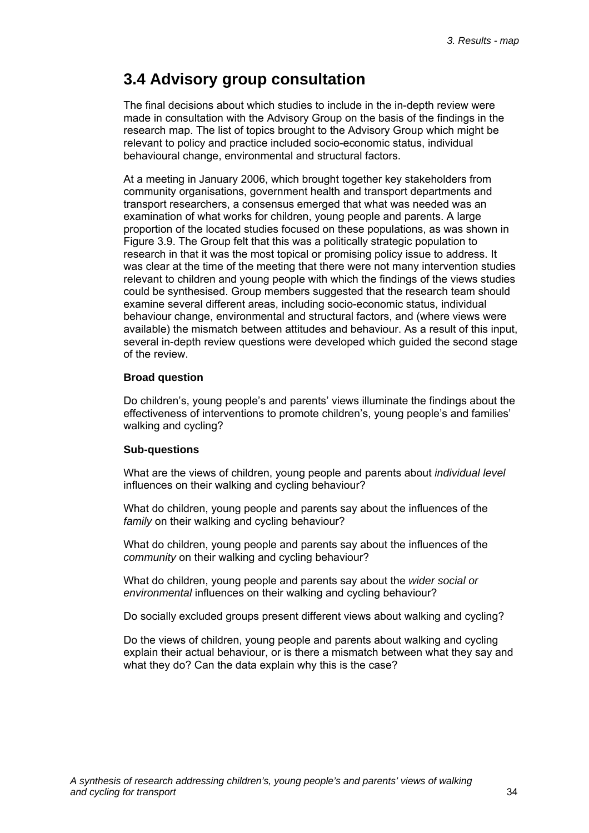## **3.4 Advisory group consultation**

The final decisions about which studies to include in the in-depth review were made in consultation with the Advisory Group on the basis of the findings in the research map. The list of topics brought to the Advisory Group which might be relevant to policy and practice included socio-economic status, individual behavioural change, environmental and structural factors.

At a meeting in January 2006, which brought together key stakeholders from community organisations, government health and transport departments and transport researchers, a consensus emerged that what was needed was an examination of what works for children, young people and parents. A large proportion of the located studies focused on these populations, as was shown in Figure 3.9. The Group felt that this was a politically strategic population to research in that it was the most topical or promising policy issue to address. It was clear at the time of the meeting that there were not many intervention studies relevant to children and young people with which the findings of the views studies could be synthesised. Group members suggested that the research team should examine several different areas, including socio-economic status, individual behaviour change, environmental and structural factors, and (where views were available) the mismatch between attitudes and behaviour. As a result of this input, several in-depth review questions were developed which guided the second stage of the review.

#### **Broad question**

Do children's, young people's and parents' views illuminate the findings about the effectiveness of interventions to promote children's, young people's and families' walking and cycling?

#### **Sub-questions**

What are the views of children, young people and parents about *individual level* influences on their walking and cycling behaviour?

What do children, young people and parents say about the influences of the *family* on their walking and cycling behaviour?

What do children, young people and parents say about the influences of the *community* on their walking and cycling behaviour?

What do children, young people and parents say about the *wider social or environmental* influences on their walking and cycling behaviour?

Do socially excluded groups present different views about walking and cycling?

Do the views of children, young people and parents about walking and cycling explain their actual behaviour, or is there a mismatch between what they say and what they do? Can the data explain why this is the case?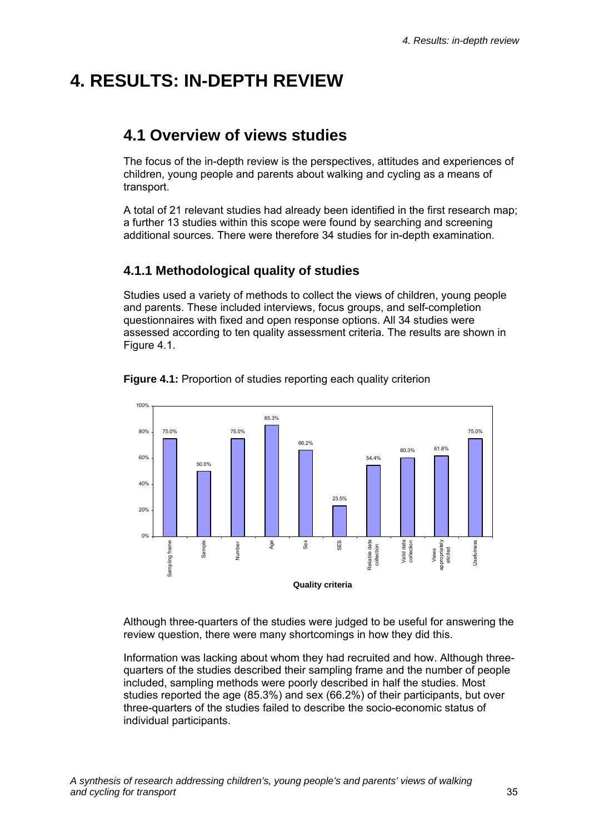# **4. RESULTS: IN-DEPTH REVIEW**

# **4.1 Overview of views studies**

The focus of the in-depth review is the perspectives, attitudes and experiences of children, young people and parents about walking and cycling as a means of transport.

A total of 21 relevant studies had already been identified in the first research map; a further 13 studies within this scope were found by searching and screening additional sources. There were therefore 34 studies for in-depth examination.

### **4.1.1 Methodological quality of studies**

Studies used a variety of methods to collect the views of children, young people and parents. These included interviews, focus groups, and self-completion questionnaires with fixed and open response options. All 34 studies were assessed according to ten quality assessment criteria. The results are shown in Figure 4.1.



**Figure 4.1:** Proportion of studies reporting each quality criterion

Although three-quarters of the studies were judged to be useful for answering the review question, there were many shortcomings in how they did this.

Information was lacking about whom they had recruited and how. Although threequarters of the studies described their sampling frame and the number of people included, sampling methods were poorly described in half the studies. Most studies reported the age (85.3%) and sex (66.2%) of their participants, but over three-quarters of the studies failed to describe the socio-economic status of individual participants.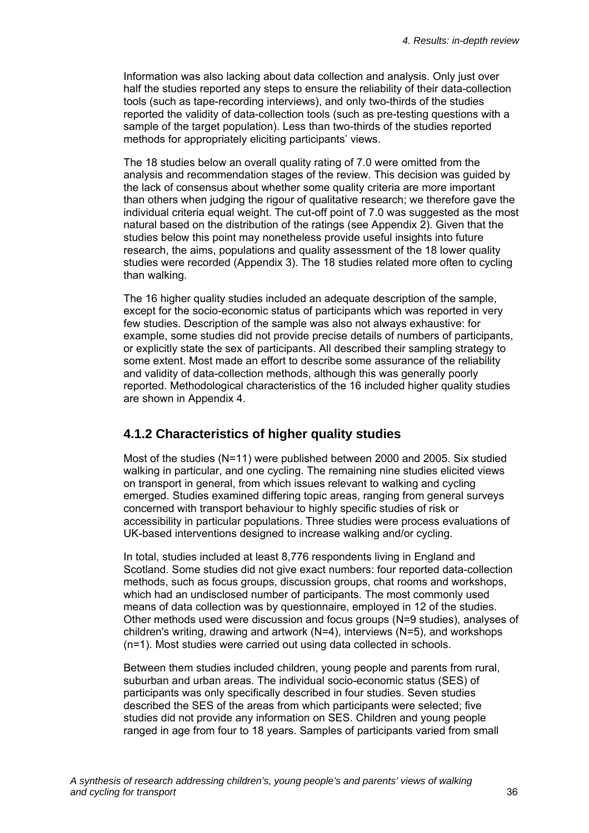Information was also lacking about data collection and analysis. Only just over half the studies reported any steps to ensure the reliability of their data-collection tools (such as tape-recording interviews), and only two-thirds of the studies reported the validity of data-collection tools (such as pre-testing questions with a sample of the target population). Less than two-thirds of the studies reported methods for appropriately eliciting participants' views.

The 18 studies below an overall quality rating of 7.0 were omitted from the analysis and recommendation stages of the review. This decision was guided by the lack of consensus about whether some quality criteria are more important than others when judging the rigour of qualitative research; we therefore gave the individual criteria equal weight. The cut-off point of 7.0 was suggested as the most natural based on the distribution of the ratings (see Appendix 2). Given that the studies below this point may nonetheless provide useful insights into future research, the aims, populations and quality assessment of the 18 lower quality studies were recorded (Appendix 3). The 18 studies related more often to cycling than walking.

The 16 higher quality studies included an adequate description of the sample, except for the socio-economic status of participants which was reported in very few studies. Description of the sample was also not always exhaustive: for example, some studies did not provide precise details of numbers of participants, or explicitly state the sex of participants. All described their sampling strategy to some extent. Most made an effort to describe some assurance of the reliability and validity of data-collection methods, although this was generally poorly reported. Methodological characteristics of the 16 included higher quality studies are shown in Appendix 4.

### **4.1.2 Characteristics of higher quality studies**

Most of the studies (N=11) were published between 2000 and 2005. Six studied walking in particular, and one cycling. The remaining nine studies elicited views on transport in general, from which issues relevant to walking and cycling emerged. Studies examined differing topic areas, ranging from general surveys concerned with transport behaviour to highly specific studies of risk or accessibility in particular populations. Three studies were process evaluations of UK-based interventions designed to increase walking and/or cycling.

In total, studies included at least 8,776 respondents living in England and Scotland. Some studies did not give exact numbers: four reported data-collection methods, such as focus groups, discussion groups, chat rooms and workshops, which had an undisclosed number of participants. The most commonly used means of data collection was by questionnaire, employed in 12 of the studies. Other methods used were discussion and focus groups (N=9 studies), analyses of children's writing, drawing and artwork (N=4), interviews (N=5), and workshops (n=1). Most studies were carried out using data collected in schools.

Between them studies included children, young people and parents from rural, suburban and urban areas. The individual socio-economic status (SES) of participants was only specifically described in four studies. Seven studies described the SES of the areas from which participants were selected; five studies did not provide any information on SES. Children and young people ranged in age from four to 18 years. Samples of participants varied from small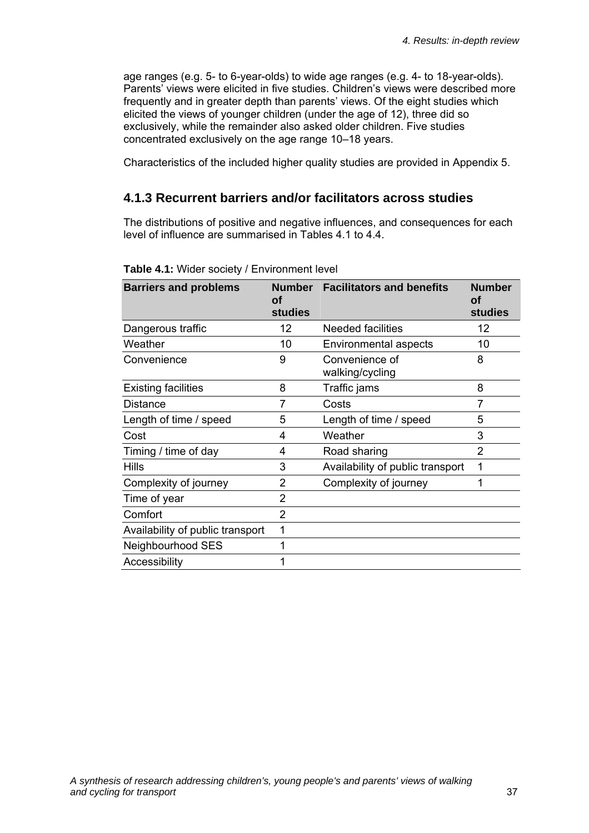age ranges (e.g. 5- to 6-year-olds) to wide age ranges (e.g. 4- to 18-year-olds). Parents' views were elicited in five studies. Children's views were described more frequently and in greater depth than parents' views. Of the eight studies which elicited the views of younger children (under the age of 12), three did so exclusively, while the remainder also asked older children. Five studies concentrated exclusively on the age range 10–18 years.

Characteristics of the included higher quality studies are provided in Appendix 5.

### **4.1.3 Recurrent barriers and/or facilitators across studies**

The distributions of positive and negative influences, and consequences for each level of influence are summarised in Tables 4.1 to 4.4.

| <b>Barriers and problems</b>     | <b>Number</b><br>Οt<br><b>studies</b> | <b>Facilitators and benefits</b>  | <b>Number</b><br>Οf<br><b>studies</b> |
|----------------------------------|---------------------------------------|-----------------------------------|---------------------------------------|
| Dangerous traffic                | 12                                    | Needed facilities                 | 12                                    |
| Weather                          | 10                                    | Environmental aspects             | 10                                    |
| Convenience                      | 9                                     | Convenience of<br>walking/cycling | 8                                     |
| <b>Existing facilities</b>       | 8                                     | Traffic jams                      | 8                                     |
| <b>Distance</b>                  | 7                                     | Costs                             | 7                                     |
| Length of time / speed           | 5                                     | Length of time / speed            | 5                                     |
| Cost                             | 4                                     | Weather                           | 3                                     |
| Timing / time of day             | 4                                     | Road sharing                      | 2                                     |
| <b>Hills</b>                     | 3                                     | Availability of public transport  | 1                                     |
| Complexity of journey            | 2                                     | Complexity of journey             | 1                                     |
| Time of year                     | 2                                     |                                   |                                       |
| Comfort                          | $\overline{2}$                        |                                   |                                       |
| Availability of public transport | 1                                     |                                   |                                       |
| Neighbourhood SES                | 1                                     |                                   |                                       |
| Accessibility                    | 1                                     |                                   |                                       |

#### **Table 4.1:** Wider society / Environment level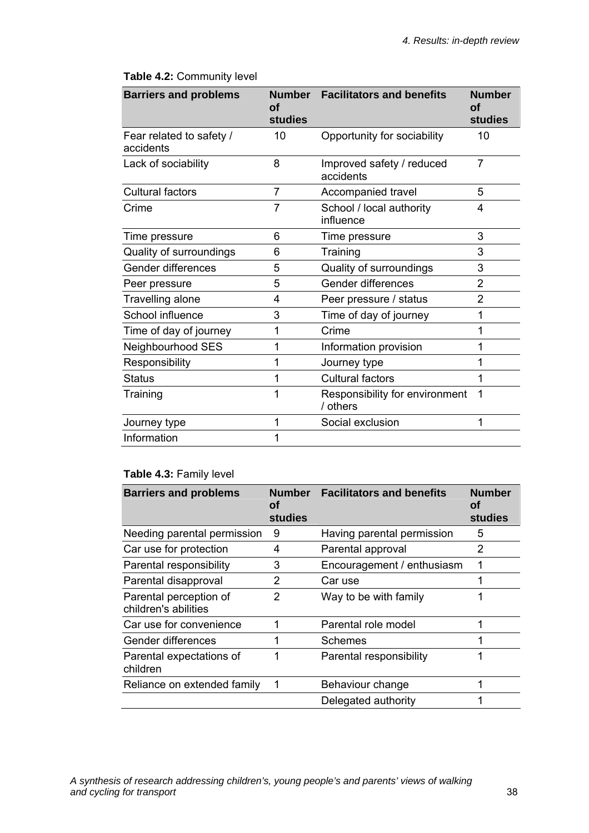| <b>Barriers and problems</b>          | <b>Number</b><br>οf<br><b>studies</b> | <b>Facilitators and benefits</b>           | <b>Number</b><br>Οf<br><b>studies</b> |
|---------------------------------------|---------------------------------------|--------------------------------------------|---------------------------------------|
| Fear related to safety /<br>accidents | 10                                    | Opportunity for sociability                | 10                                    |
| Lack of sociability                   | 8                                     | Improved safety / reduced<br>accidents     | $\overline{7}$                        |
| <b>Cultural factors</b>               | 7                                     | Accompanied travel                         | 5                                     |
| Crime                                 | 7                                     | School / local authority<br>influence      | 4                                     |
| Time pressure                         | 6                                     | Time pressure                              | 3                                     |
| Quality of surroundings               | 6                                     | Training                                   | 3                                     |
| Gender differences                    | 5                                     | Quality of surroundings                    | 3                                     |
| Peer pressure                         | 5                                     | Gender differences                         | $\overline{2}$                        |
| Travelling alone                      | 4                                     | Peer pressure / status                     | 2                                     |
| School influence                      | 3                                     | Time of day of journey                     | 1                                     |
| Time of day of journey                | 1                                     | Crime                                      | 1                                     |
| Neighbourhood SES                     | 1                                     | Information provision                      | 1                                     |
| Responsibility                        | 1                                     | Journey type                               | 1                                     |
| <b>Status</b>                         |                                       | <b>Cultural factors</b>                    |                                       |
| Training                              | 1                                     | Responsibility for environment<br>/ others | 1                                     |
| Journey type                          | 1                                     | Social exclusion                           | 1                                     |
| Information                           | 1                                     |                                            |                                       |

### **Table 4.2:** Community level

### **Table 4.3:** Family level

| <b>Barriers and problems</b>                   | <b>Number</b><br>Οf<br>studies | <b>Facilitators and benefits</b> | Number<br>οf<br>studies |
|------------------------------------------------|--------------------------------|----------------------------------|-------------------------|
| Needing parental permission                    | 9                              | Having parental permission       | 5                       |
| Car use for protection                         | 4                              | Parental approval                | 2                       |
| Parental responsibility                        | 3                              | Encouragement / enthusiasm       |                         |
| Parental disapproval                           | 2                              | Car use                          |                         |
| Parental perception of<br>children's abilities | 2                              | Way to be with family            |                         |
| Car use for convenience                        |                                | Parental role model              |                         |
| Gender differences                             | 1                              | Schemes                          |                         |
| Parental expectations of<br>children           | 1                              | Parental responsibility          |                         |
| Reliance on extended family                    | 1                              | Behaviour change                 |                         |
|                                                |                                | Delegated authority              |                         |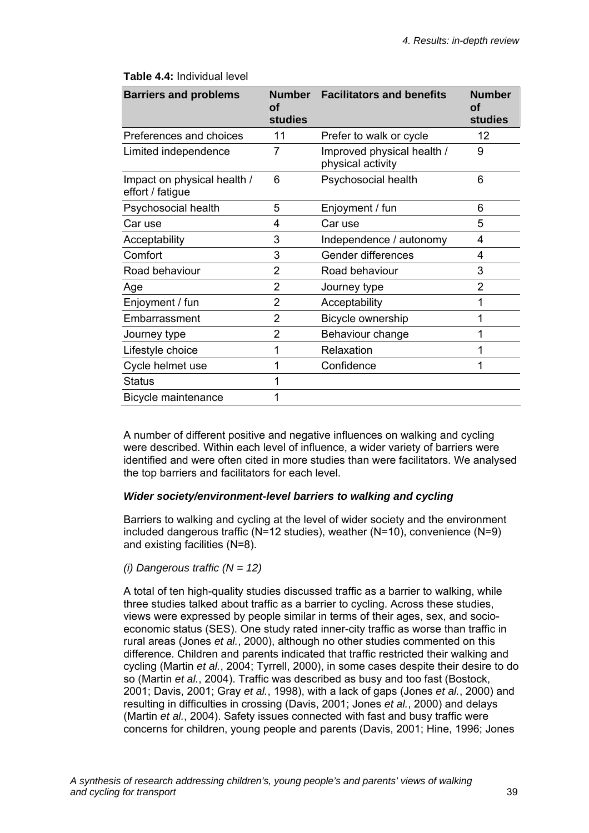### **Table 4.4:** Individual level

| <b>Barriers and problems</b>                    | Number<br>Οt<br><b>studies</b> | <b>Facilitators and benefits</b>                | <b>Number</b><br>οf<br><b>studies</b> |
|-------------------------------------------------|--------------------------------|-------------------------------------------------|---------------------------------------|
| Preferences and choices                         | 11                             | Prefer to walk or cycle                         | 12                                    |
| Limited independence                            | 7                              | Improved physical health /<br>physical activity | 9                                     |
| Impact on physical health /<br>effort / fatigue | 6                              | Psychosocial health                             | 6                                     |
| Psychosocial health                             | 5                              | Enjoyment / fun                                 | 6                                     |
| Car use                                         | 4                              | Car use                                         | 5                                     |
| Acceptability                                   | 3                              | Independence / autonomy                         | 4                                     |
| Comfort                                         | 3                              | Gender differences                              | 4                                     |
| Road behaviour                                  | 2                              | Road behaviour                                  | 3                                     |
| Age                                             | 2                              | Journey type                                    | 2                                     |
| Enjoyment / fun                                 | 2                              | Acceptability                                   | 1                                     |
| Embarrassment                                   | $\overline{2}$                 | Bicycle ownership                               | 1                                     |
| Journey type                                    | 2                              | Behaviour change                                |                                       |
| Lifestyle choice                                | 1                              | Relaxation                                      |                                       |
| Cycle helmet use                                | 1                              | Confidence                                      | 1                                     |
| <b>Status</b>                                   |                                |                                                 |                                       |
| Bicycle maintenance                             |                                |                                                 |                                       |

A number of different positive and negative influences on walking and cycling were described. Within each level of influence, a wider variety of barriers were identified and were often cited in more studies than were facilitators. We analysed the top barriers and facilitators for each level.

#### *Wider society/environment-level barriers to walking and cycling*

Barriers to walking and cycling at the level of wider society and the environment included dangerous traffic (N=12 studies), weather (N=10), convenience (N=9) and existing facilities (N=8).

### *(i) Dangerous traffic (N = 12)*

A total of ten high-quality studies discussed traffic as a barrier to walking, while three studies talked about traffic as a barrier to cycling. Across these studies, views were expressed by people similar in terms of their ages, sex, and socioeconomic status (SES). One study rated inner-city traffic as worse than traffic in rural areas (Jones *et al.*, 2000), although no other studies commented on this difference. Children and parents indicated that traffic restricted their walking and cycling (Martin *et al.*, 2004; Tyrrell, 2000), in some cases despite their desire to do so (Martin *et al.*, 2004). Traffic was described as busy and too fast (Bostock, 2001; Davis, 2001; Gray *et al.*, 1998), with a lack of gaps (Jones *et al.*, 2000) and resulting in difficulties in crossing (Davis, 2001; Jones *et al.*, 2000) and delays (Martin *et al.*, 2004). Safety issues connected with fast and busy traffic were concerns for children, young people and parents (Davis, 2001; Hine, 1996; Jones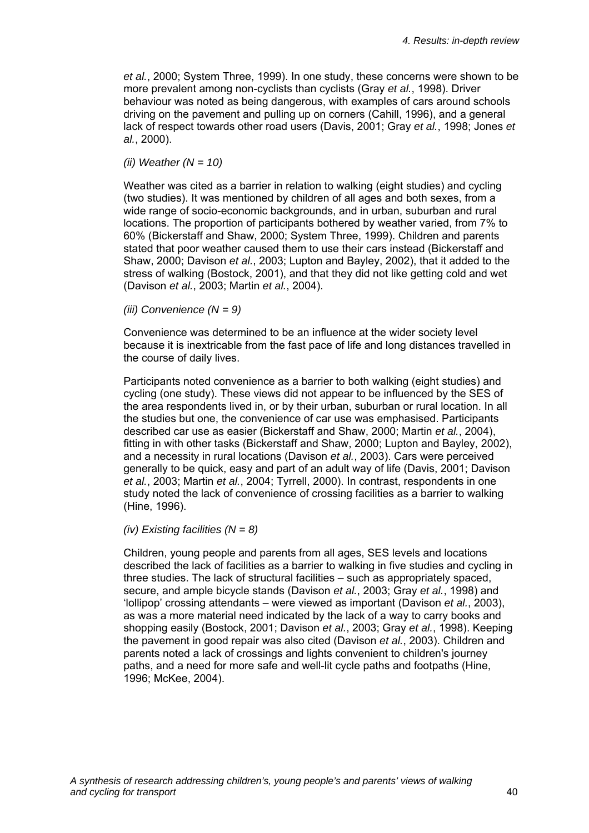*et al.*, 2000; System Three, 1999). In one study, these concerns were shown to be more prevalent among non-cyclists than cyclists (Gray *et al.*, 1998). Driver behaviour was noted as being dangerous, with examples of cars around schools driving on the pavement and pulling up on corners (Cahill, 1996), and a general lack of respect towards other road users (Davis, 2001; Gray *et al.*, 1998; Jones *et al.*, 2000).

#### *(ii) Weather (N = 10)*

Weather was cited as a barrier in relation to walking (eight studies) and cycling (two studies). It was mentioned by children of all ages and both sexes, from a wide range of socio-economic backgrounds, and in urban, suburban and rural locations. The proportion of participants bothered by weather varied, from 7% to 60% (Bickerstaff and Shaw, 2000; System Three, 1999). Children and parents stated that poor weather caused them to use their cars instead (Bickerstaff and Shaw, 2000; Davison *et al.*, 2003; Lupton and Bayley, 2002), that it added to the stress of walking (Bostock, 2001), and that they did not like getting cold and wet (Davison *et al.*, 2003; Martin *et al.*, 2004).

*(iii) Convenience (N = 9)* 

Convenience was determined to be an influence at the wider society level because it is inextricable from the fast pace of life and long distances travelled in the course of daily lives.

Participants noted convenience as a barrier to both walking (eight studies) and cycling (one study). These views did not appear to be influenced by the SES of the area respondents lived in, or by their urban, suburban or rural location. In all the studies but one, the convenience of car use was emphasised. Participants described car use as easier (Bickerstaff and Shaw, 2000; Martin *et al.*, 2004), fitting in with other tasks (Bickerstaff and Shaw, 2000; Lupton and Bayley, 2002), and a necessity in rural locations (Davison *et al.*, 2003). Cars were perceived generally to be quick, easy and part of an adult way of life (Davis, 2001; Davison *et al.*, 2003; Martin *et al.*, 2004; Tyrrell, 2000). In contrast, respondents in one study noted the lack of convenience of crossing facilities as a barrier to walking (Hine, 1996).

#### *(iv) Existing facilities (N = 8)*

Children, young people and parents from all ages, SES levels and locations described the lack of facilities as a barrier to walking in five studies and cycling in three studies. The lack of structural facilities – such as appropriately spaced, secure, and ample bicycle stands (Davison *et al.*, 2003; Gray *et al.*, 1998) and 'lollipop' crossing attendants – were viewed as important (Davison *et al.*, 2003), as was a more material need indicated by the lack of a way to carry books and shopping easily (Bostock, 2001; Davison *et al.*, 2003; Gray *et al.*, 1998). Keeping the pavement in good repair was also cited (Davison *et al.*, 2003). Children and parents noted a lack of crossings and lights convenient to children's journey paths, and a need for more safe and well-lit cycle paths and footpaths (Hine, 1996; McKee, 2004).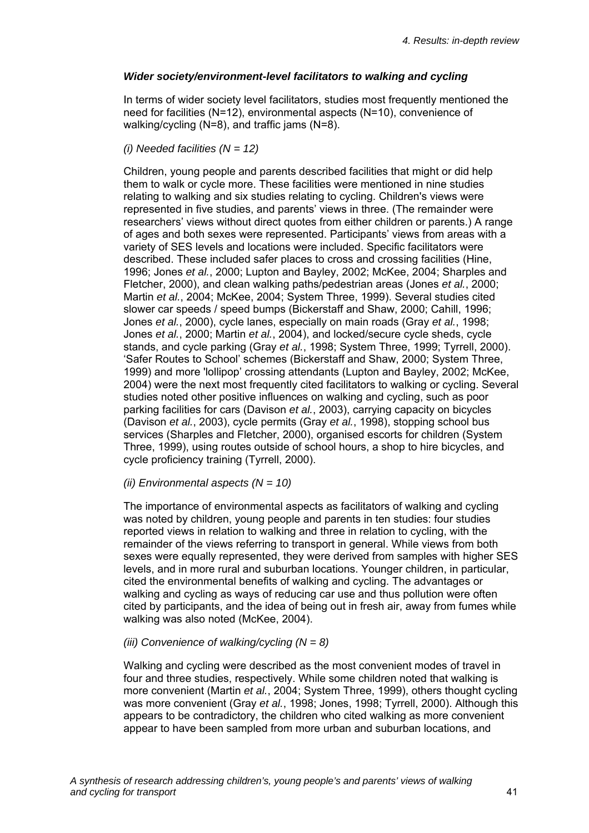#### *Wider society/environment-level facilitators to walking and cycling*

In terms of wider society level facilitators, studies most frequently mentioned the need for facilities (N=12), environmental aspects (N=10), convenience of walking/cycling (N=8), and traffic jams (N=8).

#### *(i) Needed facilities (N = 12)*

Children, young people and parents described facilities that might or did help them to walk or cycle more. These facilities were mentioned in nine studies relating to walking and six studies relating to cycling. Children's views were represented in five studies, and parents' views in three. (The remainder were researchers' views without direct quotes from either children or parents.) A range of ages and both sexes were represented. Participants' views from areas with a variety of SES levels and locations were included. Specific facilitators were described. These included safer places to cross and crossing facilities (Hine, 1996; Jones *et al.*, 2000; Lupton and Bayley, 2002; McKee, 2004; Sharples and Fletcher, 2000), and clean walking paths/pedestrian areas (Jones *et al.*, 2000; Martin *et al.*, 2004; McKee, 2004; System Three, 1999). Several studies cited slower car speeds / speed bumps (Bickerstaff and Shaw, 2000; Cahill, 1996; Jones *et al.*, 2000), cycle lanes, especially on main roads (Gray *et al.*, 1998; Jones *et al.*, 2000; Martin *et al.*, 2004), and locked/secure cycle sheds, cycle stands, and cycle parking (Gray *et al.*, 1998; System Three, 1999; Tyrrell, 2000). 'Safer Routes to School' schemes (Bickerstaff and Shaw, 2000; System Three, 1999) and more 'lollipop' crossing attendants (Lupton and Bayley, 2002; McKee, 2004) were the next most frequently cited facilitators to walking or cycling. Several studies noted other positive influences on walking and cycling, such as poor parking facilities for cars (Davison *et al.*, 2003), carrying capacity on bicycles (Davison *et al.*, 2003), cycle permits (Gray *et al.*, 1998), stopping school bus services (Sharples and Fletcher, 2000), organised escorts for children (System Three, 1999), using routes outside of school hours, a shop to hire bicycles, and cycle proficiency training (Tyrrell, 2000).

#### *(ii) Environmental aspects (N = 10)*

The importance of environmental aspects as facilitators of walking and cycling was noted by children, young people and parents in ten studies: four studies reported views in relation to walking and three in relation to cycling, with the remainder of the views referring to transport in general. While views from both sexes were equally represented, they were derived from samples with higher SES levels, and in more rural and suburban locations. Younger children, in particular, cited the environmental benefits of walking and cycling. The advantages or walking and cycling as ways of reducing car use and thus pollution were often cited by participants, and the idea of being out in fresh air, away from fumes while walking was also noted (McKee, 2004).

### *(iii) Convenience of walking/cycling (N = 8)*

Walking and cycling were described as the most convenient modes of travel in four and three studies, respectively. While some children noted that walking is more convenient (Martin *et al.*, 2004; System Three, 1999), others thought cycling was more convenient (Gray *et al.*, 1998; Jones, 1998; Tyrrell, 2000). Although this appears to be contradictory, the children who cited walking as more convenient appear to have been sampled from more urban and suburban locations, and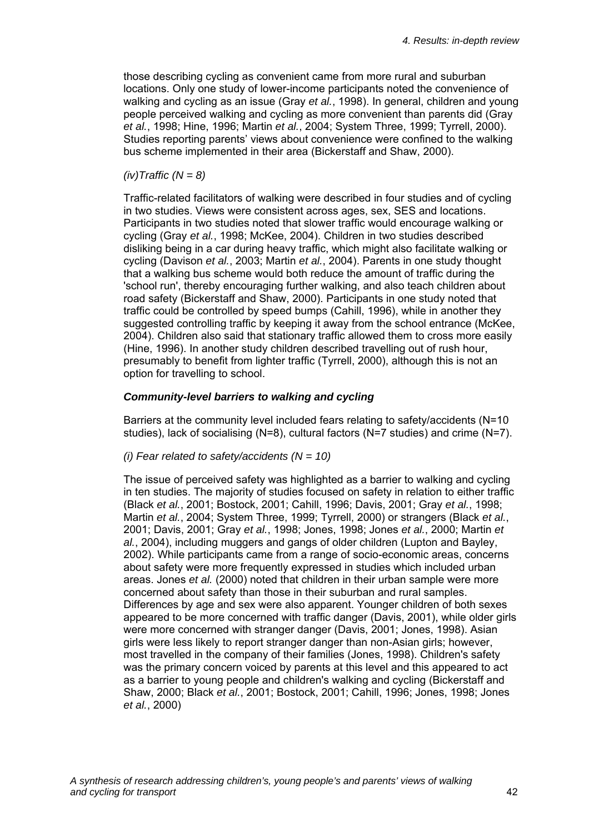those describing cycling as convenient came from more rural and suburban locations. Only one study of lower-income participants noted the convenience of walking and cycling as an issue (Gray *et al.*, 1998). In general, children and young people perceived walking and cycling as more convenient than parents did (Gray *et al.*, 1998; Hine, 1996; Martin *et al.*, 2004; System Three, 1999; Tyrrell, 2000). Studies reporting parents' views about convenience were confined to the walking bus scheme implemented in their area (Bickerstaff and Shaw, 2000).

#### *(iv)Traffic (N = 8)*

Traffic-related facilitators of walking were described in four studies and of cycling in two studies. Views were consistent across ages, sex, SES and locations. Participants in two studies noted that slower traffic would encourage walking or cycling (Gray *et al.*, 1998; McKee, 2004). Children in two studies described disliking being in a car during heavy traffic, which might also facilitate walking or cycling (Davison *et al.*, 2003; Martin *et al.*, 2004). Parents in one study thought that a walking bus scheme would both reduce the amount of traffic during the 'school run', thereby encouraging further walking, and also teach children about road safety (Bickerstaff and Shaw, 2000). Participants in one study noted that traffic could be controlled by speed bumps (Cahill, 1996), while in another they suggested controlling traffic by keeping it away from the school entrance (McKee, 2004). Children also said that stationary traffic allowed them to cross more easily (Hine, 1996). In another study children described travelling out of rush hour, presumably to benefit from lighter traffic (Tyrrell, 2000), although this is not an option for travelling to school.

#### *Community-level barriers to walking and cycling*

Barriers at the community level included fears relating to safety/accidents (N=10 studies), lack of socialising (N=8), cultural factors (N=7 studies) and crime (N=7).

#### *(i) Fear related to safety/accidents (N = 10)*

The issue of perceived safety was highlighted as a barrier to walking and cycling in ten studies. The majority of studies focused on safety in relation to either traffic (Black *et al.*, 2001; Bostock, 2001; Cahill, 1996; Davis, 2001; Gray *et al.*, 1998; Martin *et al.*, 2004; System Three, 1999; Tyrrell, 2000) or strangers (Black *et al.*, 2001; Davis, 2001; Gray *et al.*, 1998; Jones, 1998; Jones *et al.*, 2000; Martin *et al.*, 2004), including muggers and gangs of older children (Lupton and Bayley, 2002). While participants came from a range of socio-economic areas, concerns about safety were more frequently expressed in studies which included urban areas. Jones *et al.* (2000) noted that children in their urban sample were more concerned about safety than those in their suburban and rural samples. Differences by age and sex were also apparent. Younger children of both sexes appeared to be more concerned with traffic danger (Davis, 2001), while older girls were more concerned with stranger danger (Davis, 2001; Jones, 1998). Asian girls were less likely to report stranger danger than non-Asian girls; however, most travelled in the company of their families (Jones, 1998). Children's safety was the primary concern voiced by parents at this level and this appeared to act as a barrier to young people and children's walking and cycling (Bickerstaff and Shaw, 2000; Black *et al.*, 2001; Bostock, 2001; Cahill, 1996; Jones, 1998; Jones *et al.*, 2000)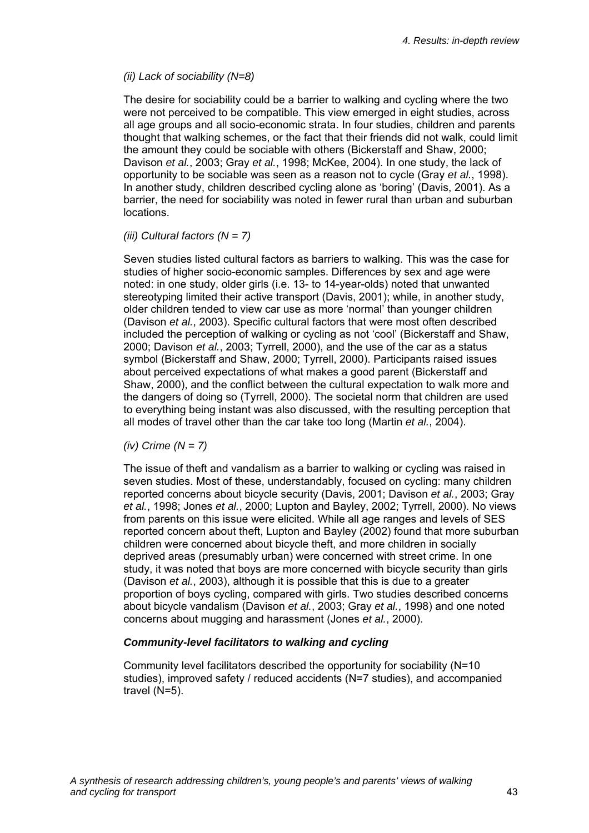#### *(ii) Lack of sociability (N=8)*

The desire for sociability could be a barrier to walking and cycling where the two were not perceived to be compatible. This view emerged in eight studies, across all age groups and all socio-economic strata. In four studies, children and parents thought that walking schemes, or the fact that their friends did not walk, could limit the amount they could be sociable with others (Bickerstaff and Shaw, 2000; Davison *et al.*, 2003; Gray *et al.*, 1998; McKee, 2004). In one study, the lack of opportunity to be sociable was seen as a reason not to cycle (Gray *et al.*, 1998). In another study, children described cycling alone as 'boring' (Davis, 2001). As a barrier, the need for sociability was noted in fewer rural than urban and suburban locations.

#### *(iii) Cultural factors (N = 7)*

Seven studies listed cultural factors as barriers to walking. This was the case for studies of higher socio-economic samples. Differences by sex and age were noted: in one study, older girls (i.e. 13- to 14-year-olds) noted that unwanted stereotyping limited their active transport (Davis, 2001); while, in another study, older children tended to view car use as more 'normal' than younger children (Davison *et al.*, 2003). Specific cultural factors that were most often described included the perception of walking or cycling as not 'cool' (Bickerstaff and Shaw, 2000; Davison *et al.*, 2003; Tyrrell, 2000), and the use of the car as a status symbol (Bickerstaff and Shaw, 2000; Tyrrell, 2000). Participants raised issues about perceived expectations of what makes a good parent (Bickerstaff and Shaw, 2000), and the conflict between the cultural expectation to walk more and the dangers of doing so (Tyrrell, 2000). The societal norm that children are used to everything being instant was also discussed, with the resulting perception that all modes of travel other than the car take too long (Martin *et al.*, 2004).

#### *(iv) Crime (N = 7)*

The issue of theft and vandalism as a barrier to walking or cycling was raised in seven studies. Most of these, understandably, focused on cycling: many children reported concerns about bicycle security (Davis, 2001; Davison *et al.*, 2003; Gray *et al.*, 1998; Jones *et al.*, 2000; Lupton and Bayley, 2002; Tyrrell, 2000). No views from parents on this issue were elicited. While all age ranges and levels of SES reported concern about theft, Lupton and Bayley (2002) found that more suburban children were concerned about bicycle theft, and more children in socially deprived areas (presumably urban) were concerned with street crime. In one study, it was noted that boys are more concerned with bicycle security than girls (Davison *et al.*, 2003), although it is possible that this is due to a greater proportion of boys cycling, compared with girls. Two studies described concerns about bicycle vandalism (Davison *et al.*, 2003; Gray *et al.*, 1998) and one noted concerns about mugging and harassment (Jones *et al.*, 2000).

#### *Community-level facilitators to walking and cycling*

Community level facilitators described the opportunity for sociability (N=10 studies), improved safety / reduced accidents (N=7 studies), and accompanied travel (N=5).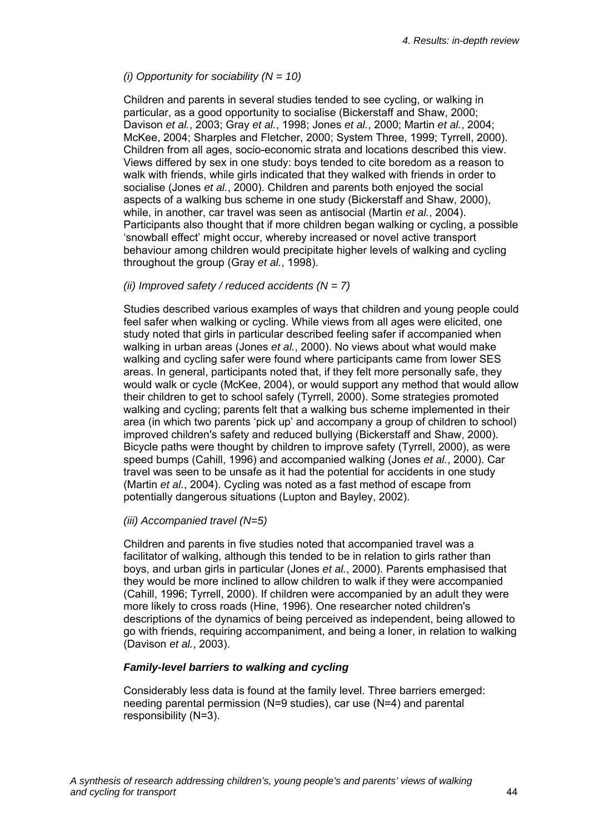#### *(i) Opportunity for sociability (N = 10)*

Children and parents in several studies tended to see cycling, or walking in particular, as a good opportunity to socialise (Bickerstaff and Shaw, 2000; Davison *et al.*, 2003; Gray *et al.*, 1998; Jones *et al.*, 2000; Martin *et al.*, 2004; McKee, 2004; Sharples and Fletcher, 2000; System Three, 1999; Tyrrell, 2000). Children from all ages, socio-economic strata and locations described this view. Views differed by sex in one study: boys tended to cite boredom as a reason to walk with friends, while girls indicated that they walked with friends in order to socialise (Jones *et al.*, 2000). Children and parents both enjoyed the social aspects of a walking bus scheme in one study (Bickerstaff and Shaw, 2000), while, in another, car travel was seen as antisocial (Martin *et al.*, 2004). Participants also thought that if more children began walking or cycling, a possible 'snowball effect' might occur, whereby increased or novel active transport behaviour among children would precipitate higher levels of walking and cycling throughout the group (Gray *et al.*, 1998).

#### *(ii) Improved safety / reduced accidents (N = 7)*

Studies described various examples of ways that children and young people could feel safer when walking or cycling. While views from all ages were elicited, one study noted that girls in particular described feeling safer if accompanied when walking in urban areas (Jones *et al.*, 2000). No views about what would make walking and cycling safer were found where participants came from lower SES areas. In general, participants noted that, if they felt more personally safe, they would walk or cycle (McKee, 2004), or would support any method that would allow their children to get to school safely (Tyrrell, 2000). Some strategies promoted walking and cycling; parents felt that a walking bus scheme implemented in their area (in which two parents 'pick up' and accompany a group of children to school) improved children's safety and reduced bullying (Bickerstaff and Shaw, 2000). Bicycle paths were thought by children to improve safety (Tyrrell, 2000), as were speed bumps (Cahill, 1996) and accompanied walking (Jones *et al.*, 2000). Car travel was seen to be unsafe as it had the potential for accidents in one study (Martin *et al.*, 2004). Cycling was noted as a fast method of escape from potentially dangerous situations (Lupton and Bayley, 2002).

#### *(iii) Accompanied travel (N=5)*

Children and parents in five studies noted that accompanied travel was a facilitator of walking, although this tended to be in relation to girls rather than boys, and urban girls in particular (Jones *et al.*, 2000). Parents emphasised that they would be more inclined to allow children to walk if they were accompanied (Cahill, 1996; Tyrrell, 2000). If children were accompanied by an adult they were more likely to cross roads (Hine, 1996). One researcher noted children's descriptions of the dynamics of being perceived as independent, being allowed to go with friends, requiring accompaniment, and being a loner, in relation to walking (Davison *et al.*, 2003).

#### *Family-level barriers to walking and cycling*

Considerably less data is found at the family level. Three barriers emerged: needing parental permission (N=9 studies), car use (N=4) and parental responsibility (N=3).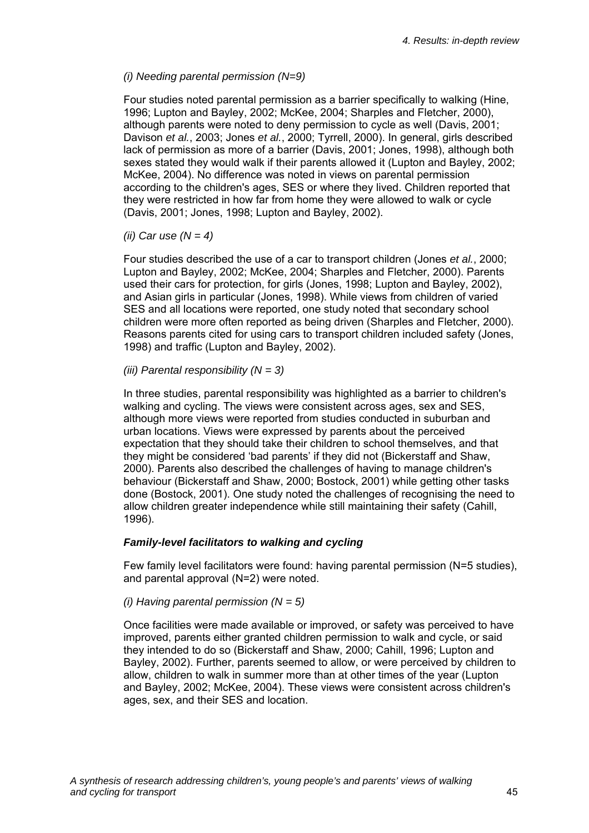#### *(i) Needing parental permission (N=9)*

Four studies noted parental permission as a barrier specifically to walking (Hine, 1996; Lupton and Bayley, 2002; McKee, 2004; Sharples and Fletcher, 2000), although parents were noted to deny permission to cycle as well (Davis, 2001; Davison *et al.*, 2003; Jones *et al.*, 2000; Tyrrell, 2000). In general, girls described lack of permission as more of a barrier (Davis, 2001; Jones, 1998), although both sexes stated they would walk if their parents allowed it (Lupton and Bayley, 2002; McKee, 2004). No difference was noted in views on parental permission according to the children's ages, SES or where they lived. Children reported that they were restricted in how far from home they were allowed to walk or cycle (Davis, 2001; Jones, 1998; Lupton and Bayley, 2002).

*(ii) Car use (N = 4)* 

Four studies described the use of a car to transport children (Jones *et al.*, 2000; Lupton and Bayley, 2002; McKee, 2004; Sharples and Fletcher, 2000). Parents used their cars for protection, for girls (Jones, 1998; Lupton and Bayley, 2002), and Asian girls in particular (Jones, 1998). While views from children of varied SES and all locations were reported, one study noted that secondary school children were more often reported as being driven (Sharples and Fletcher, 2000). Reasons parents cited for using cars to transport children included safety (Jones, 1998) and traffic (Lupton and Bayley, 2002).

*(iii) Parental responsibility (N = 3)* 

In three studies, parental responsibility was highlighted as a barrier to children's walking and cycling. The views were consistent across ages, sex and SES, although more views were reported from studies conducted in suburban and urban locations. Views were expressed by parents about the perceived expectation that they should take their children to school themselves, and that they might be considered 'bad parents' if they did not (Bickerstaff and Shaw, 2000). Parents also described the challenges of having to manage children's behaviour (Bickerstaff and Shaw, 2000; Bostock, 2001) while getting other tasks done (Bostock, 2001). One study noted the challenges of recognising the need to allow children greater independence while still maintaining their safety (Cahill, 1996).

#### *Family-level facilitators to walking and cycling*

Few family level facilitators were found: having parental permission (N=5 studies), and parental approval (N=2) were noted.

#### *(i) Having parental permission (N = 5)*

Once facilities were made available or improved, or safety was perceived to have improved, parents either granted children permission to walk and cycle, or said they intended to do so (Bickerstaff and Shaw, 2000; Cahill, 1996; Lupton and Bayley, 2002). Further, parents seemed to allow, or were perceived by children to allow, children to walk in summer more than at other times of the year (Lupton and Bayley, 2002; McKee, 2004). These views were consistent across children's ages, sex, and their SES and location.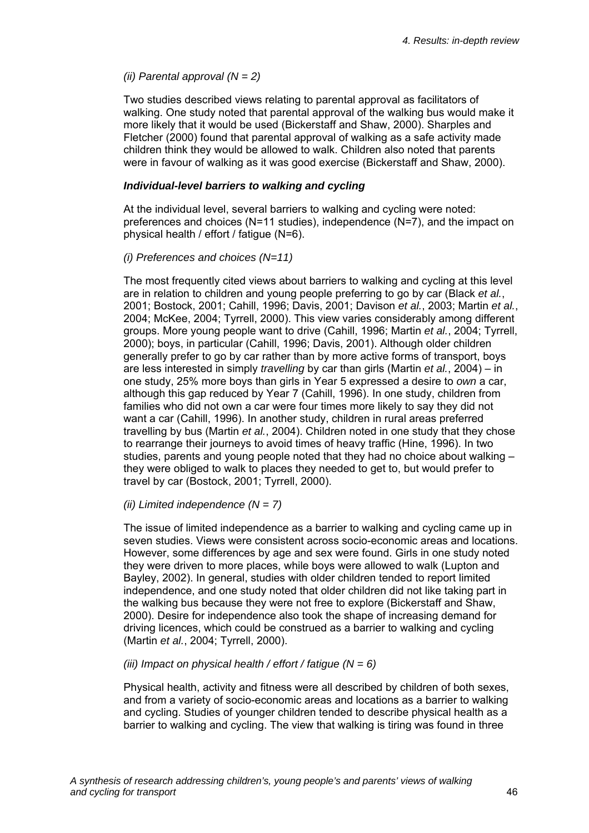#### *(ii) Parental approval (N = 2)*

Two studies described views relating to parental approval as facilitators of walking. One study noted that parental approval of the walking bus would make it more likely that it would be used (Bickerstaff and Shaw, 2000). Sharples and Fletcher (2000) found that parental approval of walking as a safe activity made children think they would be allowed to walk. Children also noted that parents were in favour of walking as it was good exercise (Bickerstaff and Shaw, 2000).

#### *Individual-level barriers to walking and cycling*

At the individual level, several barriers to walking and cycling were noted: preferences and choices (N=11 studies), independence (N=7), and the impact on physical health / effort / fatigue (N=6).

#### *(i) Preferences and choices (N=11)*

The most frequently cited views about barriers to walking and cycling at this level are in relation to children and young people preferring to go by car (Black *et al.*, 2001; Bostock, 2001; Cahill, 1996; Davis, 2001; Davison *et al.*, 2003; Martin *et al.*, 2004; McKee, 2004; Tyrrell, 2000). This view varies considerably among different groups. More young people want to drive (Cahill, 1996; Martin *et al.*, 2004; Tyrrell, 2000); boys, in particular (Cahill, 1996; Davis, 2001). Although older children generally prefer to go by car rather than by more active forms of transport, boys are less interested in simply *travelling* by car than girls (Martin *et al.*, 2004) – in one study, 25% more boys than girls in Year 5 expressed a desire to *own* a car, although this gap reduced by Year 7 (Cahill, 1996). In one study, children from families who did not own a car were four times more likely to say they did not want a car (Cahill, 1996). In another study, children in rural areas preferred travelling by bus (Martin *et al.*, 2004). Children noted in one study that they chose to rearrange their journeys to avoid times of heavy traffic (Hine, 1996). In two studies, parents and young people noted that they had no choice about walking – they were obliged to walk to places they needed to get to, but would prefer to travel by car (Bostock, 2001; Tyrrell, 2000).

#### *(ii) Limited independence (N = 7)*

The issue of limited independence as a barrier to walking and cycling came up in seven studies. Views were consistent across socio-economic areas and locations. However, some differences by age and sex were found. Girls in one study noted they were driven to more places, while boys were allowed to walk (Lupton and Bayley, 2002). In general, studies with older children tended to report limited independence, and one study noted that older children did not like taking part in the walking bus because they were not free to explore (Bickerstaff and Shaw, 2000). Desire for independence also took the shape of increasing demand for driving licences, which could be construed as a barrier to walking and cycling (Martin *et al.*, 2004; Tyrrell, 2000).

#### *(iii) Impact on physical health / effort / fatigue (N = 6)*

Physical health, activity and fitness were all described by children of both sexes, and from a variety of socio-economic areas and locations as a barrier to walking and cycling. Studies of younger children tended to describe physical health as a barrier to walking and cycling. The view that walking is tiring was found in three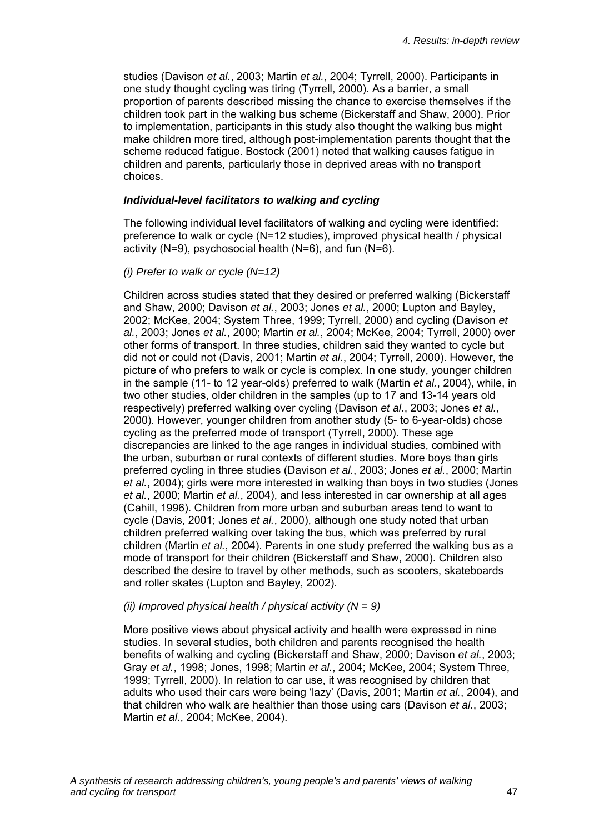studies (Davison *et al.*, 2003; Martin *et al.*, 2004; Tyrrell, 2000). Participants in one study thought cycling was tiring (Tyrrell, 2000). As a barrier, a small proportion of parents described missing the chance to exercise themselves if the children took part in the walking bus scheme (Bickerstaff and Shaw, 2000). Prior to implementation, participants in this study also thought the walking bus might make children more tired, although post-implementation parents thought that the scheme reduced fatigue. Bostock (2001) noted that walking causes fatigue in children and parents, particularly those in deprived areas with no transport choices.

#### *Individual-level facilitators to walking and cycling*

The following individual level facilitators of walking and cycling were identified: preference to walk or cycle (N=12 studies), improved physical health / physical activity (N=9), psychosocial health (N=6), and fun (N=6).

#### *(i) Prefer to walk or cycle (N=12)*

Children across studies stated that they desired or preferred walking (Bickerstaff and Shaw, 2000; Davison *et al.*, 2003; Jones *et al.*, 2000; Lupton and Bayley, 2002; McKee, 2004; System Three, 1999; Tyrrell, 2000) and cycling (Davison *et al.*, 2003; Jones *et al.*, 2000; Martin *et al.*, 2004; McKee, 2004; Tyrrell, 2000) over other forms of transport. In three studies, children said they wanted to cycle but did not or could not (Davis, 2001; Martin *et al.*, 2004; Tyrrell, 2000). However, the picture of who prefers to walk or cycle is complex. In one study, younger children in the sample (11- to 12 year-olds) preferred to walk (Martin *et al.*, 2004), while, in two other studies, older children in the samples (up to 17 and 13-14 years old respectively) preferred walking over cycling (Davison *et al.*, 2003; Jones *et al.*, 2000). However, younger children from another study (5- to 6-year-olds) chose cycling as the preferred mode of transport (Tyrrell, 2000). These age discrepancies are linked to the age ranges in individual studies, combined with the urban, suburban or rural contexts of different studies. More boys than girls preferred cycling in three studies (Davison *et al.*, 2003; Jones *et al.*, 2000; Martin *et al.*, 2004); girls were more interested in walking than boys in two studies (Jones *et al.*, 2000; Martin *et al.*, 2004), and less interested in car ownership at all ages (Cahill, 1996). Children from more urban and suburban areas tend to want to cycle (Davis, 2001; Jones *et al.*, 2000), although one study noted that urban children preferred walking over taking the bus, which was preferred by rural children (Martin *et al.*, 2004). Parents in one study preferred the walking bus as a mode of transport for their children (Bickerstaff and Shaw, 2000). Children also described the desire to travel by other methods, such as scooters, skateboards and roller skates (Lupton and Bayley, 2002).

#### *(ii) Improved physical health / physical activity (N = 9)*

More positive views about physical activity and health were expressed in nine studies. In several studies, both children and parents recognised the health benefits of walking and cycling (Bickerstaff and Shaw, 2000; Davison *et al.*, 2003; Gray *et al.*, 1998; Jones, 1998; Martin *et al.*, 2004; McKee, 2004; System Three, 1999; Tyrrell, 2000). In relation to car use, it was recognised by children that adults who used their cars were being 'lazy' (Davis, 2001; Martin *et al.*, 2004), and that children who walk are healthier than those using cars (Davison *et al.*, 2003; Martin *et al.*, 2004; McKee, 2004).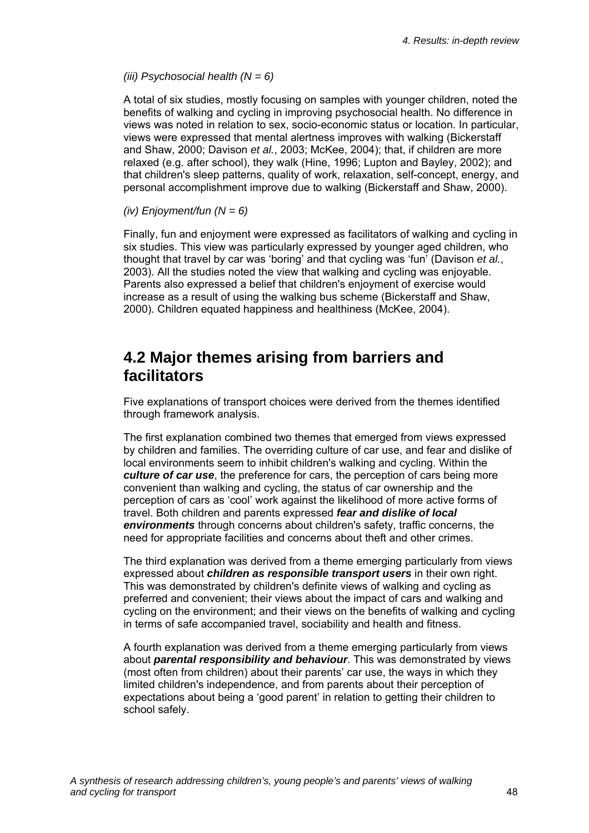#### *(iii) Psychosocial health (N = 6)*

A total of six studies, mostly focusing on samples with younger children, noted the benefits of walking and cycling in improving psychosocial health. No difference in views was noted in relation to sex, socio-economic status or location. In particular, views were expressed that mental alertness improves with walking (Bickerstaff and Shaw, 2000; Davison *et al.*, 2003; McKee, 2004); that, if children are more relaxed (e.g. after school), they walk (Hine, 1996; Lupton and Bayley, 2002); and that children's sleep patterns, quality of work, relaxation, self-concept, energy, and personal accomplishment improve due to walking (Bickerstaff and Shaw, 2000).

#### *(iv) Enjoyment/fun (N = 6)*

Finally, fun and enjoyment were expressed as facilitators of walking and cycling in six studies. This view was particularly expressed by younger aged children, who thought that travel by car was 'boring' and that cycling was 'fun' (Davison *et al.*, 2003). All the studies noted the view that walking and cycling was enjoyable. Parents also expressed a belief that children's enjoyment of exercise would increase as a result of using the walking bus scheme (Bickerstaff and Shaw, 2000). Children equated happiness and healthiness (McKee, 2004).

### **4.2 Major themes arising from barriers and facilitators**

Five explanations of transport choices were derived from the themes identified through framework analysis.

The first explanation combined two themes that emerged from views expressed by children and families. The overriding culture of car use, and fear and dislike of local environments seem to inhibit children's walking and cycling. Within the *culture of car use*, the preference for cars, the perception of cars being more convenient than walking and cycling, the status of car ownership and the perception of cars as 'cool' work against the likelihood of more active forms of travel. Both children and parents expressed *fear and dislike of local environments* through concerns about children's safety, traffic concerns, the need for appropriate facilities and concerns about theft and other crimes.

The third explanation was derived from a theme emerging particularly from views expressed about *children as responsible transport users* in their own right. This was demonstrated by children's definite views of walking and cycling as preferred and convenient; their views about the impact of cars and walking and cycling on the environment; and their views on the benefits of walking and cycling in terms of safe accompanied travel, sociability and health and fitness.

A fourth explanation was derived from a theme emerging particularly from views about *parental responsibility and behaviour*. This was demonstrated by views (most often from children) about their parents' car use, the ways in which they limited children's independence, and from parents about their perception of expectations about being a 'good parent' in relation to getting their children to school safely.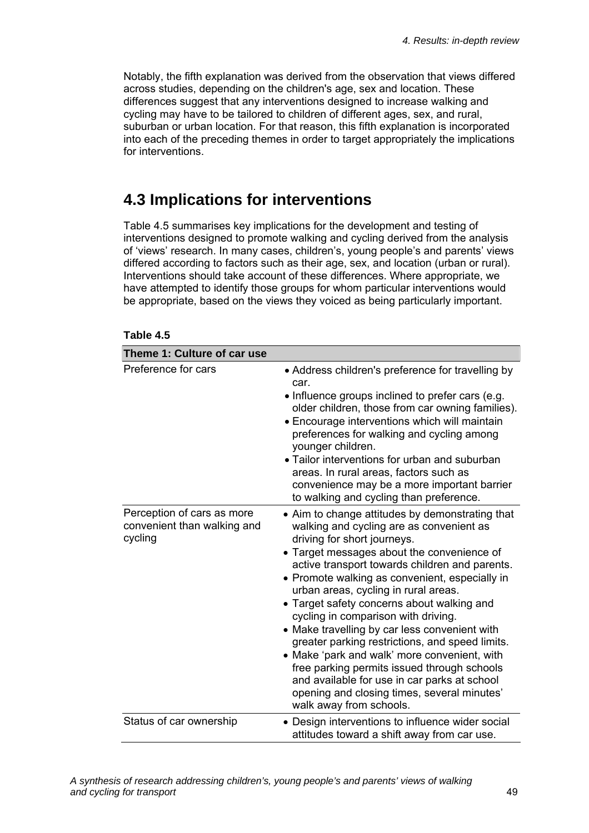Notably, the fifth explanation was derived from the observation that views differed across studies, depending on the children's age, sex and location. These differences suggest that any interventions designed to increase walking and cycling may have to be tailored to children of different ages, sex, and rural, suburban or urban location. For that reason, this fifth explanation is incorporated into each of the preceding themes in order to target appropriately the implications for interventions.

# **4.3 Implications for interventions**

Table 4.5 summarises key implications for the development and testing of interventions designed to promote walking and cycling derived from the analysis of 'views' research. In many cases, children's, young people's and parents' views differed according to factors such as their age, sex, and location (urban or rural). Interventions should take account of these differences. Where appropriate, we have attempted to identify those groups for whom particular interventions would be appropriate, based on the views they voiced as being particularly important.

| Theme 1: Culture of car use                                          |                                                                                                                                                                                                                                                                                                                                                                                                                                                                                                                                                                                                                                                                                                                                        |
|----------------------------------------------------------------------|----------------------------------------------------------------------------------------------------------------------------------------------------------------------------------------------------------------------------------------------------------------------------------------------------------------------------------------------------------------------------------------------------------------------------------------------------------------------------------------------------------------------------------------------------------------------------------------------------------------------------------------------------------------------------------------------------------------------------------------|
| Preference for cars                                                  | • Address children's preference for travelling by<br>car.<br>• Influence groups inclined to prefer cars (e.g.<br>older children, those from car owning families).<br>• Encourage interventions which will maintain<br>preferences for walking and cycling among<br>younger children.<br>• Tailor interventions for urban and suburban<br>areas. In rural areas, factors such as<br>convenience may be a more important barrier<br>to walking and cycling than preference.                                                                                                                                                                                                                                                              |
| Perception of cars as more<br>convenient than walking and<br>cycling | • Aim to change attitudes by demonstrating that<br>walking and cycling are as convenient as<br>driving for short journeys.<br>• Target messages about the convenience of<br>active transport towards children and parents.<br>• Promote walking as convenient, especially in<br>urban areas, cycling in rural areas.<br>• Target safety concerns about walking and<br>cycling in comparison with driving.<br>• Make travelling by car less convenient with<br>greater parking restrictions, and speed limits.<br>• Make 'park and walk' more convenient, with<br>free parking permits issued through schools<br>and available for use in car parks at school<br>opening and closing times, several minutes'<br>walk away from schools. |
| Status of car ownership                                              | • Design interventions to influence wider social<br>attitudes toward a shift away from car use.                                                                                                                                                                                                                                                                                                                                                                                                                                                                                                                                                                                                                                        |

#### **Table 4.5**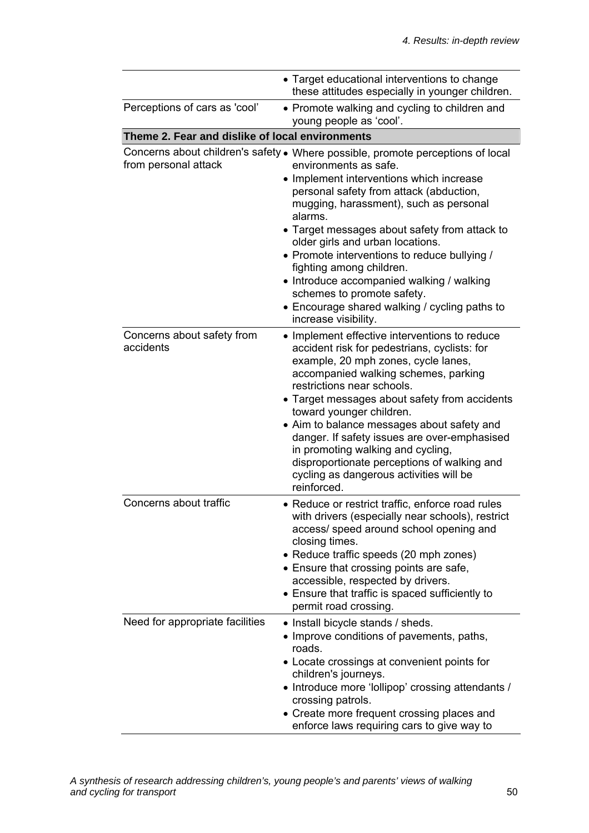|                                                 | • Target educational interventions to change<br>these attitudes especially in younger children.                                                                                                                                                                                                                                                                                                                                                                                                                                                                           |  |  |
|-------------------------------------------------|---------------------------------------------------------------------------------------------------------------------------------------------------------------------------------------------------------------------------------------------------------------------------------------------------------------------------------------------------------------------------------------------------------------------------------------------------------------------------------------------------------------------------------------------------------------------------|--|--|
| Perceptions of cars as 'cool'                   | • Promote walking and cycling to children and<br>young people as 'cool'.                                                                                                                                                                                                                                                                                                                                                                                                                                                                                                  |  |  |
| Theme 2. Fear and dislike of local environments |                                                                                                                                                                                                                                                                                                                                                                                                                                                                                                                                                                           |  |  |
| from personal attack                            | Concerns about children's safety . Where possible, promote perceptions of local<br>environments as safe.<br>• Implement interventions which increase<br>personal safety from attack (abduction,<br>mugging, harassment), such as personal<br>alarms.<br>• Target messages about safety from attack to<br>older girls and urban locations.<br>• Promote interventions to reduce bullying /<br>fighting among children.<br>• Introduce accompanied walking / walking<br>schemes to promote safety.<br>• Encourage shared walking / cycling paths to<br>increase visibility. |  |  |
| Concerns about safety from<br>accidents         | • Implement effective interventions to reduce<br>accident risk for pedestrians, cyclists: for<br>example, 20 mph zones, cycle lanes,<br>accompanied walking schemes, parking<br>restrictions near schools.<br>• Target messages about safety from accidents<br>toward younger children.<br>• Aim to balance messages about safety and<br>danger. If safety issues are over-emphasised<br>in promoting walking and cycling,<br>disproportionate perceptions of walking and<br>cycling as dangerous activities will be<br>reinforced.                                       |  |  |
| Concerns about traffic                          | • Reduce or restrict traffic, enforce road rules<br>with drivers (especially near schools), restrict<br>access/ speed around school opening and<br>closing times.<br>• Reduce traffic speeds (20 mph zones)<br>• Ensure that crossing points are safe,<br>accessible, respected by drivers.<br>• Ensure that traffic is spaced sufficiently to<br>permit road crossing.                                                                                                                                                                                                   |  |  |
| Need for appropriate facilities                 | • Install bicycle stands / sheds.<br>• Improve conditions of pavements, paths,<br>roads.<br>• Locate crossings at convenient points for<br>children's journeys.<br>• Introduce more 'lollipop' crossing attendants /<br>crossing patrols.<br>• Create more frequent crossing places and<br>enforce laws requiring cars to give way to                                                                                                                                                                                                                                     |  |  |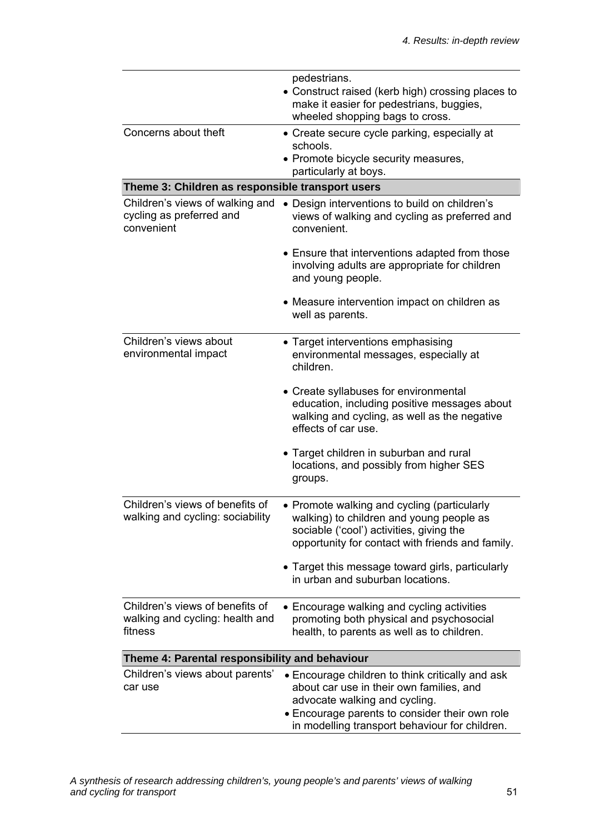|                                                                               | pedestrians.<br>• Construct raised (kerb high) crossing places to<br>make it easier for pedestrians, buggies,<br>wheeled shopping bags to cross.                                                                                  |  |
|-------------------------------------------------------------------------------|-----------------------------------------------------------------------------------------------------------------------------------------------------------------------------------------------------------------------------------|--|
| Concerns about theft                                                          | • Create secure cycle parking, especially at<br>schools.<br>• Promote bicycle security measures,<br>particularly at boys.                                                                                                         |  |
| Theme 3: Children as responsible transport users                              |                                                                                                                                                                                                                                   |  |
| Children's views of walking and<br>cycling as preferred and<br>convenient     | • Design interventions to build on children's<br>views of walking and cycling as preferred and<br>convenient.                                                                                                                     |  |
|                                                                               | • Ensure that interventions adapted from those<br>involving adults are appropriate for children<br>and young people.                                                                                                              |  |
|                                                                               | • Measure intervention impact on children as<br>well as parents.                                                                                                                                                                  |  |
| Children's views about<br>environmental impact                                | • Target interventions emphasising<br>environmental messages, especially at<br>children.                                                                                                                                          |  |
|                                                                               | • Create syllabuses for environmental<br>education, including positive messages about<br>walking and cycling, as well as the negative<br>effects of car use.                                                                      |  |
|                                                                               | • Target children in suburban and rural<br>locations, and possibly from higher SES<br>groups.                                                                                                                                     |  |
| Children's views of benefits of<br>walking and cycling: sociability           | • Promote walking and cycling (particularly<br>walking) to children and young people as<br>sociable ('cool') activities, giving the<br>opportunity for contact with friends and family.                                           |  |
|                                                                               | • Target this message toward girls, particularly<br>in urban and suburban locations.                                                                                                                                              |  |
| Children's views of benefits of<br>walking and cycling: health and<br>fitness | • Encourage walking and cycling activities<br>promoting both physical and psychosocial<br>health, to parents as well as to children.                                                                                              |  |
| Theme 4: Parental responsibility and behaviour                                |                                                                                                                                                                                                                                   |  |
| Children's views about parents'<br>car use                                    | • Encourage children to think critically and ask<br>about car use in their own families, and<br>advocate walking and cycling.<br>• Encourage parents to consider their own role<br>in modelling transport behaviour for children. |  |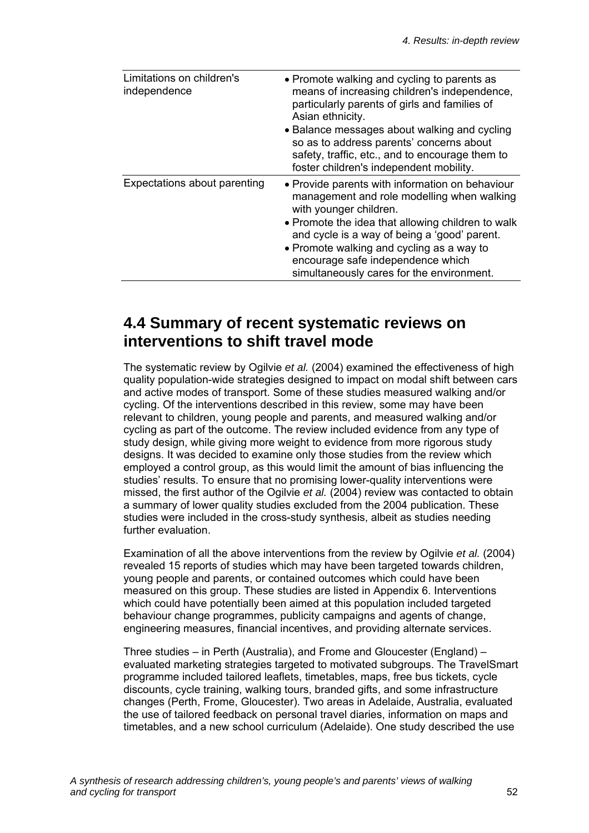| Limitations on children's<br>independence | • Promote walking and cycling to parents as<br>means of increasing children's independence,<br>particularly parents of girls and families of<br>Asian ethnicity.<br>• Balance messages about walking and cycling<br>so as to address parents' concerns about<br>safety, traffic, etc., and to encourage them to<br>foster children's independent mobility.  |
|-------------------------------------------|-------------------------------------------------------------------------------------------------------------------------------------------------------------------------------------------------------------------------------------------------------------------------------------------------------------------------------------------------------------|
| Expectations about parenting              | • Provide parents with information on behaviour<br>management and role modelling when walking<br>with younger children.<br>• Promote the idea that allowing children to walk<br>and cycle is a way of being a 'good' parent.<br>• Promote walking and cycling as a way to<br>encourage safe independence which<br>simultaneously cares for the environment. |

### **4.4 Summary of recent systematic reviews on interventions to shift travel mode**

The systematic review by Ogilvie *et al.* (2004) examined the effectiveness of high quality population-wide strategies designed to impact on modal shift between cars and active modes of transport. Some of these studies measured walking and/or cycling. Of the interventions described in this review, some may have been relevant to children, young people and parents, and measured walking and/or cycling as part of the outcome. The review included evidence from any type of study design, while giving more weight to evidence from more rigorous study designs. It was decided to examine only those studies from the review which employed a control group, as this would limit the amount of bias influencing the studies' results. To ensure that no promising lower-quality interventions were missed, the first author of the Ogilvie *et al.* (2004) review was contacted to obtain a summary of lower quality studies excluded from the 2004 publication. These studies were included in the cross-study synthesis, albeit as studies needing further evaluation.

Examination of all the above interventions from the review by Ogilvie *et al.* (2004) revealed 15 reports of studies which may have been targeted towards children, young people and parents, or contained outcomes which could have been measured on this group. These studies are listed in Appendix 6. Interventions which could have potentially been aimed at this population included targeted behaviour change programmes, publicity campaigns and agents of change, engineering measures, financial incentives, and providing alternate services.

Three studies – in Perth (Australia), and Frome and Gloucester (England) – evaluated marketing strategies targeted to motivated subgroups. The TravelSmart programme included tailored leaflets, timetables, maps, free bus tickets, cycle discounts, cycle training, walking tours, branded gifts, and some infrastructure changes (Perth, Frome, Gloucester). Two areas in Adelaide, Australia, evaluated the use of tailored feedback on personal travel diaries, information on maps and timetables, and a new school curriculum (Adelaide). One study described the use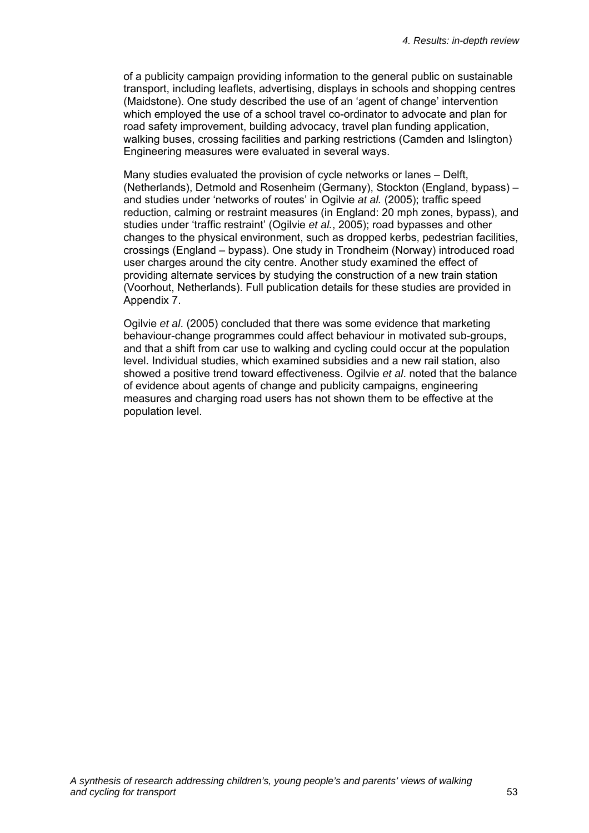of a publicity campaign providing information to the general public on sustainable transport, including leaflets, advertising, displays in schools and shopping centres (Maidstone). One study described the use of an 'agent of change' intervention which employed the use of a school travel co-ordinator to advocate and plan for road safety improvement, building advocacy, travel plan funding application, walking buses, crossing facilities and parking restrictions (Camden and Islington) Engineering measures were evaluated in several ways.

Many studies evaluated the provision of cycle networks or lanes – Delft, (Netherlands), Detmold and Rosenheim (Germany), Stockton (England, bypass) – and studies under 'networks of routes' in Ogilvie *at al.* (2005); traffic speed reduction, calming or restraint measures (in England: 20 mph zones, bypass), and studies under 'traffic restraint' (Ogilvie *et al.*, 2005); road bypasses and other changes to the physical environment, such as dropped kerbs, pedestrian facilities, crossings (England – bypass). One study in Trondheim (Norway) introduced road user charges around the city centre. Another study examined the effect of providing alternate services by studying the construction of a new train station (Voorhout, Netherlands). Full publication details for these studies are provided in Appendix 7.

Ogilvie *et al*. (2005) concluded that there was some evidence that marketing behaviour-change programmes could affect behaviour in motivated sub-groups, and that a shift from car use to walking and cycling could occur at the population level. Individual studies, which examined subsidies and a new rail station, also showed a positive trend toward effectiveness. Ogilvie *et al*. noted that the balance of evidence about agents of change and publicity campaigns, engineering measures and charging road users has not shown them to be effective at the population level.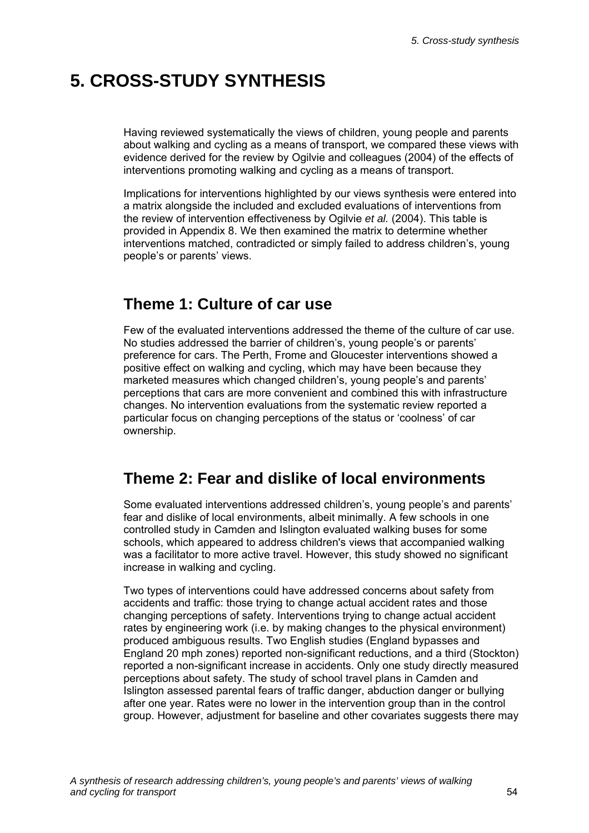# **5. CROSS-STUDY SYNTHESIS**

Having reviewed systematically the views of children, young people and parents about walking and cycling as a means of transport, we compared these views with evidence derived for the review by Ogilvie and colleagues (2004) of the effects of interventions promoting walking and cycling as a means of transport.

Implications for interventions highlighted by our views synthesis were entered into a matrix alongside the included and excluded evaluations of interventions from the review of intervention effectiveness by Ogilvie *et al.* (2004). This table is provided in Appendix 8. We then examined the matrix to determine whether interventions matched, contradicted or simply failed to address children's, young people's or parents' views.

## **Theme 1: Culture of car use**

Few of the evaluated interventions addressed the theme of the culture of car use. No studies addressed the barrier of children's, young people's or parents' preference for cars. The Perth, Frome and Gloucester interventions showed a positive effect on walking and cycling, which may have been because they marketed measures which changed children's, young people's and parents' perceptions that cars are more convenient and combined this with infrastructure changes. No intervention evaluations from the systematic review reported a particular focus on changing perceptions of the status or 'coolness' of car ownership.

## **Theme 2: Fear and dislike of local environments**

Some evaluated interventions addressed children's, young people's and parents' fear and dislike of local environments, albeit minimally. A few schools in one controlled study in Camden and Islington evaluated walking buses for some schools, which appeared to address children's views that accompanied walking was a facilitator to more active travel. However, this study showed no significant increase in walking and cycling.

Two types of interventions could have addressed concerns about safety from accidents and traffic: those trying to change actual accident rates and those changing perceptions of safety. Interventions trying to change actual accident rates by engineering work (i.e. by making changes to the physical environment) produced ambiguous results. Two English studies (England bypasses and England 20 mph zones) reported non-significant reductions, and a third (Stockton) reported a non-significant increase in accidents. Only one study directly measured perceptions about safety. The study of school travel plans in Camden and Islington assessed parental fears of traffic danger, abduction danger or bullying after one year. Rates were no lower in the intervention group than in the control group. However, adjustment for baseline and other covariates suggests there may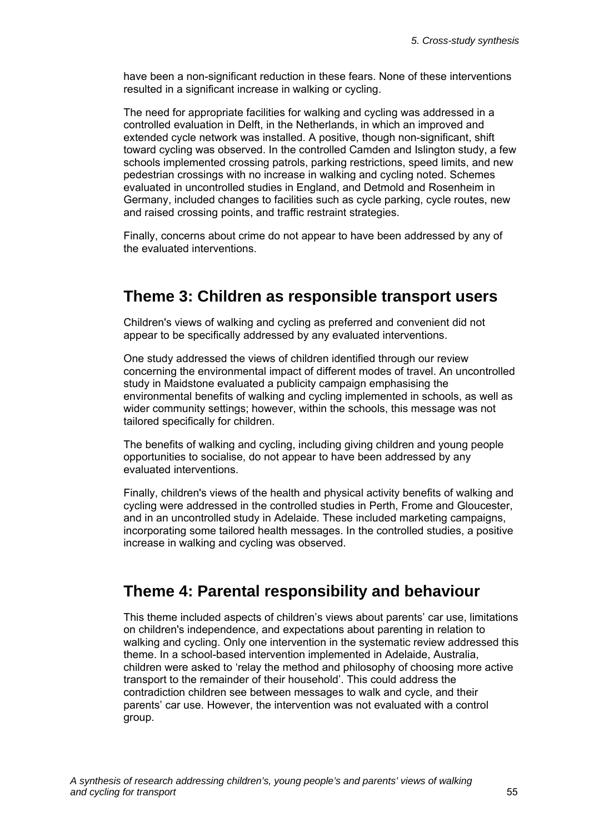have been a non-significant reduction in these fears. None of these interventions resulted in a significant increase in walking or cycling.

The need for appropriate facilities for walking and cycling was addressed in a controlled evaluation in Delft, in the Netherlands, in which an improved and extended cycle network was installed. A positive, though non-significant, shift toward cycling was observed. In the controlled Camden and Islington study, a few schools implemented crossing patrols, parking restrictions, speed limits, and new pedestrian crossings with no increase in walking and cycling noted. Schemes evaluated in uncontrolled studies in England, and Detmold and Rosenheim in Germany, included changes to facilities such as cycle parking, cycle routes, new and raised crossing points, and traffic restraint strategies.

Finally, concerns about crime do not appear to have been addressed by any of the evaluated interventions.

### **Theme 3: Children as responsible transport users**

Children's views of walking and cycling as preferred and convenient did not appear to be specifically addressed by any evaluated interventions.

One study addressed the views of children identified through our review concerning the environmental impact of different modes of travel. An uncontrolled study in Maidstone evaluated a publicity campaign emphasising the environmental benefits of walking and cycling implemented in schools, as well as wider community settings; however, within the schools, this message was not tailored specifically for children.

The benefits of walking and cycling, including giving children and young people opportunities to socialise, do not appear to have been addressed by any evaluated interventions.

Finally, children's views of the health and physical activity benefits of walking and cycling were addressed in the controlled studies in Perth, Frome and Gloucester, and in an uncontrolled study in Adelaide. These included marketing campaigns, incorporating some tailored health messages. In the controlled studies, a positive increase in walking and cycling was observed.

## **Theme 4: Parental responsibility and behaviour**

This theme included aspects of children's views about parents' car use, limitations on children's independence, and expectations about parenting in relation to walking and cycling. Only one intervention in the systematic review addressed this theme. In a school-based intervention implemented in Adelaide, Australia, children were asked to 'relay the method and philosophy of choosing more active transport to the remainder of their household'. This could address the contradiction children see between messages to walk and cycle, and their parents' car use. However, the intervention was not evaluated with a control group.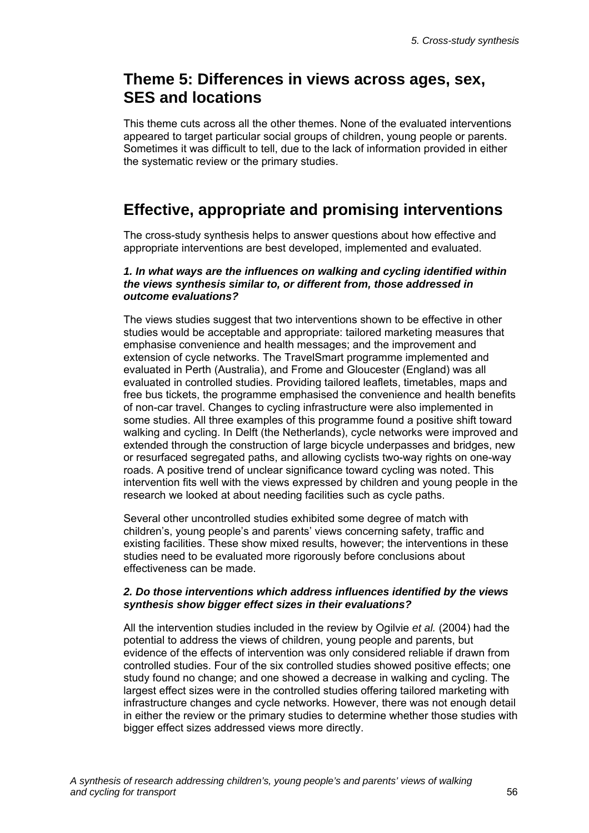## **Theme 5: Differences in views across ages, sex, SES and locations**

This theme cuts across all the other themes. None of the evaluated interventions appeared to target particular social groups of children, young people or parents. Sometimes it was difficult to tell, due to the lack of information provided in either the systematic review or the primary studies.

# **Effective, appropriate and promising interventions**

The cross-study synthesis helps to answer questions about how effective and appropriate interventions are best developed, implemented and evaluated.

#### *1. In what ways are the influences on walking and cycling identified within the views synthesis similar to, or different from, those addressed in outcome evaluations?*

The views studies suggest that two interventions shown to be effective in other studies would be acceptable and appropriate: tailored marketing measures that emphasise convenience and health messages; and the improvement and extension of cycle networks. The TravelSmart programme implemented and evaluated in Perth (Australia), and Frome and Gloucester (England) was all evaluated in controlled studies. Providing tailored leaflets, timetables, maps and free bus tickets, the programme emphasised the convenience and health benefits of non-car travel. Changes to cycling infrastructure were also implemented in some studies. All three examples of this programme found a positive shift toward walking and cycling. In Delft (the Netherlands), cycle networks were improved and extended through the construction of large bicycle underpasses and bridges, new or resurfaced segregated paths, and allowing cyclists two-way rights on one-way roads. A positive trend of unclear significance toward cycling was noted. This intervention fits well with the views expressed by children and young people in the research we looked at about needing facilities such as cycle paths.

Several other uncontrolled studies exhibited some degree of match with children's, young people's and parents' views concerning safety, traffic and existing facilities. These show mixed results, however; the interventions in these studies need to be evaluated more rigorously before conclusions about effectiveness can be made.

#### *2. Do those interventions which address influences identified by the views synthesis show bigger effect sizes in their evaluations?*

All the intervention studies included in the review by Ogilvie *et al.* (2004) had the potential to address the views of children, young people and parents, but evidence of the effects of intervention was only considered reliable if drawn from controlled studies. Four of the six controlled studies showed positive effects; one study found no change; and one showed a decrease in walking and cycling. The largest effect sizes were in the controlled studies offering tailored marketing with infrastructure changes and cycle networks. However, there was not enough detail in either the review or the primary studies to determine whether those studies with bigger effect sizes addressed views more directly.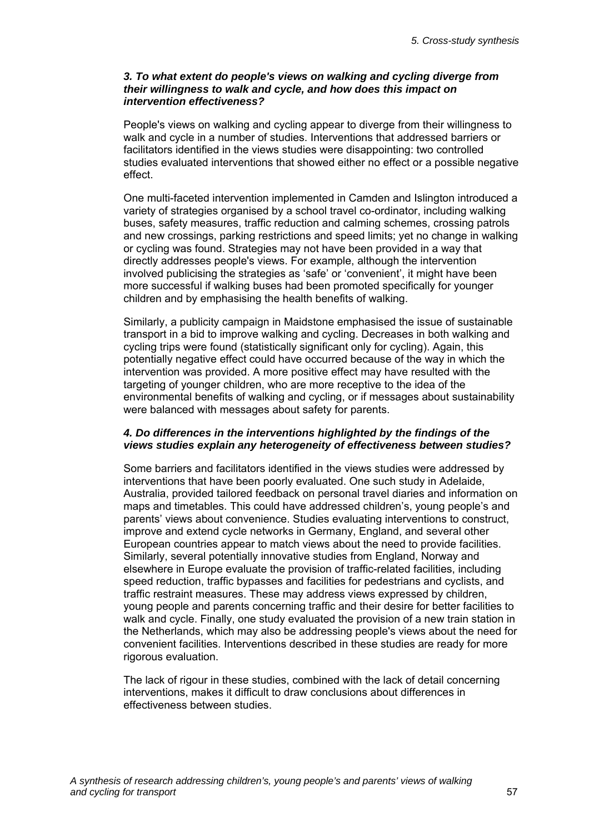#### *3. To what extent do people's views on walking and cycling diverge from their willingness to walk and cycle, and how does this impact on intervention effectiveness?*

People's views on walking and cycling appear to diverge from their willingness to walk and cycle in a number of studies. Interventions that addressed barriers or facilitators identified in the views studies were disappointing: two controlled studies evaluated interventions that showed either no effect or a possible negative effect.

One multi-faceted intervention implemented in Camden and Islington introduced a variety of strategies organised by a school travel co-ordinator, including walking buses, safety measures, traffic reduction and calming schemes, crossing patrols and new crossings, parking restrictions and speed limits; yet no change in walking or cycling was found. Strategies may not have been provided in a way that directly addresses people's views. For example, although the intervention involved publicising the strategies as 'safe' or 'convenient', it might have been more successful if walking buses had been promoted specifically for younger children and by emphasising the health benefits of walking.

Similarly, a publicity campaign in Maidstone emphasised the issue of sustainable transport in a bid to improve walking and cycling. Decreases in both walking and cycling trips were found (statistically significant only for cycling). Again, this potentially negative effect could have occurred because of the way in which the intervention was provided. A more positive effect may have resulted with the targeting of younger children, who are more receptive to the idea of the environmental benefits of walking and cycling, or if messages about sustainability were balanced with messages about safety for parents.

#### *4. Do differences in the interventions highlighted by the findings of the views studies explain any heterogeneity of effectiveness between studies?*

Some barriers and facilitators identified in the views studies were addressed by interventions that have been poorly evaluated. One such study in Adelaide, Australia, provided tailored feedback on personal travel diaries and information on maps and timetables. This could have addressed children's, young people's and parents' views about convenience. Studies evaluating interventions to construct, improve and extend cycle networks in Germany, England, and several other European countries appear to match views about the need to provide facilities. Similarly, several potentially innovative studies from England, Norway and elsewhere in Europe evaluate the provision of traffic-related facilities, including speed reduction, traffic bypasses and facilities for pedestrians and cyclists, and traffic restraint measures. These may address views expressed by children, young people and parents concerning traffic and their desire for better facilities to walk and cycle. Finally, one study evaluated the provision of a new train station in the Netherlands, which may also be addressing people's views about the need for convenient facilities. Interventions described in these studies are ready for more rigorous evaluation.

The lack of rigour in these studies, combined with the lack of detail concerning interventions, makes it difficult to draw conclusions about differences in effectiveness between studies.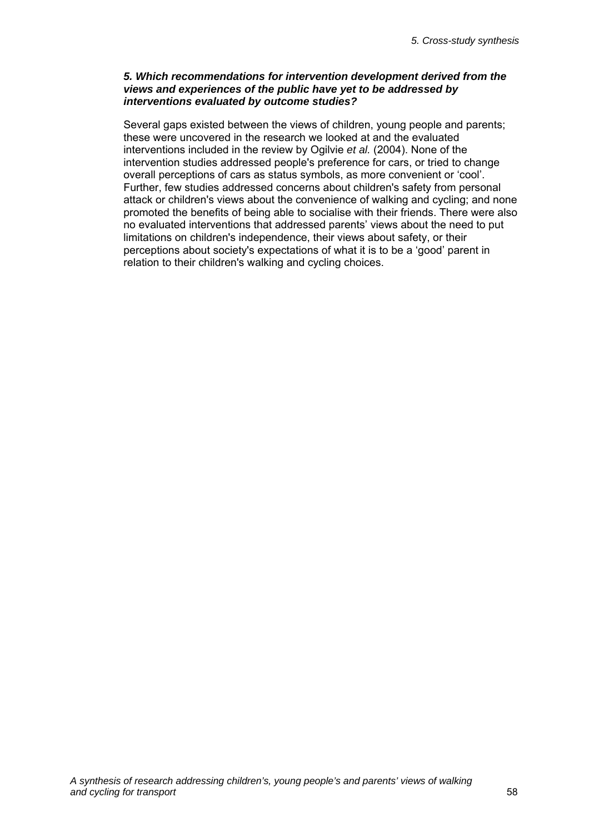#### *5. Which recommendations for intervention development derived from the views and experiences of the public have yet to be addressed by interventions evaluated by outcome studies?*

Several gaps existed between the views of children, young people and parents; these were uncovered in the research we looked at and the evaluated interventions included in the review by Ogilvie *et al.* (2004). None of the intervention studies addressed people's preference for cars, or tried to change overall perceptions of cars as status symbols, as more convenient or 'cool'. Further, few studies addressed concerns about children's safety from personal attack or children's views about the convenience of walking and cycling; and none promoted the benefits of being able to socialise with their friends. There were also no evaluated interventions that addressed parents' views about the need to put limitations on children's independence, their views about safety, or their perceptions about society's expectations of what it is to be a 'good' parent in relation to their children's walking and cycling choices.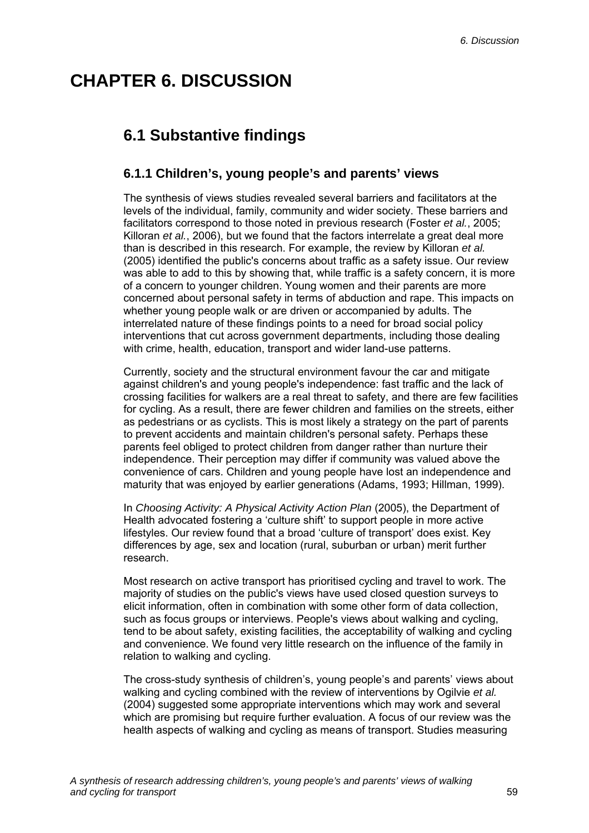# **CHAPTER 6. DISCUSSION**

# **6.1 Substantive findings**

### **6.1.1 Children's, young people's and parents' views**

The synthesis of views studies revealed several barriers and facilitators at the levels of the individual, family, community and wider society. These barriers and facilitators correspond to those noted in previous research (Foster *et al.*, 2005; Killoran *et al.*, 2006), but we found that the factors interrelate a great deal more than is described in this research. For example, the review by Killoran *et al.* (2005) identified the public's concerns about traffic as a safety issue. Our review was able to add to this by showing that, while traffic is a safety concern, it is more of a concern to younger children. Young women and their parents are more concerned about personal safety in terms of abduction and rape. This impacts on whether young people walk or are driven or accompanied by adults. The interrelated nature of these findings points to a need for broad social policy interventions that cut across government departments, including those dealing with crime, health, education, transport and wider land-use patterns.

Currently, society and the structural environment favour the car and mitigate against children's and young people's independence: fast traffic and the lack of crossing facilities for walkers are a real threat to safety, and there are few facilities for cycling. As a result, there are fewer children and families on the streets, either as pedestrians or as cyclists. This is most likely a strategy on the part of parents to prevent accidents and maintain children's personal safety. Perhaps these parents feel obliged to protect children from danger rather than nurture their independence. Their perception may differ if community was valued above the convenience of cars. Children and young people have lost an independence and maturity that was enjoyed by earlier generations (Adams, 1993; Hillman, 1999).

In *Choosing Activity: A Physical Activity Action Plan* (2005), the Department of Health advocated fostering a 'culture shift' to support people in more active lifestyles. Our review found that a broad 'culture of transport' does exist. Key differences by age, sex and location (rural, suburban or urban) merit further research.

Most research on active transport has prioritised cycling and travel to work. The majority of studies on the public's views have used closed question surveys to elicit information, often in combination with some other form of data collection, such as focus groups or interviews. People's views about walking and cycling, tend to be about safety, existing facilities, the acceptability of walking and cycling and convenience. We found very little research on the influence of the family in relation to walking and cycling.

The cross-study synthesis of children's, young people's and parents' views about walking and cycling combined with the review of interventions by Ogilvie *et al.* (2004) suggested some appropriate interventions which may work and several which are promising but require further evaluation. A focus of our review was the health aspects of walking and cycling as means of transport. Studies measuring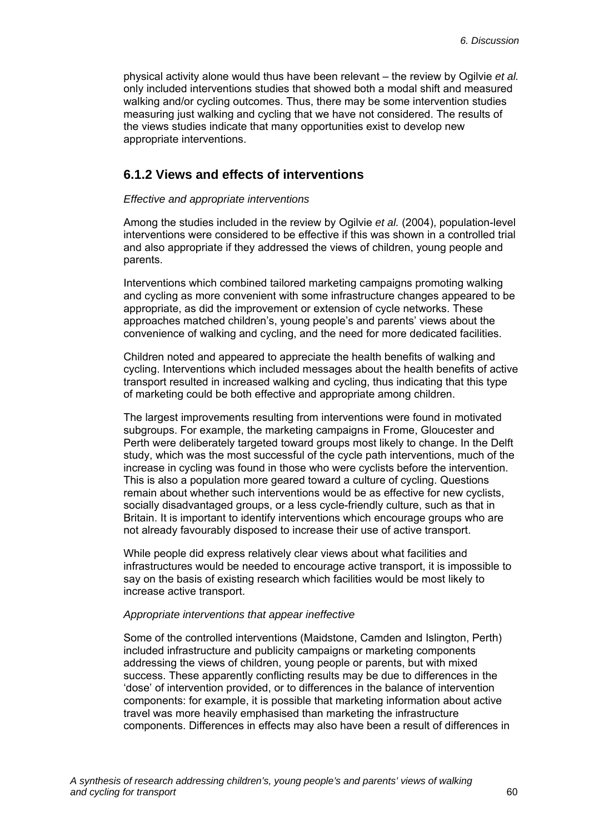physical activity alone would thus have been relevant – the review by Ogilvie *et al.* only included interventions studies that showed both a modal shift and measured walking and/or cycling outcomes. Thus, there may be some intervention studies measuring just walking and cycling that we have not considered. The results of the views studies indicate that many opportunities exist to develop new appropriate interventions.

### **6.1.2 Views and effects of interventions**

#### *Effective and appropriate interventions*

Among the studies included in the review by Ogilvie *et al.* (2004), population-level interventions were considered to be effective if this was shown in a controlled trial and also appropriate if they addressed the views of children, young people and parents.

Interventions which combined tailored marketing campaigns promoting walking and cycling as more convenient with some infrastructure changes appeared to be appropriate, as did the improvement or extension of cycle networks. These approaches matched children's, young people's and parents' views about the convenience of walking and cycling, and the need for more dedicated facilities.

Children noted and appeared to appreciate the health benefits of walking and cycling. Interventions which included messages about the health benefits of active transport resulted in increased walking and cycling, thus indicating that this type of marketing could be both effective and appropriate among children.

The largest improvements resulting from interventions were found in motivated subgroups. For example, the marketing campaigns in Frome, Gloucester and Perth were deliberately targeted toward groups most likely to change. In the Delft study, which was the most successful of the cycle path interventions, much of the increase in cycling was found in those who were cyclists before the intervention. This is also a population more geared toward a culture of cycling. Questions remain about whether such interventions would be as effective for new cyclists, socially disadvantaged groups, or a less cycle-friendly culture, such as that in Britain. It is important to identify interventions which encourage groups who are not already favourably disposed to increase their use of active transport.

While people did express relatively clear views about what facilities and infrastructures would be needed to encourage active transport, it is impossible to say on the basis of existing research which facilities would be most likely to increase active transport.

#### *Appropriate interventions that appear ineffective*

Some of the controlled interventions (Maidstone, Camden and Islington, Perth) included infrastructure and publicity campaigns or marketing components addressing the views of children, young people or parents, but with mixed success. These apparently conflicting results may be due to differences in the 'dose' of intervention provided, or to differences in the balance of intervention components: for example, it is possible that marketing information about active travel was more heavily emphasised than marketing the infrastructure components. Differences in effects may also have been a result of differences in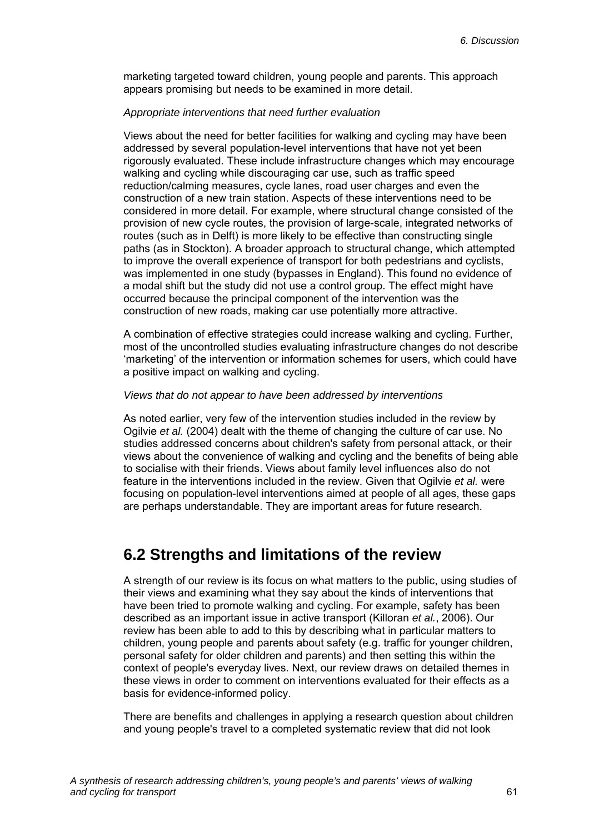marketing targeted toward children, young people and parents. This approach appears promising but needs to be examined in more detail.

#### *Appropriate interventions that need further evaluation*

Views about the need for better facilities for walking and cycling may have been addressed by several population-level interventions that have not yet been rigorously evaluated. These include infrastructure changes which may encourage walking and cycling while discouraging car use, such as traffic speed reduction/calming measures, cycle lanes, road user charges and even the construction of a new train station. Aspects of these interventions need to be considered in more detail. For example, where structural change consisted of the provision of new cycle routes, the provision of large-scale, integrated networks of routes (such as in Delft) is more likely to be effective than constructing single paths (as in Stockton). A broader approach to structural change, which attempted to improve the overall experience of transport for both pedestrians and cyclists, was implemented in one study (bypasses in England). This found no evidence of a modal shift but the study did not use a control group. The effect might have occurred because the principal component of the intervention was the construction of new roads, making car use potentially more attractive.

A combination of effective strategies could increase walking and cycling. Further, most of the uncontrolled studies evaluating infrastructure changes do not describe 'marketing' of the intervention or information schemes for users, which could have a positive impact on walking and cycling.

#### *Views that do not appear to have been addressed by interventions*

As noted earlier, very few of the intervention studies included in the review by Ogilvie *et al.* (2004) dealt with the theme of changing the culture of car use. No studies addressed concerns about children's safety from personal attack, or their views about the convenience of walking and cycling and the benefits of being able to socialise with their friends. Views about family level influences also do not feature in the interventions included in the review. Given that Ogilvie *et al.* were focusing on population-level interventions aimed at people of all ages, these gaps are perhaps understandable. They are important areas for future research.

### **6.2 Strengths and limitations of the review**

A strength of our review is its focus on what matters to the public, using studies of their views and examining what they say about the kinds of interventions that have been tried to promote walking and cycling. For example, safety has been described as an important issue in active transport (Killoran *et al.*, 2006). Our review has been able to add to this by describing what in particular matters to children, young people and parents about safety (e.g. traffic for younger children, personal safety for older children and parents) and then setting this within the context of people's everyday lives. Next, our review draws on detailed themes in these views in order to comment on interventions evaluated for their effects as a basis for evidence-informed policy.

There are benefits and challenges in applying a research question about children and young people's travel to a completed systematic review that did not look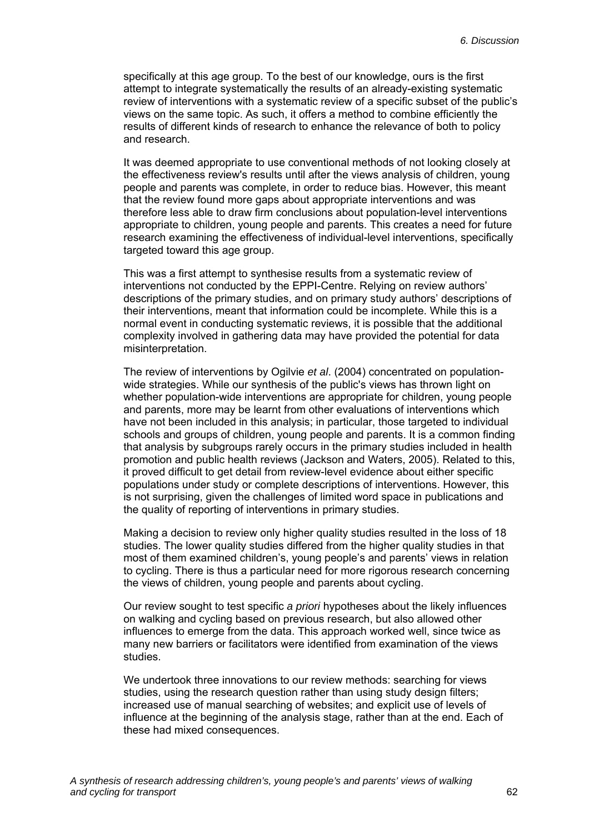specifically at this age group. To the best of our knowledge, ours is the first attempt to integrate systematically the results of an already-existing systematic review of interventions with a systematic review of a specific subset of the public's views on the same topic. As such, it offers a method to combine efficiently the results of different kinds of research to enhance the relevance of both to policy and research.

It was deemed appropriate to use conventional methods of not looking closely at the effectiveness review's results until after the views analysis of children, young people and parents was complete, in order to reduce bias. However, this meant that the review found more gaps about appropriate interventions and was therefore less able to draw firm conclusions about population-level interventions appropriate to children, young people and parents. This creates a need for future research examining the effectiveness of individual-level interventions, specifically targeted toward this age group.

This was a first attempt to synthesise results from a systematic review of interventions not conducted by the EPPI-Centre. Relying on review authors' descriptions of the primary studies, and on primary study authors' descriptions of their interventions, meant that information could be incomplete. While this is a normal event in conducting systematic reviews, it is possible that the additional complexity involved in gathering data may have provided the potential for data misinterpretation.

The review of interventions by Ogilvie *et al*. (2004) concentrated on populationwide strategies. While our synthesis of the public's views has thrown light on whether population-wide interventions are appropriate for children, young people and parents, more may be learnt from other evaluations of interventions which have not been included in this analysis; in particular, those targeted to individual schools and groups of children, young people and parents. It is a common finding that analysis by subgroups rarely occurs in the primary studies included in health promotion and public health reviews (Jackson and Waters, 2005). Related to this, it proved difficult to get detail from review-level evidence about either specific populations under study or complete descriptions of interventions. However, this is not surprising, given the challenges of limited word space in publications and the quality of reporting of interventions in primary studies.

Making a decision to review only higher quality studies resulted in the loss of 18 studies. The lower quality studies differed from the higher quality studies in that most of them examined children's, young people's and parents' views in relation to cycling. There is thus a particular need for more rigorous research concerning the views of children, young people and parents about cycling.

Our review sought to test specific *a priori* hypotheses about the likely influences on walking and cycling based on previous research, but also allowed other influences to emerge from the data. This approach worked well, since twice as many new barriers or facilitators were identified from examination of the views studies.

We undertook three innovations to our review methods: searching for views studies, using the research question rather than using study design filters; increased use of manual searching of websites; and explicit use of levels of influence at the beginning of the analysis stage, rather than at the end. Each of these had mixed consequences.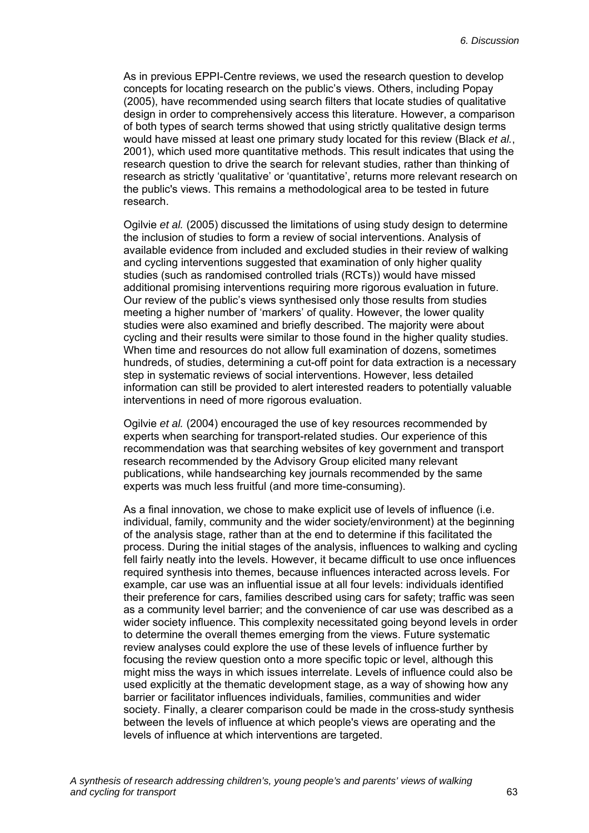As in previous EPPI-Centre reviews, we used the research question to develop concepts for locating research on the public's views. Others, including Popay (2005), have recommended using search filters that locate studies of qualitative design in order to comprehensively access this literature. However, a comparison of both types of search terms showed that using strictly qualitative design terms would have missed at least one primary study located for this review (Black *et al.*, 2001), which used more quantitative methods. This result indicates that using the research question to drive the search for relevant studies, rather than thinking of research as strictly 'qualitative' or 'quantitative', returns more relevant research on the public's views. This remains a methodological area to be tested in future research.

Ogilvie *et al.* (2005) discussed the limitations of using study design to determine the inclusion of studies to form a review of social interventions. Analysis of available evidence from included and excluded studies in their review of walking and cycling interventions suggested that examination of only higher quality studies (such as randomised controlled trials (RCTs)) would have missed additional promising interventions requiring more rigorous evaluation in future. Our review of the public's views synthesised only those results from studies meeting a higher number of 'markers' of quality. However, the lower quality studies were also examined and briefly described. The majority were about cycling and their results were similar to those found in the higher quality studies. When time and resources do not allow full examination of dozens, sometimes hundreds, of studies, determining a cut-off point for data extraction is a necessary step in systematic reviews of social interventions. However, less detailed information can still be provided to alert interested readers to potentially valuable interventions in need of more rigorous evaluation.

Ogilvie *et al.* (2004) encouraged the use of key resources recommended by experts when searching for transport-related studies. Our experience of this recommendation was that searching websites of key government and transport research recommended by the Advisory Group elicited many relevant publications, while handsearching key journals recommended by the same experts was much less fruitful (and more time-consuming).

As a final innovation, we chose to make explicit use of levels of influence (i.e. individual, family, community and the wider society/environment) at the beginning of the analysis stage, rather than at the end to determine if this facilitated the process. During the initial stages of the analysis, influences to walking and cycling fell fairly neatly into the levels. However, it became difficult to use once influences required synthesis into themes, because influences interacted across levels. For example, car use was an influential issue at all four levels: individuals identified their preference for cars, families described using cars for safety; traffic was seen as a community level barrier; and the convenience of car use was described as a wider society influence. This complexity necessitated going beyond levels in order to determine the overall themes emerging from the views. Future systematic review analyses could explore the use of these levels of influence further by focusing the review question onto a more specific topic or level, although this might miss the ways in which issues interrelate. Levels of influence could also be used explicitly at the thematic development stage, as a way of showing how any barrier or facilitator influences individuals, families, communities and wider society. Finally, a clearer comparison could be made in the cross-study synthesis between the levels of influence at which people's views are operating and the levels of influence at which interventions are targeted.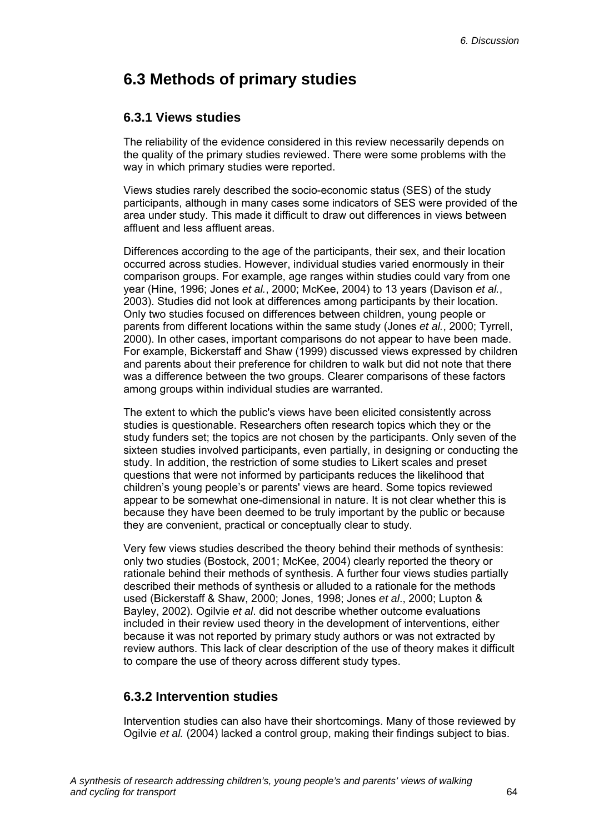# **6.3 Methods of primary studies**

### **6.3.1 Views studies**

The reliability of the evidence considered in this review necessarily depends on the quality of the primary studies reviewed. There were some problems with the way in which primary studies were reported.

Views studies rarely described the socio-economic status (SES) of the study participants, although in many cases some indicators of SES were provided of the area under study. This made it difficult to draw out differences in views between affluent and less affluent areas.

Differences according to the age of the participants, their sex, and their location occurred across studies. However, individual studies varied enormously in their comparison groups. For example, age ranges within studies could vary from one year (Hine, 1996; Jones *et al.*, 2000; McKee, 2004) to 13 years (Davison *et al.*, 2003). Studies did not look at differences among participants by their location. Only two studies focused on differences between children, young people or parents from different locations within the same study (Jones *et al.*, 2000; Tyrrell, 2000). In other cases, important comparisons do not appear to have been made. For example, Bickerstaff and Shaw (1999) discussed views expressed by children and parents about their preference for children to walk but did not note that there was a difference between the two groups. Clearer comparisons of these factors among groups within individual studies are warranted.

The extent to which the public's views have been elicited consistently across studies is questionable. Researchers often research topics which they or the study funders set; the topics are not chosen by the participants. Only seven of the sixteen studies involved participants, even partially, in designing or conducting the study. In addition, the restriction of some studies to Likert scales and preset questions that were not informed by participants reduces the likelihood that children's young people's or parents' views are heard. Some topics reviewed appear to be somewhat one-dimensional in nature. It is not clear whether this is because they have been deemed to be truly important by the public or because they are convenient, practical or conceptually clear to study.

Very few views studies described the theory behind their methods of synthesis: only two studies (Bostock, 2001; McKee, 2004) clearly reported the theory or rationale behind their methods of synthesis. A further four views studies partially described their methods of synthesis or alluded to a rationale for the methods used (Bickerstaff & Shaw, 2000; Jones, 1998; Jones *et al*., 2000; Lupton & Bayley, 2002). Ogilvie *et al*. did not describe whether outcome evaluations included in their review used theory in the development of interventions, either because it was not reported by primary study authors or was not extracted by review authors. This lack of clear description of the use of theory makes it difficult to compare the use of theory across different study types.

### **6.3.2 Intervention studies**

Intervention studies can also have their shortcomings. Many of those reviewed by Ogilvie *et al.* (2004) lacked a control group, making their findings subject to bias.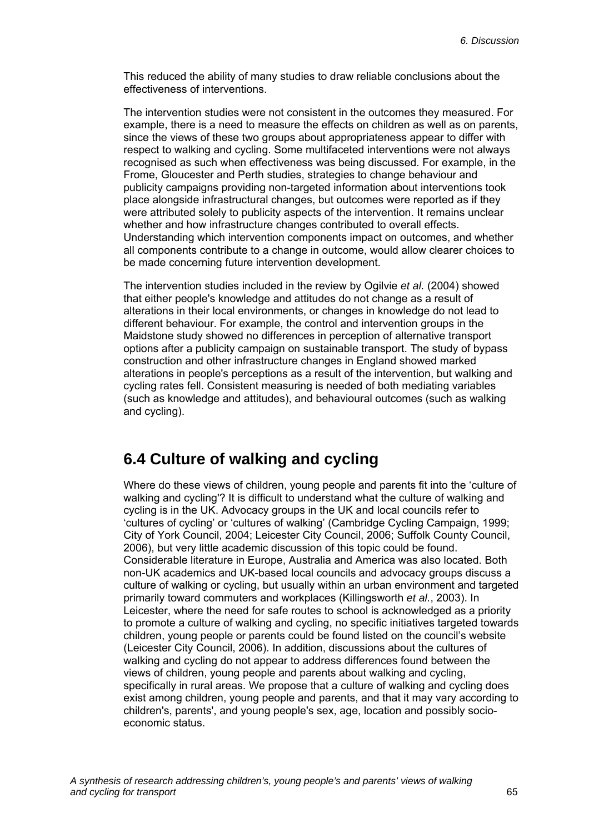This reduced the ability of many studies to draw reliable conclusions about the effectiveness of interventions.

The intervention studies were not consistent in the outcomes they measured. For example, there is a need to measure the effects on children as well as on parents, since the views of these two groups about appropriateness appear to differ with respect to walking and cycling. Some multifaceted interventions were not always recognised as such when effectiveness was being discussed. For example, in the Frome, Gloucester and Perth studies, strategies to change behaviour and publicity campaigns providing non-targeted information about interventions took place alongside infrastructural changes, but outcomes were reported as if they were attributed solely to publicity aspects of the intervention. It remains unclear whether and how infrastructure changes contributed to overall effects. Understanding which intervention components impact on outcomes, and whether all components contribute to a change in outcome, would allow clearer choices to be made concerning future intervention development.

The intervention studies included in the review by Ogilvie *et al.* (2004) showed that either people's knowledge and attitudes do not change as a result of alterations in their local environments, or changes in knowledge do not lead to different behaviour. For example, the control and intervention groups in the Maidstone study showed no differences in perception of alternative transport options after a publicity campaign on sustainable transport. The study of bypass construction and other infrastructure changes in England showed marked alterations in people's perceptions as a result of the intervention, but walking and cycling rates fell. Consistent measuring is needed of both mediating variables (such as knowledge and attitudes), and behavioural outcomes (such as walking and cycling).

### **6.4 Culture of walking and cycling**

Where do these views of children, young people and parents fit into the 'culture of walking and cycling'? It is difficult to understand what the culture of walking and cycling is in the UK. Advocacy groups in the UK and local councils refer to 'cultures of cycling' or 'cultures of walking' (Cambridge Cycling Campaign, 1999; City of York Council, 2004; Leicester City Council, 2006; Suffolk County Council, 2006), but very little academic discussion of this topic could be found. Considerable literature in Europe, Australia and America was also located. Both non-UK academics and UK-based local councils and advocacy groups discuss a culture of walking or cycling, but usually within an urban environment and targeted primarily toward commuters and workplaces (Killingsworth *et al.*, 2003). In Leicester, where the need for safe routes to school is acknowledged as a priority to promote a culture of walking and cycling, no specific initiatives targeted towards children, young people or parents could be found listed on the council's website (Leicester City Council, 2006). In addition, discussions about the cultures of walking and cycling do not appear to address differences found between the views of children, young people and parents about walking and cycling, specifically in rural areas. We propose that a culture of walking and cycling does exist among children, young people and parents, and that it may vary according to children's, parents', and young people's sex, age, location and possibly socioeconomic status.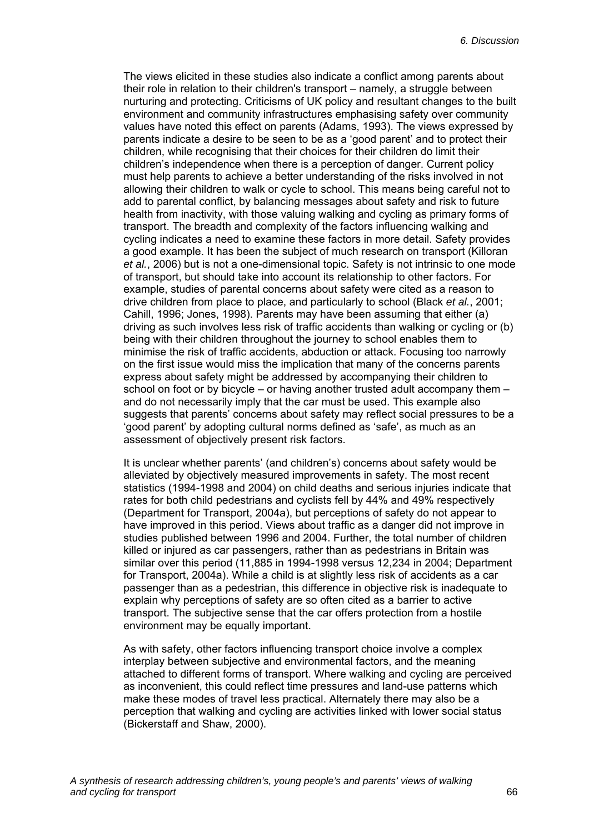The views elicited in these studies also indicate a conflict among parents about their role in relation to their children's transport – namely, a struggle between nurturing and protecting. Criticisms of UK policy and resultant changes to the built environment and community infrastructures emphasising safety over community values have noted this effect on parents (Adams, 1993). The views expressed by parents indicate a desire to be seen to be as a 'good parent' and to protect their children, while recognising that their choices for their children do limit their children's independence when there is a perception of danger. Current policy must help parents to achieve a better understanding of the risks involved in not allowing their children to walk or cycle to school. This means being careful not to add to parental conflict, by balancing messages about safety and risk to future health from inactivity, with those valuing walking and cycling as primary forms of transport. The breadth and complexity of the factors influencing walking and cycling indicates a need to examine these factors in more detail. Safety provides a good example. It has been the subject of much research on transport (Killoran *et al.*, 2006) but is not a one-dimensional topic. Safety is not intrinsic to one mode of transport, but should take into account its relationship to other factors. For example, studies of parental concerns about safety were cited as a reason to drive children from place to place, and particularly to school (Black *et al.*, 2001; Cahill, 1996; Jones, 1998). Parents may have been assuming that either (a) driving as such involves less risk of traffic accidents than walking or cycling or (b) being with their children throughout the journey to school enables them to minimise the risk of traffic accidents, abduction or attack. Focusing too narrowly on the first issue would miss the implication that many of the concerns parents express about safety might be addressed by accompanying their children to school on foot or by bicycle – or having another trusted adult accompany them – and do not necessarily imply that the car must be used. This example also suggests that parents' concerns about safety may reflect social pressures to be a 'good parent' by adopting cultural norms defined as 'safe', as much as an assessment of objectively present risk factors.

It is unclear whether parents' (and children's) concerns about safety would be alleviated by objectively measured improvements in safety. The most recent statistics (1994-1998 and 2004) on child deaths and serious injuries indicate that rates for both child pedestrians and cyclists fell by 44% and 49% respectively (Department for Transport, 2004a), but perceptions of safety do not appear to have improved in this period. Views about traffic as a danger did not improve in studies published between 1996 and 2004. Further, the total number of children killed or injured as car passengers, rather than as pedestrians in Britain was similar over this period (11,885 in 1994-1998 versus 12,234 in 2004; Department for Transport, 2004a). While a child is at slightly less risk of accidents as a car passenger than as a pedestrian, this difference in objective risk is inadequate to explain why perceptions of safety are so often cited as a barrier to active transport. The subjective sense that the car offers protection from a hostile environment may be equally important.

As with safety, other factors influencing transport choice involve a complex interplay between subjective and environmental factors, and the meaning attached to different forms of transport. Where walking and cycling are perceived as inconvenient, this could reflect time pressures and land-use patterns which make these modes of travel less practical. Alternately there may also be a perception that walking and cycling are activities linked with lower social status (Bickerstaff and Shaw, 2000).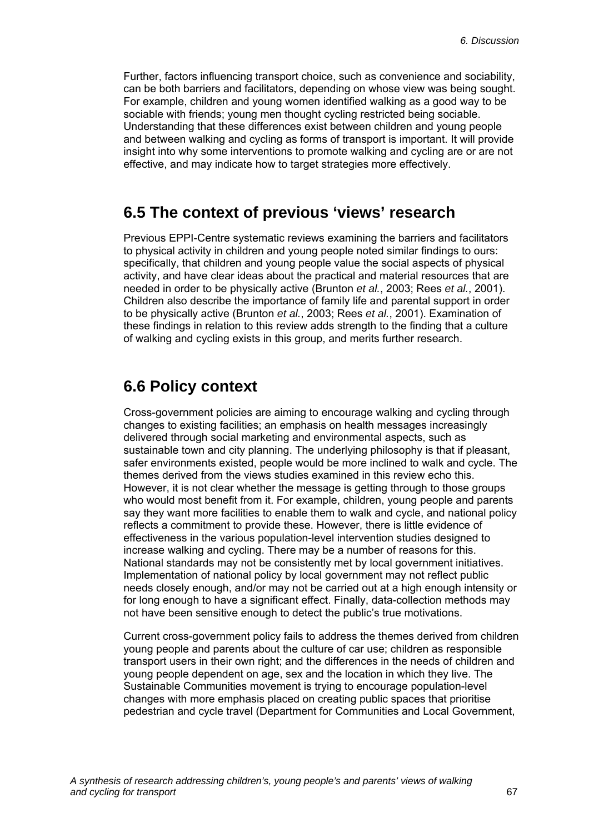Further, factors influencing transport choice, such as convenience and sociability, can be both barriers and facilitators, depending on whose view was being sought. For example, children and young women identified walking as a good way to be sociable with friends; young men thought cycling restricted being sociable. Understanding that these differences exist between children and young people and between walking and cycling as forms of transport is important. It will provide insight into why some interventions to promote walking and cycling are or are not effective, and may indicate how to target strategies more effectively.

### **6.5 The context of previous 'views' research**

Previous EPPI-Centre systematic reviews examining the barriers and facilitators to physical activity in children and young people noted similar findings to ours: specifically, that children and young people value the social aspects of physical activity, and have clear ideas about the practical and material resources that are needed in order to be physically active (Brunton *et al.*, 2003; Rees *et al.*, 2001). Children also describe the importance of family life and parental support in order to be physically active (Brunton *et al.*, 2003; Rees *et al.*, 2001). Examination of these findings in relation to this review adds strength to the finding that a culture of walking and cycling exists in this group, and merits further research.

### **6.6 Policy context**

Cross-government policies are aiming to encourage walking and cycling through changes to existing facilities; an emphasis on health messages increasingly delivered through social marketing and environmental aspects, such as sustainable town and city planning. The underlying philosophy is that if pleasant, safer environments existed, people would be more inclined to walk and cycle. The themes derived from the views studies examined in this review echo this. However, it is not clear whether the message is getting through to those groups who would most benefit from it. For example, children, young people and parents say they want more facilities to enable them to walk and cycle, and national policy reflects a commitment to provide these. However, there is little evidence of effectiveness in the various population-level intervention studies designed to increase walking and cycling. There may be a number of reasons for this. National standards may not be consistently met by local government initiatives. Implementation of national policy by local government may not reflect public needs closely enough, and/or may not be carried out at a high enough intensity or for long enough to have a significant effect. Finally, data-collection methods may not have been sensitive enough to detect the public's true motivations.

Current cross-government policy fails to address the themes derived from children young people and parents about the culture of car use; children as responsible transport users in their own right; and the differences in the needs of children and young people dependent on age, sex and the location in which they live. The Sustainable Communities movement is trying to encourage population-level changes with more emphasis placed on creating public spaces that prioritise pedestrian and cycle travel (Department for Communities and Local Government,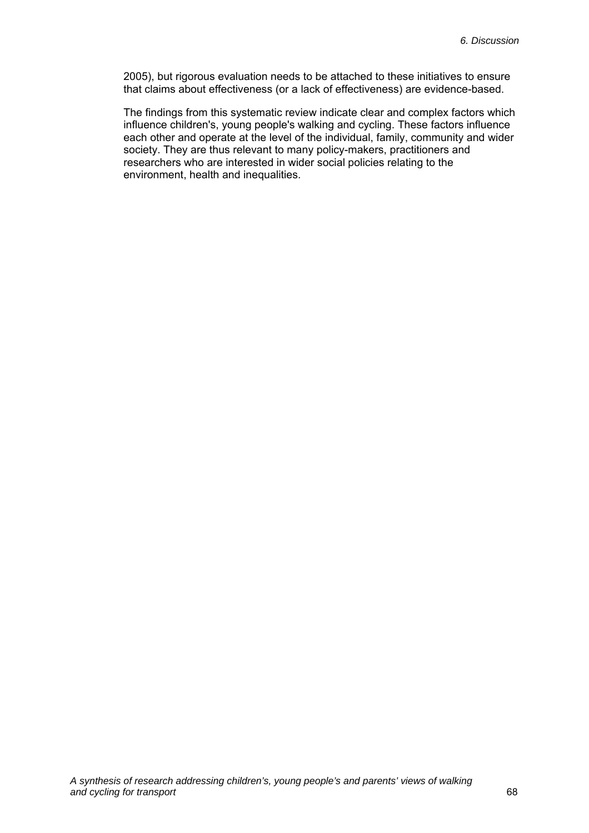2005), but rigorous evaluation needs to be attached to these initiatives to ensure that claims about effectiveness (or a lack of effectiveness) are evidence-based.

The findings from this systematic review indicate clear and complex factors which influence children's, young people's walking and cycling. These factors influence each other and operate at the level of the individual, family, community and wider society. They are thus relevant to many policy-makers, practitioners and researchers who are interested in wider social policies relating to the environment, health and inequalities.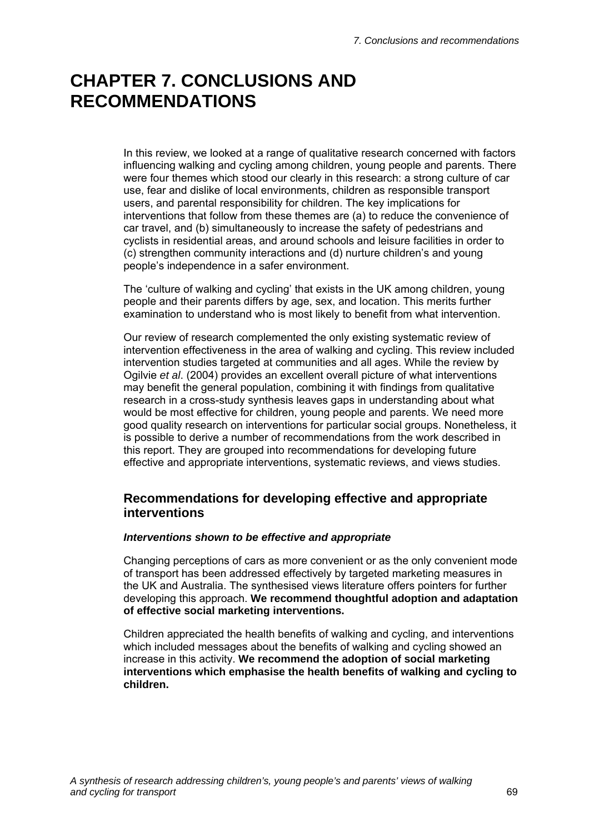# **CHAPTER 7. CONCLUSIONS AND RECOMMENDATIONS**

In this review, we looked at a range of qualitative research concerned with factors influencing walking and cycling among children, young people and parents. There were four themes which stood our clearly in this research: a strong culture of car use, fear and dislike of local environments, children as responsible transport users, and parental responsibility for children. The key implications for interventions that follow from these themes are (a) to reduce the convenience of car travel, and (b) simultaneously to increase the safety of pedestrians and cyclists in residential areas, and around schools and leisure facilities in order to (c) strengthen community interactions and (d) nurture children's and young people's independence in a safer environment.

The 'culture of walking and cycling' that exists in the UK among children, young people and their parents differs by age, sex, and location. This merits further examination to understand who is most likely to benefit from what intervention.

Our review of research complemented the only existing systematic review of intervention effectiveness in the area of walking and cycling. This review included intervention studies targeted at communities and all ages. While the review by Ogilvie *et al*. (2004) provides an excellent overall picture of what interventions may benefit the general population, combining it with findings from qualitative research in a cross-study synthesis leaves gaps in understanding about what would be most effective for children, young people and parents. We need more good quality research on interventions for particular social groups. Nonetheless, it is possible to derive a number of recommendations from the work described in this report. They are grouped into recommendations for developing future effective and appropriate interventions, systematic reviews, and views studies.

#### **Recommendations for developing effective and appropriate interventions**

#### *Interventions shown to be effective and appropriate*

Changing perceptions of cars as more convenient or as the only convenient mode of transport has been addressed effectively by targeted marketing measures in the UK and Australia. The synthesised views literature offers pointers for further developing this approach. **We recommend thoughtful adoption and adaptation of effective social marketing interventions.** 

Children appreciated the health benefits of walking and cycling, and interventions which included messages about the benefits of walking and cycling showed an increase in this activity. **We recommend the adoption of social marketing interventions which emphasise the health benefits of walking and cycling to children.**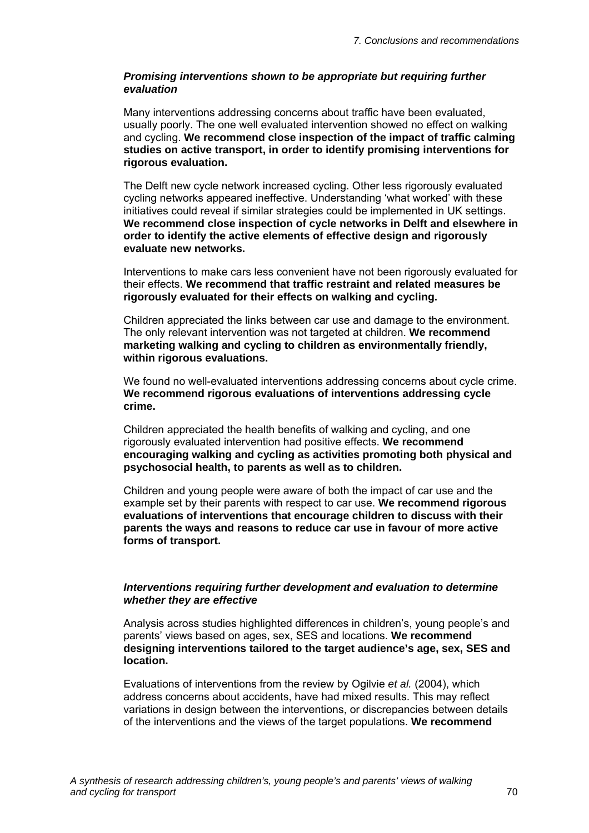#### *Promising interventions shown to be appropriate but requiring further evaluation*

Many interventions addressing concerns about traffic have been evaluated, usually poorly. The one well evaluated intervention showed no effect on walking and cycling. **We recommend close inspection of the impact of traffic calming studies on active transport, in order to identify promising interventions for rigorous evaluation.** 

The Delft new cycle network increased cycling. Other less rigorously evaluated cycling networks appeared ineffective. Understanding 'what worked' with these initiatives could reveal if similar strategies could be implemented in UK settings. **We recommend close inspection of cycle networks in Delft and elsewhere in order to identify the active elements of effective design and rigorously evaluate new networks.** 

Interventions to make cars less convenient have not been rigorously evaluated for their effects. **We recommend that traffic restraint and related measures be rigorously evaluated for their effects on walking and cycling.** 

Children appreciated the links between car use and damage to the environment. The only relevant intervention was not targeted at children. **We recommend marketing walking and cycling to children as environmentally friendly, within rigorous evaluations.** 

We found no well-evaluated interventions addressing concerns about cycle crime. **We recommend rigorous evaluations of interventions addressing cycle crime.** 

Children appreciated the health benefits of walking and cycling, and one rigorously evaluated intervention had positive effects. **We recommend encouraging walking and cycling as activities promoting both physical and psychosocial health, to parents as well as to children.**

Children and young people were aware of both the impact of car use and the example set by their parents with respect to car use. **We recommend rigorous evaluations of interventions that encourage children to discuss with their parents the ways and reasons to reduce car use in favour of more active forms of transport.** 

#### *Interventions requiring further development and evaluation to determine whether they are effective*

Analysis across studies highlighted differences in children's, young people's and parents' views based on ages, sex, SES and locations. **We recommend designing interventions tailored to the target audience's age, sex, SES and location.** 

Evaluations of interventions from the review by Ogilvie *et al.* (2004), which address concerns about accidents, have had mixed results. This may reflect variations in design between the interventions, or discrepancies between details of the interventions and the views of the target populations. **We recommend**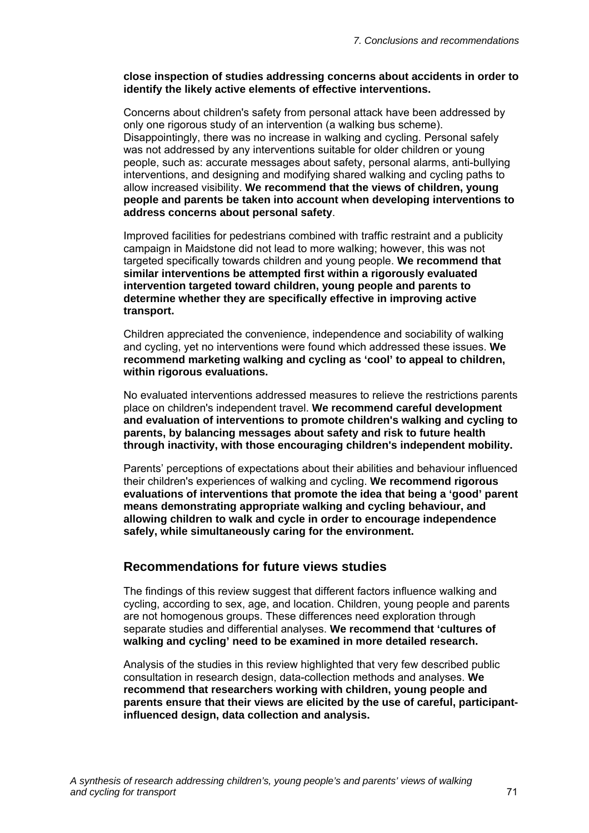#### **close inspection of studies addressing concerns about accidents in order to identify the likely active elements of effective interventions.**

Concerns about children's safety from personal attack have been addressed by only one rigorous study of an intervention (a walking bus scheme). Disappointingly, there was no increase in walking and cycling. Personal safely was not addressed by any interventions suitable for older children or young people, such as: accurate messages about safety, personal alarms, anti-bullying interventions, and designing and modifying shared walking and cycling paths to allow increased visibility. **We recommend that the views of children, young people and parents be taken into account when developing interventions to address concerns about personal safety**.

Improved facilities for pedestrians combined with traffic restraint and a publicity campaign in Maidstone did not lead to more walking; however, this was not targeted specifically towards children and young people. **We recommend that similar interventions be attempted first within a rigorously evaluated intervention targeted toward children, young people and parents to determine whether they are specifically effective in improving active transport.** 

Children appreciated the convenience, independence and sociability of walking and cycling, yet no interventions were found which addressed these issues. **We recommend marketing walking and cycling as 'cool' to appeal to children, within rigorous evaluations.** 

No evaluated interventions addressed measures to relieve the restrictions parents place on children's independent travel. **We recommend careful development and evaluation of interventions to promote children's walking and cycling to parents, by balancing messages about safety and risk to future health through inactivity, with those encouraging children's independent mobility.** 

Parents' perceptions of expectations about their abilities and behaviour influenced their children's experiences of walking and cycling. **We recommend rigorous evaluations of interventions that promote the idea that being a 'good' parent means demonstrating appropriate walking and cycling behaviour, and allowing children to walk and cycle in order to encourage independence safely, while simultaneously caring for the environment.** 

#### **Recommendations for future views studies**

The findings of this review suggest that different factors influence walking and cycling, according to sex, age, and location. Children, young people and parents are not homogenous groups. These differences need exploration through separate studies and differential analyses. **We recommend that 'cultures of walking and cycling' need to be examined in more detailed research.** 

Analysis of the studies in this review highlighted that very few described public consultation in research design, data-collection methods and analyses. **We recommend that researchers working with children, young people and parents ensure that their views are elicited by the use of careful, participantinfluenced design, data collection and analysis.**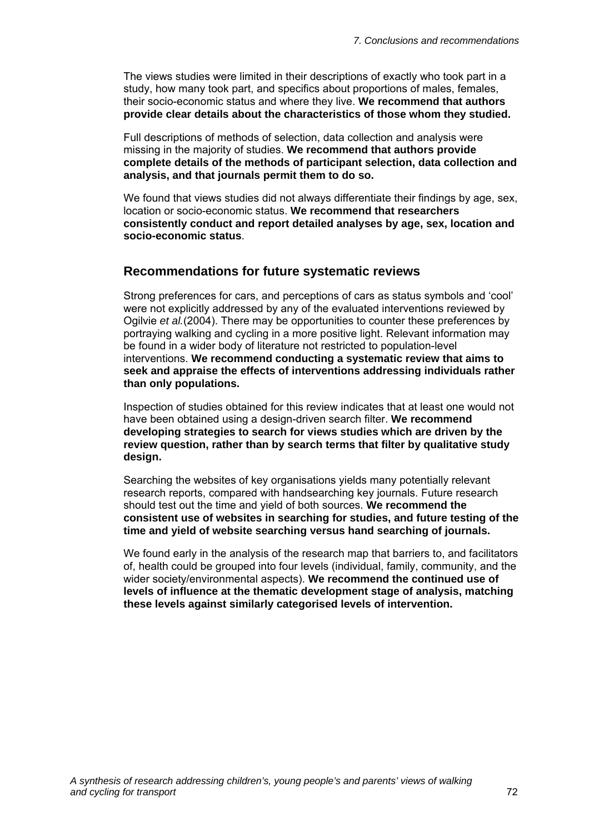The views studies were limited in their descriptions of exactly who took part in a study, how many took part, and specifics about proportions of males, females, their socio-economic status and where they live. **We recommend that authors provide clear details about the characteristics of those whom they studied.** 

Full descriptions of methods of selection, data collection and analysis were missing in the majority of studies. **We recommend that authors provide complete details of the methods of participant selection, data collection and analysis, and that journals permit them to do so.** 

We found that views studies did not always differentiate their findings by age, sex, location or socio-economic status. **We recommend that researchers consistently conduct and report detailed analyses by age, sex, location and socio-economic status**.

#### **Recommendations for future systematic reviews**

Strong preferences for cars, and perceptions of cars as status symbols and 'cool' were not explicitly addressed by any of the evaluated interventions reviewed by Ogilvie *et al.*(2004). There may be opportunities to counter these preferences by portraying walking and cycling in a more positive light. Relevant information may be found in a wider body of literature not restricted to population-level interventions. **We recommend conducting a systematic review that aims to seek and appraise the effects of interventions addressing individuals rather than only populations.** 

Inspection of studies obtained for this review indicates that at least one would not have been obtained using a design-driven search filter. **We recommend developing strategies to search for views studies which are driven by the review question, rather than by search terms that filter by qualitative study design.** 

Searching the websites of key organisations yields many potentially relevant research reports, compared with handsearching key journals. Future research should test out the time and yield of both sources. **We recommend the consistent use of websites in searching for studies, and future testing of the time and yield of website searching versus hand searching of journals.** 

We found early in the analysis of the research map that barriers to, and facilitators of, health could be grouped into four levels (individual, family, community, and the wider society/environmental aspects). **We recommend the continued use of levels of influence at the thematic development stage of analysis, matching these levels against similarly categorised levels of intervention.**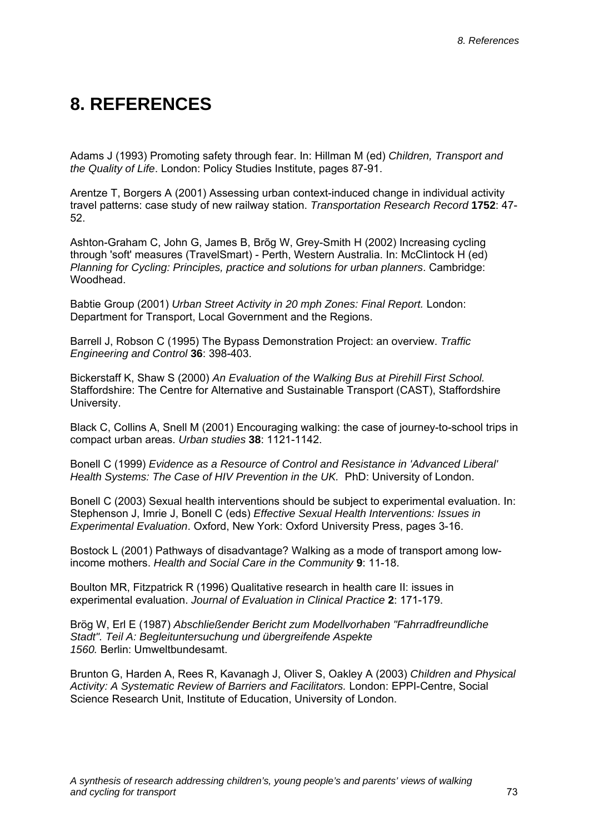# **8. REFERENCES**

Adams J (1993) Promoting safety through fear. In: Hillman M (ed) *Children, Transport and the Quality of Life*. London: Policy Studies Institute, pages 87-91.

Arentze T, Borgers A (2001) Assessing urban context-induced change in individual activity travel patterns: case study of new railway station. *Transportation Research Record* **1752**: 47- 52.

Ashton-Graham C, John G, James B, Brõg W, Grey-Smith H (2002) Increasing cycling through 'soft' measures (TravelSmart) - Perth, Western Australia. In: McClintock H (ed) *Planning for Cycling: Principles, practice and solutions for urban planners*. Cambridge: Woodhead.

Babtie Group (2001) *Urban Street Activity in 20 mph Zones: Final Report.* London: Department for Transport, Local Government and the Regions.

Barrell J, Robson C (1995) The Bypass Demonstration Project: an overview. *Traffic Engineering and Control* **36**: 398-403.

Bickerstaff K, Shaw S (2000) *An Evaluation of the Walking Bus at Pirehill First School.*  Staffordshire: The Centre for Alternative and Sustainable Transport (CAST), Staffordshire University.

Black C, Collins A, Snell M (2001) Encouraging walking: the case of journey-to-school trips in compact urban areas. *Urban studies* **38**: 1121-1142.

Bonell C (1999) *Evidence as a Resource of Control and Resistance in 'Advanced Liberal' Health Systems: The Case of HIV Prevention in the UK. PhD: University of London.* 

Bonell C (2003) Sexual health interventions should be subject to experimental evaluation. In: Stephenson J, Imrie J, Bonell C (eds) *Effective Sexual Health Interventions: Issues in Experimental Evaluation*. Oxford, New York: Oxford University Press, pages 3-16.

Bostock L (2001) Pathways of disadvantage? Walking as a mode of transport among lowincome mothers. *Health and Social Care in the Community* **9**: 11-18.

Boulton MR, Fitzpatrick R (1996) Qualitative research in health care II: issues in experimental evaluation. *Journal of Evaluation in Clinical Practice* **2**: 171-179.

Brög W, Erl E (1987) *Abschließender Bericht zum Modellvorhaben "Fahrradfreundliche Stadt". Teil A: Begleituntersuchung und übergreifende Aspekte 1560.* Berlin: Umweltbundesamt.

Brunton G, Harden A, Rees R, Kavanagh J, Oliver S, Oakley A (2003) *Children and Physical Activity: A Systematic Review of Barriers and Facilitators.* London: EPPI-Centre, Social Science Research Unit, Institute of Education, University of London.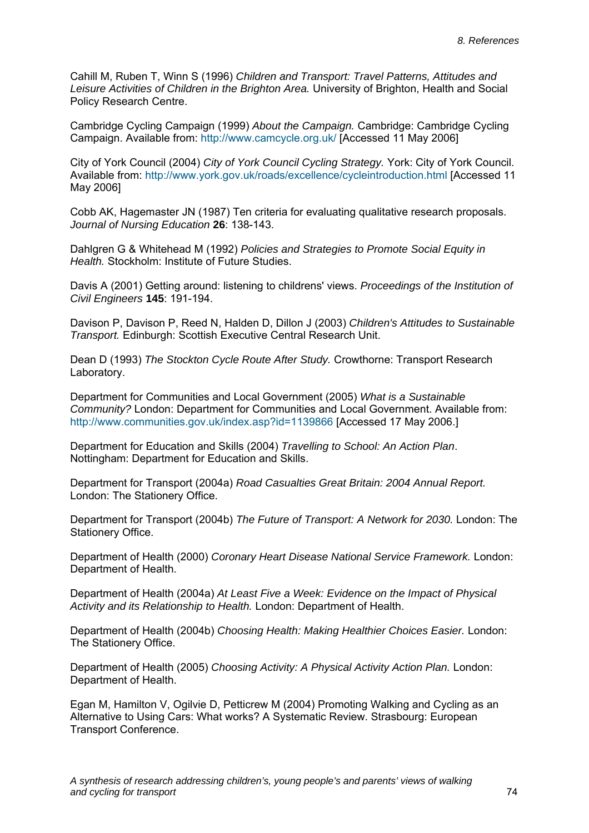Cahill M, Ruben T, Winn S (1996) *Children and Transport: Travel Patterns, Attitudes and Leisure Activities of Children in the Brighton Area.* University of Brighton, Health and Social Policy Research Centre.

Cambridge Cycling Campaign (1999) *About the Campaign.* Cambridge: Cambridge Cycling Campaign. Available from: http://www.camcycle.org.uk/ [Accessed 11 May 2006]

City of York Council (2004) *City of York Council Cycling Strategy.* York: City of York Council. Available from: http://www.york.gov.uk/roads/excellence/cycleintroduction.html [Accessed 11 May 2006]

Cobb AK, Hagemaster JN (1987) Ten criteria for evaluating qualitative research proposals. *Journal of Nursing Education* **26**: 138-143.

Dahlgren G & Whitehead M (1992) *Policies and Strategies to Promote Social Equity in Health.* Stockholm: Institute of Future Studies.

Davis A (2001) Getting around: listening to childrens' views. *Proceedings of the Institution of Civil Engineers* **145**: 191-194.

Davison P, Davison P, Reed N, Halden D, Dillon J (2003) *Children's Attitudes to Sustainable Transport.* Edinburgh: Scottish Executive Central Research Unit.

Dean D (1993) *The Stockton Cycle Route After Study.* Crowthorne: Transport Research Laboratory.

Department for Communities and Local Government (2005) *What is a Sustainable Community?* London: Department for Communities and Local Government. Available from: http://www.communities.gov.uk/index.asp?id=1139866 [Accessed 17 May 2006.]

Department for Education and Skills (2004) *Travelling to School: An Action Plan*. Nottingham: Department for Education and Skills.

Department for Transport (2004a) *Road Casualties Great Britain: 2004 Annual Report.*  London: The Stationery Office.

Department for Transport (2004b) *The Future of Transport: A Network for 2030.* London: The Stationery Office.

Department of Health (2000) *Coronary Heart Disease National Service Framework.* London: Department of Health.

Department of Health (2004a) *At Least Five a Week: Evidence on the Impact of Physical Activity and its Relationship to Health.* London: Department of Health.

Department of Health (2004b) *Choosing Health: Making Healthier Choices Easier.* London: The Stationery Office.

Department of Health (2005) *Choosing Activity: A Physical Activity Action Plan.* London: Department of Health.

Egan M, Hamilton V, Ogilvie D, Petticrew M (2004) Promoting Walking and Cycling as an Alternative to Using Cars: What works? A Systematic Review. Strasbourg: European Transport Conference.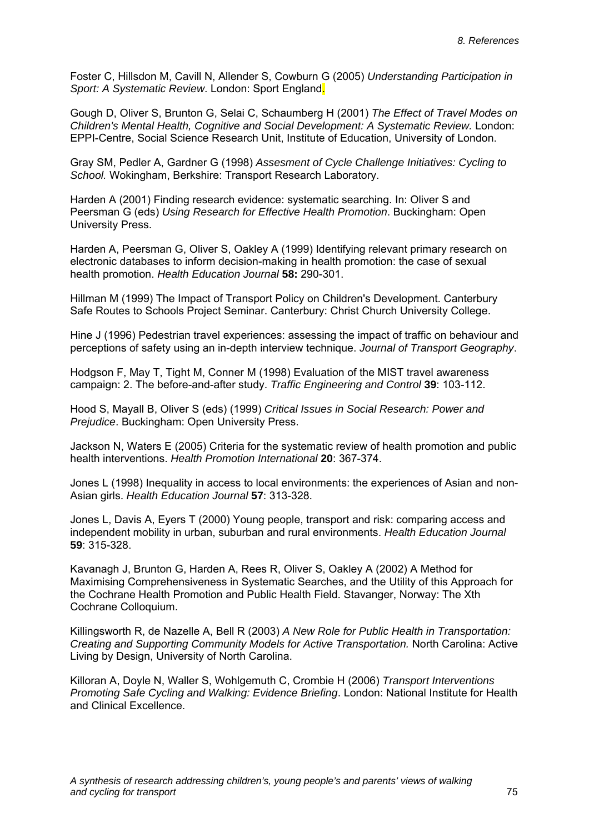Foster C, Hillsdon M, Cavill N, Allender S, Cowburn G (2005) *Understanding Participation in Sport: A Systematic Review*. London: Sport England.

Gough D, Oliver S, Brunton G, Selai C, Schaumberg H (2001) *The Effect of Travel Modes on Children's Mental Health, Cognitive and Social Development: A Systematic Review.* London: EPPI-Centre, Social Science Research Unit, Institute of Education, University of London.

Gray SM, Pedler A, Gardner G (1998) *Assesment of Cycle Challenge Initiatives: Cycling to School.* Wokingham, Berkshire: Transport Research Laboratory.

Harden A (2001) Finding research evidence: systematic searching. In: Oliver S and Peersman G (eds) *Using Research for Effective Health Promotion*. Buckingham: Open University Press.

Harden A, Peersman G, Oliver S, Oakley A (1999) Identifying relevant primary research on electronic databases to inform decision-making in health promotion: the case of sexual health promotion. *Health Education Journal* **58:** 290-301.

Hillman M (1999) The Impact of Transport Policy on Children's Development. Canterbury Safe Routes to Schools Project Seminar. Canterbury: Christ Church University College.

Hine J (1996) Pedestrian travel experiences: assessing the impact of traffic on behaviour and perceptions of safety using an in-depth interview technique. *Journal of Transport Geography*.

Hodgson F, May T, Tight M, Conner M (1998) Evaluation of the MIST travel awareness campaign: 2. The before-and-after study. *Traffic Engineering and Control* **39**: 103-112.

Hood S, Mayall B, Oliver S (eds) (1999) *Critical Issues in Social Research: Power and Prejudice*. Buckingham: Open University Press.

Jackson N, Waters E (2005) Criteria for the systematic review of health promotion and public health interventions. *Health Promotion International* **20**: 367-374.

Jones L (1998) Inequality in access to local environments: the experiences of Asian and non-Asian girls. *Health Education Journal* **57**: 313-328.

Jones L, Davis A, Eyers T (2000) Young people, transport and risk: comparing access and independent mobility in urban, suburban and rural environments. *Health Education Journal* **59**: 315-328.

Kavanagh J, Brunton G, Harden A, Rees R, Oliver S, Oakley A (2002) A Method for Maximising Comprehensiveness in Systematic Searches, and the Utility of this Approach for the Cochrane Health Promotion and Public Health Field. Stavanger, Norway: The Xth Cochrane Colloquium.

Killingsworth R, de Nazelle A, Bell R (2003) *A New Role for Public Health in Transportation: Creating and Supporting Community Models for Active Transportation.* North Carolina: Active Living by Design, University of North Carolina.

Killoran A, Doyle N, Waller S, Wohlgemuth C, Crombie H (2006) *Transport Interventions Promoting Safe Cycling and Walking: Evidence Briefing*. London: National Institute for Health and Clinical Excellence.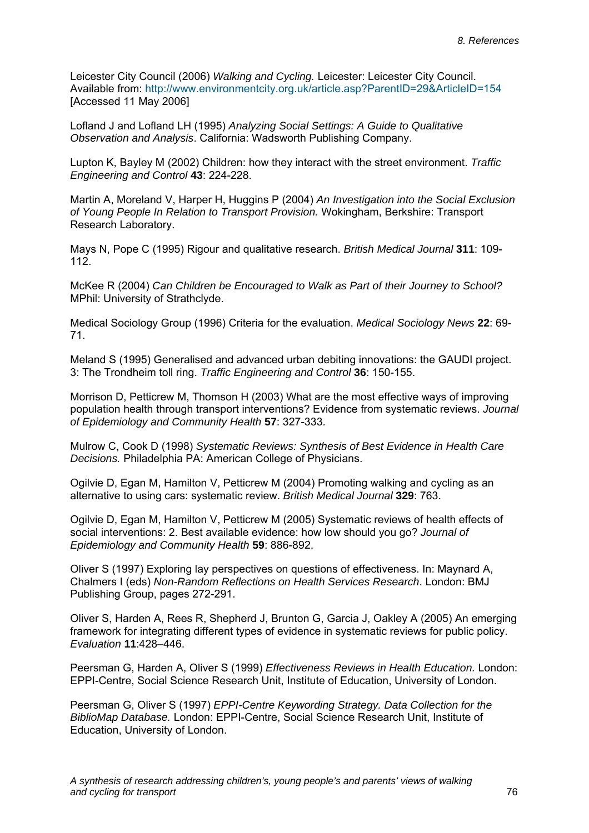Leicester City Council (2006) *Walking and Cycling.* Leicester: Leicester City Council. Available from: http://www.environmentcity.org.uk/article.asp?ParentID=29&ArticleID=154 [Accessed 11 May 2006]

Lofland J and Lofland LH (1995) *Analyzing Social Settings: A Guide to Qualitative Observation and Analysis*. California: Wadsworth Publishing Company.

Lupton K, Bayley M (2002) Children: how they interact with the street environment. *Traffic Engineering and Control* **43**: 224-228.

Martin A, Moreland V, Harper H, Huggins P (2004) *An Investigation into the Social Exclusion of Young People In Relation to Transport Provision.* Wokingham, Berkshire: Transport Research Laboratory.

Mays N, Pope C (1995) Rigour and qualitative research. *British Medical Journal* **311**: 109- 112.

McKee R (2004) *Can Children be Encouraged to Walk as Part of their Journey to School?*  MPhil: University of Strathclyde.

Medical Sociology Group (1996) Criteria for the evaluation. *Medical Sociology News* **22**: 69- 71.

Meland S (1995) Generalised and advanced urban debiting innovations: the GAUDI project. 3: The Trondheim toll ring. *Traffic Engineering and Control* **36**: 150-155.

Morrison D, Petticrew M, Thomson H (2003) What are the most effective ways of improving population health through transport interventions? Evidence from systematic reviews. *Journal of Epidemiology and Community Health* **57**: 327-333.

Mulrow C, Cook D (1998) *Systematic Reviews: Synthesis of Best Evidence in Health Care Decisions.* Philadelphia PA: American College of Physicians.

Ogilvie D, Egan M, Hamilton V, Petticrew M (2004) Promoting walking and cycling as an alternative to using cars: systematic review. *British Medical Journal* **329**: 763.

Ogilvie D, Egan M, Hamilton V, Petticrew M (2005) Systematic reviews of health effects of social interventions: 2. Best available evidence: how low should you go? *Journal of Epidemiology and Community Health* **59**: 886-892.

Oliver S (1997) Exploring lay perspectives on questions of effectiveness. In: Maynard A, Chalmers I (eds) *Non-Random Reflections on Health Services Research*. London: BMJ Publishing Group, pages 272-291.

Oliver S, Harden A, Rees R, Shepherd J, Brunton G, Garcia J, Oakley A (2005) An emerging framework for integrating different types of evidence in systematic reviews for public policy. *Evaluation* **11**:428–446.

Peersman G, Harden A, Oliver S (1999) *Effectiveness Reviews in Health Education.* London: EPPI-Centre, Social Science Research Unit, Institute of Education, University of London.

Peersman G, Oliver S (1997) *EPPI-Centre Keywording Strategy. Data Collection for the BiblioMap Database.* London: EPPI-Centre, Social Science Research Unit, Institute of Education, University of London.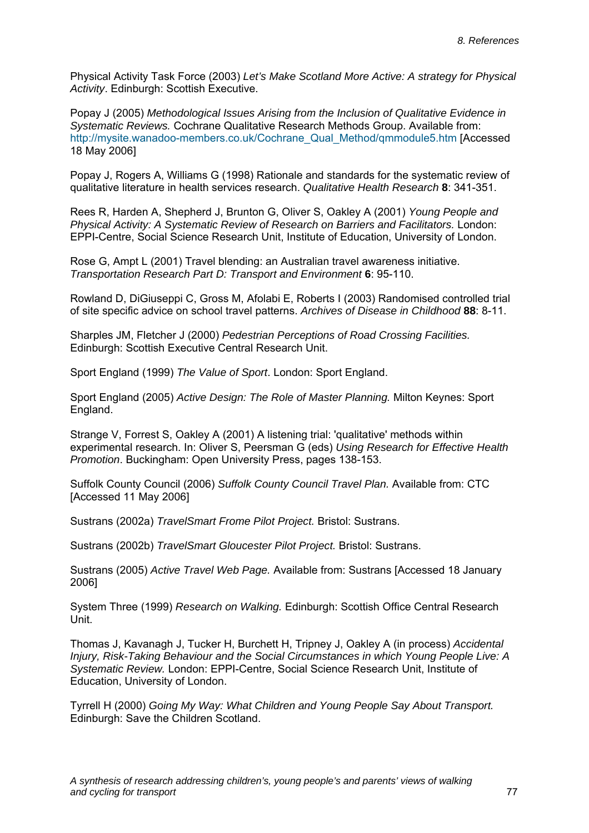Physical Activity Task Force (2003) *Let's Make Scotland More Active: A strategy for Physical Activity*. Edinburgh: Scottish Executive.

Popay J (2005) *Methodological Issues Arising from the Inclusion of Qualitative Evidence in Systematic Reviews.* Cochrane Qualitative Research Methods Group. Available from: http://mysite.wanadoo-members.co.uk/Cochrane\_Qual\_Method/qmmodule5.htm [Accessed 18 May 2006]

Popay J, Rogers A, Williams G (1998) Rationale and standards for the systematic review of qualitative literature in health services research. *Qualitative Health Research* **8**: 341-351.

Rees R, Harden A, Shepherd J, Brunton G, Oliver S, Oakley A (2001) *Young People and Physical Activity: A Systematic Review of Research on Barriers and Facilitators.* London: EPPI-Centre, Social Science Research Unit, Institute of Education, University of London.

Rose G, Ampt L (2001) Travel blending: an Australian travel awareness initiative. *Transportation Research Part D: Transport and Environment* **6**: 95-110.

Rowland D, DiGiuseppi C, Gross M, Afolabi E, Roberts I (2003) Randomised controlled trial of site specific advice on school travel patterns. *Archives of Disease in Childhood* **88**: 8-11.

Sharples JM, Fletcher J (2000) *Pedestrian Perceptions of Road Crossing Facilities.*  Edinburgh: Scottish Executive Central Research Unit.

Sport England (1999) *The Value of Sport*. London: Sport England.

Sport England (2005) *Active Design: The Role of Master Planning.* Milton Keynes: Sport England.

Strange V, Forrest S, Oakley A (2001) A listening trial: 'qualitative' methods within experimental research. In: Oliver S, Peersman G (eds) *Using Research for Effective Health Promotion*. Buckingham: Open University Press, pages 138-153.

Suffolk County Council (2006) *Suffolk County Council Travel Plan.* Available from: CTC [Accessed 11 May 2006]

Sustrans (2002a) *TravelSmart Frome Pilot Project.* Bristol: Sustrans.

Sustrans (2002b) *TravelSmart Gloucester Pilot Project.* Bristol: Sustrans.

Sustrans (2005) *Active Travel Web Page.* Available from: Sustrans [Accessed 18 January 2006]

System Three (1999) *Research on Walking.* Edinburgh: Scottish Office Central Research Unit.

Thomas J, Kavanagh J, Tucker H, Burchett H, Tripney J, Oakley A (in process) *Accidental Injury, Risk-Taking Behaviour and the Social Circumstances in which Young People Live: A Systematic Review.* London: EPPI-Centre, Social Science Research Unit, Institute of Education, University of London.

Tyrrell H (2000) *Going My Way: What Children and Young People Say About Transport.*  Edinburgh: Save the Children Scotland.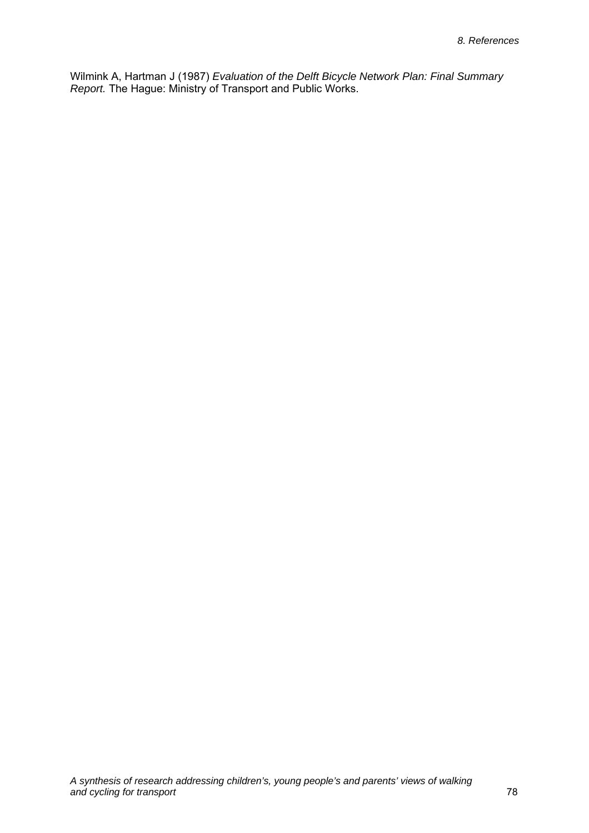Wilmink A, Hartman J (1987) *Evaluation of the Delft Bicycle Network Plan: Final Summary Report.* The Hague: Ministry of Transport and Public Works.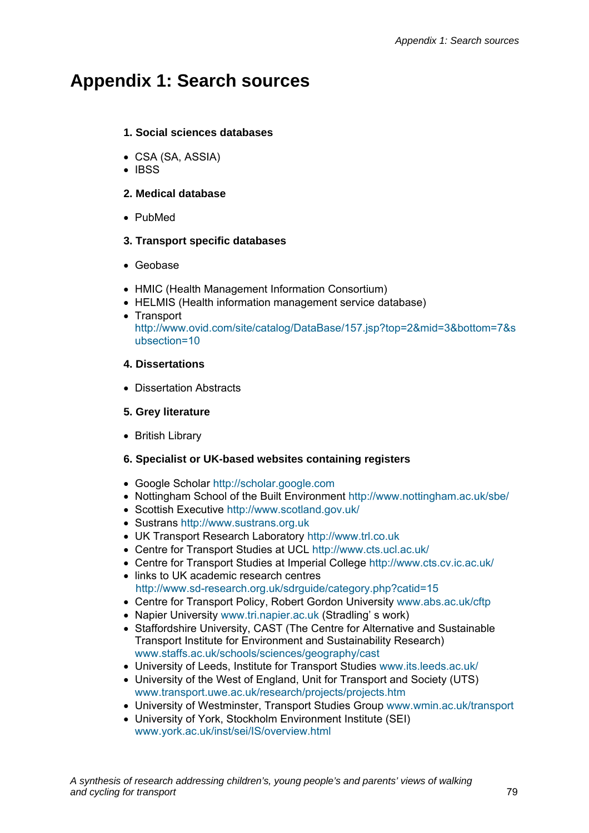## **Appendix 1: Search sources**

#### **1. Social sciences databases**

- CSA (SA, ASSIA)
- IBSS

#### **2. Medical database**

• PubMed

#### **3. Transport specific databases**

- Geobase
- HMIC (Health Management Information Consortium)
- HELMIS (Health information management service database)
- Transport http://www.ovid.com/site/catalog/DataBase/157.jsp?top=2&mid=3&bottom=7&s ubsection=10

#### **4. Dissertations**

• Dissertation Abstracts

#### **5. Grey literature**

• British Library

#### **6. Specialist or UK-based websites containing registers**

- Google Scholar http://scholar.google.com
- Nottingham School of the Built Environment http://www.nottingham.ac.uk/sbe/
- Scottish Executive http://www.scotland.gov.uk/
- Sustrans http://www.sustrans.org.uk
- UK Transport Research Laboratory http://www.trl.co.uk
- Centre for Transport Studies at UCL http://www.cts.ucl.ac.uk/
- Centre for Transport Studies at Imperial College http://www.cts.cv.ic.ac.uk/
- links to UK academic research centres http://www.sd-research.org.uk/sdrguide/category.php?catid=15
- Centre for Transport Policy, Robert Gordon University www.abs.ac.uk/cftp
- Napier University www.tri.napier.ac.uk (Stradling' s work)
- Staffordshire University, CAST (The Centre for Alternative and Sustainable Transport Institute for Environment and Sustainability Research) www.staffs.ac.uk/schools/sciences/geography/cast
- University of Leeds, Institute for Transport Studies www.its.leeds.ac.uk/
- University of the West of England, Unit for Transport and Society (UTS) www.transport.uwe.ac.uk/research/projects/projects.htm
- University of Westminster, Transport Studies Group www.wmin.ac.uk/transport
- University of York, Stockholm Environment Institute (SEI) www.york.ac.uk/inst/sei/IS/overview.html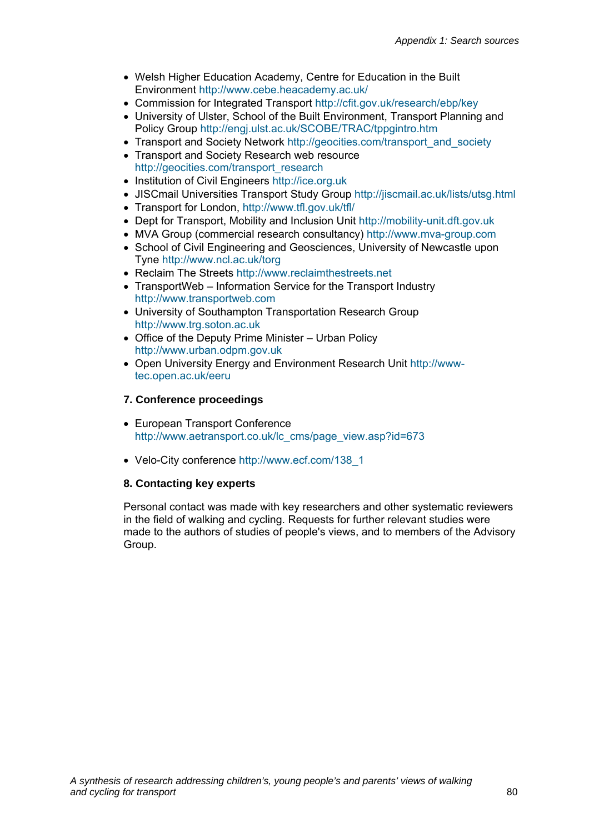- Welsh Higher Education Academy, Centre for Education in the Built Environment http://www.cebe.heacademy.ac.uk/
- Commission for Integrated Transport http://cfit.gov.uk/research/ebp/key
- University of Ulster, School of the Built Environment, Transport Planning and Policy Group http://engj.ulst.ac.uk/SCOBE/TRAC/tppgintro.htm
- Transport and Society Network http://geocities.com/transport\_and\_society
- Transport and Society Research web resource http://geocities.com/transport\_research
- Institution of Civil Engineers http://ice.org.uk
- JISCmail Universities Transport Study Group http://jiscmail.ac.uk/lists/utsg.html
- Transport for London, http://www.tfl.gov.uk/tfl/
- Dept for Transport, Mobility and Inclusion Unit http://mobility-unit.dft.gov.uk
- MVA Group (commercial research consultancy) http://www.mva-group.com
- School of Civil Engineering and Geosciences, University of Newcastle upon Tyne http://www.ncl.ac.uk/torg
- Reclaim The Streets http://www.reclaimthestreets.net
- TransportWeb Information Service for the Transport Industry http://www.transportweb.com
- University of Southampton Transportation Research Group http://www.trg.soton.ac.uk
- Office of the Deputy Prime Minister Urban Policy http://www.urban.odpm.gov.uk
- Open University Energy and Environment Research Unit http://wwwtec.open.ac.uk/eeru

#### **7. Conference proceedings**

- European Transport Conference http://www.aetransport.co.uk/lc\_cms/page\_view.asp?id=673
- Velo-City conference http://www.ecf.com/138\_1

#### **8. Contacting key experts**

Personal contact was made with key researchers and other systematic reviewers in the field of walking and cycling. Requests for further relevant studies were made to the authors of studies of people's views, and to members of the Advisory Group.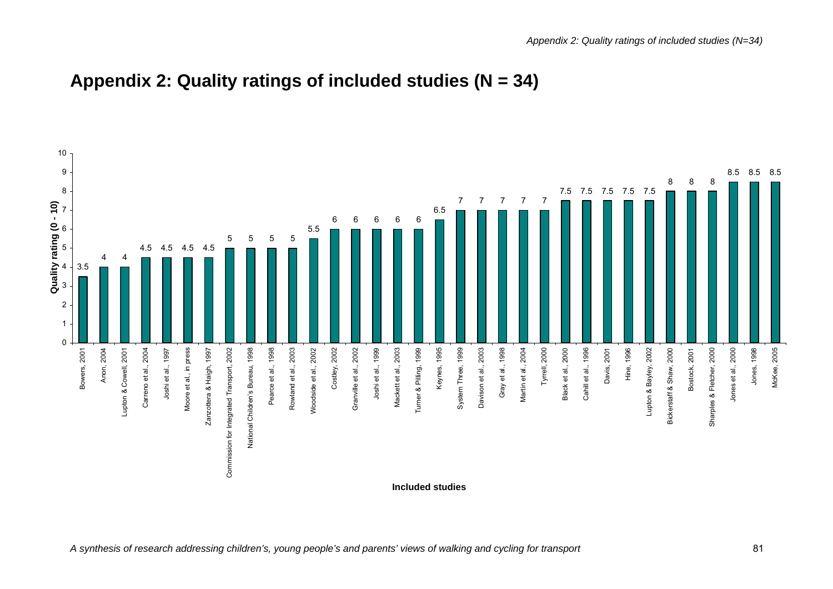

## **Appendix 2: Quality ratings of included studies (N = 34)**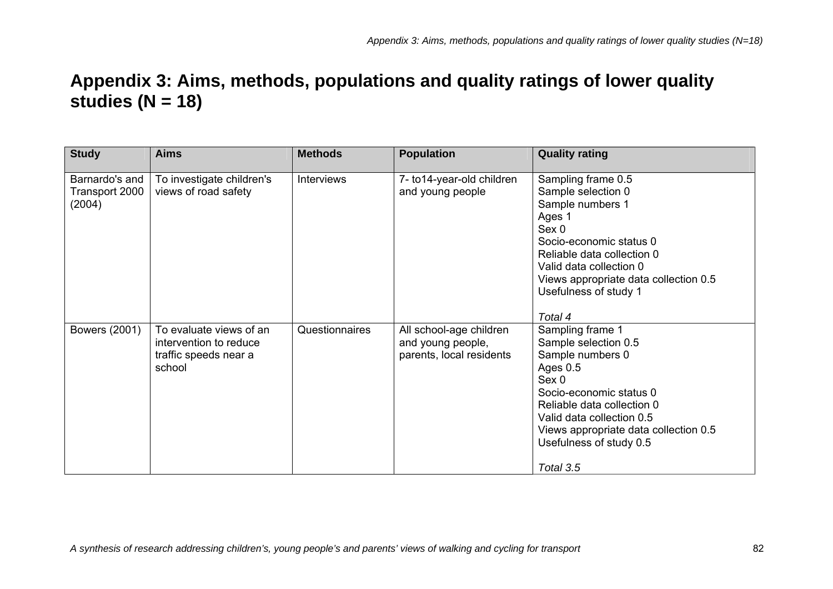# **Appendix 3: Aims, methods, populations and quality ratings of lower quality studies (N = 18)**

| <b>Study</b>                               | <b>Aims</b>                                                                          | <b>Methods</b>    | <b>Population</b>                                                        | <b>Quality rating</b>                                                                                                                                                                                                                                               |
|--------------------------------------------|--------------------------------------------------------------------------------------|-------------------|--------------------------------------------------------------------------|---------------------------------------------------------------------------------------------------------------------------------------------------------------------------------------------------------------------------------------------------------------------|
| Barnardo's and<br>Transport 2000<br>(2004) | To investigate children's<br>views of road safety                                    | <b>Interviews</b> | 7- to 14-year-old children<br>and young people                           | Sampling frame 0.5<br>Sample selection 0<br>Sample numbers 1<br>Ages 1<br>Sex 0<br>Socio-economic status 0<br>Reliable data collection 0<br>Valid data collection 0<br>Views appropriate data collection 0.5<br>Usefulness of study 1                               |
| Bowers (2001)                              | To evaluate views of an<br>intervention to reduce<br>traffic speeds near a<br>school | Questionnaires    | All school-age children<br>and young people,<br>parents, local residents | Total 4<br>Sampling frame 1<br>Sample selection 0.5<br>Sample numbers 0<br>Ages 0.5<br>Sex 0<br>Socio-economic status 0<br>Reliable data collection 0<br>Valid data collection 0.5<br>Views appropriate data collection 0.5<br>Usefulness of study 0.5<br>Total 3.5 |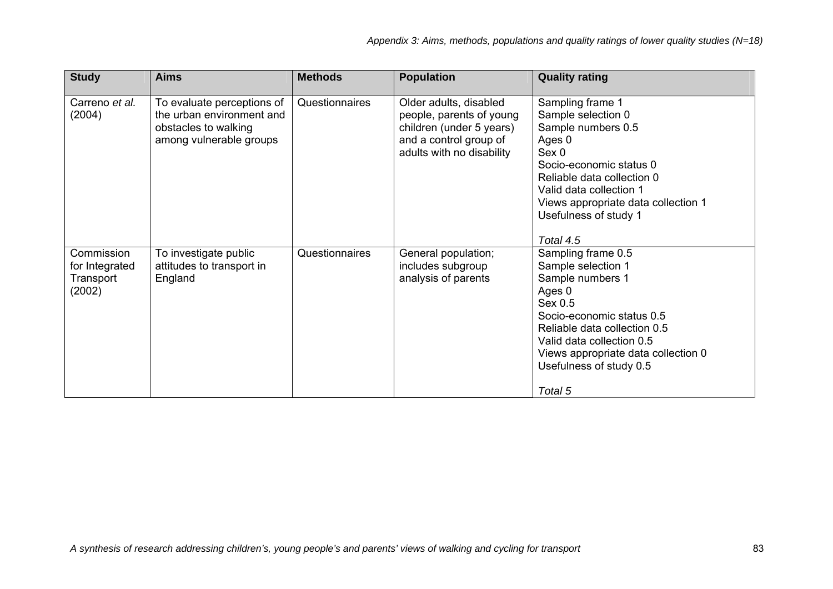| <b>Study</b>                                        | <b>Aims</b>                                                                                                | <b>Methods</b> | <b>Population</b>                                                                                                                     | <b>Quality rating</b>                                                                                                                                                                                                                                    |
|-----------------------------------------------------|------------------------------------------------------------------------------------------------------------|----------------|---------------------------------------------------------------------------------------------------------------------------------------|----------------------------------------------------------------------------------------------------------------------------------------------------------------------------------------------------------------------------------------------------------|
| Carreno et al.<br>(2004)                            | To evaluate perceptions of<br>the urban environment and<br>obstacles to walking<br>among vulnerable groups | Questionnaires | Older adults, disabled<br>people, parents of young<br>children (under 5 years)<br>and a control group of<br>adults with no disability | Sampling frame 1<br>Sample selection 0<br>Sample numbers 0.5<br>Ages 0<br>Sex 0<br>Socio-economic status 0<br>Reliable data collection 0<br>Valid data collection 1<br>Views appropriate data collection 1<br>Usefulness of study 1<br>Total 4.5         |
| Commission<br>for Integrated<br>Transport<br>(2002) | To investigate public<br>attitudes to transport in<br>England                                              | Questionnaires | General population;<br>includes subgroup<br>analysis of parents                                                                       | Sampling frame 0.5<br>Sample selection 1<br>Sample numbers 1<br>Ages 0<br>Sex 0.5<br>Socio-economic status 0.5<br>Reliable data collection 0.5<br>Valid data collection 0.5<br>Views appropriate data collection 0<br>Usefulness of study 0.5<br>Total 5 |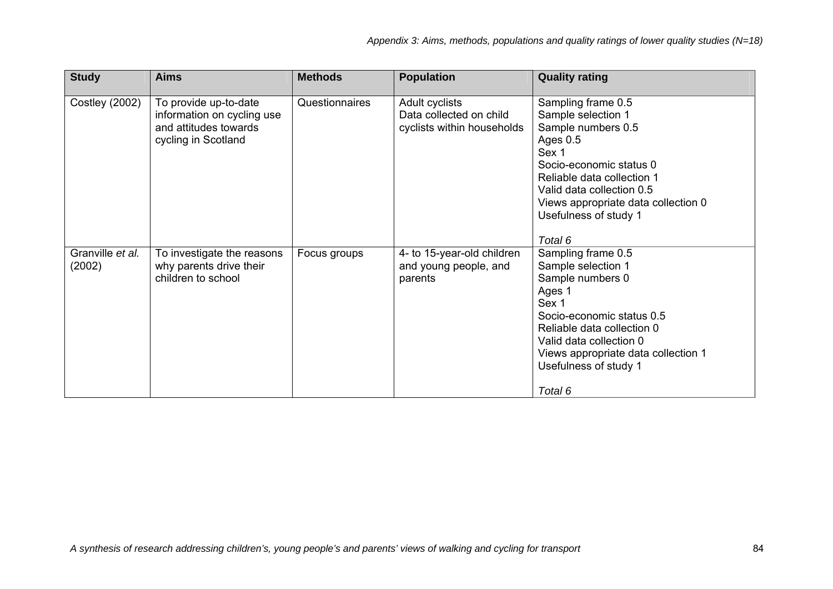| <b>Study</b>               | <b>Aims</b>                                                                                         | <b>Methods</b> | <b>Population</b>                                                       | <b>Quality rating</b>                                                                                                                                                                                                                                |
|----------------------------|-----------------------------------------------------------------------------------------------------|----------------|-------------------------------------------------------------------------|------------------------------------------------------------------------------------------------------------------------------------------------------------------------------------------------------------------------------------------------------|
| <b>Costley (2002)</b>      | To provide up-to-date<br>information on cycling use<br>and attitudes towards<br>cycling in Scotland | Questionnaires | Adult cyclists<br>Data collected on child<br>cyclists within households | Sampling frame 0.5<br>Sample selection 1<br>Sample numbers 0.5<br>Ages 0.5<br>Sex 1<br>Socio-economic status 0<br>Reliable data collection 1<br>Valid data collection 0.5<br>Views appropriate data collection 0<br>Usefulness of study 1<br>Total 6 |
| Granville et al.<br>(2002) | To investigate the reasons<br>why parents drive their<br>children to school                         | Focus groups   | 4- to 15-year-old children<br>and young people, and<br>parents          | Sampling frame 0.5<br>Sample selection 1<br>Sample numbers 0<br>Ages 1<br>Sex 1<br>Socio-economic status 0.5<br>Reliable data collection 0<br>Valid data collection 0<br>Views appropriate data collection 1<br>Usefulness of study 1<br>Total 6     |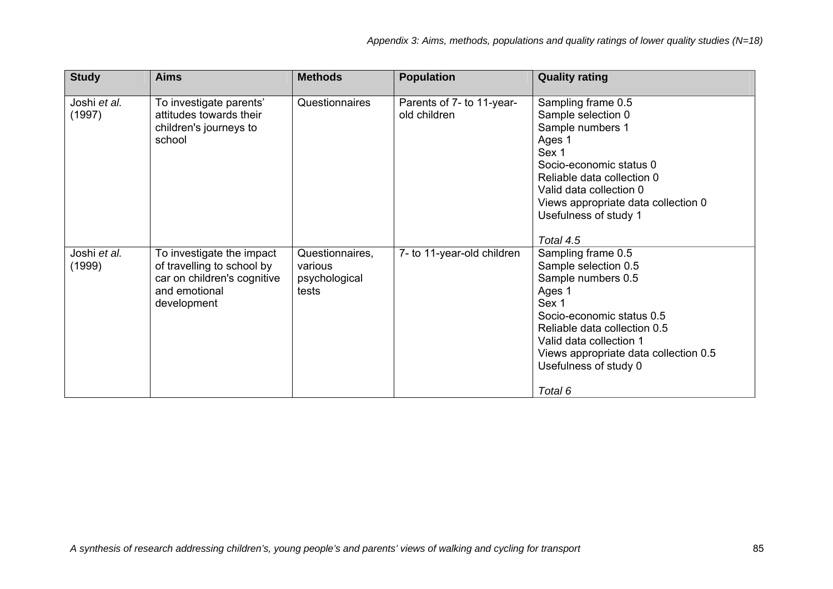| <b>Study</b>           | <b>Aims</b>                                                                                                            | <b>Methods</b>                                       | <b>Population</b>                         | <b>Quality rating</b>                                                                                                                                                                                                                                                 |
|------------------------|------------------------------------------------------------------------------------------------------------------------|------------------------------------------------------|-------------------------------------------|-----------------------------------------------------------------------------------------------------------------------------------------------------------------------------------------------------------------------------------------------------------------------|
| Joshi et al.<br>(1997) | To investigate parents'<br>attitudes towards their<br>children's journeys to<br>school                                 | Questionnaires                                       | Parents of 7- to 11-year-<br>old children | Sampling frame 0.5<br>Sample selection 0<br>Sample numbers 1<br>Ages 1<br>Sex 1<br>Socio-economic status 0<br>Reliable data collection 0<br>Valid data collection 0<br>Views appropriate data collection 0<br>Usefulness of study 1                                   |
| Joshi et al.<br>(1999) | To investigate the impact<br>of travelling to school by<br>car on children's cognitive<br>and emotional<br>development | Questionnaires,<br>various<br>psychological<br>tests | 7- to 11-year-old children                | Total 4.5<br>Sampling frame 0.5<br>Sample selection 0.5<br>Sample numbers 0.5<br>Ages 1<br>Sex 1<br>Socio-economic status 0.5<br>Reliable data collection 0.5<br>Valid data collection 1<br>Views appropriate data collection 0.5<br>Usefulness of study 0<br>Total 6 |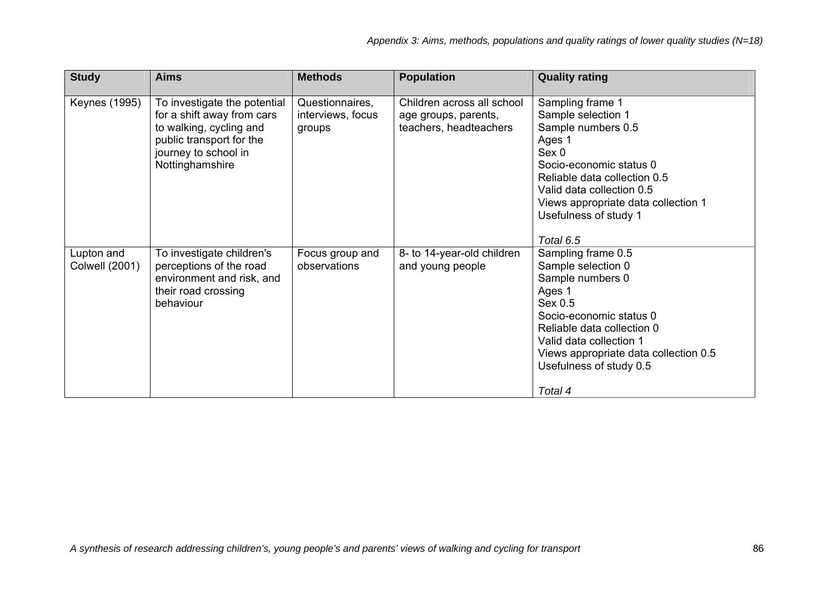| <b>Study</b>                        | <b>Aims</b>                                                                                                                                                  | <b>Methods</b>                                 | <b>Population</b>                                                            | <b>Quality rating</b>                                                                                                                                                                                                                                             |
|-------------------------------------|--------------------------------------------------------------------------------------------------------------------------------------------------------------|------------------------------------------------|------------------------------------------------------------------------------|-------------------------------------------------------------------------------------------------------------------------------------------------------------------------------------------------------------------------------------------------------------------|
| <b>Keynes (1995)</b>                | To investigate the potential<br>for a shift away from cars<br>to walking, cycling and<br>public transport for the<br>journey to school in<br>Nottinghamshire | Questionnaires,<br>interviews, focus<br>groups | Children across all school<br>age groups, parents,<br>teachers, headteachers | Sampling frame 1<br>Sample selection 1<br>Sample numbers 0.5<br>Ages 1<br>Sex 0<br>Socio-economic status 0<br>Reliable data collection 0.5<br>Valid data collection 0.5<br>Views appropriate data collection 1<br>Usefulness of study 1                           |
| Lupton and<br><b>Colwell (2001)</b> | To investigate children's<br>perceptions of the road<br>environment and risk, and<br>their road crossing<br>behaviour                                        | Focus group and<br>observations                | 8- to 14-year-old children<br>and young people                               | Total 6.5<br>Sampling frame 0.5<br>Sample selection 0<br>Sample numbers 0<br>Ages 1<br>Sex 0.5<br>Socio-economic status 0<br>Reliable data collection 0<br>Valid data collection 1<br>Views appropriate data collection 0.5<br>Usefulness of study 0.5<br>Total 4 |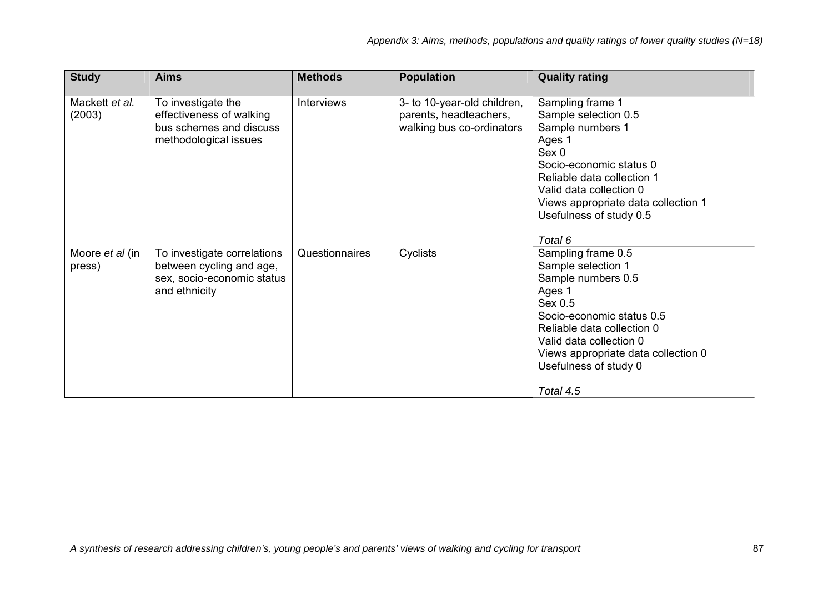| <b>Study</b>              | <b>Aims</b>                                                                                            | <b>Methods</b>    | <b>Population</b>                                                                  | <b>Quality rating</b>                                                                                                                                                                                                                                  |
|---------------------------|--------------------------------------------------------------------------------------------------------|-------------------|------------------------------------------------------------------------------------|--------------------------------------------------------------------------------------------------------------------------------------------------------------------------------------------------------------------------------------------------------|
| Mackett et al.<br>(2003)  | To investigate the<br>effectiveness of walking<br>bus schemes and discuss<br>methodological issues     | <b>Interviews</b> | 3- to 10-year-old children,<br>parents, headteachers,<br>walking bus co-ordinators | Sampling frame 1<br>Sample selection 0.5<br>Sample numbers 1<br>Ages 1<br>Sex 0<br>Socio-economic status 0<br>Reliable data collection 1<br>Valid data collection 0<br>Views appropriate data collection 1<br>Usefulness of study 0.5<br>Total 6       |
| Moore et al (in<br>press) | To investigate correlations<br>between cycling and age,<br>sex, socio-economic status<br>and ethnicity | Questionnaires    | Cyclists                                                                           | Sampling frame 0.5<br>Sample selection 1<br>Sample numbers 0.5<br>Ages 1<br>Sex 0.5<br>Socio-economic status 0.5<br>Reliable data collection 0<br>Valid data collection 0<br>Views appropriate data collection 0<br>Usefulness of study 0<br>Total 4.5 |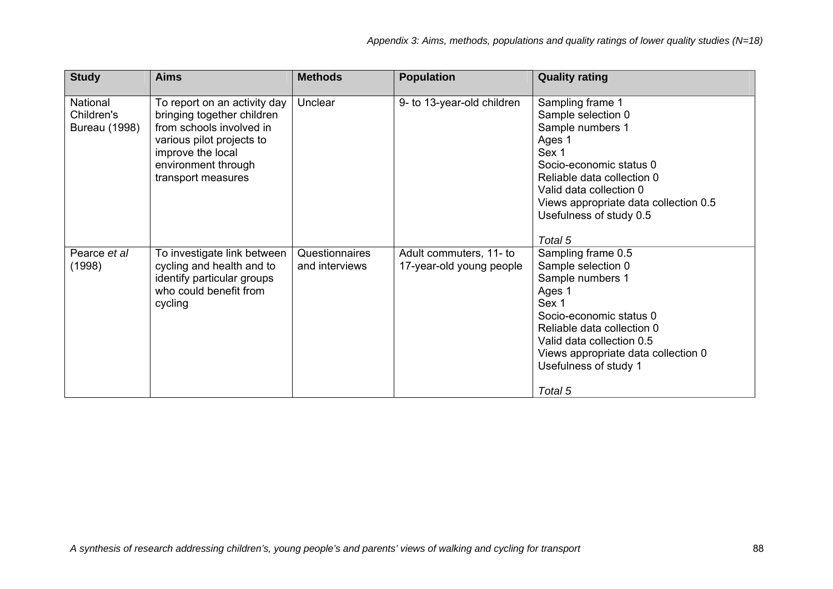| <b>Study</b>                            | <b>Aims</b>                                                                                                                                                                           | <b>Methods</b>                   | <b>Population</b>                                   | <b>Quality rating</b>                                                                                                                                                                                                                            |
|-----------------------------------------|---------------------------------------------------------------------------------------------------------------------------------------------------------------------------------------|----------------------------------|-----------------------------------------------------|--------------------------------------------------------------------------------------------------------------------------------------------------------------------------------------------------------------------------------------------------|
| National<br>Children's<br>Bureau (1998) | To report on an activity day<br>bringing together children<br>from schools involved in<br>various pilot projects to<br>improve the local<br>environment through<br>transport measures | Unclear                          | 9- to 13-year-old children                          | Sampling frame 1<br>Sample selection 0<br>Sample numbers 1<br>Ages 1<br>Sex 1<br>Socio-economic status 0<br>Reliable data collection 0<br>Valid data collection 0<br>Views appropriate data collection 0.5<br>Usefulness of study 0.5<br>Total 5 |
| Pearce et al<br>(1998)                  | To investigate link between<br>cycling and health and to<br>identify particular groups<br>who could benefit from<br>cycling                                                           | Questionnaires<br>and interviews | Adult commuters, 11- to<br>17-year-old young people | Sampling frame 0.5<br>Sample selection 0<br>Sample numbers 1<br>Ages 1<br>Sex 1<br>Socio-economic status 0<br>Reliable data collection 0<br>Valid data collection 0.5<br>Views appropriate data collection 0<br>Usefulness of study 1<br>Total 5 |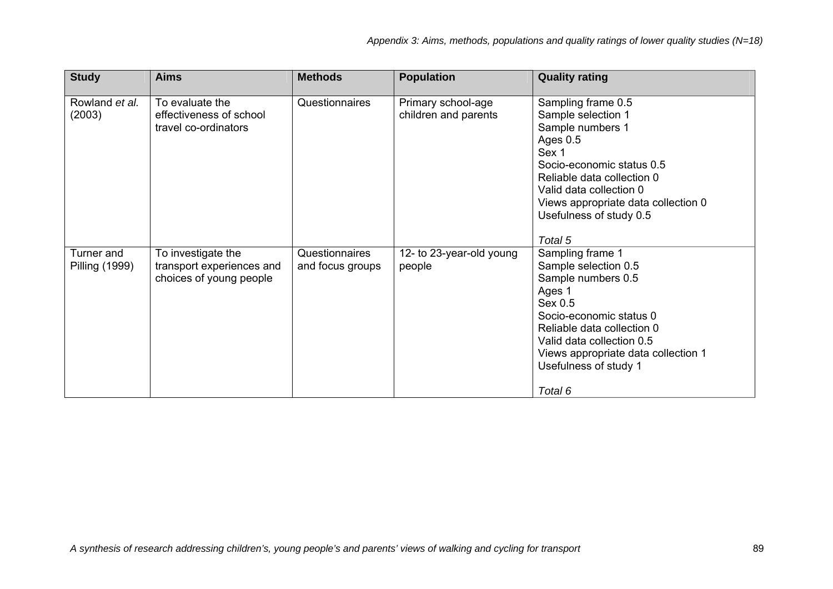| <b>Study</b>                        | <b>Aims</b>                                                                | <b>Methods</b>                     | <b>Population</b>                          | <b>Quality rating</b>                                                                                                                                                                                                                                           |
|-------------------------------------|----------------------------------------------------------------------------|------------------------------------|--------------------------------------------|-----------------------------------------------------------------------------------------------------------------------------------------------------------------------------------------------------------------------------------------------------------------|
| Rowland et al.<br>(2003)            | To evaluate the<br>effectiveness of school<br>travel co-ordinators         | Questionnaires                     | Primary school-age<br>children and parents | Sampling frame 0.5<br>Sample selection 1<br>Sample numbers 1<br>Ages 0.5<br>Sex 1<br>Socio-economic status 0.5<br>Reliable data collection 0<br>Valid data collection 0<br>Views appropriate data collection 0<br>Usefulness of study 0.5                       |
| Turner and<br><b>Pilling (1999)</b> | To investigate the<br>transport experiences and<br>choices of young people | Questionnaires<br>and focus groups | 12- to 23-year-old young<br>people         | Total 5<br>Sampling frame 1<br>Sample selection 0.5<br>Sample numbers 0.5<br>Ages 1<br>Sex 0.5<br>Socio-economic status 0<br>Reliable data collection 0<br>Valid data collection 0.5<br>Views appropriate data collection 1<br>Usefulness of study 1<br>Total 6 |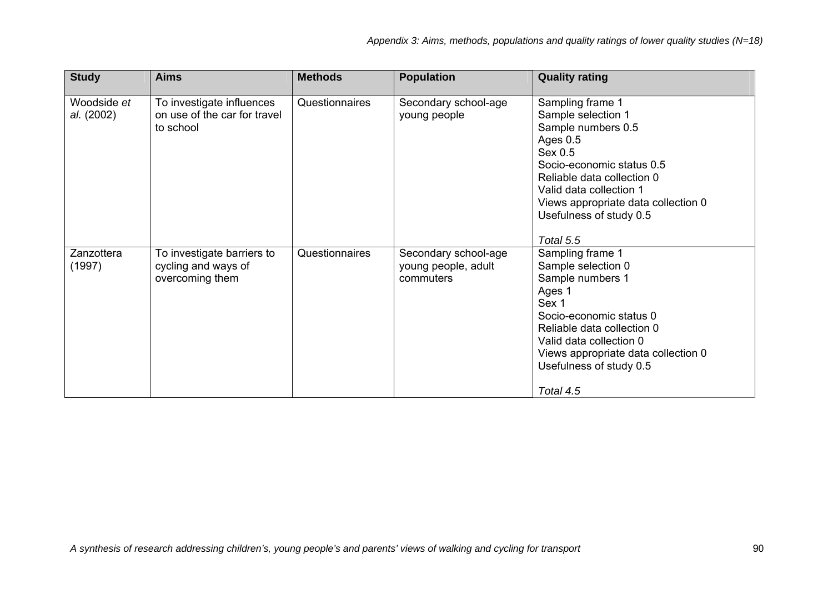| <b>Study</b>              | <b>Aims</b>                                                            | <b>Methods</b> | <b>Population</b>                                        | <b>Quality rating</b>                                                                                                                                                                                                                                    |
|---------------------------|------------------------------------------------------------------------|----------------|----------------------------------------------------------|----------------------------------------------------------------------------------------------------------------------------------------------------------------------------------------------------------------------------------------------------------|
| Woodside et<br>al. (2002) | To investigate influences<br>on use of the car for travel<br>to school | Questionnaires | Secondary school-age<br>young people                     | Sampling frame 1<br>Sample selection 1<br>Sample numbers 0.5<br>Ages 0.5<br>Sex 0.5<br>Socio-economic status 0.5<br>Reliable data collection 0<br>Valid data collection 1<br>Views appropriate data collection 0<br>Usefulness of study 0.5<br>Total 5.5 |
| Zanzottera<br>(1997)      | To investigate barriers to<br>cycling and ways of<br>overcoming them   | Questionnaires | Secondary school-age<br>young people, adult<br>commuters | Sampling frame 1<br>Sample selection 0<br>Sample numbers 1<br>Ages 1<br>Sex 1<br>Socio-economic status 0<br>Reliable data collection 0<br>Valid data collection 0<br>Views appropriate data collection 0<br>Usefulness of study 0.5<br>Total 4.5         |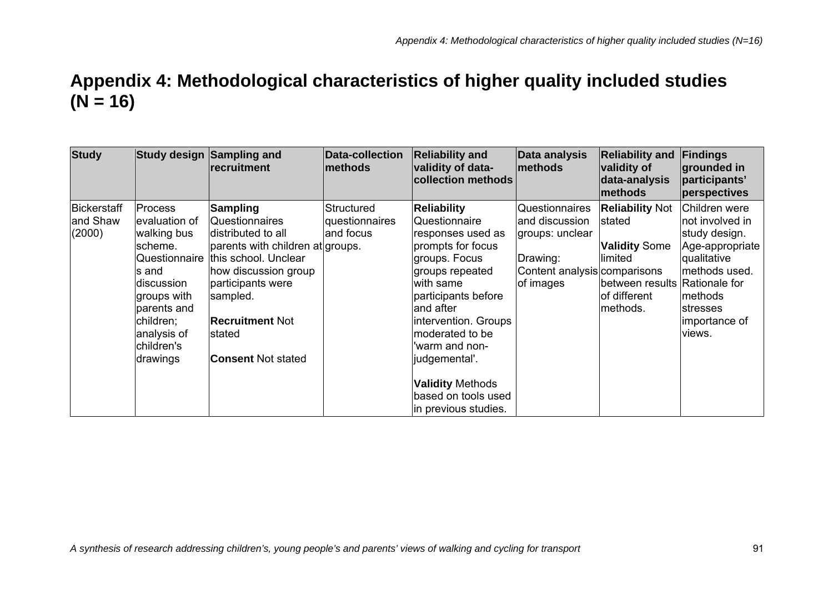## **Appendix 4: Methodological characteristics of higher quality included studies (N = 16)**

| <b>Study</b>                      |                                                                                                                                                                       | Study design Sampling and<br>recruitment                                                                                                                                                                                                                     | <b>Data-collection</b><br>methods         | <b>Reliability and</b><br>validity of data-<br>collection methods                                                                                                                                                                                                                                                           | Data analysis<br>methods                                                                                            | <b>Reliability and</b><br>validity of<br>data-analysis<br>methods                                                                 | Findings<br>grounded in<br>participants'<br>perspectives                                                                                                 |
|-----------------------------------|-----------------------------------------------------------------------------------------------------------------------------------------------------------------------|--------------------------------------------------------------------------------------------------------------------------------------------------------------------------------------------------------------------------------------------------------------|-------------------------------------------|-----------------------------------------------------------------------------------------------------------------------------------------------------------------------------------------------------------------------------------------------------------------------------------------------------------------------------|---------------------------------------------------------------------------------------------------------------------|-----------------------------------------------------------------------------------------------------------------------------------|----------------------------------------------------------------------------------------------------------------------------------------------------------|
| Bickerstaff<br>and Shaw<br>(2000) | <b>Process</b><br>evaluation of<br>walking bus<br>scheme.<br>ls and<br>discussion<br>groups with<br>parents and<br>children;<br>analysis of<br>children's<br>drawings | <b>Sampling</b><br>Questionnaires<br>distributed to all<br>parents with children at groups.<br>Questionnaire this school. Unclear<br>how discussion group<br>participants were<br>sampled.<br><b>Recruitment Not</b><br>Istated<br><b>Consent Not stated</b> | Structured<br>questionnaires<br>and focus | <b>Reliability</b><br>Questionnaire<br>responses used as<br>prompts for focus<br>groups. Focus<br>groups repeated<br>with same<br>participants before<br>land after<br>intervention. Groups<br>moderated to be<br>warm and non-<br> judgemental'.<br><b>Validity Methods</b><br>based on tools used<br>in previous studies. | <b>Questionnaires</b><br>and discussion<br>groups: unclear<br>Drawing:<br>Content analysis comparisons<br>of images | <b>Reliability Not</b><br>Istated<br><b>Validity Some</b><br>limited<br>between results Rationale for<br>of different<br>methods. | Children were<br>not involved in<br>study design.<br>Age-appropriate<br>qualitative<br>methods used.<br> methods<br>Istresses<br>importance of<br>views. |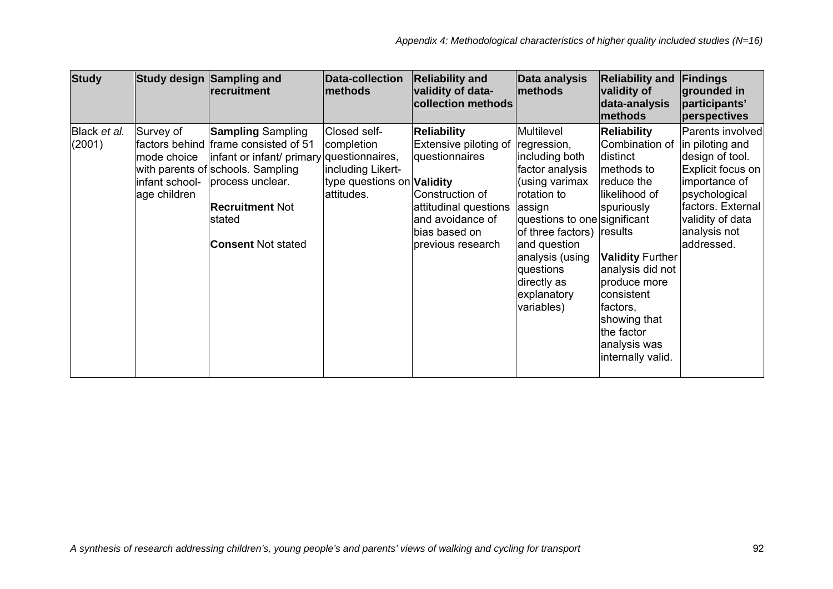| <b>Study</b>           |                                                            | Study design Sampling and<br>recruitment                                                                                                                                                                                                | <b>Data-collection</b><br>methods                                                                  | <b>Reliability and</b><br>validity of data-<br>collection methods                                                                                                   | Data analysis<br>methods                                                                                                                                                                                                                                           | <b>Reliability and</b><br>validity of<br>data-analysis<br>methods                                                                                                                                                                                                       | Findings<br>grounded in<br>participants'<br>perspectives                                                                                                                             |
|------------------------|------------------------------------------------------------|-----------------------------------------------------------------------------------------------------------------------------------------------------------------------------------------------------------------------------------------|----------------------------------------------------------------------------------------------------|---------------------------------------------------------------------------------------------------------------------------------------------------------------------|--------------------------------------------------------------------------------------------------------------------------------------------------------------------------------------------------------------------------------------------------------------------|-------------------------------------------------------------------------------------------------------------------------------------------------------------------------------------------------------------------------------------------------------------------------|--------------------------------------------------------------------------------------------------------------------------------------------------------------------------------------|
| Black et al.<br>(2001) | Survey of<br>mode choice<br>infant school-<br>age children | <b>Sampling Sampling</b><br>factors behind frame consisted of 51<br>infant or infant/ primary questionnaires,<br>with parents of schools. Sampling<br>process unclear.<br><b>Recruitment Not</b><br>stated<br><b>Consent Not stated</b> | Closed self-<br>completion<br>including Likert-<br>type questions on <b>Validity</b><br>attitudes. | <b>Reliability</b><br>Extensive piloting of<br>questionnaires<br>Construction of<br>attitudinal questions<br>and avoidance of<br>bias based on<br>previous research | Multilevel<br>regression,<br>including both<br>factor analysis<br>(using varimax<br>rotation to<br>assign<br>questions to one significant<br>of three factors) results<br>and question<br>analysis (using<br>questions<br>directly as<br>explanatory<br>variables) | <b>Reliability</b><br>Combination of<br>distinct<br>methods to<br>reduce the<br>likelihood of<br>spuriously<br><b>Validity Further</b><br>analysis did not<br>produce more<br>consistent<br>factors,<br>showing that<br>the factor<br>analysis was<br>internally valid. | Parents involved<br>in piloting and<br>design of tool.<br>Explicit focus on<br>importance of<br>psychological<br>factors. External<br>validity of data<br>analysis not<br>addressed. |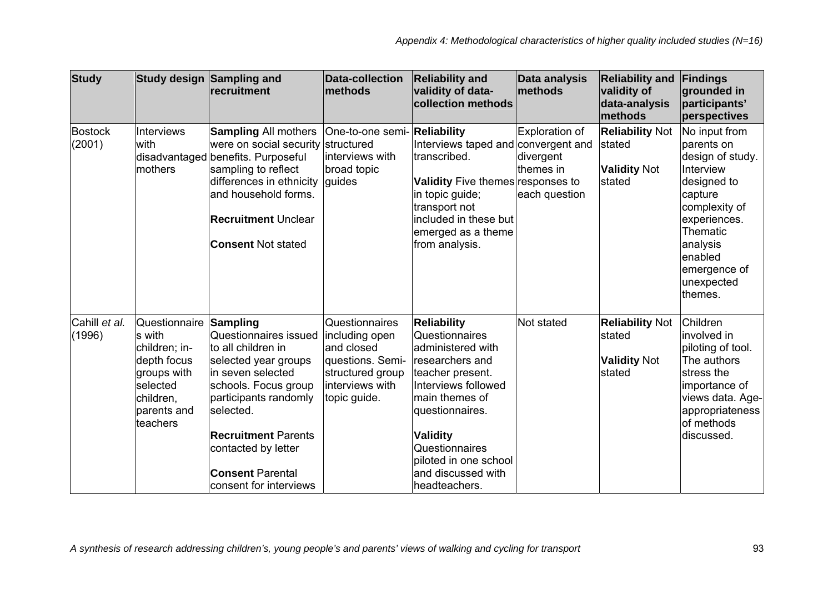| <b>Study</b>             |                                                                                                                            | Study design Sampling and<br>recruitment                                                                                                                                                                                                                                     | <b>Data-collection</b><br><b>Imethods</b>                                                                                 | <b>Reliability and</b><br>validity of data-<br>collection methods                                                                                                                                                                                                 | Data analysis<br><b>methods</b>                           | <b>Reliability and</b><br>validity of<br>data-analysis<br>methods | Findings<br>grounded in<br>participants'<br>perspectives                                                                                                                                            |
|--------------------------|----------------------------------------------------------------------------------------------------------------------------|------------------------------------------------------------------------------------------------------------------------------------------------------------------------------------------------------------------------------------------------------------------------------|---------------------------------------------------------------------------------------------------------------------------|-------------------------------------------------------------------------------------------------------------------------------------------------------------------------------------------------------------------------------------------------------------------|-----------------------------------------------------------|-------------------------------------------------------------------|-----------------------------------------------------------------------------------------------------------------------------------------------------------------------------------------------------|
| <b>Bostock</b><br>(2001) | <b>Interviews</b><br>with<br>mothers                                                                                       | <b>Sampling All mothers</b><br>were on social security structured<br>disadvantaged benefits. Purposeful<br>sampling to reflect<br>differences in ethnicity<br>and household forms.<br><b>Recruitment Unclear</b><br><b>Consent Not stated</b>                                | One-to-one semi- Reliability<br>interviews with<br>broad topic<br>guides                                                  | Interviews taped and convergent and<br>transcribed.<br><b>Validity</b> Five themes responses to<br>in topic guide;<br>transport not<br>included in these but<br>emerged as a theme<br>from analysis.                                                              | Exploration of<br>divergent<br>themes in<br>each question | <b>Reliability Not</b><br>stated<br><b>Validity Not</b><br>stated | No input from<br>parents on<br>design of study.<br>Interview<br>designed to<br>capture<br>complexity of<br>experiences.<br>Thematic<br>analysis<br>enabled<br>emergence of<br>unexpected<br>themes. |
| Cahill et al.<br>(1996)  | Questionnaire<br>s with<br>children; in-<br>depth focus<br>groups with<br>selected<br>children,<br>parents and<br>teachers | Sampling<br>Questionnaires issued<br>to all children in<br>selected year groups<br>in seven selected<br>schools. Focus group<br>participants randomly<br>selected.<br><b>Recruitment Parents</b><br>contacted by letter<br><b>Consent Parental</b><br>consent for interviews | Questionnaires<br>including open<br>and closed<br>questions. Semi-<br>structured group<br>interviews with<br>topic guide. | <b>Reliability</b><br>Questionnaires<br>administered with<br>researchers and<br>teacher present.<br>Interviews followed<br>main themes of<br>questionnaires.<br><b>Validity</b><br>Questionnaires<br>piloted in one school<br>and discussed with<br>headteachers. | Not stated                                                | <b>Reliability Not</b><br>stated<br><b>Validity Not</b><br>stated | Children<br>involved in<br>piloting of tool.<br>The authors<br>stress the<br>importance of<br>views data. Age-<br>appropriateness<br>of methods<br>discussed.                                       |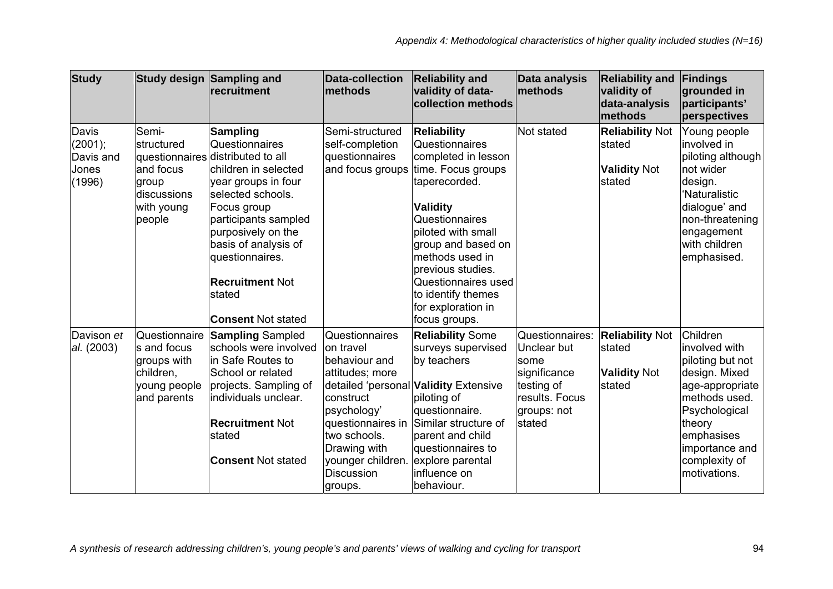| <b>Study</b>                                               |                                                                                         | Study design Sampling and<br><b>recruitment</b>                                                                                                                                                                                                                                                                     | <b>Data-collection</b><br><b>Imethods</b>                                                                                                                                                             | <b>Reliability and</b><br>validity of data-<br>collection methods                                                                                                                                                                                                                                                                | Data analysis<br>methods                                                                                        | <b>Reliability and</b><br>validity of<br>data-analysis<br>methods | Findings<br>grounded in<br>participants'<br>perspectives                                                                                                                                       |
|------------------------------------------------------------|-----------------------------------------------------------------------------------------|---------------------------------------------------------------------------------------------------------------------------------------------------------------------------------------------------------------------------------------------------------------------------------------------------------------------|-------------------------------------------------------------------------------------------------------------------------------------------------------------------------------------------------------|----------------------------------------------------------------------------------------------------------------------------------------------------------------------------------------------------------------------------------------------------------------------------------------------------------------------------------|-----------------------------------------------------------------------------------------------------------------|-------------------------------------------------------------------|------------------------------------------------------------------------------------------------------------------------------------------------------------------------------------------------|
| <b>Davis</b><br>$(2001)$ ;<br>Davis and<br>Jones<br>(1996) | Semi-<br>structured<br>and focus<br>group<br>discussions<br>with young<br>people        | <b>Sampling</b><br>Questionnaires<br>questionnaires distributed to all<br>children in selected<br>year groups in four<br>selected schools.<br>Focus group<br>participants sampled<br>purposively on the<br>basis of analysis of<br>questionnaires.<br><b>Recruitment Not</b><br>stated<br><b>Consent Not stated</b> | Semi-structured<br>self-completion<br>questionnaires                                                                                                                                                  | <b>Reliability</b><br>Questionnaires<br>completed in lesson<br>and focus groups time. Focus groups<br>taperecorded.<br><b>Validity</b><br>Questionnaires<br>piloted with small<br>group and based on<br>methods used in<br>previous studies.<br>Questionnaires used<br>to identify themes<br>for exploration in<br>focus groups. | Not stated                                                                                                      | <b>Reliability Not</b><br>stated<br><b>Validity Not</b><br>stated | Young people<br>involved in<br>piloting although<br>Inot wider<br>design.<br>'Naturalistic<br>dialogue' and<br>non-threatening<br>engagement<br>with children<br>emphasised.                   |
| Davison et<br>al. (2003)                                   | Questionnaire<br>s and focus<br>groups with<br>children,<br>young people<br>and parents | <b>Sampling Sampled</b><br>schools were involved<br>lin Safe Routes to<br>School or related<br>projects. Sampling of<br>individuals unclear.<br><b>Recruitment Not</b><br>stated<br><b>Consent Not stated</b>                                                                                                       | Questionnaires<br>on travel<br>behaviour and<br>attitudes; more<br>construct<br>psychology'<br>questionnaires in<br>two schools.<br>Drawing with<br>younger children.<br><b>Discussion</b><br>groups. | <b>Reliability Some</b><br>surveys supervised<br>by teachers<br>detailed 'personal <b>Validity</b> Extensive<br>piloting of<br>questionnaire.<br>Similar structure of<br>parent and child<br>questionnaires to<br>explore parental<br>influence on<br>behaviour.                                                                 | Questionnaires:<br>Unclear but<br>some<br>significance<br>testing of<br>results. Focus<br>groups: not<br>stated | <b>Reliability Not</b><br>stated<br><b>Validity Not</b><br>stated | Children<br>involved with<br>piloting but not<br>design. Mixed<br>age-appropriate<br>methods used.<br>Psychological<br>theory<br>emphasises<br>importance and<br>complexity of<br>motivations. |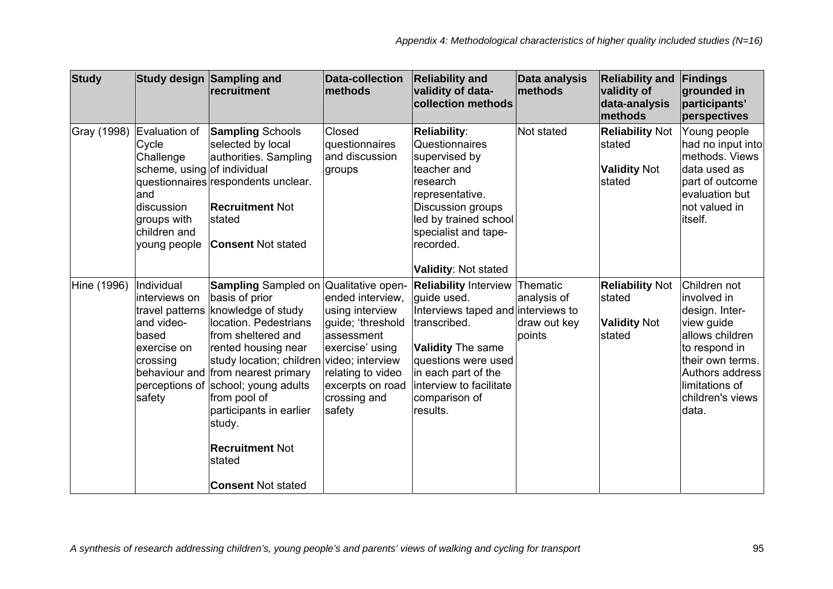| <b>Study</b> |                                                                                                                                        | Study design Sampling and<br><b>recruitment</b>                                                                                                                                                                                                                                                                                                                                                                            | <b>Data-collection</b><br><b>methods</b>                                                                                                                     | <b>Reliability and</b><br>validity of data-<br>collection methods                                                                                                                                                                   | Data analysis<br>methods                          | <b>Reliability and</b><br>validity of<br>data-analysis<br><b>Imethods</b> | Findings<br>grounded in<br>participants'<br>perspectives                                                                                                                              |
|--------------|----------------------------------------------------------------------------------------------------------------------------------------|----------------------------------------------------------------------------------------------------------------------------------------------------------------------------------------------------------------------------------------------------------------------------------------------------------------------------------------------------------------------------------------------------------------------------|--------------------------------------------------------------------------------------------------------------------------------------------------------------|-------------------------------------------------------------------------------------------------------------------------------------------------------------------------------------------------------------------------------------|---------------------------------------------------|---------------------------------------------------------------------------|---------------------------------------------------------------------------------------------------------------------------------------------------------------------------------------|
| Gray (1998)  | Evaluation of<br>Cycle<br>Challenge<br>scheme, using of individual<br>and<br>discussion<br>groups with<br>children and<br>young people | <b>Sampling Schools</b><br>selected by local<br>authorities. Sampling<br>questionnaires respondents unclear.<br><b>Recruitment Not</b><br>Istated<br><b>Consent Not stated</b>                                                                                                                                                                                                                                             | Closed<br>questionnaires<br>and discussion<br>groups                                                                                                         | <b>Reliability:</b><br>Questionnaires<br>supervised by<br>teacher and<br>research<br>representative.<br>Discussion groups<br>led by trained school<br>specialist and tape-<br>recorded.<br><b>Validity: Not stated</b>              | Not stated                                        | <b>Reliability Not</b><br>stated<br><b>Validity Not</b><br>stated         | Young people<br>had no input into<br>methods. Views<br>data used as<br>part of outcome<br>evaluation but<br>not valued in<br>itself.                                                  |
| Hine (1996)  | Individual<br>interviews on<br>and video-<br>based<br>exercise on<br>crossing<br>safety                                                | <b>Sampling</b> Sampled on Qualitative open-<br>basis of prior<br>travel patterns knowledge of study<br>location. Pedestrians<br>from sheltered and<br>rented housing near<br>study location; children video; interview<br>behaviour and from nearest primary<br>perceptions of school; young adults<br>from pool of<br>participants in earlier<br>study.<br><b>Recruitment Not</b><br>stated<br><b>Consent Not stated</b> | ended interview,<br>using interview<br>guide; 'threshold<br>assessment<br>exercise' using<br>relating to video<br>excerpts on road<br>crossing and<br>safety | <b>Reliability Interview</b><br>quide used.<br>Interviews taped and interviews to<br>transcribed.<br><b>Validity The same</b><br>questions were used<br>in each part of the<br>interview to facilitate<br>comparison of<br>results. | Thematic<br>analysis of<br>draw out key<br>points | <b>Reliability Not</b><br>stated<br><b>Validity Not</b><br>stated         | Children not<br>involved in<br>design. Inter-<br>view guide<br>allows children<br>to respond in<br>their own terms.<br>Authors address<br>limitations of<br>children's views<br>data. |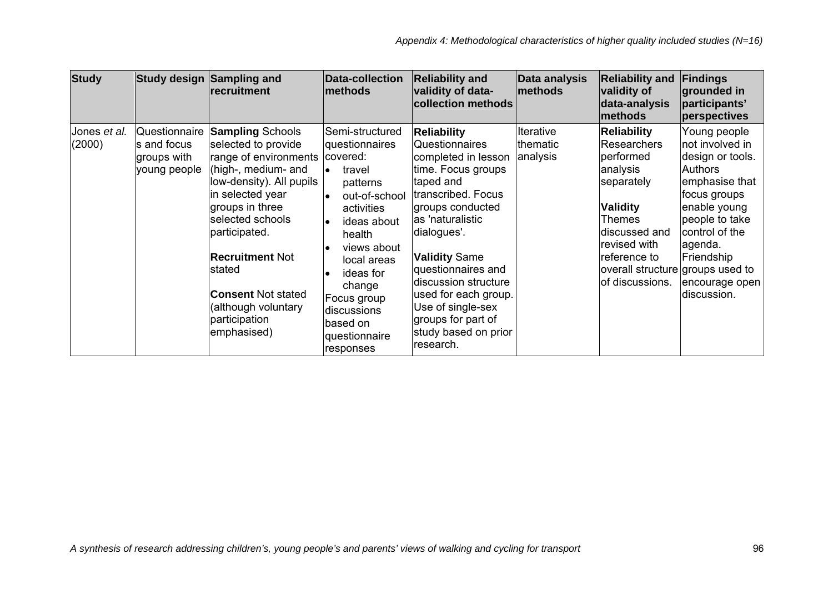| <b>Study</b>           |                                                             | Study design Sampling and<br>recruitment                                                                                                                                                                                                                                                                                        | <b>Data-collection</b><br>methods                                                                                                                                                                                                                               | <b>Reliability and</b><br>validity of data-<br>collection methods                                                                                                                                                                                                                                                                                  | Data analysis<br>methods                 | <b>Reliability and</b><br>validity of<br>data-analysis<br><b>Imethods</b>                                                                                                                                     | Findings<br>grounded in<br>participants'<br>perspectives                                                                                                                                                              |
|------------------------|-------------------------------------------------------------|---------------------------------------------------------------------------------------------------------------------------------------------------------------------------------------------------------------------------------------------------------------------------------------------------------------------------------|-----------------------------------------------------------------------------------------------------------------------------------------------------------------------------------------------------------------------------------------------------------------|----------------------------------------------------------------------------------------------------------------------------------------------------------------------------------------------------------------------------------------------------------------------------------------------------------------------------------------------------|------------------------------------------|---------------------------------------------------------------------------------------------------------------------------------------------------------------------------------------------------------------|-----------------------------------------------------------------------------------------------------------------------------------------------------------------------------------------------------------------------|
| Jones et al.<br>(2000) | Questionnaire<br>s and focus<br>groups with<br>young people | <b>Sampling Schools</b><br>selected to provide<br>range of environments<br>(high-, medium- and<br>low-density). All pupils<br>in selected year<br>groups in three<br>selected schools<br>participated.<br><b>Recruitment Not</b><br>Istated<br><b>Consent Not stated</b><br>(although voluntary<br>participation<br>emphasised) | Semi-structured<br>questionnaires<br>covered:<br>travel<br>le.<br>patterns<br>out-of-school<br>activities<br>ideas about<br>health<br>views about<br>local areas<br>ideas for<br>change<br>Focus group<br>discussions<br>based on<br>questionnaire<br>responses | <b>Reliability</b><br>Questionnaires<br>completed in lesson<br>time. Focus groups<br>taped and<br>transcribed. Focus<br>groups conducted<br>as 'naturalistic<br>dialogues'.<br>Validity Same<br>questionnaires and<br>discussion structure<br>used for each group.<br>Use of single-sex<br>groups for part of<br>study based on prior<br>research. | Iterative<br><b>thematic</b><br>analysis | <b>Reliability</b><br>Researchers<br>performed<br>analysis<br>separately<br><b>Validity</b><br>Themes<br>discussed and<br>revised with<br>reference to<br>overall structure groups used to<br>of discussions. | Young people<br>not involved in<br>design or tools.<br><b>Authors</b><br>emphasise that<br>focus groups<br>enable young<br>people to take<br>control of the<br>agenda.<br>Friendship<br>encourage open<br>discussion. |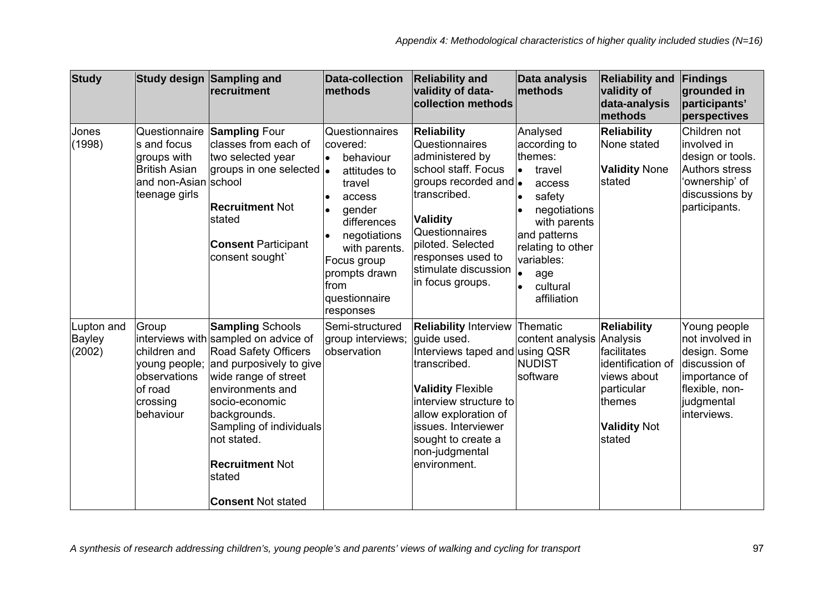| <b>Study</b>                   |                                                                                                              | Study design Sampling and<br>recruitment                                                                                                                                                                                                                                                                           | <b>Data-collection</b><br>methods                                                                                                                                                                                        | <b>Reliability and</b><br>validity of data-<br>collection methods                                                                                                                                                                                                    | Data analysis<br>methods                                                                                                                                                                     | <b>Reliability and</b><br>validity of<br>data-analysis<br>methods                                                              | Findings<br>grounded in<br>participants'<br>perspectives                                                                         |
|--------------------------------|--------------------------------------------------------------------------------------------------------------|--------------------------------------------------------------------------------------------------------------------------------------------------------------------------------------------------------------------------------------------------------------------------------------------------------------------|--------------------------------------------------------------------------------------------------------------------------------------------------------------------------------------------------------------------------|----------------------------------------------------------------------------------------------------------------------------------------------------------------------------------------------------------------------------------------------------------------------|----------------------------------------------------------------------------------------------------------------------------------------------------------------------------------------------|--------------------------------------------------------------------------------------------------------------------------------|----------------------------------------------------------------------------------------------------------------------------------|
| Jones<br>(1998)                | Questionnaire<br>s and focus<br>groups with<br><b>British Asian</b><br>and non-Asian school<br>teenage girls | <b>Sampling Four</b><br>classes from each of<br>two selected year<br>groups in one selected  .<br><b>Recruitment Not</b><br>stated<br><b>Consent Participant</b><br>consent sought`                                                                                                                                | Questionnaires<br>covered:<br>behaviour<br>$\bullet$<br>attitudes to<br>travel<br>access<br>gender<br>differences<br>negotiations<br>with parents.<br>Focus group<br>prompts drawn<br>from<br>questionnaire<br>responses | <b>Reliability</b><br><b>Questionnaires</b><br>administered by<br>school staff. Focus<br>groups recorded and .<br>transcribed.<br><b>Validity</b><br>Questionnaires<br>piloted. Selected<br>responses used to<br>stimulate discussion<br>in focus groups.            | Analysed<br>according to<br>themes:<br>travel<br>lo<br>access<br>safety<br>negotiations<br>with parents<br>and patterns<br>relating to other<br>variables:<br>age<br>cultural<br>affiliation | <b>Reliability</b><br>None stated<br><b>Validity None</b><br>stated                                                            | Children not<br>linvolved in<br>design or tools.<br><b>Authors stress</b><br>'ownership' of<br>discussions by<br>participants.   |
| Lupton and<br>Bayley<br>(2002) | Group<br>children and<br>young people;<br>observations<br>of road<br>crossing<br>behaviour                   | <b>Sampling Schools</b><br>interviews with sampled on advice of<br><b>Road Safety Officers</b><br>and purposively to give<br>wide range of street<br>environments and<br>socio-economic<br>backgrounds.<br>Sampling of individuals<br>not stated.<br><b>Recruitment Not</b><br>stated<br><b>Consent Not stated</b> | Semi-structured<br>group interviews;<br>observation                                                                                                                                                                      | <b>Reliability Interview Thematic</b><br>quide used.<br>Interviews taped and using QSR<br>ltranscribed.<br><b>Validity Flexible</b><br>interview structure to<br>allow exploration of<br>issues. Interviewer<br>sought to create a<br>non-judgmental<br>environment. | content analysis Analysis<br><b>NUDIST</b><br>software                                                                                                                                       | <b>Reliability</b><br>facilitates<br>identification of<br>views about<br>particular<br>themes<br><b>Validity Not</b><br>stated | Young people<br>not involved in<br>design. Some<br>discussion of<br>importance of<br>flexible, non-<br>judgmental<br>interviews. |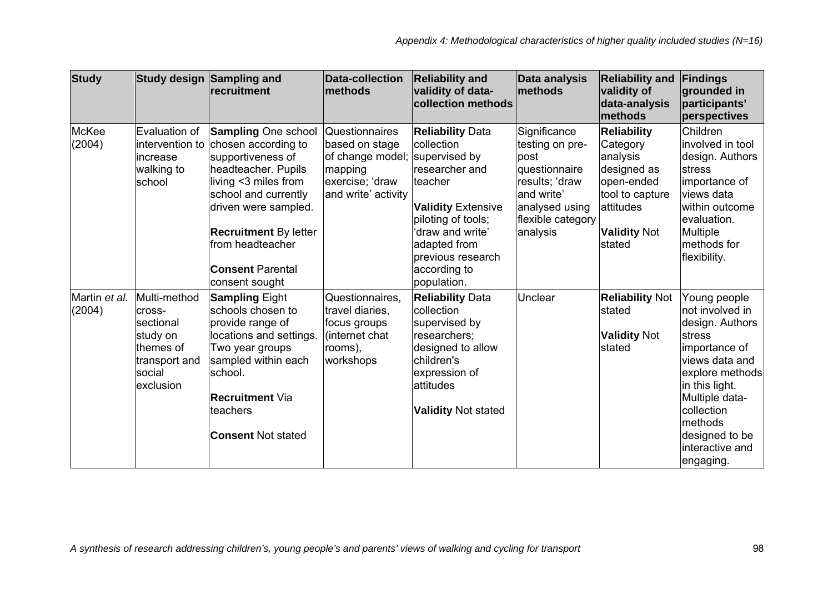| <b>Study</b>            |                                                                                                      | Study design Sampling and<br>recruitment                                                                                                                                                                                                                               | <b>Data-collection</b><br>methods                                                                                              | <b>Reliability and</b><br>validity of data-<br>collection methods                                                                                                                                             | Data analysis<br>methods                                                                                                                    | <b>Reliability and</b><br>validity of<br>data-analysis<br><b>Imethods</b>                                                                | Findings<br>grounded in<br>participants'<br>perspectives                                                                                                                                                                          |
|-------------------------|------------------------------------------------------------------------------------------------------|------------------------------------------------------------------------------------------------------------------------------------------------------------------------------------------------------------------------------------------------------------------------|--------------------------------------------------------------------------------------------------------------------------------|---------------------------------------------------------------------------------------------------------------------------------------------------------------------------------------------------------------|---------------------------------------------------------------------------------------------------------------------------------------------|------------------------------------------------------------------------------------------------------------------------------------------|-----------------------------------------------------------------------------------------------------------------------------------------------------------------------------------------------------------------------------------|
| McKee<br>(2004)         | Evaluation of<br>intervention to<br>lincrease<br>walking to<br>school                                | <b>Sampling One school</b><br>chosen according to<br>supportiveness of<br>headteacher. Pupils<br>living <3 miles from<br>school and currently<br>driven were sampled.<br><b>Recruitment By letter</b><br>from headteacher<br><b>Consent Parental</b><br>consent sought | <b>Questionnaires</b><br>based on stage<br>of change model; supervised by<br>mapping<br>exercise; 'draw<br>and write' activity | <b>Reliability Data</b><br>collection<br>researcher and<br>teacher<br><b>Validity Extensive</b><br>piloting of tools;<br>'draw and write'<br>adapted from<br>previous research<br>according to<br>population. | Significance<br>testing on pre-<br>post<br>questionnaire<br>results; 'draw<br>and write'<br>analysed using<br>flexible category<br>analysis | <b>Reliability</b><br>Category<br>analysis<br>designed as<br>open-ended<br>tool to capture<br>attitudes<br><b>Validity Not</b><br>stated | Children<br>involved in tool<br>design. Authors<br>stress<br>importance of<br>views data<br>within outcome<br>evaluation.<br><b>Multiple</b><br>methods for<br>flexibility.                                                       |
| Martin et al.<br>(2004) | Multi-method<br>cross-<br>sectional<br>study on<br>themes of<br>transport and<br>social<br>exclusion | <b>Sampling Eight</b><br>schools chosen to<br>provide range of<br>locations and settings.<br>Two year groups<br>sampled within each<br>school.<br><b>Recruitment ∨ia</b><br>teachers<br><b>Consent Not stated</b>                                                      | Questionnaires,<br>travel diaries,<br>focus groups<br>(internet chat<br>rooms),<br>workshops                                   | <b>Reliability Data</b><br>collection<br>supervised by<br>researchers:<br>designed to allow<br>children's<br>expression of<br>attitudes<br><b>Validity Not stated</b>                                         | Unclear                                                                                                                                     | <b>Reliability Not</b><br>stated<br><b>Validity Not</b><br>stated                                                                        | Young people<br>not involved in<br>design. Authors<br>stress<br>importance of<br>views data and<br>explore methods<br>in this light.<br>Multiple data-<br>collection<br>methods<br>designed to be<br>interactive and<br>engaging. |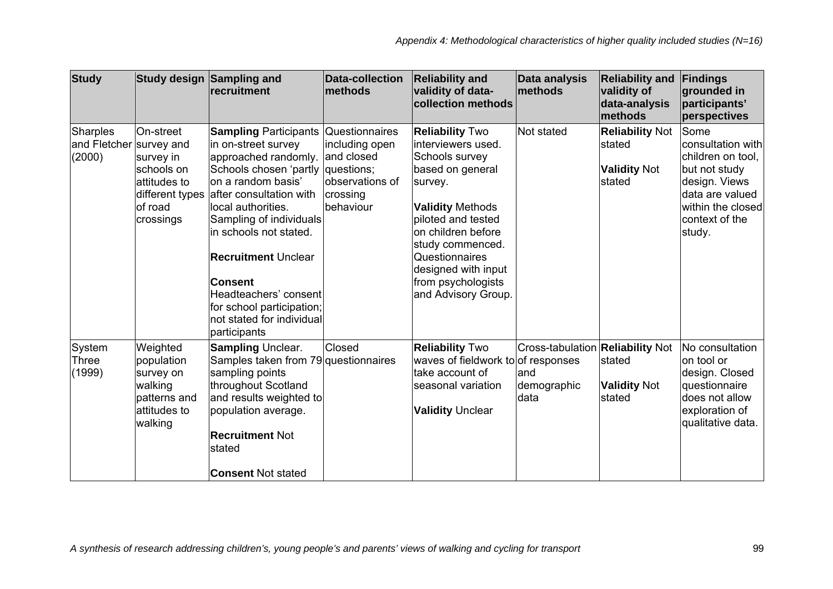| <b>Study</b>                                  |                                                                                            | Study design Sampling and<br><b>recruitment</b>                                                                                                                                                                                                                                                                                                                                                                     | <b>Data-collection</b><br>methods                                                      | <b>Reliability and</b><br>validity of data-<br>collection methods                                                                                                                                                                                                              | Data analysis<br>methods                                       | <b>Reliability and</b><br>validity of<br>data-analysis<br><b>Imethods</b> | Findings<br>grounded in<br>participants'<br>perspectives                                                                                             |
|-----------------------------------------------|--------------------------------------------------------------------------------------------|---------------------------------------------------------------------------------------------------------------------------------------------------------------------------------------------------------------------------------------------------------------------------------------------------------------------------------------------------------------------------------------------------------------------|----------------------------------------------------------------------------------------|--------------------------------------------------------------------------------------------------------------------------------------------------------------------------------------------------------------------------------------------------------------------------------|----------------------------------------------------------------|---------------------------------------------------------------------------|------------------------------------------------------------------------------------------------------------------------------------------------------|
| Sharples<br>and Fletcher survey and<br>(2000) | On-street<br>survey in<br>schools on<br>attitudes to<br>of road<br>crossings               | <b>Sampling Participants Questionnaires</b><br>in on-street survey<br>approached randomly.<br>Schools chosen 'partly<br>on a random basis'<br>different types after consultation with<br>local authorities.<br>Sampling of individuals<br>in schools not stated.<br><b>Recruitment Unclear</b><br><b>Consent</b><br>Headteachers' consent<br>for school participation;<br>not stated for individual<br>participants | including open<br>and closed<br>questions;<br>observations of<br>crossing<br>behaviour | <b>Reliability Two</b><br>interviewers used.<br>Schools survey<br>based on general<br>survey.<br><b>Validity Methods</b><br>piloted and tested<br>on children before<br>study commenced.<br>Questionnaires<br>designed with input<br>from psychologists<br>and Advisory Group. | Not stated                                                     | <b>Reliability Not</b><br>stated<br><b>Validity Not</b><br>Istated        | Some<br>consultation with<br>children on tool,<br>but not study<br>design. Views<br>data are valued<br>within the closed<br>context of the<br>study. |
| System<br>Three<br>(1999)                     | Weighted<br>population<br>survey on<br>walking<br>patterns and<br>lattitudes to<br>walking | <b>Sampling Unclear.</b><br>Samples taken from 79 questionnaires<br>sampling points<br>throughout Scotland<br>and results weighted to<br>population average.<br><b>Recruitment Not</b><br>stated<br><b>Consent Not stated</b>                                                                                                                                                                                       | Closed                                                                                 | <b>Reliability Two</b><br>waves of fieldwork to of responses<br>take account of<br>seasonal variation<br><b>Validity Unclear</b>                                                                                                                                               | Cross-tabulation Reliability Not<br>and<br>demographic<br>data | stated<br><b>Validity Not</b><br>stated                                   | No consultation<br>on tool or<br>design. Closed<br>questionnaire<br>does not allow<br>exploration of<br>qualitative data.                            |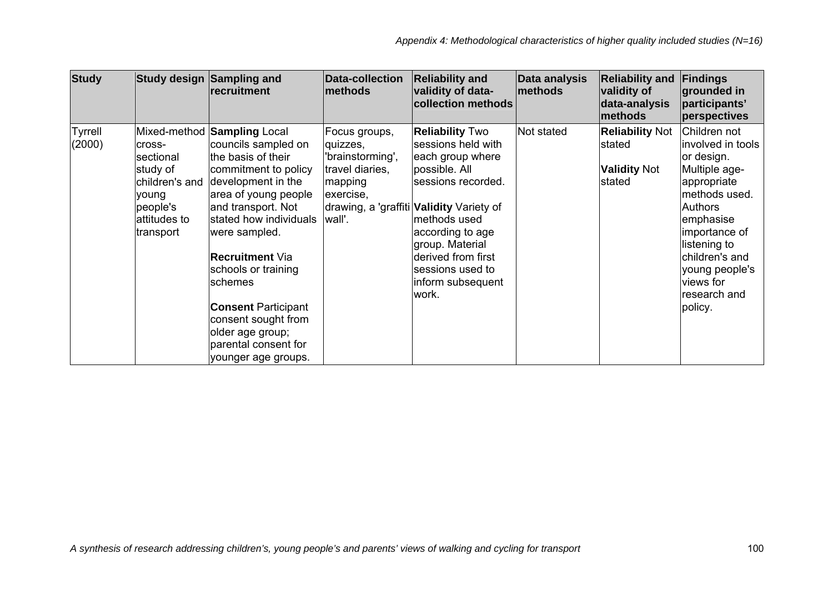| <b>Study</b>                                                                                                   | Study design Sampling and | recruitment                                                                                                                                                                                                                                                                                                                                                                                                | <b>Data-collection</b><br>methods                                                                  | <b>Reliability and</b><br>validity of data-<br>collection methods                                                                                                                                                                                                                         | Data analysis<br>methods | <b>Reliability and</b><br>validity of<br>data-analysis<br>methods | Findings<br>grounded in<br>participants'<br>perspectives                                                                                                                                                                                     |
|----------------------------------------------------------------------------------------------------------------|---------------------------|------------------------------------------------------------------------------------------------------------------------------------------------------------------------------------------------------------------------------------------------------------------------------------------------------------------------------------------------------------------------------------------------------------|----------------------------------------------------------------------------------------------------|-------------------------------------------------------------------------------------------------------------------------------------------------------------------------------------------------------------------------------------------------------------------------------------------|--------------------------|-------------------------------------------------------------------|----------------------------------------------------------------------------------------------------------------------------------------------------------------------------------------------------------------------------------------------|
| <b>Tyrrell</b><br>(2000)<br>lcross-<br>sectional<br>study of<br>young<br>people's<br>attitudes to<br>transport | children's and            | Mixed-method <b>Sampling</b> Local<br>councils sampled on<br>the basis of their<br>commitment to policy<br>development in the<br>area of young people<br>and transport. Not<br>stated how individuals<br>were sampled.<br><b>Recruitment Via</b><br>schools or training<br>schemes<br><b>Consent Participant</b><br>consent sought from<br>older age group;<br>parental consent for<br>younger age groups. | Focus groups,<br>quizzes,<br>'brainstorming',<br>travel diaries,<br>mapping<br>exercise,<br>wall'. | <b>Reliability Two</b><br>sessions held with<br>each group where<br>possible. All<br>sessions recorded.<br>drawing, a 'graffiti <b>Validity</b> Variety of<br>methods used<br>according to age<br>group. Material<br>derived from first<br>sessions used to<br>inform subsequent<br>work. | Not stated               | <b>Reliability Not</b><br>stated<br><b>Validity Not</b><br>stated | Children not<br>involved in tools<br>or design.<br>Multiple age-<br>appropriate<br>methods used.<br><b>Authors</b><br>emphasise<br>importance of<br>listening to<br>children's and<br>young people's<br>views for<br>research and<br>policy. |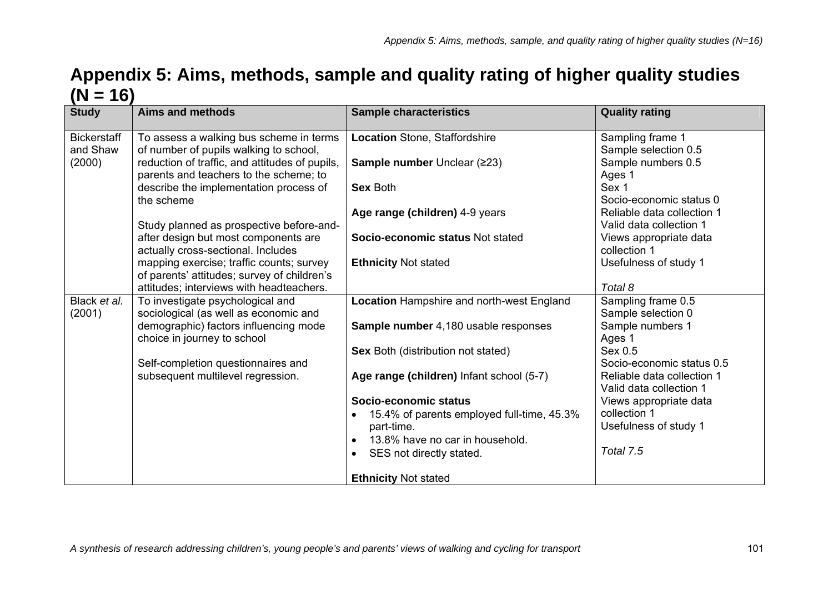## **Appendix 5: Aims, methods, sample and quality rating of higher quality studies**   $(N = 16)$

| <b>Study</b>                   | <b>Aims and methods</b>                                                                  | <b>Sample characteristics</b>                            | <b>Quality rating</b>                                 |
|--------------------------------|------------------------------------------------------------------------------------------|----------------------------------------------------------|-------------------------------------------------------|
| <b>Bickerstaff</b><br>and Shaw | To assess a walking bus scheme in terms<br>of number of pupils walking to school,        | Location Stone, Staffordshire                            | Sampling frame 1<br>Sample selection 0.5              |
| (2000)                         | reduction of traffic, and attitudes of pupils,<br>parents and teachers to the scheme; to | Sample number Unclear (≥23)                              | Sample numbers 0.5<br>Ages 1                          |
|                                | describe the implementation process of<br>the scheme                                     | <b>Sex Both</b>                                          | Sex 1<br>Socio-economic status 0                      |
|                                | Study planned as prospective before-and-                                                 | Age range (children) 4-9 years                           | Reliable data collection 1<br>Valid data collection 1 |
|                                | after design but most components are<br>actually cross-sectional. Includes               | Socio-economic status Not stated                         | Views appropriate data<br>collection 1                |
|                                | mapping exercise; traffic counts; survey<br>of parents' attitudes; survey of children's  | <b>Ethnicity Not stated</b>                              | Usefulness of study 1                                 |
|                                | attitudes; interviews with headteachers.                                                 |                                                          | Total 8                                               |
| Black et al.<br>(2001)         | To investigate psychological and<br>sociological (as well as economic and                | Location Hampshire and north-west England                | Sampling frame 0.5<br>Sample selection 0              |
|                                | demographic) factors influencing mode<br>choice in journey to school                     | Sample number 4,180 usable responses                     | Sample numbers 1<br>Ages 1                            |
|                                | Self-completion questionnaires and                                                       | Sex Both (distribution not stated)                       | Sex 0.5<br>Socio-economic status 0.5                  |
|                                | subsequent multilevel regression.                                                        | Age range (children) Infant school (5-7)                 | Reliable data collection 1<br>Valid data collection 1 |
|                                |                                                                                          | Socio-economic status                                    | Views appropriate data                                |
|                                |                                                                                          | 15.4% of parents employed full-time, 45.3%<br>part-time. | collection 1<br>Usefulness of study 1                 |
|                                |                                                                                          | 13.8% have no car in household.                          |                                                       |
|                                |                                                                                          | SES not directly stated.                                 | Total 7.5                                             |
|                                |                                                                                          | <b>Ethnicity Not stated</b>                              |                                                       |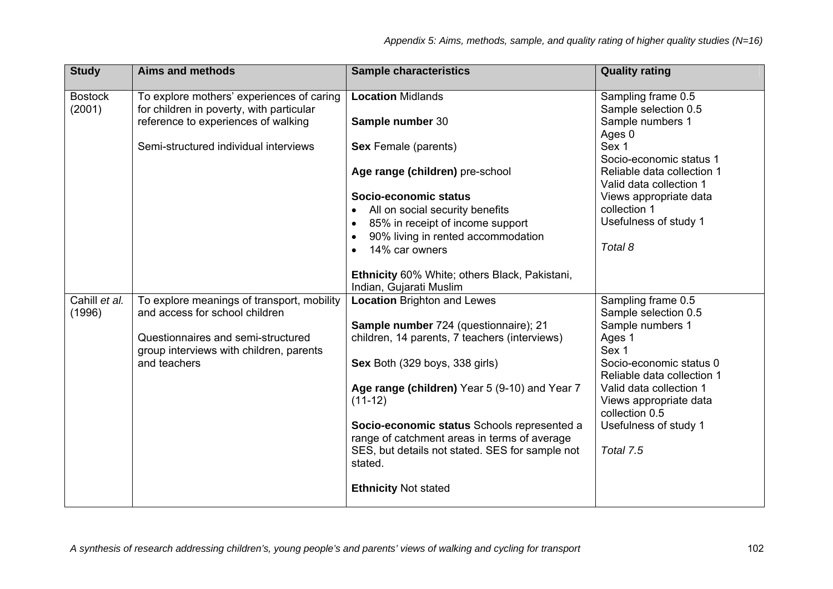| <b>Study</b>             | <b>Aims and methods</b>                                                               | <b>Sample characteristics</b>                              | <b>Quality rating</b>                                 |
|--------------------------|---------------------------------------------------------------------------------------|------------------------------------------------------------|-------------------------------------------------------|
| <b>Bostock</b><br>(2001) | To explore mothers' experiences of caring<br>for children in poverty, with particular | <b>Location Midlands</b>                                   | Sampling frame 0.5<br>Sample selection 0.5            |
|                          | reference to experiences of walking                                                   | Sample number 30                                           | Sample numbers 1<br>Ages 0                            |
|                          | Semi-structured individual interviews                                                 | <b>Sex Female (parents)</b>                                | Sex 1<br>Socio-economic status 1                      |
|                          |                                                                                       | Age range (children) pre-school                            | Reliable data collection 1<br>Valid data collection 1 |
|                          |                                                                                       | Socio-economic status                                      | Views appropriate data                                |
|                          |                                                                                       | All on social security benefits                            | collection 1                                          |
|                          |                                                                                       | 85% in receipt of income support                           | Usefulness of study 1                                 |
|                          |                                                                                       | 90% living in rented accommodation<br>$\bullet$            |                                                       |
|                          |                                                                                       | 14% car owners                                             | Total 8                                               |
|                          |                                                                                       | Ethnicity 60% White; others Black, Pakistani,              |                                                       |
|                          |                                                                                       | Indian, Gujarati Muslim                                    |                                                       |
| Cahill et al.<br>(1996)  | To explore meanings of transport, mobility<br>and access for school children          | <b>Location Brighton and Lewes</b>                         | Sampling frame 0.5<br>Sample selection 0.5            |
|                          |                                                                                       | Sample number 724 (questionnaire); 21                      | Sample numbers 1                                      |
|                          | Questionnaires and semi-structured                                                    | children, 14 parents, 7 teachers (interviews)              | Ages 1                                                |
|                          | group interviews with children, parents                                               |                                                            | Sex 1                                                 |
|                          | and teachers                                                                          | Sex Both (329 boys, 338 girls)                             | Socio-economic status 0                               |
|                          |                                                                                       |                                                            | Reliable data collection 1                            |
|                          |                                                                                       | Age range (children) Year 5 (9-10) and Year 7              | Valid data collection 1                               |
|                          |                                                                                       | $(11-12)$                                                  | Views appropriate data<br>collection 0.5              |
|                          |                                                                                       | Socio-economic status Schools represented a                | Usefulness of study 1                                 |
|                          |                                                                                       | range of catchment areas in terms of average               |                                                       |
|                          |                                                                                       | SES, but details not stated. SES for sample not<br>stated. | Total 7.5                                             |
|                          |                                                                                       | <b>Ethnicity Not stated</b>                                |                                                       |
|                          |                                                                                       |                                                            |                                                       |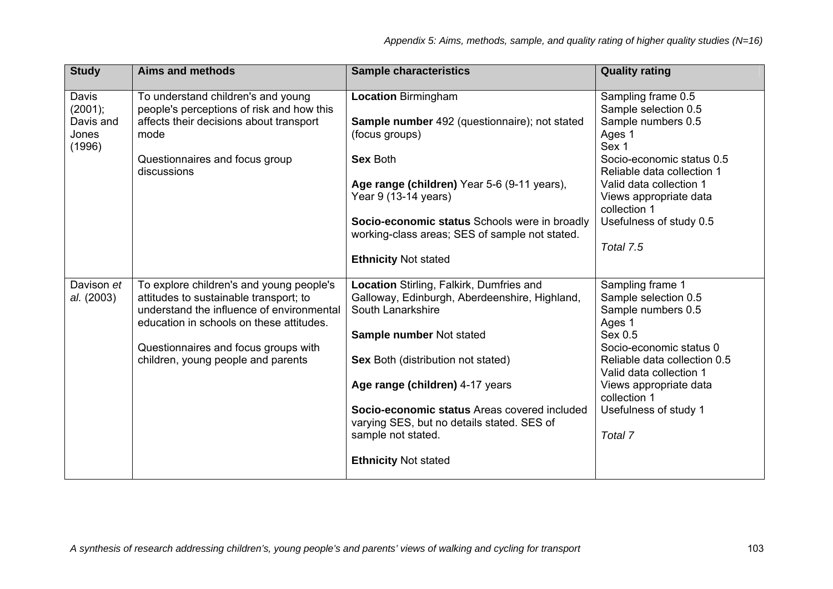| <b>Study</b>                                     | <b>Aims and methods</b>                                                                                                                                                                                                                                   | <b>Sample characteristics</b>                                                                                                                                                                                                                                                                                                                                          | <b>Quality rating</b>                                                                                                                                                                                                                                   |
|--------------------------------------------------|-----------------------------------------------------------------------------------------------------------------------------------------------------------------------------------------------------------------------------------------------------------|------------------------------------------------------------------------------------------------------------------------------------------------------------------------------------------------------------------------------------------------------------------------------------------------------------------------------------------------------------------------|---------------------------------------------------------------------------------------------------------------------------------------------------------------------------------------------------------------------------------------------------------|
| Davis<br>(2001);<br>Davis and<br>Jones<br>(1996) | To understand children's and young<br>people's perceptions of risk and how this<br>affects their decisions about transport<br>mode<br>Questionnaires and focus group<br>discussions                                                                       | <b>Location Birmingham</b><br><b>Sample number</b> 492 (questionnaire); not stated<br>(focus groups)<br><b>Sex Both</b><br>Age range (children) Year 5-6 (9-11 years),                                                                                                                                                                                                 | Sampling frame 0.5<br>Sample selection 0.5<br>Sample numbers 0.5<br>Ages 1<br>Sex 1<br>Socio-economic status 0.5<br>Reliable data collection 1<br>Valid data collection 1                                                                               |
|                                                  |                                                                                                                                                                                                                                                           | Year 9 (13-14 years)<br>Socio-economic status Schools were in broadly<br>working-class areas; SES of sample not stated.<br><b>Ethnicity Not stated</b>                                                                                                                                                                                                                 | Views appropriate data<br>collection 1<br>Usefulness of study 0.5<br>Total 7.5                                                                                                                                                                          |
| Davison et<br>al. (2003)                         | To explore children's and young people's<br>attitudes to sustainable transport; to<br>understand the influence of environmental<br>education in schools on these attitudes.<br>Questionnaires and focus groups with<br>children, young people and parents | Location Stirling, Falkirk, Dumfries and<br>Galloway, Edinburgh, Aberdeenshire, Highland,<br>South Lanarkshire<br>Sample number Not stated<br>Sex Both (distribution not stated)<br>Age range (children) 4-17 years<br>Socio-economic status Areas covered included<br>varying SES, but no details stated. SES of<br>sample not stated.<br><b>Ethnicity Not stated</b> | Sampling frame 1<br>Sample selection 0.5<br>Sample numbers 0.5<br>Ages 1<br>Sex 0.5<br>Socio-economic status 0<br>Reliable data collection 0.5<br>Valid data collection 1<br>Views appropriate data<br>collection 1<br>Usefulness of study 1<br>Total 7 |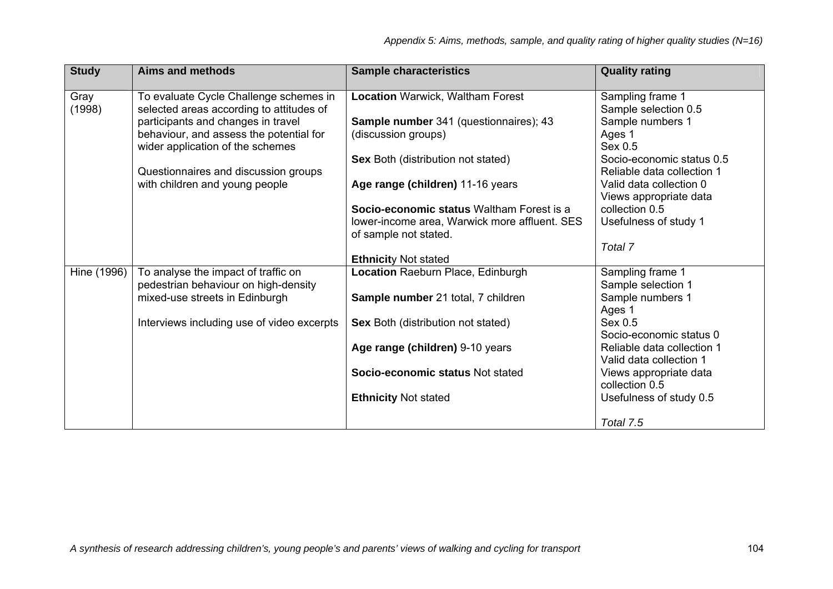| <b>Study</b> | <b>Aims and methods</b>                    | <b>Sample characteristics</b>                 | <b>Quality rating</b>      |
|--------------|--------------------------------------------|-----------------------------------------------|----------------------------|
| Gray         | To evaluate Cycle Challenge schemes in     | <b>Location Warwick, Waltham Forest</b>       | Sampling frame 1           |
| (1998)       | selected areas according to attitudes of   |                                               | Sample selection 0.5       |
|              | participants and changes in travel         | <b>Sample number</b> 341 (questionnaires); 43 | Sample numbers 1           |
|              | behaviour, and assess the potential for    | (discussion groups)                           | Ages 1                     |
|              | wider application of the schemes           |                                               | Sex 0.5                    |
|              |                                            | Sex Both (distribution not stated)            | Socio-economic status 0.5  |
|              | Questionnaires and discussion groups       |                                               | Reliable data collection 1 |
|              | with children and young people             | Age range (children) 11-16 years              | Valid data collection 0    |
|              |                                            |                                               | Views appropriate data     |
|              |                                            | Socio-economic status Waltham Forest is a     | collection 0.5             |
|              |                                            | lower-income area, Warwick more affluent. SES | Usefulness of study 1      |
|              |                                            | of sample not stated.                         |                            |
|              |                                            |                                               | Total 7                    |
|              |                                            | <b>Ethnicity Not stated</b>                   |                            |
| Hine (1996)  | To analyse the impact of traffic on        | Location Raeburn Place, Edinburgh             | Sampling frame 1           |
|              | pedestrian behaviour on high-density       |                                               | Sample selection 1         |
|              | mixed-use streets in Edinburgh             | Sample number 21 total, 7 children            | Sample numbers 1           |
|              |                                            |                                               | Ages 1                     |
|              | Interviews including use of video excerpts | <b>Sex Both (distribution not stated)</b>     | Sex 0.5                    |
|              |                                            |                                               | Socio-economic status 0    |
|              |                                            | Age range (children) 9-10 years               | Reliable data collection 1 |
|              |                                            |                                               | Valid data collection 1    |
|              |                                            | Socio-economic status Not stated              | Views appropriate data     |
|              |                                            |                                               | collection 0.5             |
|              |                                            | <b>Ethnicity Not stated</b>                   | Usefulness of study 0.5    |
|              |                                            |                                               | Total 7.5                  |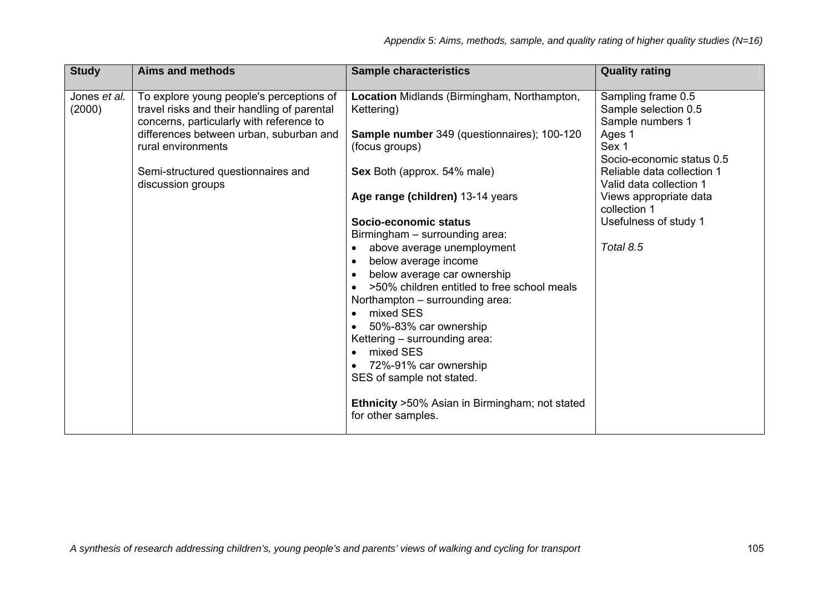| <b>Study</b>           | <b>Aims and methods</b>                                                                                                             | <b>Sample characteristics</b>                                                   | <b>Quality rating</b>                                          |
|------------------------|-------------------------------------------------------------------------------------------------------------------------------------|---------------------------------------------------------------------------------|----------------------------------------------------------------|
| Jones et al.<br>(2000) | To explore young people's perceptions of<br>travel risks and their handling of parental<br>concerns, particularly with reference to | Location Midlands (Birmingham, Northampton,<br>Kettering)                       | Sampling frame 0.5<br>Sample selection 0.5<br>Sample numbers 1 |
|                        | differences between urban, suburban and<br>rural environments                                                                       | Sample number 349 (questionnaires); 100-120<br>(focus groups)                   | Ages 1<br>Sex 1<br>Socio-economic status 0.5                   |
|                        | Semi-structured questionnaires and<br>discussion groups                                                                             | Sex Both (approx. 54% male)                                                     | Reliable data collection 1<br>Valid data collection 1          |
|                        |                                                                                                                                     | Age range (children) 13-14 years                                                | Views appropriate data<br>collection 1                         |
|                        |                                                                                                                                     | Socio-economic status<br>Birmingham - surrounding area:                         | Usefulness of study 1                                          |
|                        |                                                                                                                                     | above average unemployment<br>below average income                              | Total 8.5                                                      |
|                        |                                                                                                                                     | below average car ownership<br>>50% children entitled to free school meals      |                                                                |
|                        |                                                                                                                                     | Northampton - surrounding area:<br>mixed SES                                    |                                                                |
|                        |                                                                                                                                     | 50%-83% car ownership                                                           |                                                                |
|                        |                                                                                                                                     | Kettering - surrounding area:<br>mixed SES                                      |                                                                |
|                        |                                                                                                                                     | 72%-91% car ownership<br>SES of sample not stated.                              |                                                                |
|                        |                                                                                                                                     | <b>Ethnicity &gt; 50% Asian in Birmingham; not stated</b><br>for other samples. |                                                                |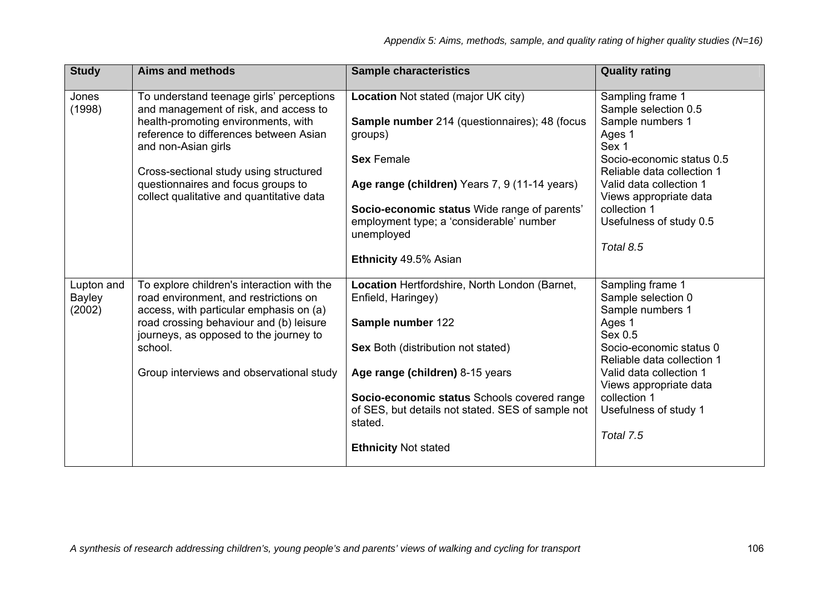| <b>Study</b>                          | <b>Aims and methods</b>                                                                                                                                                                                                                                                                                                | <b>Sample characteristics</b>                                                                                                                                                                                                                                                                                          | <b>Quality rating</b>                                                                                                                                                                                                                                   |
|---------------------------------------|------------------------------------------------------------------------------------------------------------------------------------------------------------------------------------------------------------------------------------------------------------------------------------------------------------------------|------------------------------------------------------------------------------------------------------------------------------------------------------------------------------------------------------------------------------------------------------------------------------------------------------------------------|---------------------------------------------------------------------------------------------------------------------------------------------------------------------------------------------------------------------------------------------------------|
| Jones<br>(1998)                       | To understand teenage girls' perceptions<br>and management of risk, and access to<br>health-promoting environments, with<br>reference to differences between Asian<br>and non-Asian girls<br>Cross-sectional study using structured<br>questionnaires and focus groups to<br>collect qualitative and quantitative data | Location Not stated (major UK city)<br><b>Sample number</b> 214 (questionnaires); 48 (focus<br>groups)<br><b>Sex Female</b><br>Age range (children) Years 7, 9 (11-14 years)<br>Socio-economic status Wide range of parents'<br>employment type; a 'considerable' number<br>unemployed<br>Ethnicity 49.5% Asian        | Sampling frame 1<br>Sample selection 0.5<br>Sample numbers 1<br>Ages 1<br>Sex 1<br>Socio-economic status 0.5<br>Reliable data collection 1<br>Valid data collection 1<br>Views appropriate data<br>collection 1<br>Usefulness of study 0.5<br>Total 8.5 |
| Lupton and<br><b>Bayley</b><br>(2002) | To explore children's interaction with the<br>road environment, and restrictions on<br>access, with particular emphasis on (a)<br>road crossing behaviour and (b) leisure<br>journeys, as opposed to the journey to<br>school.<br>Group interviews and observational study                                             | Location Hertfordshire, North London (Barnet,<br>Enfield, Haringey)<br>Sample number 122<br><b>Sex Both (distribution not stated)</b><br>Age range (children) 8-15 years<br>Socio-economic status Schools covered range<br>of SES, but details not stated. SES of sample not<br>stated.<br><b>Ethnicity Not stated</b> | Sampling frame 1<br>Sample selection 0<br>Sample numbers 1<br>Ages 1<br>Sex 0.5<br>Socio-economic status 0<br>Reliable data collection 1<br>Valid data collection 1<br>Views appropriate data<br>collection 1<br>Usefulness of study 1<br>Total 7.5     |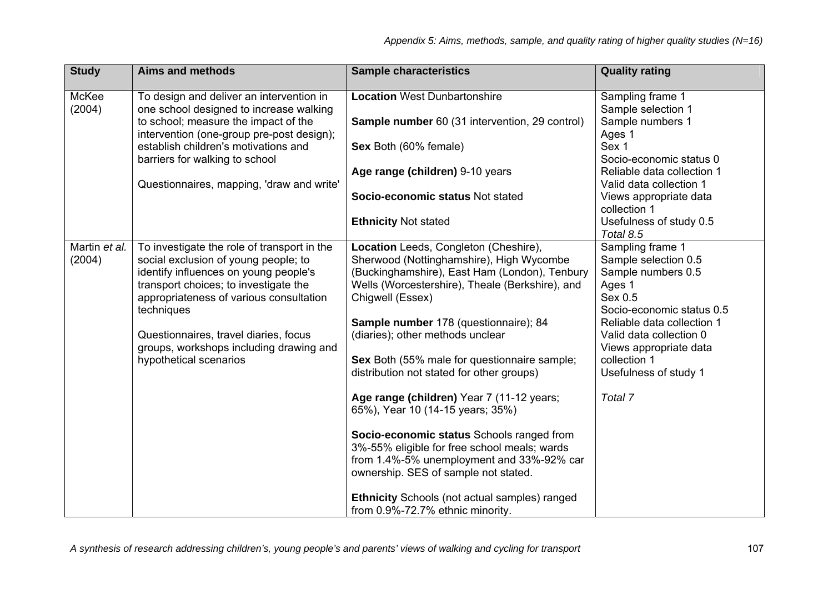| <b>Study</b>            | <b>Aims and methods</b>                                                                                                                                                                                                                                                                                                                      | <b>Sample characteristics</b>                                                                                                                                                                                                                                                                                                                                                                                                                                                                                                                                                                                                                                                                                                                      | <b>Quality rating</b>                                                                                                                                                                                                                                   |
|-------------------------|----------------------------------------------------------------------------------------------------------------------------------------------------------------------------------------------------------------------------------------------------------------------------------------------------------------------------------------------|----------------------------------------------------------------------------------------------------------------------------------------------------------------------------------------------------------------------------------------------------------------------------------------------------------------------------------------------------------------------------------------------------------------------------------------------------------------------------------------------------------------------------------------------------------------------------------------------------------------------------------------------------------------------------------------------------------------------------------------------------|---------------------------------------------------------------------------------------------------------------------------------------------------------------------------------------------------------------------------------------------------------|
| McKee<br>(2004)         | To design and deliver an intervention in<br>one school designed to increase walking                                                                                                                                                                                                                                                          | <b>Location West Dunbartonshire</b>                                                                                                                                                                                                                                                                                                                                                                                                                                                                                                                                                                                                                                                                                                                | Sampling frame 1<br>Sample selection 1                                                                                                                                                                                                                  |
|                         | to school; measure the impact of the<br>intervention (one-group pre-post design);                                                                                                                                                                                                                                                            | Sample number 60 (31 intervention, 29 control)                                                                                                                                                                                                                                                                                                                                                                                                                                                                                                                                                                                                                                                                                                     | Sample numbers 1<br>Ages 1                                                                                                                                                                                                                              |
|                         | establish children's motivations and<br>barriers for walking to school                                                                                                                                                                                                                                                                       | Sex Both (60% female)                                                                                                                                                                                                                                                                                                                                                                                                                                                                                                                                                                                                                                                                                                                              | Sex 1<br>Socio-economic status 0                                                                                                                                                                                                                        |
|                         | Questionnaires, mapping, 'draw and write'                                                                                                                                                                                                                                                                                                    | Age range (children) 9-10 years                                                                                                                                                                                                                                                                                                                                                                                                                                                                                                                                                                                                                                                                                                                    | Reliable data collection 1<br>Valid data collection 1                                                                                                                                                                                                   |
|                         |                                                                                                                                                                                                                                                                                                                                              | Socio-economic status Not stated                                                                                                                                                                                                                                                                                                                                                                                                                                                                                                                                                                                                                                                                                                                   | Views appropriate data<br>collection 1                                                                                                                                                                                                                  |
|                         |                                                                                                                                                                                                                                                                                                                                              | <b>Ethnicity Not stated</b>                                                                                                                                                                                                                                                                                                                                                                                                                                                                                                                                                                                                                                                                                                                        | Usefulness of study 0.5<br>Total 8.5                                                                                                                                                                                                                    |
| Martin et al.<br>(2004) | To investigate the role of transport in the<br>social exclusion of young people; to<br>identify influences on young people's<br>transport choices; to investigate the<br>appropriateness of various consultation<br>techniques<br>Questionnaires, travel diaries, focus<br>groups, workshops including drawing and<br>hypothetical scenarios | Location Leeds, Congleton (Cheshire),<br>Sherwood (Nottinghamshire), High Wycombe<br>(Buckinghamshire), East Ham (London), Tenbury<br>Wells (Worcestershire), Theale (Berkshire), and<br>Chigwell (Essex)<br><b>Sample number</b> 178 (questionnaire); 84<br>(diaries); other methods unclear<br>Sex Both (55% male for questionnaire sample;<br>distribution not stated for other groups)<br>Age range (children) Year 7 (11-12 years;<br>65%), Year 10 (14-15 years; 35%)<br>Socio-economic status Schools ranged from<br>3%-55% eligible for free school meals; wards<br>from 1.4%-5% unemployment and 33%-92% car<br>ownership. SES of sample not stated.<br>Ethnicity Schools (not actual samples) ranged<br>from 0.9%-72.7% ethnic minority. | Sampling frame 1<br>Sample selection 0.5<br>Sample numbers 0.5<br>Ages 1<br>Sex 0.5<br>Socio-economic status 0.5<br>Reliable data collection 1<br>Valid data collection 0<br>Views appropriate data<br>collection 1<br>Usefulness of study 1<br>Total 7 |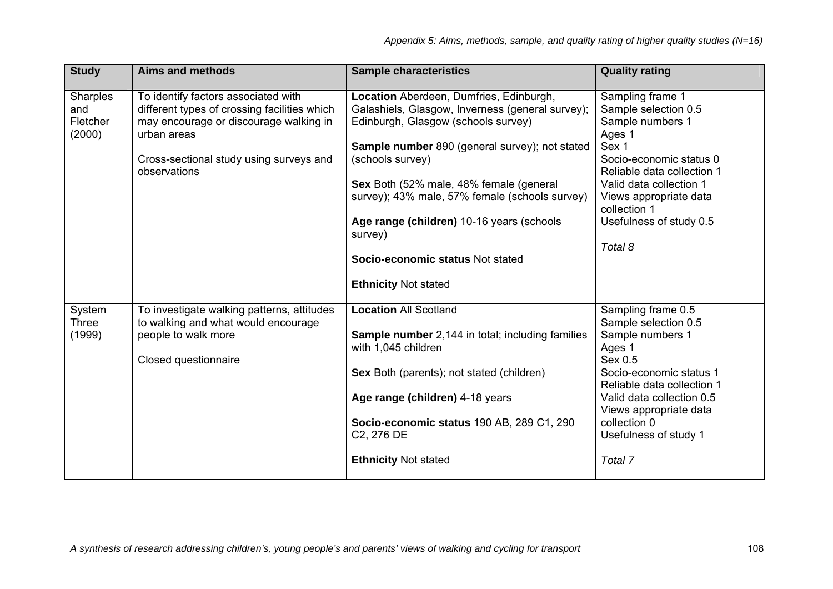| <b>Study</b>    | <b>Aims and methods</b>                                 | <b>Sample characteristics</b>                                             | <b>Quality rating</b>            |
|-----------------|---------------------------------------------------------|---------------------------------------------------------------------------|----------------------------------|
|                 |                                                         |                                                                           |                                  |
| <b>Sharples</b> | To identify factors associated with                     | Location Aberdeen, Dumfries, Edinburgh,                                   | Sampling frame 1                 |
| and             | different types of crossing facilities which            | Galashiels, Glasgow, Inverness (general survey);                          | Sample selection 0.5             |
| Fletcher        | may encourage or discourage walking in                  | Edinburgh, Glasgow (schools survey)                                       | Sample numbers 1                 |
| (2000)          | urban areas                                             |                                                                           | Ages 1                           |
|                 |                                                         | <b>Sample number</b> 890 (general survey); not stated<br>(schools survey) | Sex 1<br>Socio-economic status 0 |
|                 | Cross-sectional study using surveys and<br>observations |                                                                           | Reliable data collection 1       |
|                 |                                                         | Sex Both (52% male, 48% female (general                                   | Valid data collection 1          |
|                 |                                                         | survey); 43% male, 57% female (schools survey)                            | Views appropriate data           |
|                 |                                                         |                                                                           | collection 1                     |
|                 |                                                         | Age range (children) 10-16 years (schools                                 | Usefulness of study 0.5          |
|                 |                                                         | survey)                                                                   |                                  |
|                 |                                                         |                                                                           | Total 8                          |
|                 |                                                         | Socio-economic status Not stated                                          |                                  |
|                 |                                                         |                                                                           |                                  |
|                 |                                                         | <b>Ethnicity Not stated</b>                                               |                                  |
|                 |                                                         |                                                                           |                                  |
| System          | To investigate walking patterns, attitudes              | <b>Location All Scotland</b>                                              | Sampling frame 0.5               |
| <b>Three</b>    | to walking and what would encourage                     |                                                                           | Sample selection 0.5             |
| (1999)          | people to walk more                                     | <b>Sample number</b> 2,144 in total; including families                   | Sample numbers 1                 |
|                 |                                                         | with 1,045 children                                                       | Ages 1<br>Sex 0.5                |
|                 | Closed questionnaire                                    | Sex Both (parents); not stated (children)                                 | Socio-economic status 1          |
|                 |                                                         |                                                                           | Reliable data collection 1       |
|                 |                                                         | Age range (children) 4-18 years                                           | Valid data collection 0.5        |
|                 |                                                         |                                                                           | Views appropriate data           |
|                 |                                                         | Socio-economic status 190 AB, 289 C1, 290                                 | collection 0                     |
|                 |                                                         | C2, 276 DE                                                                | Usefulness of study 1            |
|                 |                                                         |                                                                           |                                  |
|                 |                                                         | <b>Ethnicity Not stated</b>                                               | Total 7                          |
|                 |                                                         |                                                                           |                                  |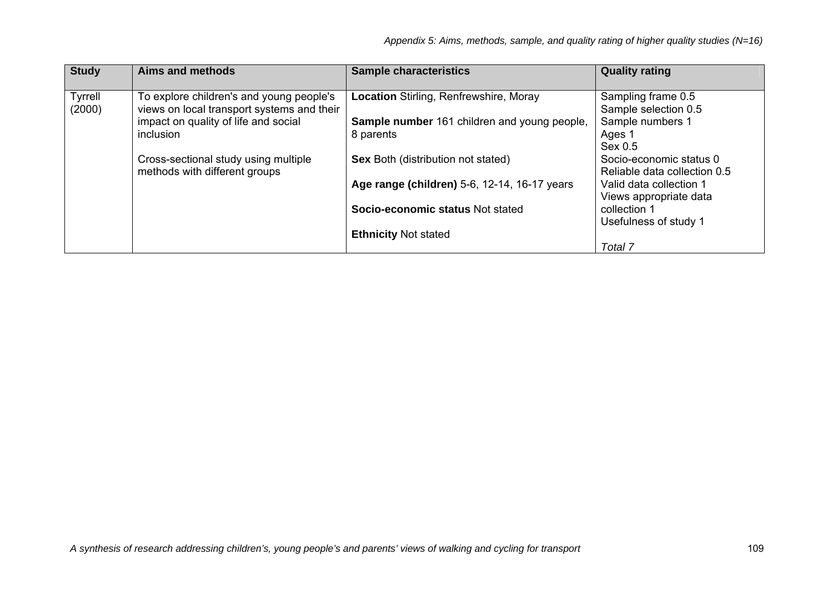| <b>Study</b>      | Aims and methods                                                                       | <b>Sample characteristics</b>                                    | <b>Quality rating</b>                                   |
|-------------------|----------------------------------------------------------------------------------------|------------------------------------------------------------------|---------------------------------------------------------|
| Tyrrell<br>(2000) | To explore children's and young people's<br>views on local transport systems and their | <b>Location Stirling, Renfrewshire, Moray</b>                    | Sampling frame 0.5<br>Sample selection 0.5              |
|                   | impact on quality of life and social<br>inclusion                                      | <b>Sample number</b> 161 children and young people,<br>8 parents | Sample numbers 1<br>Ages 1<br>Sex 0.5                   |
|                   | Cross-sectional study using multiple<br>methods with different groups                  | <b>Sex Both (distribution not stated)</b>                        | Socio-economic status 0<br>Reliable data collection 0.5 |
|                   |                                                                                        | Age range (children) 5-6, 12-14, 16-17 years                     | Valid data collection 1<br>Views appropriate data       |
|                   |                                                                                        | Socio-economic status Not stated                                 | collection 1<br>Usefulness of study 1                   |
|                   |                                                                                        | <b>Ethnicity Not stated</b>                                      | Total 7                                                 |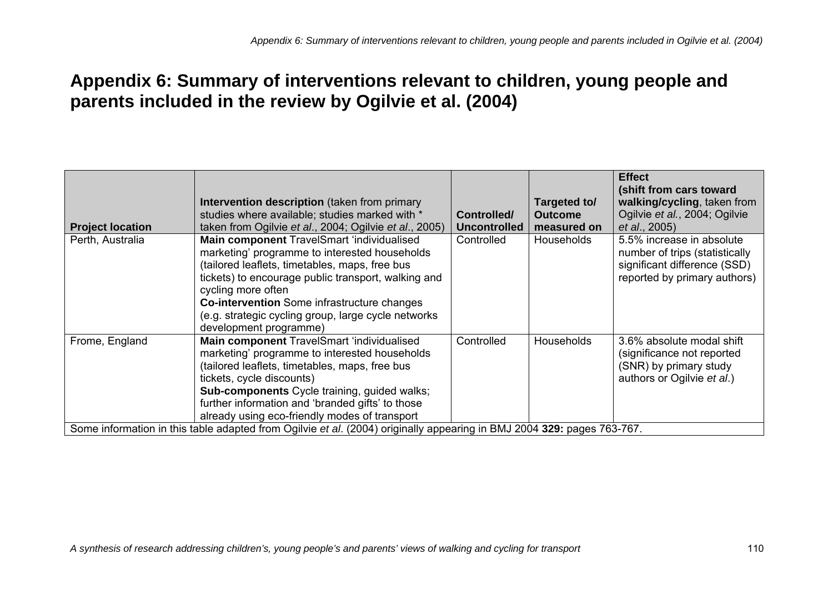## **Appendix 6: Summary of interventions relevant to children, young people and parents included in the review by Ogilvie et al. (2004)**

| Intervention description (taken from primary<br>studies where available; studies marked with *<br>taken from Ogilvie et al., 2004; Ogilvie et al., 2005)                                                                                                                                                                                                          | Controlled/<br><b>Uncontrolled</b> | Targeted to/<br><b>Outcome</b><br>measured on | <b>Effect</b><br>(shift from cars toward<br>walking/cycling, taken from<br>Ogilvie et al., 2004; Ogilvie<br>et al., 2005)   |
|-------------------------------------------------------------------------------------------------------------------------------------------------------------------------------------------------------------------------------------------------------------------------------------------------------------------------------------------------------------------|------------------------------------|-----------------------------------------------|-----------------------------------------------------------------------------------------------------------------------------|
| Main component TravelSmart 'individualised<br>marketing' programme to interested households<br>(tailored leaflets, timetables, maps, free bus<br>tickets) to encourage public transport, walking and<br>cycling more often<br><b>Co-intervention</b> Some infrastructure changes<br>(e.g. strategic cycling group, large cycle networks<br>development programme) | Controlled                         | Households                                    | 5.5% increase in absolute<br>number of trips (statistically<br>significant difference (SSD)<br>reported by primary authors) |
| Main component TravelSmart 'individualised<br>marketing' programme to interested households<br>(tailored leaflets, timetables, maps, free bus<br>tickets, cycle discounts)<br><b>Sub-components</b> Cycle training, guided walks;<br>further information and 'branded gifts' to those<br>already using eco-friendly modes of transport                            | Controlled                         | Households                                    | 3.6% absolute modal shift<br>(significance not reported<br>(SNR) by primary study<br>authors or Ogilvie et al.)             |
|                                                                                                                                                                                                                                                                                                                                                                   |                                    |                                               | Some information in this table adapted from Ogilvie et al. (2004) originally appearing in BMJ 2004 329: pages 763-767.      |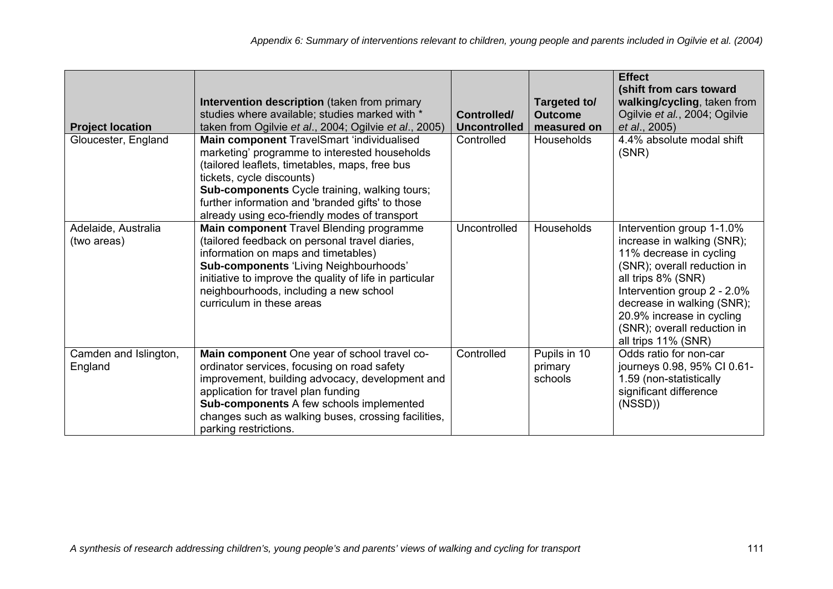| <b>Project location</b>            | Intervention description (taken from primary<br>studies where available; studies marked with *<br>taken from Ogilvie et al., 2004; Ogilvie et al., 2005)                                                                                                                                                                                | Controlled/<br><b>Uncontrolled</b> | Targeted to/<br><b>Outcome</b><br>measured on | <b>Effect</b><br>(shift from cars toward<br>walking/cycling, taken from<br>Ogilvie et al., 2004; Ogilvie<br>et al., 2005)                                                                                                                                                               |
|------------------------------------|-----------------------------------------------------------------------------------------------------------------------------------------------------------------------------------------------------------------------------------------------------------------------------------------------------------------------------------------|------------------------------------|-----------------------------------------------|-----------------------------------------------------------------------------------------------------------------------------------------------------------------------------------------------------------------------------------------------------------------------------------------|
| Gloucester, England                | Main component TravelSmart 'individualised<br>marketing' programme to interested households<br>(tailored leaflets, timetables, maps, free bus<br>tickets, cycle discounts)<br><b>Sub-components</b> Cycle training, walking tours;<br>further information and 'branded gifts' to those<br>already using eco-friendly modes of transport | Controlled                         | Households                                    | 4.4% absolute modal shift<br>(SNR)                                                                                                                                                                                                                                                      |
| Adelaide, Australia<br>(two areas) | Main component Travel Blending programme<br>(tailored feedback on personal travel diaries,<br>information on maps and timetables)<br><b>Sub-components 'Living Neighbourhoods'</b><br>initiative to improve the quality of life in particular<br>neighbourhoods, including a new school<br>curriculum in these areas                    | Uncontrolled                       | Households                                    | Intervention group 1-1.0%<br>increase in walking (SNR);<br>11% decrease in cycling<br>(SNR); overall reduction in<br>all trips 8% (SNR)<br>Intervention group 2 - 2.0%<br>decrease in walking (SNR);<br>20.9% increase in cycling<br>(SNR); overall reduction in<br>all trips 11% (SNR) |
| Camden and Islington,<br>England   | Main component One year of school travel co-<br>ordinator services, focusing on road safety<br>improvement, building advocacy, development and<br>application for travel plan funding<br><b>Sub-components A few schools implemented</b><br>changes such as walking buses, crossing facilities,<br>parking restrictions.                | Controlled                         | Pupils in 10<br>primary<br>schools            | Odds ratio for non-car<br>journeys 0.98, 95% CI 0.61-<br>1.59 (non-statistically<br>significant difference<br>(NSSD)                                                                                                                                                                    |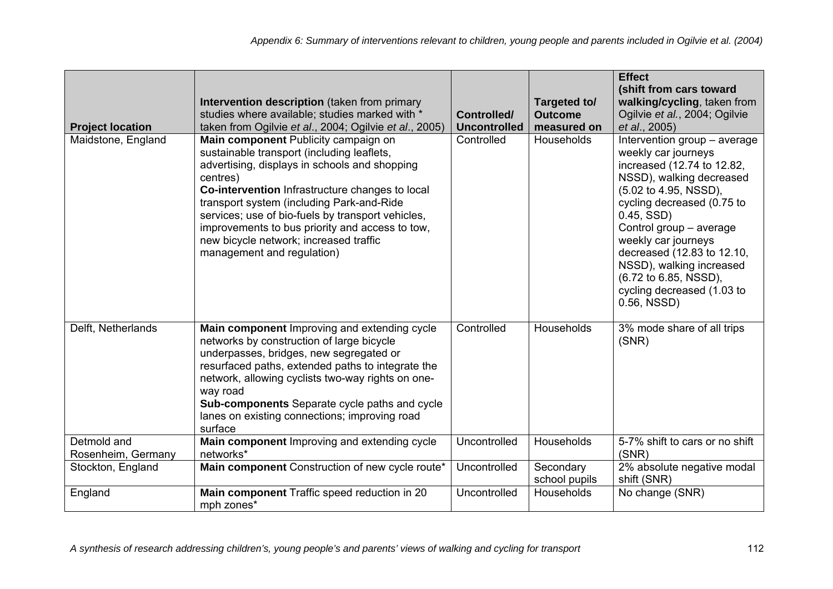| <b>Project location</b>           | Intervention description (taken from primary<br>studies where available; studies marked with *<br>taken from Ogilvie et al., 2004; Ogilvie et al., 2005)                                                                                                                                                                                                                                                                        | <b>Controlled/</b><br><b>Uncontrolled</b> | Targeted to/<br><b>Outcome</b><br>measured on | <b>Effect</b><br>(shift from cars toward<br>walking/cycling, taken from<br>Ogilvie et al., 2004; Ogilvie<br>et al., 2005)                                                                                                                                                                                                                                              |
|-----------------------------------|---------------------------------------------------------------------------------------------------------------------------------------------------------------------------------------------------------------------------------------------------------------------------------------------------------------------------------------------------------------------------------------------------------------------------------|-------------------------------------------|-----------------------------------------------|------------------------------------------------------------------------------------------------------------------------------------------------------------------------------------------------------------------------------------------------------------------------------------------------------------------------------------------------------------------------|
| Maidstone, England                | Main component Publicity campaign on<br>sustainable transport (including leaflets,<br>advertising, displays in schools and shopping<br>centres)<br>Co-intervention Infrastructure changes to local<br>transport system (including Park-and-Ride<br>services; use of bio-fuels by transport vehicles,<br>improvements to bus priority and access to tow,<br>new bicycle network; increased traffic<br>management and regulation) | Controlled                                | Households                                    | Intervention group - average<br>weekly car journeys<br>increased (12.74 to 12.82,<br>NSSD), walking decreased<br>(5.02 to 4.95, NSSD),<br>cycling decreased (0.75 to<br>$0.45,$ SSD)<br>Control group - average<br>weekly car journeys<br>decreased (12.83 to 12.10,<br>NSSD), walking increased<br>(6.72 to 6.85, NSSD),<br>cycling decreased (1.03 to<br>0.56, NSSD) |
| Delft, Netherlands                | Main component Improving and extending cycle<br>networks by construction of large bicycle<br>underpasses, bridges, new segregated or<br>resurfaced paths, extended paths to integrate the<br>network, allowing cyclists two-way rights on one-<br>way road<br>Sub-components Separate cycle paths and cycle<br>lanes on existing connections; improving road<br>surface                                                         | Controlled                                | Households                                    | 3% mode share of all trips<br>(SNR)                                                                                                                                                                                                                                                                                                                                    |
| Detmold and<br>Rosenheim, Germany | Main component Improving and extending cycle<br>networks*                                                                                                                                                                                                                                                                                                                                                                       | Uncontrolled                              | <b>Households</b>                             | 5-7% shift to cars or no shift<br>(SNR)                                                                                                                                                                                                                                                                                                                                |
| Stockton, England                 | Main component Construction of new cycle route*                                                                                                                                                                                                                                                                                                                                                                                 | Uncontrolled                              | Secondary<br>school pupils                    | 2% absolute negative modal<br>shift (SNR)                                                                                                                                                                                                                                                                                                                              |
| England                           | Main component Traffic speed reduction in 20<br>mph zones*                                                                                                                                                                                                                                                                                                                                                                      | Uncontrolled                              | <b>Households</b>                             | No change (SNR)                                                                                                                                                                                                                                                                                                                                                        |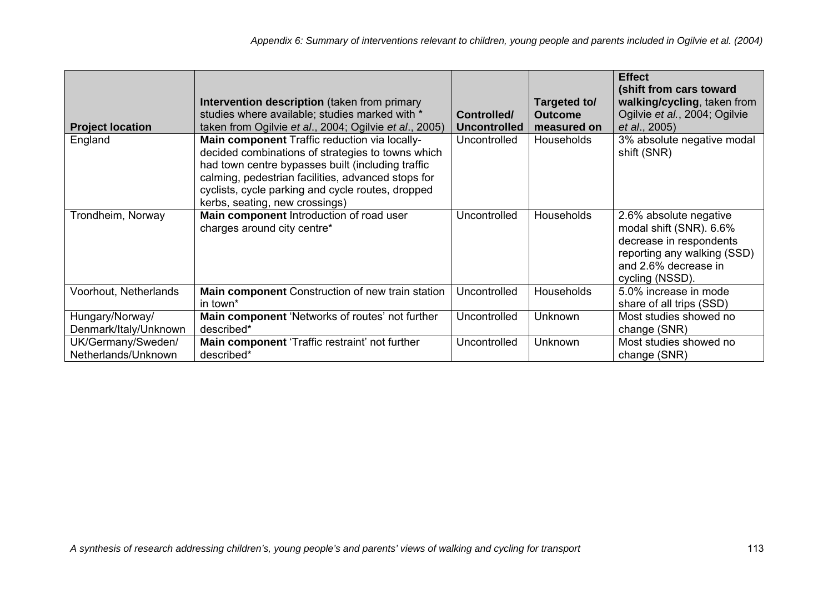| <b>Project location</b>                   | Intervention description (taken from primary<br>studies where available; studies marked with *<br>taken from Ogilvie et al., 2004; Ogilvie et al., 2005)                                                                                                                                             | Controlled/<br><b>Uncontrolled</b> | Targeted to/<br><b>Outcome</b><br>measured on | <b>Effect</b><br>(shift from cars toward<br>walking/cycling, taken from<br>Ogilvie et al., 2004; Ogilvie<br>et al., 2005)                              |
|-------------------------------------------|------------------------------------------------------------------------------------------------------------------------------------------------------------------------------------------------------------------------------------------------------------------------------------------------------|------------------------------------|-----------------------------------------------|--------------------------------------------------------------------------------------------------------------------------------------------------------|
| England                                   | Main component Traffic reduction via locally-<br>decided combinations of strategies to towns which<br>had town centre bypasses built (including traffic<br>calming, pedestrian facilities, advanced stops for<br>cyclists, cycle parking and cycle routes, dropped<br>kerbs, seating, new crossings) | Uncontrolled                       | <b>Households</b>                             | 3% absolute negative modal<br>shift (SNR)                                                                                                              |
| Trondheim, Norway                         | Main component Introduction of road user<br>charges around city centre*                                                                                                                                                                                                                              | Uncontrolled                       | <b>Households</b>                             | 2.6% absolute negative<br>modal shift (SNR). 6.6%<br>decrease in respondents<br>reporting any walking (SSD)<br>and 2.6% decrease in<br>cycling (NSSD). |
| Voorhout, Netherlands                     | Main component Construction of new train station<br>in town <sup>*</sup>                                                                                                                                                                                                                             | Uncontrolled                       | Households                                    | 5.0% increase in mode<br>share of all trips (SSD)                                                                                                      |
| Hungary/Norway/<br>Denmark/Italy/Unknown  | Main component 'Networks of routes' not further<br>described*                                                                                                                                                                                                                                        | Uncontrolled                       | <b>Unknown</b>                                | Most studies showed no<br>change (SNR)                                                                                                                 |
| UK/Germany/Sweden/<br>Netherlands/Unknown | Main component 'Traffic restraint' not further<br>described*                                                                                                                                                                                                                                         | Uncontrolled                       | Unknown                                       | Most studies showed no<br>change (SNR)                                                                                                                 |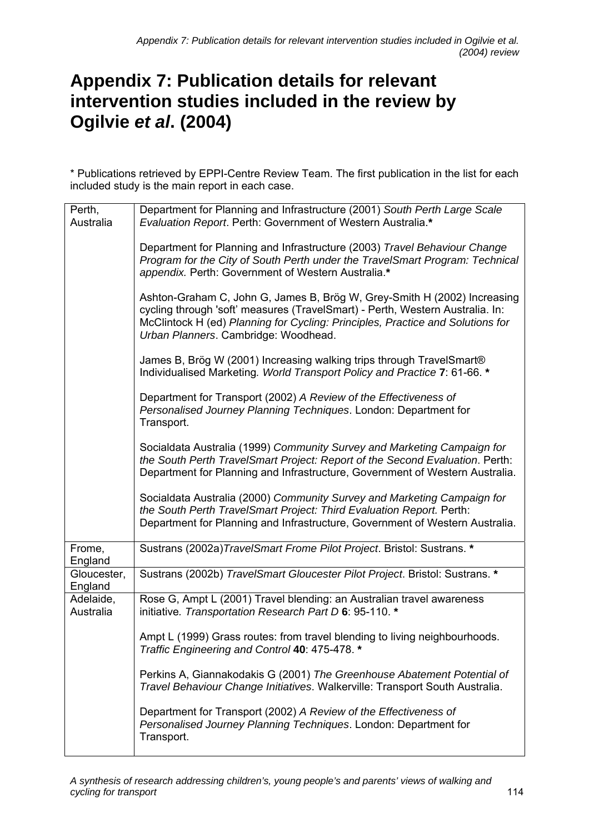## **Appendix 7: Publication details for relevant intervention studies included in the review by Ogilvie** *et al***. (2004)**

\* Publications retrieved by EPPI-Centre Review Team. The first publication in the list for each included study is the main report in each case.

| Perth,<br>Australia    | Department for Planning and Infrastructure (2001) South Perth Large Scale<br>Evaluation Report. Perth: Government of Western Australia.*                                                                                                                                                    |
|------------------------|---------------------------------------------------------------------------------------------------------------------------------------------------------------------------------------------------------------------------------------------------------------------------------------------|
|                        | Department for Planning and Infrastructure (2003) Travel Behaviour Change<br>Program for the City of South Perth under the TravelSmart Program: Technical<br>appendix. Perth: Government of Western Australia.*<br>Ashton-Graham C, John G, James B, Brög W, Grey-Smith H (2002) Increasing |
|                        | cycling through 'soft' measures (TravelSmart) - Perth, Western Australia. In:<br>McClintock H (ed) Planning for Cycling: Principles, Practice and Solutions for<br>Urban Planners. Cambridge: Woodhead.                                                                                     |
|                        | James B, Brög W (2001) Increasing walking trips through TravelSmart®<br>Individualised Marketing. World Transport Policy and Practice 7: 61-66. *                                                                                                                                           |
|                        | Department for Transport (2002) A Review of the Effectiveness of<br>Personalised Journey Planning Techniques. London: Department for<br>Transport.                                                                                                                                          |
|                        | Socialdata Australia (1999) Community Survey and Marketing Campaign for<br>the South Perth TravelSmart Project: Report of the Second Evaluation. Perth:<br>Department for Planning and Infrastructure, Government of Western Australia.                                                     |
|                        | Socialdata Australia (2000) Community Survey and Marketing Campaign for<br>the South Perth TravelSmart Project: Third Evaluation Report. Perth:<br>Department for Planning and Infrastructure, Government of Western Australia.                                                             |
| Frome,<br>England      | Sustrans (2002a) TravelSmart Frome Pilot Project. Bristol: Sustrans. *                                                                                                                                                                                                                      |
| Gloucester,<br>England | Sustrans (2002b) TravelSmart Gloucester Pilot Project. Bristol: Sustrans. *                                                                                                                                                                                                                 |
| Adelaide,<br>Australia | Rose G, Ampt L (2001) Travel blending: an Australian travel awareness<br>initiative. Transportation Research Part D 6: 95-110. *                                                                                                                                                            |
|                        | Ampt L (1999) Grass routes: from travel blending to living neighbourhoods.<br>Traffic Engineering and Control 40: 475-478. *                                                                                                                                                                |
|                        | Perkins A, Giannakodakis G (2001) The Greenhouse Abatement Potential of<br>Travel Behaviour Change Initiatives. Walkerville: Transport South Australia.                                                                                                                                     |
|                        | Department for Transport (2002) A Review of the Effectiveness of<br>Personalised Journey Planning Techniques. London: Department for<br>Transport.                                                                                                                                          |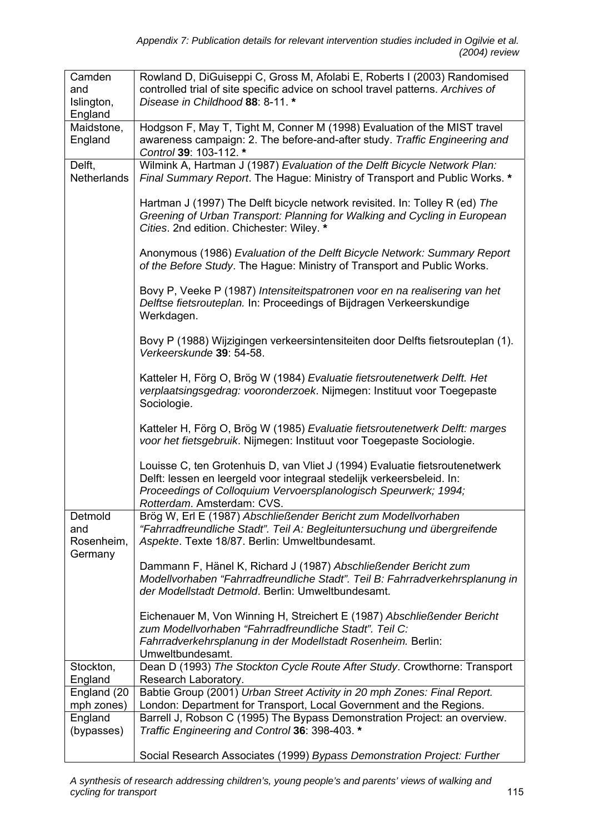| Camden<br>and<br>Islington,<br>England  | Rowland D, DiGuiseppi C, Gross M, Afolabi E, Roberts I (2003) Randomised<br>controlled trial of site specific advice on school travel patterns. Archives of<br>Disease in Childhood 88: 8-11. *                                                        |
|-----------------------------------------|--------------------------------------------------------------------------------------------------------------------------------------------------------------------------------------------------------------------------------------------------------|
| Maidstone,                              | Hodgson F, May T, Tight M, Conner M (1998) Evaluation of the MIST travel                                                                                                                                                                               |
| England                                 | awareness campaign: 2. The before-and-after study. Traffic Engineering and<br>Control 39: 103-112. *                                                                                                                                                   |
| Delft,<br>Netherlands                   | Wilmink A, Hartman J (1987) Evaluation of the Delft Bicycle Network Plan:<br>Final Summary Report. The Hague: Ministry of Transport and Public Works. *                                                                                                |
|                                         | Hartman J (1997) The Delft bicycle network revisited. In: Tolley R (ed) The<br>Greening of Urban Transport: Planning for Walking and Cycling in European<br>Cities. 2nd edition. Chichester: Wiley. *                                                  |
|                                         | Anonymous (1986) Evaluation of the Delft Bicycle Network: Summary Report<br>of the Before Study. The Hague: Ministry of Transport and Public Works.                                                                                                    |
|                                         | Bovy P, Veeke P (1987) Intensiteitspatronen voor en na realisering van het<br>Delftse fietsrouteplan. In: Proceedings of Bijdragen Verkeerskundige<br>Werkdagen.                                                                                       |
|                                         | Bovy P (1988) Wijzigingen verkeersintensiteiten door Delfts fietsrouteplan (1).<br>Verkeerskunde 39: 54-58.                                                                                                                                            |
|                                         | Katteler H, Förg O, Brög W (1984) Evaluatie fietsroutenetwerk Delft. Het<br>verplaatsingsgedrag: vooronderzoek. Nijmegen: Instituut voor Toegepaste<br>Sociologie.                                                                                     |
|                                         | Katteler H, Förg O, Brög W (1985) Evaluatie fietsroutenetwerk Delft: marges<br>voor het fietsgebruik. Nijmegen: Instituut voor Toegepaste Sociologie.                                                                                                  |
|                                         | Louisse C, ten Grotenhuis D, van Vliet J (1994) Evaluatie fietsroutenetwerk<br>Delft: lessen en leergeld voor integraal stedelijk verkeersbeleid. In:<br>Proceedings of Colloquium Vervoersplanologisch Speurwerk; 1994;<br>Rotterdam. Amsterdam: CVS. |
| Detmold<br>and<br>Rosenheim,<br>Germany | Brög W, Erl E (1987) Abschließender Bericht zum Modellvorhaben<br>"Fahrradfreundliche Stadt". Teil A: Begleituntersuchung und übergreifende<br>Aspekte. Texte 18/87. Berlin: Umweltbundesamt.                                                          |
|                                         | Dammann F, Hänel K, Richard J (1987) Abschließender Bericht zum<br>Modellvorhaben "Fahrradfreundliche Stadt". Teil B: Fahrradverkehrsplanung in<br>der Modellstadt Detmold. Berlin: Umweltbundesamt.                                                   |
|                                         | Eichenauer M, Von Winning H, Streichert E (1987) Abschließender Bericht<br>zum Modellvorhaben "Fahrradfreundliche Stadt". Teil C:<br>Fahrradverkehrsplanung in der Modellstadt Rosenheim. Berlin:<br>Umweltbundesamt.                                  |
| Stockton,                               | Dean D (1993) The Stockton Cycle Route After Study. Crowthorne: Transport                                                                                                                                                                              |
| England<br>England (20                  | Research Laboratory.<br>Babtie Group (2001) Urban Street Activity in 20 mph Zones: Final Report.                                                                                                                                                       |
| mph zones)                              | London: Department for Transport, Local Government and the Regions.                                                                                                                                                                                    |
| England                                 | Barrell J, Robson C (1995) The Bypass Demonstration Project: an overview.                                                                                                                                                                              |
| (bypasses)                              | Traffic Engineering and Control 36: 398-403. *                                                                                                                                                                                                         |
|                                         | Social Research Associates (1999) Bypass Demonstration Project: Further                                                                                                                                                                                |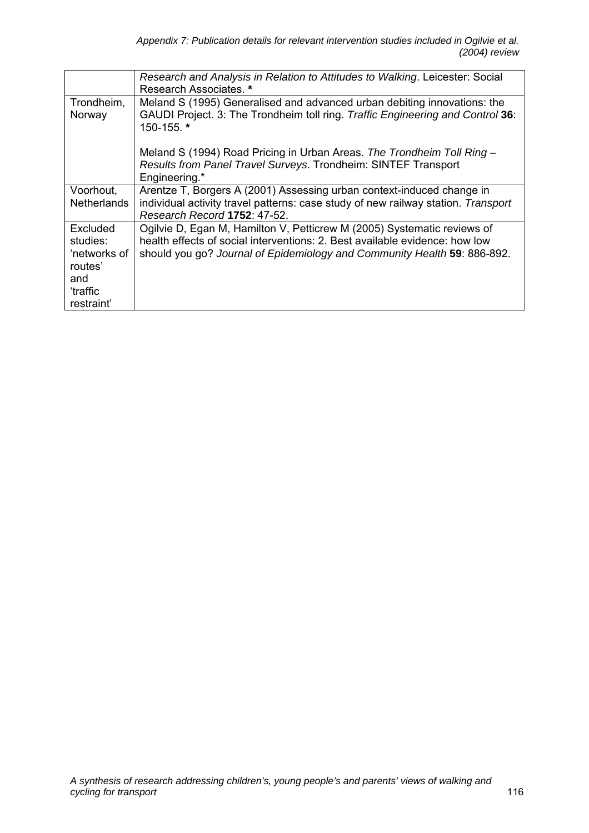|                      | Research and Analysis in Relation to Attitudes to Walking. Leicester: Social<br>Research Associates. *                                                     |
|----------------------|------------------------------------------------------------------------------------------------------------------------------------------------------------|
| Trondheim,<br>Norway | Meland S (1995) Generalised and advanced urban debiting innovations: the<br>GAUDI Project. 3: The Trondheim toll ring. Traffic Engineering and Control 36: |
|                      | 150-155.*                                                                                                                                                  |
|                      | Meland S (1994) Road Pricing in Urban Areas. The Trondheim Toll Ring -                                                                                     |
|                      | Results from Panel Travel Surveys. Trondheim: SINTEF Transport<br>Engineering.*                                                                            |
| Voorhout,            | Arentze T, Borgers A (2001) Assessing urban context-induced change in                                                                                      |
| <b>Netherlands</b>   | individual activity travel patterns: case study of new railway station. Transport<br>Research Record 1752: 47-52.                                          |
| Excluded             | Ogilvie D, Egan M, Hamilton V, Petticrew M (2005) Systematic reviews of                                                                                    |
| studies:             | health effects of social interventions: 2. Best available evidence: how low                                                                                |
| 'networks of         | should you go? Journal of Epidemiology and Community Health 59: 886-892.                                                                                   |
| routes'              |                                                                                                                                                            |
| and                  |                                                                                                                                                            |
| 'traffic             |                                                                                                                                                            |
| restraint'           |                                                                                                                                                            |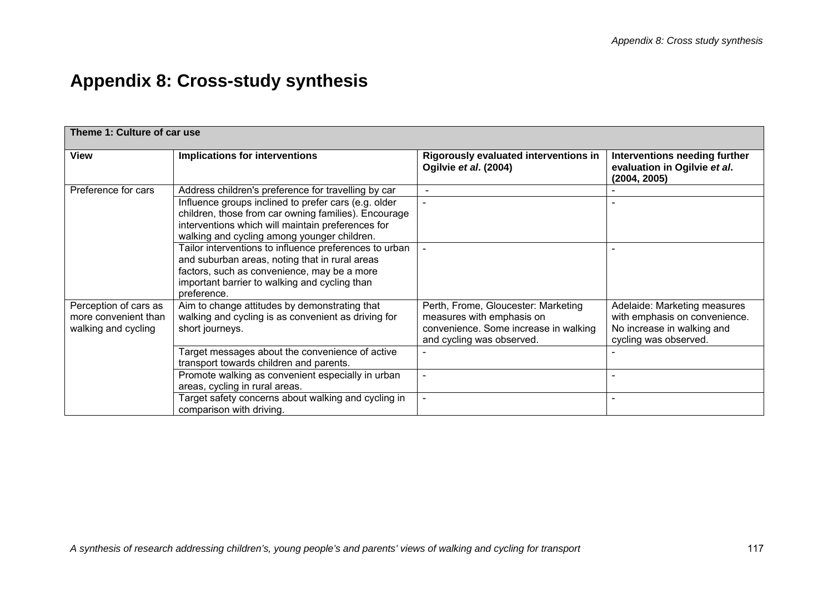# **Appendix 8: Cross-study synthesis**

| Theme 1: Culture of car use                                          |                                                                                                                                                                                                                         |                                                                                                                                        |                                                                                                                      |
|----------------------------------------------------------------------|-------------------------------------------------------------------------------------------------------------------------------------------------------------------------------------------------------------------------|----------------------------------------------------------------------------------------------------------------------------------------|----------------------------------------------------------------------------------------------------------------------|
| View                                                                 | Implications for interventions                                                                                                                                                                                          | <b>Rigorously evaluated interventions in</b><br>Ogilvie et al. (2004)                                                                  | Interventions needing further<br>evaluation in Ogilvie et al.<br>(2004, 2005)                                        |
| Preference for cars                                                  | Address children's preference for travelling by car                                                                                                                                                                     |                                                                                                                                        |                                                                                                                      |
|                                                                      | Influence groups inclined to prefer cars (e.g. older<br>children, those from car owning families). Encourage<br>interventions which will maintain preferences for<br>walking and cycling among younger children.        |                                                                                                                                        |                                                                                                                      |
|                                                                      | Tailor interventions to influence preferences to urban<br>and suburban areas, noting that in rural areas<br>factors, such as convenience, may be a more<br>important barrier to walking and cycling than<br>preference. |                                                                                                                                        |                                                                                                                      |
| Perception of cars as<br>more convenient than<br>walking and cycling | Aim to change attitudes by demonstrating that<br>walking and cycling is as convenient as driving for<br>short journeys.                                                                                                 | Perth, Frome, Gloucester: Marketing<br>measures with emphasis on<br>convenience. Some increase in walking<br>and cycling was observed. | Adelaide: Marketing measures<br>with emphasis on convenience.<br>No increase in walking and<br>cycling was observed. |
|                                                                      | Target messages about the convenience of active<br>transport towards children and parents.                                                                                                                              | $\qquad \qquad$                                                                                                                        |                                                                                                                      |
|                                                                      | Promote walking as convenient especially in urban<br>areas, cycling in rural areas.                                                                                                                                     | $\blacksquare$                                                                                                                         | $\blacksquare$                                                                                                       |
|                                                                      | Target safety concerns about walking and cycling in<br>comparison with driving.                                                                                                                                         | $\blacksquare$                                                                                                                         |                                                                                                                      |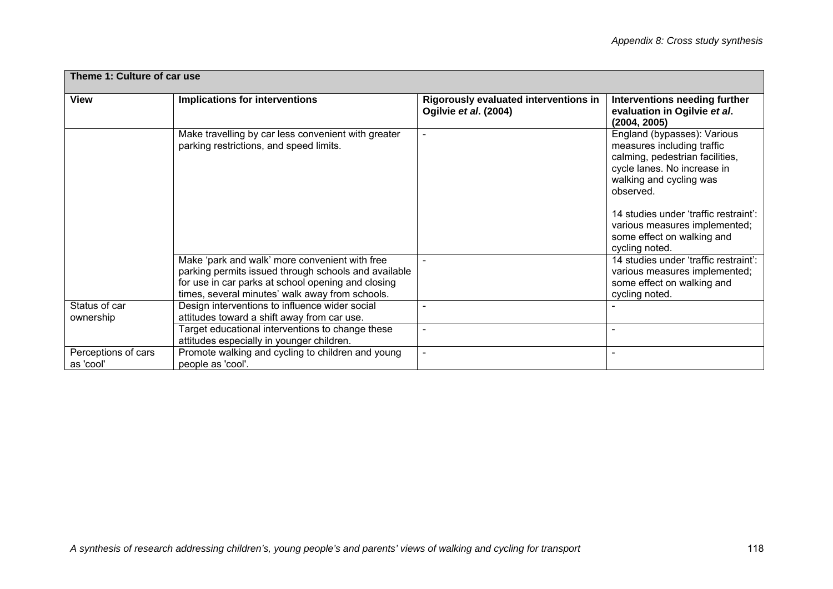| Theme 1: Culture of car use      |                                                                                                                                                                                                                 |                                                                |                                                                                                                                                                                                                                                                                               |
|----------------------------------|-----------------------------------------------------------------------------------------------------------------------------------------------------------------------------------------------------------------|----------------------------------------------------------------|-----------------------------------------------------------------------------------------------------------------------------------------------------------------------------------------------------------------------------------------------------------------------------------------------|
| View                             | <b>Implications for interventions</b>                                                                                                                                                                           | Rigorously evaluated interventions in<br>Ogilvie et al. (2004) | Interventions needing further<br>evaluation in Ogilvie et al.<br>(2004, 2005)                                                                                                                                                                                                                 |
|                                  | Make travelling by car less convenient with greater<br>parking restrictions, and speed limits.                                                                                                                  | $\blacksquare$                                                 | England (bypasses): Various<br>measures including traffic<br>calming, pedestrian facilities,<br>cycle lanes. No increase in<br>walking and cycling was<br>observed.<br>14 studies under 'traffic restraint':<br>various measures implemented;<br>some effect on walking and<br>cycling noted. |
|                                  | Make 'park and walk' more convenient with free<br>parking permits issued through schools and available<br>for use in car parks at school opening and closing<br>times, several minutes' walk away from schools. |                                                                | 14 studies under 'traffic restraint':<br>various measures implemented;<br>some effect on walking and<br>cycling noted.                                                                                                                                                                        |
| Status of car<br>ownership       | Design interventions to influence wider social<br>attitudes toward a shift away from car use.                                                                                                                   |                                                                |                                                                                                                                                                                                                                                                                               |
|                                  | Target educational interventions to change these<br>attitudes especially in younger children.                                                                                                                   |                                                                |                                                                                                                                                                                                                                                                                               |
| Perceptions of cars<br>as 'cool' | Promote walking and cycling to children and young<br>people as 'cool'.                                                                                                                                          | $\overline{\phantom{a}}$                                       |                                                                                                                                                                                                                                                                                               |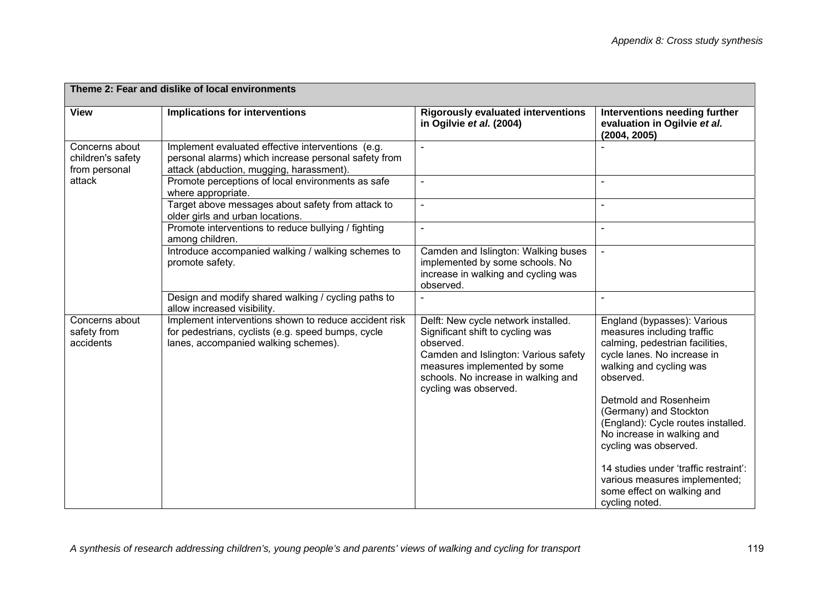| Theme 2: Fear and dislike of local environments      |                                                                                                                                                       |                                                                                                                                                                                                                              |                                                                                                                                                                     |
|------------------------------------------------------|-------------------------------------------------------------------------------------------------------------------------------------------------------|------------------------------------------------------------------------------------------------------------------------------------------------------------------------------------------------------------------------------|---------------------------------------------------------------------------------------------------------------------------------------------------------------------|
| <b>View</b>                                          | <b>Implications for interventions</b>                                                                                                                 | <b>Rigorously evaluated interventions</b><br>in Ogilvie et al. (2004)                                                                                                                                                        | Interventions needing further<br>evaluation in Ogilvie et al.<br>(2004, 2005)                                                                                       |
| Concerns about<br>children's safety<br>from personal | Implement evaluated effective interventions (e.g.<br>personal alarms) which increase personal safety from<br>attack (abduction, mugging, harassment). |                                                                                                                                                                                                                              |                                                                                                                                                                     |
| attack                                               | Promote perceptions of local environments as safe<br>where appropriate.                                                                               |                                                                                                                                                                                                                              |                                                                                                                                                                     |
|                                                      | Target above messages about safety from attack to<br>older girls and urban locations.                                                                 | $\blacksquare$                                                                                                                                                                                                               |                                                                                                                                                                     |
|                                                      | Promote interventions to reduce bullying / fighting<br>among children.                                                                                | $\blacksquare$                                                                                                                                                                                                               | $\sim$                                                                                                                                                              |
|                                                      | Introduce accompanied walking / walking schemes to<br>promote safety.                                                                                 | Camden and Islington: Walking buses<br>implemented by some schools. No<br>increase in walking and cycling was<br>observed.                                                                                                   |                                                                                                                                                                     |
|                                                      | Design and modify shared walking / cycling paths to<br>allow increased visibility.                                                                    |                                                                                                                                                                                                                              |                                                                                                                                                                     |
| Concerns about<br>safety from<br>accidents           | Implement interventions shown to reduce accident risk<br>for pedestrians, cyclists (e.g. speed bumps, cycle<br>lanes, accompanied walking schemes).   | Delft: New cycle network installed.<br>Significant shift to cycling was<br>observed.<br>Camden and Islington: Various safety<br>measures implemented by some<br>schools. No increase in walking and<br>cycling was observed. | England (bypasses): Various<br>measures including traffic<br>calming, pedestrian facilities,<br>cycle lanes. No increase in<br>walking and cycling was<br>observed. |
|                                                      |                                                                                                                                                       |                                                                                                                                                                                                                              | Detmold and Rosenheim<br>(Germany) and Stockton<br>(England): Cycle routes installed.<br>No increase in walking and<br>cycling was observed.                        |
|                                                      |                                                                                                                                                       |                                                                                                                                                                                                                              | 14 studies under 'traffic restraint':<br>various measures implemented;<br>some effect on walking and<br>cycling noted.                                              |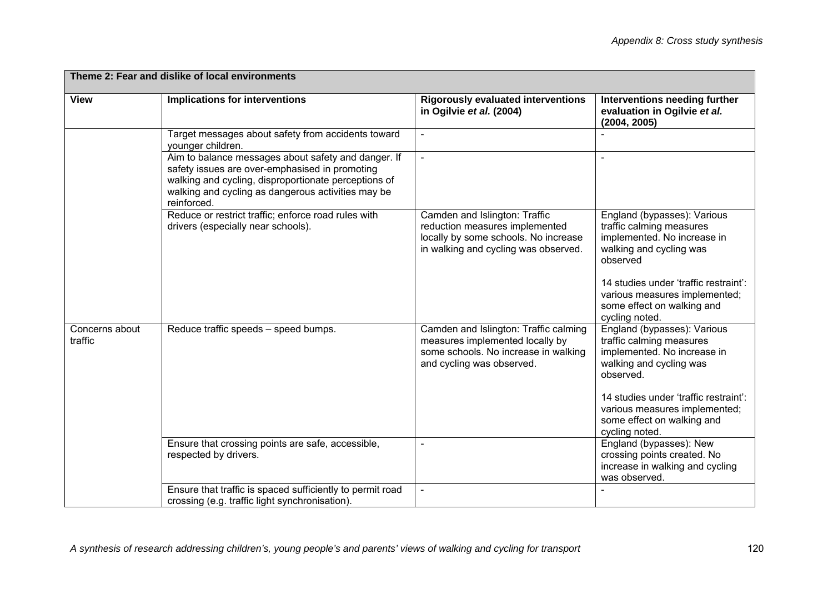| Theme 2: Fear and dislike of local environments |                                                                                                                                                                                                                                    |                                                                                                                                                 |                                                                                                                                |
|-------------------------------------------------|------------------------------------------------------------------------------------------------------------------------------------------------------------------------------------------------------------------------------------|-------------------------------------------------------------------------------------------------------------------------------------------------|--------------------------------------------------------------------------------------------------------------------------------|
| <b>View</b>                                     | Implications for interventions                                                                                                                                                                                                     | <b>Rigorously evaluated interventions</b><br>in Ogilvie et al. (2004)                                                                           | Interventions needing further<br>evaluation in Ogilvie et al.<br>(2004, 2005)                                                  |
|                                                 | Target messages about safety from accidents toward<br>younger children.                                                                                                                                                            |                                                                                                                                                 |                                                                                                                                |
|                                                 | Aim to balance messages about safety and danger. If<br>safety issues are over-emphasised in promoting<br>walking and cycling, disproportionate perceptions of<br>walking and cycling as dangerous activities may be<br>reinforced. |                                                                                                                                                 |                                                                                                                                |
|                                                 | Reduce or restrict traffic; enforce road rules with<br>drivers (especially near schools).                                                                                                                                          | Camden and Islington: Traffic<br>reduction measures implemented<br>locally by some schools. No increase<br>in walking and cycling was observed. | England (bypasses): Various<br>traffic calming measures<br>implemented. No increase in<br>walking and cycling was<br>observed  |
|                                                 |                                                                                                                                                                                                                                    |                                                                                                                                                 | 14 studies under 'traffic restraint':<br>various measures implemented;<br>some effect on walking and<br>cycling noted.         |
| Concerns about<br>traffic                       | Reduce traffic speeds - speed bumps.                                                                                                                                                                                               | Camden and Islington: Traffic calming<br>measures implemented locally by<br>some schools. No increase in walking<br>and cycling was observed.   | England (bypasses): Various<br>traffic calming measures<br>implemented. No increase in<br>walking and cycling was<br>observed. |
|                                                 |                                                                                                                                                                                                                                    |                                                                                                                                                 | 14 studies under 'traffic restraint':<br>various measures implemented;<br>some effect on walking and<br>cycling noted.         |
|                                                 | Ensure that crossing points are safe, accessible,<br>respected by drivers.                                                                                                                                                         |                                                                                                                                                 | England (bypasses): New<br>crossing points created. No<br>increase in walking and cycling<br>was observed.                     |
|                                                 | Ensure that traffic is spaced sufficiently to permit road<br>crossing (e.g. traffic light synchronisation).                                                                                                                        |                                                                                                                                                 |                                                                                                                                |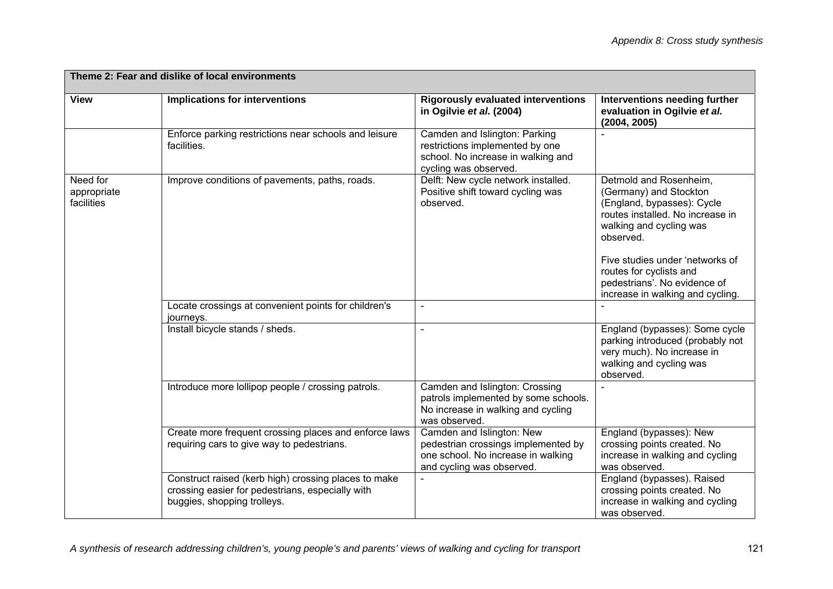| Theme 2: Fear and dislike of local environments |                                                                                                                                         |                                                                                                                                     |                                                                                                                                                                                                                                                                                              |
|-------------------------------------------------|-----------------------------------------------------------------------------------------------------------------------------------------|-------------------------------------------------------------------------------------------------------------------------------------|----------------------------------------------------------------------------------------------------------------------------------------------------------------------------------------------------------------------------------------------------------------------------------------------|
| <b>View</b>                                     | Implications for interventions                                                                                                          | <b>Rigorously evaluated interventions</b><br>in Ogilvie et al. (2004)                                                               | Interventions needing further<br>evaluation in Ogilvie et al.<br>(2004, 2005)                                                                                                                                                                                                                |
|                                                 | Enforce parking restrictions near schools and leisure<br>facilities.                                                                    | Camden and Islington: Parking<br>restrictions implemented by one<br>school. No increase in walking and<br>cycling was observed.     |                                                                                                                                                                                                                                                                                              |
| Need for<br>appropriate<br>facilities           | Improve conditions of pavements, paths, roads.                                                                                          | Delft: New cycle network installed.<br>Positive shift toward cycling was<br>observed.                                               | Detmold and Rosenheim,<br>(Germany) and Stockton<br>(England, bypasses): Cycle<br>routes installed. No increase in<br>walking and cycling was<br>observed.<br>Five studies under 'networks of<br>routes for cyclists and<br>pedestrians'. No evidence of<br>increase in walking and cycling. |
|                                                 | Locate crossings at convenient points for children's<br>journeys.                                                                       |                                                                                                                                     |                                                                                                                                                                                                                                                                                              |
|                                                 | Install bicycle stands / sheds.                                                                                                         | $\sim$                                                                                                                              | England (bypasses): Some cycle<br>parking introduced (probably not<br>very much). No increase in<br>walking and cycling was<br>observed.                                                                                                                                                     |
|                                                 | Introduce more lollipop people / crossing patrols.                                                                                      | Camden and Islington: Crossing<br>patrols implemented by some schools.<br>No increase in walking and cycling<br>was observed.       |                                                                                                                                                                                                                                                                                              |
|                                                 | Create more frequent crossing places and enforce laws<br>requiring cars to give way to pedestrians.                                     | Camden and Islington: New<br>pedestrian crossings implemented by<br>one school. No increase in walking<br>and cycling was observed. | England (bypasses): New<br>crossing points created. No<br>increase in walking and cycling<br>was observed.                                                                                                                                                                                   |
|                                                 | Construct raised (kerb high) crossing places to make<br>crossing easier for pedestrians, especially with<br>buggies, shopping trolleys. |                                                                                                                                     | England (bypasses). Raised<br>crossing points created. No<br>increase in walking and cycling<br>was observed.                                                                                                                                                                                |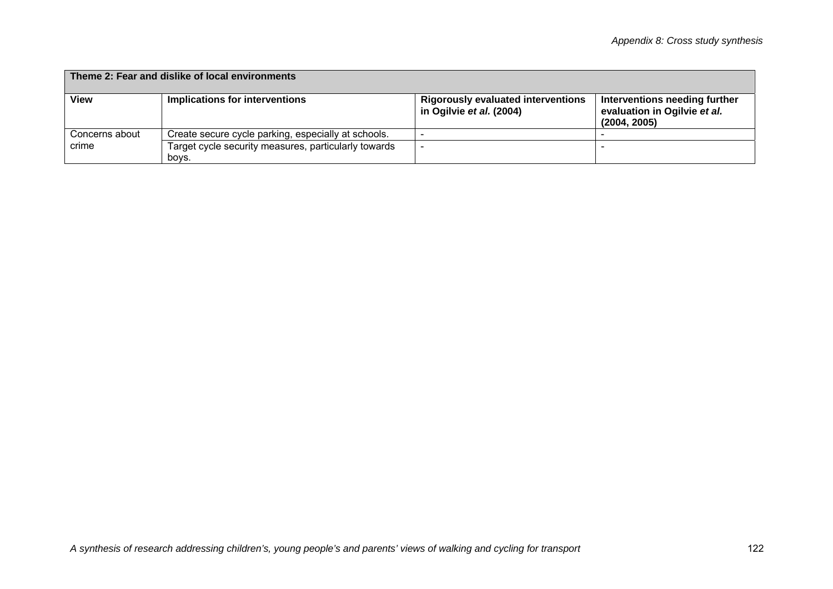| Theme 2: Fear and dislike of local environments |                                                               |                                                                       |                                                                               |
|-------------------------------------------------|---------------------------------------------------------------|-----------------------------------------------------------------------|-------------------------------------------------------------------------------|
| <b>View</b>                                     | Implications for interventions                                | <b>Rigorously evaluated interventions</b><br>in Ogilvie et al. (2004) | Interventions needing further<br>evaluation in Ogilvie et al.<br>(2004, 2005) |
| Concerns about                                  | Create secure cycle parking, especially at schools.           |                                                                       |                                                                               |
| crime                                           | Target cycle security measures, particularly towards<br>boys. |                                                                       |                                                                               |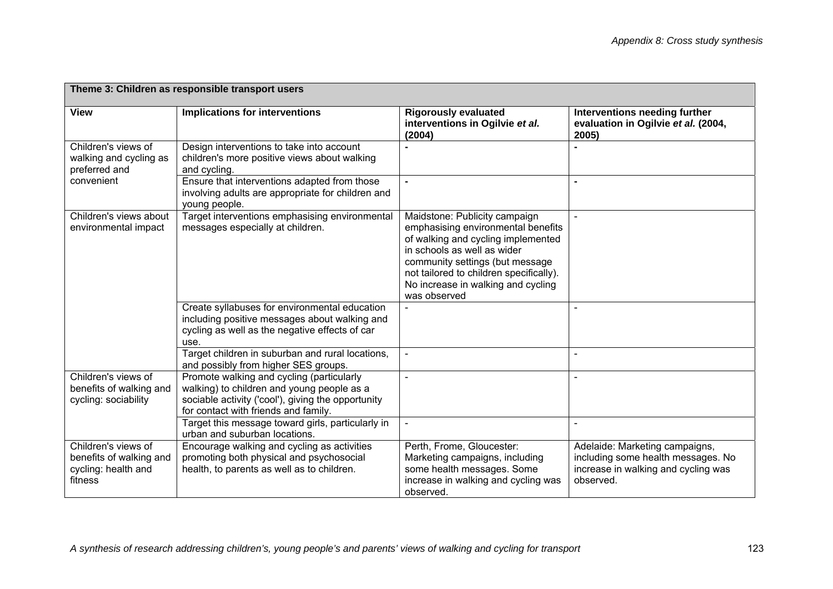| Theme 3: Children as responsible transport users                                 |                                                                                                                                                                                       |                                                                                                                                                                                                                                                                              |                                                                                                                          |
|----------------------------------------------------------------------------------|---------------------------------------------------------------------------------------------------------------------------------------------------------------------------------------|------------------------------------------------------------------------------------------------------------------------------------------------------------------------------------------------------------------------------------------------------------------------------|--------------------------------------------------------------------------------------------------------------------------|
| <b>View</b>                                                                      | <b>Implications for interventions</b>                                                                                                                                                 | <b>Rigorously evaluated</b><br>interventions in Ogilvie et al.<br>(2004)                                                                                                                                                                                                     | Interventions needing further<br>evaluation in Ogilvie et al. (2004,<br>2005)                                            |
| Children's views of<br>walking and cycling as<br>preferred and                   | Design interventions to take into account<br>children's more positive views about walking<br>and cycling.                                                                             |                                                                                                                                                                                                                                                                              |                                                                                                                          |
| convenient                                                                       | Ensure that interventions adapted from those<br>involving adults are appropriate for children and<br>young people.                                                                    | $\blacksquare$                                                                                                                                                                                                                                                               |                                                                                                                          |
| Children's views about<br>environmental impact                                   | Target interventions emphasising environmental<br>messages especially at children.                                                                                                    | Maidstone: Publicity campaign<br>emphasising environmental benefits<br>of walking and cycling implemented<br>in schools as well as wider<br>community settings (but message<br>not tailored to children specifically).<br>No increase in walking and cycling<br>was observed |                                                                                                                          |
|                                                                                  | Create syllabuses for environmental education<br>including positive messages about walking and<br>cycling as well as the negative effects of car<br>use.                              |                                                                                                                                                                                                                                                                              |                                                                                                                          |
|                                                                                  | Target children in suburban and rural locations,<br>and possibly from higher SES groups.                                                                                              | $\overline{a}$                                                                                                                                                                                                                                                               |                                                                                                                          |
| Children's views of<br>benefits of walking and<br>cycling: sociability           | Promote walking and cycling (particularly<br>walking) to children and young people as a<br>sociable activity ('cool'), giving the opportunity<br>for contact with friends and family. |                                                                                                                                                                                                                                                                              |                                                                                                                          |
|                                                                                  | Target this message toward girls, particularly in<br>urban and suburban locations.                                                                                                    |                                                                                                                                                                                                                                                                              |                                                                                                                          |
| Children's views of<br>benefits of walking and<br>cycling: health and<br>fitness | Encourage walking and cycling as activities<br>promoting both physical and psychosocial<br>health, to parents as well as to children.                                                 | Perth, Frome, Gloucester:<br>Marketing campaigns, including<br>some health messages. Some<br>increase in walking and cycling was<br>observed.                                                                                                                                | Adelaide: Marketing campaigns,<br>including some health messages. No<br>increase in walking and cycling was<br>observed. |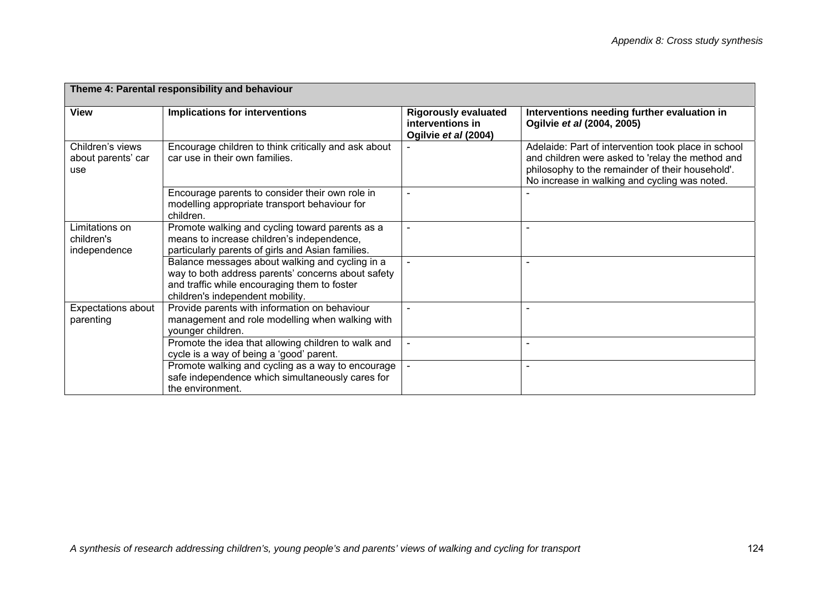| Theme 4: Parental responsibility and behaviour |                                                                                                                                                                                           |                                                                         |                                                                                                                                                                                                              |
|------------------------------------------------|-------------------------------------------------------------------------------------------------------------------------------------------------------------------------------------------|-------------------------------------------------------------------------|--------------------------------------------------------------------------------------------------------------------------------------------------------------------------------------------------------------|
| <b>View</b>                                    | <b>Implications for interventions</b>                                                                                                                                                     | <b>Rigorously evaluated</b><br>interventions in<br>Ogilvie et al (2004) | Interventions needing further evaluation in<br>Ogilvie et al (2004, 2005)                                                                                                                                    |
| Children's views<br>about parents' car<br>use  | Encourage children to think critically and ask about<br>car use in their own families.                                                                                                    |                                                                         | Adelaide: Part of intervention took place in school<br>and children were asked to 'relay the method and<br>philosophy to the remainder of their household'.<br>No increase in walking and cycling was noted. |
|                                                | Encourage parents to consider their own role in<br>modelling appropriate transport behaviour for<br>children.                                                                             | $\overline{\phantom{a}}$                                                |                                                                                                                                                                                                              |
| Limitations on<br>children's<br>independence   | Promote walking and cycling toward parents as a<br>means to increase children's independence,<br>particularly parents of girls and Asian families.                                        |                                                                         |                                                                                                                                                                                                              |
|                                                | Balance messages about walking and cycling in a<br>way to both address parents' concerns about safety<br>and traffic while encouraging them to foster<br>children's independent mobility. |                                                                         |                                                                                                                                                                                                              |
| Expectations about<br>parenting                | Provide parents with information on behaviour<br>management and role modelling when walking with<br>younger children.                                                                     |                                                                         |                                                                                                                                                                                                              |
|                                                | Promote the idea that allowing children to walk and<br>cycle is a way of being a 'good' parent.                                                                                           | $\sim$                                                                  | ٠                                                                                                                                                                                                            |
|                                                | Promote walking and cycling as a way to encourage<br>safe independence which simultaneously cares for<br>the environment.                                                                 |                                                                         |                                                                                                                                                                                                              |